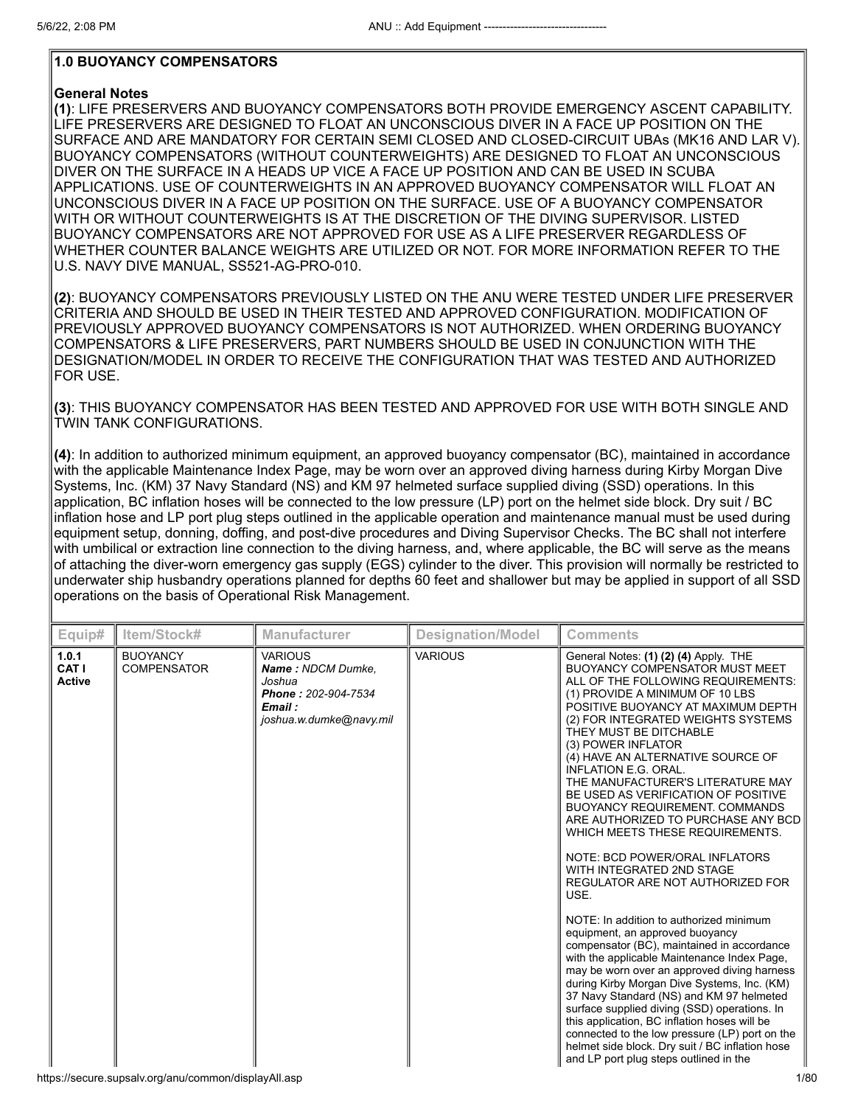# **1.0 BUOYANCY COMPENSATORS**

#### **General Notes**

**(1)**: LIFE PRESERVERS AND BUOYANCY COMPENSATORS BOTH PROVIDE EMERGENCY ASCENT CAPABILITY. LIFE PRESERVERS ARE DESIGNED TO FLOAT AN UNCONSCIOUS DIVER IN A FACE UP POSITION ON THE SURFACE AND ARE MANDATORY FOR CERTAIN SEMI CLOSED AND CLOSED-CIRCUIT UBAs (MK16 AND LAR V). BUOYANCY COMPENSATORS (WITHOUT COUNTERWEIGHTS) ARE DESIGNED TO FLOAT AN UNCONSCIOUS DIVER ON THE SURFACE IN A HEADS UP VICE A FACE UP POSITION AND CAN BE USED IN SCUBA APPLICATIONS. USE OF COUNTERWEIGHTS IN AN APPROVED BUOYANCY COMPENSATOR WILL FLOAT AN UNCONSCIOUS DIVER IN A FACE UP POSITION ON THE SURFACE. USE OF A BUOYANCY COMPENSATOR WITH OR WITHOUT COUNTERWEIGHTS IS AT THE DISCRETION OF THE DIVING SUPERVISOR. LISTED BUOYANCY COMPENSATORS ARE NOT APPROVED FOR USE AS A LIFE PRESERVER REGARDLESS OF WHETHER COUNTER BALANCE WEIGHTS ARE UTILIZED OR NOT. FOR MORE INFORMATION REFER TO THE U.S. NAVY DIVE MANUAL, SS521-AG-PRO-010.

**(2)**: BUOYANCY COMPENSATORS PREVIOUSLY LISTED ON THE ANU WERE TESTED UNDER LIFE PRESERVER CRITERIA AND SHOULD BE USED IN THEIR TESTED AND APPROVED CONFIGURATION. MODIFICATION OF PREVIOUSLY APPROVED BUOYANCY COMPENSATORS IS NOT AUTHORIZED. WHEN ORDERING BUOYANCY COMPENSATORS & LIFE PRESERVERS, PART NUMBERS SHOULD BE USED IN CONJUNCTION WITH THE DESIGNATION/MODEL IN ORDER TO RECEIVE THE CONFIGURATION THAT WAS TESTED AND AUTHORIZED FOR USE.

**(3)**: THIS BUOYANCY COMPENSATOR HAS BEEN TESTED AND APPROVED FOR USE WITH BOTH SINGLE AND TWIN TANK CONFIGURATIONS.

**(4)**: In addition to authorized minimum equipment, an approved buoyancy compensator (BC), maintained in accordance with the applicable Maintenance Index Page, may be worn over an approved diving harness during Kirby Morgan Dive Systems, Inc. (KM) 37 Navy Standard (NS) and KM 97 helmeted surface supplied diving (SSD) operations. In this application, BC inflation hoses will be connected to the low pressure (LP) port on the helmet side block. Dry suit / BC inflation hose and LP port plug steps outlined in the applicable operation and maintenance manual must be used during equipment setup, donning, doffing, and post-dive procedures and Diving Supervisor Checks. The BC shall not interfere with umbilical or extraction line connection to the diving harness, and, where applicable, the BC will serve as the means of attaching the diver-worn emergency gas supply (EGS) cylinder to the diver. This provision will normally be restricted to underwater ship husbandry operations planned for depths 60 feet and shallower but may be applied in support of all SSD operations on the basis of Operational Risk Management.

| Equip#                          | Item/Stock#                           | <b>Manufacturer</b>                                                                                       | <b>Designation/Model</b> | <b>Comments</b>                                                                                                                                                                                                                                                                                                                                                                                                                                                                                                                                                                                                                                                                                                                                                                                                                                                                                                                                                                                                                                                                                                                                                                                                                      |
|---------------------------------|---------------------------------------|-----------------------------------------------------------------------------------------------------------|--------------------------|--------------------------------------------------------------------------------------------------------------------------------------------------------------------------------------------------------------------------------------------------------------------------------------------------------------------------------------------------------------------------------------------------------------------------------------------------------------------------------------------------------------------------------------------------------------------------------------------------------------------------------------------------------------------------------------------------------------------------------------------------------------------------------------------------------------------------------------------------------------------------------------------------------------------------------------------------------------------------------------------------------------------------------------------------------------------------------------------------------------------------------------------------------------------------------------------------------------------------------------|
| 1.0.1<br>CAT I<br><b>Active</b> | <b>BUOYANCY</b><br><b>COMPENSATOR</b> | <b>VARIOUS</b><br>Name: NDCM Dumke.<br>Joshua<br>Phone: 202-904-7534<br>Email:<br>joshua.w.dumke@navy.mil | <b>VARIOUS</b>           | General Notes: (1) (2) (4) Apply. THE<br><b>BUOYANCY COMPENSATOR MUST MEET</b><br>ALL OF THE FOLLOWING REQUIREMENTS:<br>(1) PROVIDE A MINIMUM OF 10 LBS<br>POSITIVE BUOYANCY AT MAXIMUM DEPTH<br>(2) FOR INTEGRATED WEIGHTS SYSTEMS<br>THEY MUST BE DITCHABLE<br>(3) POWER INFLATOR<br>(4) HAVE AN ALTERNATIVE SOURCE OF<br><b>INFLATION E.G. ORAL.</b><br>THE MANUFACTURER'S LITERATURE MAY<br>BE USED AS VERIFICATION OF POSITIVE<br><b>BUOYANCY REQUIREMENT, COMMANDS</b><br>ARE AUTHORIZED TO PURCHASE ANY BCD<br>WHICH MEETS THESE REQUIREMENTS.<br>NOTE: BCD POWER/ORAL INFLATORS<br>WITH INTEGRATED 2ND STAGE<br>REGULATOR ARE NOT AUTHORIZED FOR<br>USE.<br>NOTE: In addition to authorized minimum<br>equipment, an approved buoyancy<br>compensator (BC), maintained in accordance<br>with the applicable Maintenance Index Page,<br>may be worn over an approved diving harness<br>during Kirby Morgan Dive Systems, Inc. (KM)<br>37 Navy Standard (NS) and KM 97 helmeted<br>surface supplied diving (SSD) operations. In<br>this application, BC inflation hoses will be<br>connected to the low pressure (LP) port on the<br>helmet side block. Dry suit / BC inflation hose<br>and LP port plug steps outlined in the |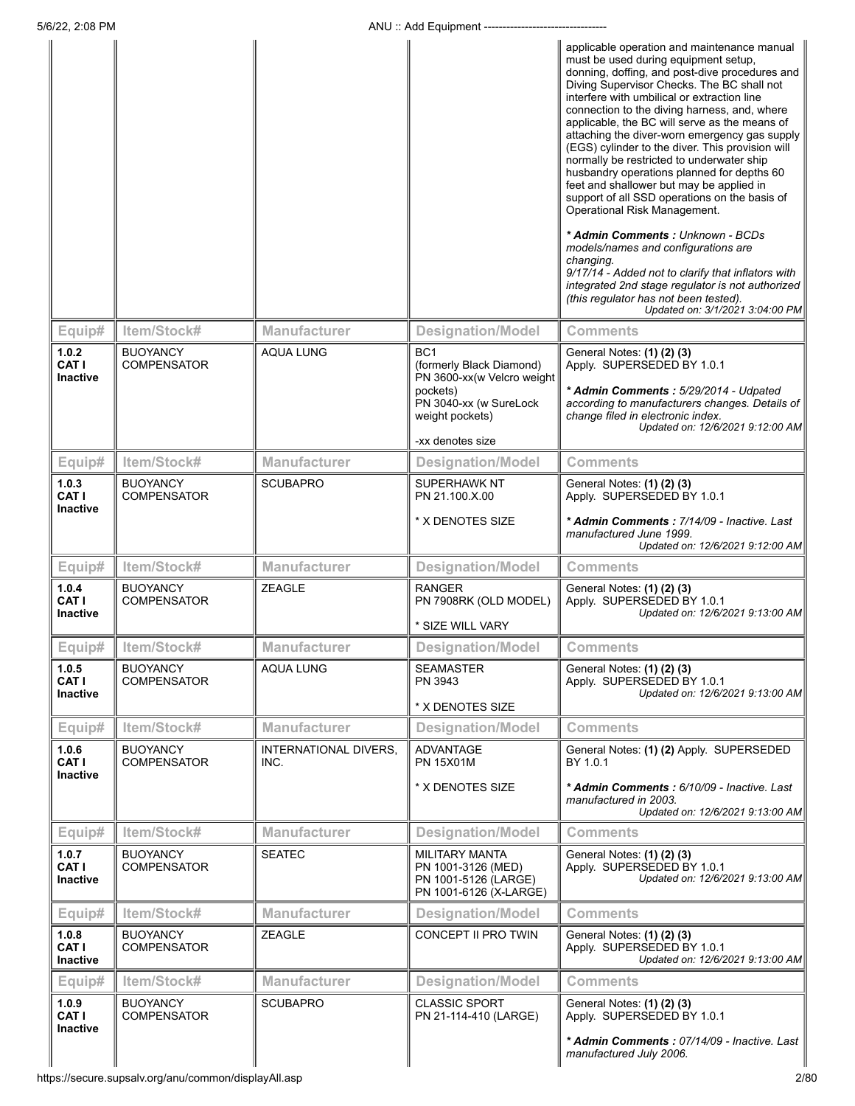|                                          |                                       |                                      |                                                                                                                                                        | applicable operation and maintenance manual<br>must be used during equipment setup,<br>donning, doffing, and post-dive procedures and<br>Diving Supervisor Checks. The BC shall not<br>interfere with umbilical or extraction line<br>connection to the diving harness, and, where<br>applicable, the BC will serve as the means of<br>attaching the diver-worn emergency gas supply<br>(EGS) cylinder to the diver. This provision will<br>normally be restricted to underwater ship<br>husbandry operations planned for depths 60<br>feet and shallower but may be applied in<br>support of all SSD operations on the basis of<br>Operational Risk Management.<br>* Admin Comments : Unknown - BCDs<br>models/names and configurations are<br>changing.<br>9/17/14 - Added not to clarify that inflators with<br>integrated 2nd stage regulator is not authorized<br>(this regulator has not been tested).<br>Updated on: 3/1/2021 3:04:00 PM |
|------------------------------------------|---------------------------------------|--------------------------------------|--------------------------------------------------------------------------------------------------------------------------------------------------------|-------------------------------------------------------------------------------------------------------------------------------------------------------------------------------------------------------------------------------------------------------------------------------------------------------------------------------------------------------------------------------------------------------------------------------------------------------------------------------------------------------------------------------------------------------------------------------------------------------------------------------------------------------------------------------------------------------------------------------------------------------------------------------------------------------------------------------------------------------------------------------------------------------------------------------------------------|
| Equip#                                   | Item/Stock#                           | <b>Manufacturer</b>                  | <b>Designation/Model</b>                                                                                                                               | Comments                                                                                                                                                                                                                                                                                                                                                                                                                                                                                                                                                                                                                                                                                                                                                                                                                                                                                                                                        |
| 1.0.2<br>CAT I<br><b>Inactive</b>        | <b>BUOYANCY</b><br><b>COMPENSATOR</b> | <b>AQUA LUNG</b>                     | BC <sub>1</sub><br>(formerly Black Diamond)<br>PN 3600-xx(w Velcro weight<br>pockets)<br>PN 3040-xx (w SureLock<br>weight pockets)<br>-xx denotes size | General Notes: (1) (2) (3)<br>Apply. SUPERSEDED BY 1.0.1<br>* Admin Comments: 5/29/2014 - Udpated<br>according to manufacturers changes. Details of<br>change filed in electronic index.<br>Updated on: 12/6/2021 9:12:00 AM                                                                                                                                                                                                                                                                                                                                                                                                                                                                                                                                                                                                                                                                                                                    |
| Equip#                                   | Item/Stock#                           | <b>Manufacturer</b>                  | <b>Designation/Model</b>                                                                                                                               | <b>Comments</b>                                                                                                                                                                                                                                                                                                                                                                                                                                                                                                                                                                                                                                                                                                                                                                                                                                                                                                                                 |
| 1.0.3<br>CAT I<br><b>Inactive</b>        | <b>BUOYANCY</b><br><b>COMPENSATOR</b> | <b>SCUBAPRO</b>                      | SUPERHAWK NT<br>PN 21.100 X.00                                                                                                                         | General Notes: (1) (2) (3)<br>Apply. SUPERSEDED BY 1.0.1                                                                                                                                                                                                                                                                                                                                                                                                                                                                                                                                                                                                                                                                                                                                                                                                                                                                                        |
|                                          |                                       |                                      | * X DENOTES SIZE                                                                                                                                       | * Admin Comments: 7/14/09 - Inactive. Last<br>manufactured June 1999.<br>Updated on: 12/6/2021 9:12:00 AM                                                                                                                                                                                                                                                                                                                                                                                                                                                                                                                                                                                                                                                                                                                                                                                                                                       |
| Equip#                                   | Item/Stock#                           | <b>Manufacturer</b>                  | <b>Designation/Model</b>                                                                                                                               | <b>Comments</b>                                                                                                                                                                                                                                                                                                                                                                                                                                                                                                                                                                                                                                                                                                                                                                                                                                                                                                                                 |
| 1.0.4<br>CAT I<br><b>Inactive</b>        | <b>BUOYANCY</b><br><b>COMPENSATOR</b> | ZEAGLE                               | <b>RANGER</b><br>PN 7908RK (OLD MODEL)<br>* SIZE WILL VARY                                                                                             | General Notes: (1) (2) (3)<br>Apply. SUPERSEDED BY 1.0.1<br>Updated on: 12/6/2021 9:13:00 AM                                                                                                                                                                                                                                                                                                                                                                                                                                                                                                                                                                                                                                                                                                                                                                                                                                                    |
| Equip#                                   | Item/Stock#                           | Manufacturer                         | <b>Designation/Model</b>                                                                                                                               | <b>Comments</b>                                                                                                                                                                                                                                                                                                                                                                                                                                                                                                                                                                                                                                                                                                                                                                                                                                                                                                                                 |
| 1.0.5<br>CAT I<br>Inactive               | <b>BUOYANCY</b><br><b>COMPENSATOR</b> | <b>AQUA LUNG</b>                     | <b>SEAMASTER</b><br>PN 3943<br>* X DENOTES SIZE                                                                                                        | General Notes: (1) (2) (3)<br>Apply. SUPERSEDED BY 1.0.1<br>Updated on: 12/6/2021 9:13:00 AM                                                                                                                                                                                                                                                                                                                                                                                                                                                                                                                                                                                                                                                                                                                                                                                                                                                    |
| Equip#                                   | Item/Stock#                           | Manufacturer                         | <b>Designation/Model</b>                                                                                                                               | <b>Comments</b>                                                                                                                                                                                                                                                                                                                                                                                                                                                                                                                                                                                                                                                                                                                                                                                                                                                                                                                                 |
| 1.0.6<br>CAT I<br><b>Inactive</b>        | <b>BUOYANCY</b><br><b>COMPENSATOR</b> | <b>INTERNATIONAL DIVERS.</b><br>INC. | <b>ADVANTAGE</b><br><b>PN 15X01M</b>                                                                                                                   | General Notes: (1) (2) Apply. SUPERSEDED<br>BY 1.0.1                                                                                                                                                                                                                                                                                                                                                                                                                                                                                                                                                                                                                                                                                                                                                                                                                                                                                            |
|                                          |                                       |                                      | * X DENOTES SIZE                                                                                                                                       | * Admin Comments: 6/10/09 - Inactive. Last<br>manufactured in 2003.<br>Updated on: 12/6/2021 9:13:00 AM                                                                                                                                                                                                                                                                                                                                                                                                                                                                                                                                                                                                                                                                                                                                                                                                                                         |
| Equip#                                   | Item/Stock#                           | <b>Manufacturer</b>                  | <b>Designation/Model</b>                                                                                                                               | <b>Comments</b>                                                                                                                                                                                                                                                                                                                                                                                                                                                                                                                                                                                                                                                                                                                                                                                                                                                                                                                                 |
| 1.0.7<br><b>CAT I</b><br><b>Inactive</b> | <b>BUOYANCY</b><br><b>COMPENSATOR</b> | <b>SEATEC</b>                        | <b>MILITARY MANTA</b><br>PN 1001-3126 (MED)<br>PN 1001-5126 (LARGE)<br>PN 1001-6126 (X-LARGE)                                                          | General Notes: (1) (2) (3)<br>Apply. SUPERSEDED BY 1.0.1<br>Updated on: 12/6/2021 9:13:00 AM                                                                                                                                                                                                                                                                                                                                                                                                                                                                                                                                                                                                                                                                                                                                                                                                                                                    |
| Equip#                                   | Item/Stock#                           | Manufacturer                         | <b>Designation/Model</b>                                                                                                                               | <b>Comments</b>                                                                                                                                                                                                                                                                                                                                                                                                                                                                                                                                                                                                                                                                                                                                                                                                                                                                                                                                 |
| 1.0.8<br>CAT I<br><b>Inactive</b>        | <b>BUOYANCY</b><br><b>COMPENSATOR</b> | ZEAGLE                               | CONCEPT II PRO TWIN                                                                                                                                    | General Notes: (1) (2) (3)<br>Apply. SUPERSEDED BY 1.0.1<br>Updated on: 12/6/2021 9:13:00 AM                                                                                                                                                                                                                                                                                                                                                                                                                                                                                                                                                                                                                                                                                                                                                                                                                                                    |
| Equip#                                   | Item/Stock#                           | <b>Manufacturer</b>                  | <b>Designation/Model</b>                                                                                                                               | <b>Comments</b>                                                                                                                                                                                                                                                                                                                                                                                                                                                                                                                                                                                                                                                                                                                                                                                                                                                                                                                                 |
| 1.0.9<br>CAT I<br><b>Inactive</b>        | <b>BUOYANCY</b><br><b>COMPENSATOR</b> | <b>SCUBAPRO</b>                      | <b>CLASSIC SPORT</b><br>PN 21-114-410 (LARGE)                                                                                                          | General Notes: (1) (2) (3)<br>Apply. SUPERSEDED BY 1.0.1                                                                                                                                                                                                                                                                                                                                                                                                                                                                                                                                                                                                                                                                                                                                                                                                                                                                                        |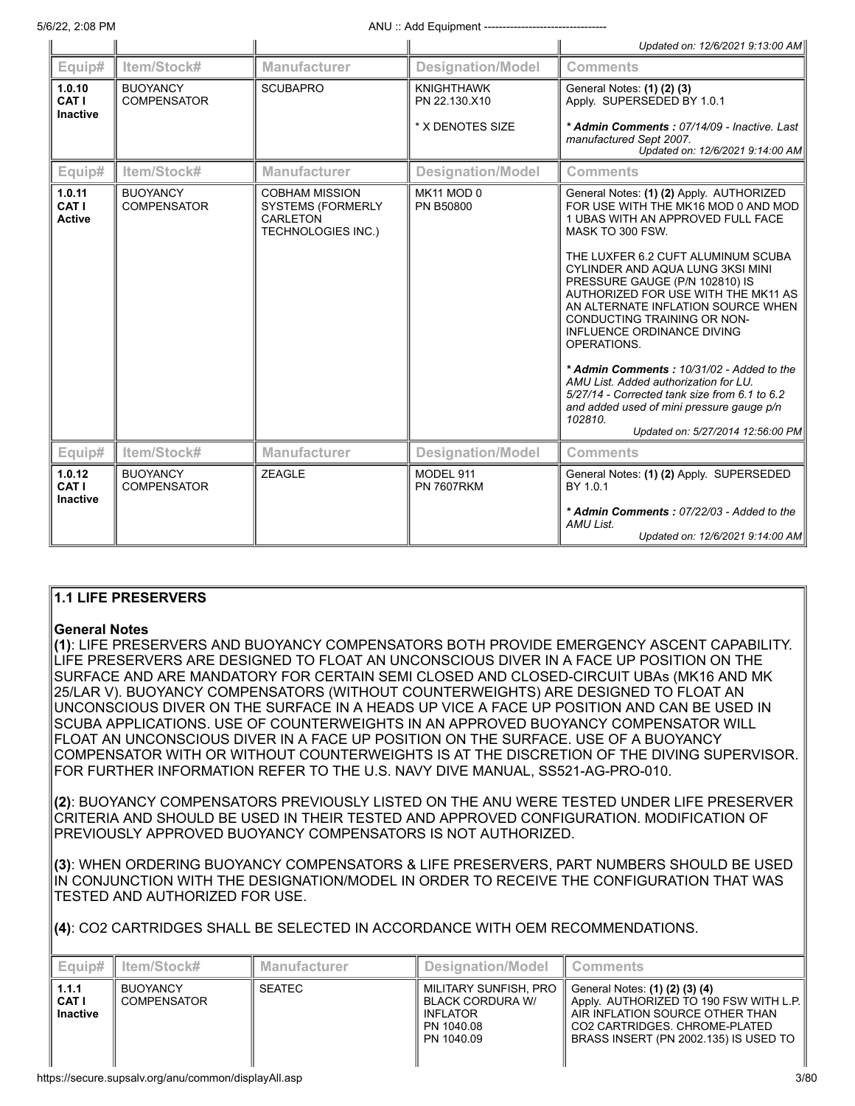|                                    |                                       |                                                                                                   |                                                        | Updated on: 12/6/2021 9:13:00 AM                                                                                                                                                                                                                                                                                                                                                                                                                                                                                                                                                                                                                  |
|------------------------------------|---------------------------------------|---------------------------------------------------------------------------------------------------|--------------------------------------------------------|---------------------------------------------------------------------------------------------------------------------------------------------------------------------------------------------------------------------------------------------------------------------------------------------------------------------------------------------------------------------------------------------------------------------------------------------------------------------------------------------------------------------------------------------------------------------------------------------------------------------------------------------------|
| Equip#                             | Item/Stock#                           | <b>Manufacturer</b>                                                                               | <b>Designation/Model</b>                               | <b>Comments</b>                                                                                                                                                                                                                                                                                                                                                                                                                                                                                                                                                                                                                                   |
| 1.0.10<br>CAT I<br><b>Inactive</b> | <b>BUOYANCY</b><br><b>COMPENSATOR</b> | <b>SCUBAPRO</b>                                                                                   | <b>KNIGHTHAWK</b><br>PN 22.130.X10<br>* X DENOTES SIZE | General Notes: (1) (2) (3)<br>Apply. SUPERSEDED BY 1.0.1<br>* Admin Comments: 07/14/09 - Inactive. Last                                                                                                                                                                                                                                                                                                                                                                                                                                                                                                                                           |
|                                    |                                       |                                                                                                   |                                                        | manufactured Sept 2007.<br>Updated on: 12/6/2021 9:14:00 AM                                                                                                                                                                                                                                                                                                                                                                                                                                                                                                                                                                                       |
| Equip#                             | Item/Stock#                           | <b>Manufacturer</b>                                                                               | <b>Designation/Model</b>                               | <b>Comments</b>                                                                                                                                                                                                                                                                                                                                                                                                                                                                                                                                                                                                                                   |
| 1.0.11<br>CAT I<br><b>Active</b>   | <b>BUOYANCY</b><br><b>COMPENSATOR</b> | <b>COBHAM MISSION</b><br><b>SYSTEMS (FORMERLY</b><br><b>CARLETON</b><br><b>TECHNOLOGIES INC.)</b> | MK11 MOD 0<br><b>PN B50800</b>                         | General Notes: (1) (2) Apply. AUTHORIZED<br>FOR USE WITH THE MK16 MOD 0 AND MOD<br>1 UBAS WITH AN APPROVED FULL FACE<br>MASK TO 300 FSW.<br>THE LUXFER 6.2 CUFT ALUMINUM SCUBA<br>CYLINDER AND AQUA LUNG 3KSI MINI<br>PRESSURE GAUGE (P/N 102810) IS<br>AUTHORIZED FOR USE WITH THE MK11 AS<br>AN ALTERNATE INFLATION SOURCE WHEN<br>CONDUCTING TRAINING OR NON-<br>INFLUENCE ORDINANCE DIVING<br>OPERATIONS.<br>* Admin Comments: 10/31/02 - Added to the<br>AMU List. Added authorization for LU.<br>5/27/14 - Corrected tank size from 6.1 to 6.2<br>and added used of mini pressure gauge p/n<br>102810.<br>Updated on: 5/27/2014 12:56:00 PM |
| Equip#                             | Item/Stock#                           | <b>Manufacturer</b>                                                                               | <b>Designation/Model</b>                               | <b>Comments</b>                                                                                                                                                                                                                                                                                                                                                                                                                                                                                                                                                                                                                                   |
| 1.0.12<br>CAT I<br><b>Inactive</b> | <b>BUOYANCY</b><br><b>COMPENSATOR</b> | <b>ZEAGLE</b>                                                                                     | MODEL 911<br><b>PN 7607RKM</b>                         | General Notes: (1) (2) Apply. SUPERSEDED<br>BY 1.0.1<br>* Admin Comments: 07/22/03 - Added to the<br>AMU List.<br>Updated on: 12/6/2021 9:14:00 AM                                                                                                                                                                                                                                                                                                                                                                                                                                                                                                |

# **1.1 LIFE PRESERVERS**

# **General Notes**

**(1)**: LIFE PRESERVERS AND BUOYANCY COMPENSATORS BOTH PROVIDE EMERGENCY ASCENT CAPABILITY. LIFE PRESERVERS ARE DESIGNED TO FLOAT AN UNCONSCIOUS DIVER IN A FACE UP POSITION ON THE SURFACE AND ARE MANDATORY FOR CERTAIN SEMI CLOSED AND CLOSED-CIRCUIT UBAs (MK16 AND MK 25/LAR V). BUOYANCY COMPENSATORS (WITHOUT COUNTERWEIGHTS) ARE DESIGNED TO FLOAT AN UNCONSCIOUS DIVER ON THE SURFACE IN A HEADS UP VICE A FACE UP POSITION AND CAN BE USED IN SCUBA APPLICATIONS. USE OF COUNTERWEIGHTS IN AN APPROVED BUOYANCY COMPENSATOR WILL FLOAT AN UNCONSCIOUS DIVER IN A FACE UP POSITION ON THE SURFACE. USE OF A BUOYANCY COMPENSATOR WITH OR WITHOUT COUNTERWEIGHTS IS AT THE DISCRETION OF THE DIVING SUPERVISOR. FOR FURTHER INFORMATION REFER TO THE U.S. NAVY DIVE MANUAL, SS521-AG-PRO-010.

**(2)**: BUOYANCY COMPENSATORS PREVIOUSLY LISTED ON THE ANU WERE TESTED UNDER LIFE PRESERVER CRITERIA AND SHOULD BE USED IN THEIR TESTED AND APPROVED CONFIGURATION. MODIFICATION OF PREVIOUSLY APPROVED BUOYANCY COMPENSATORS IS NOT AUTHORIZED.

**(3)**: WHEN ORDERING BUOYANCY COMPENSATORS & LIFE PRESERVERS, PART NUMBERS SHOULD BE USED IN CONJUNCTION WITH THE DESIGNATION/MODEL IN ORDER TO RECEIVE THE CONFIGURATION THAT WAS TESTED AND AUTHORIZED FOR USE.

**(4)**: CO2 CARTRIDGES SHALL BE SELECTED IN ACCORDANCE WITH OEM RECOMMENDATIONS.

| Equip#                                   | ltem/Stock#                           | <b>Manufacturer</b> | Designation/Model                                                                               | <b>Comments</b>                                                                                                                                                                                                  |
|------------------------------------------|---------------------------------------|---------------------|-------------------------------------------------------------------------------------------------|------------------------------------------------------------------------------------------------------------------------------------------------------------------------------------------------------------------|
| 1.1.1<br><b>CAT I</b><br><b>Inactive</b> | <b>BUOYANCY</b><br><b>COMPENSATOR</b> | <b>SEATEC</b>       | MILITARY SUNFISH, PRO<br><b>BLACK CORDURA W/</b><br><b>INFLATOR</b><br>PN 1040.08<br>PN 1040.09 | General Notes: (1) (2) (3) (4)<br>$\parallel$ Apply. AUTHORIZED TO 190 FSW WITH L.P. $\parallel$<br>LAIR INFLATION SOURCE OTHER THAN<br>l CO2 CARTRIDGES. CHROME-PLATED<br>BRASS INSERT (PN 2002.135) IS USED TO |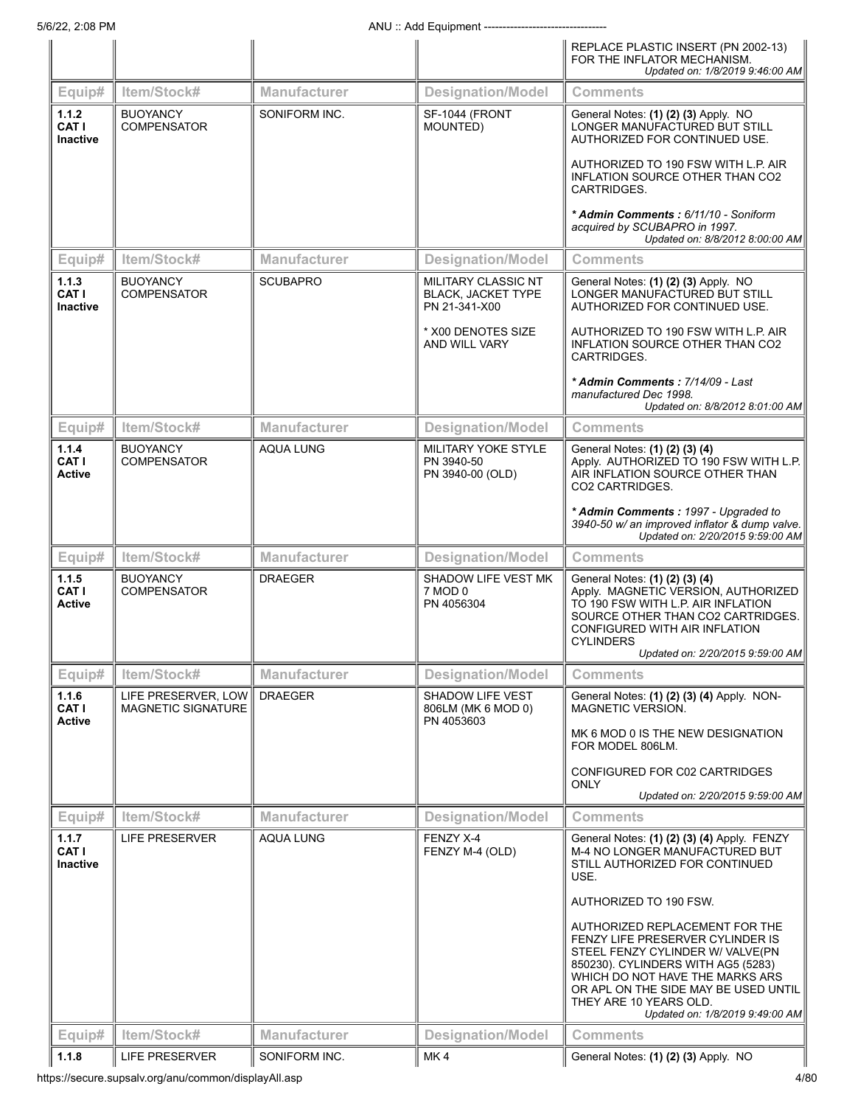|                                          |                                                  |                     |                                                                   | REPLACE PLASTIC INSERT (PN 2002-13)<br>FOR THE INFLATOR MECHANISM.<br>Updated on: 1/8/2019 9:46:00 AM                                                                                                                                                                                |
|------------------------------------------|--------------------------------------------------|---------------------|-------------------------------------------------------------------|--------------------------------------------------------------------------------------------------------------------------------------------------------------------------------------------------------------------------------------------------------------------------------------|
| Equip#                                   | Item/Stock#                                      | <b>Manufacturer</b> | <b>Designation/Model</b>                                          | <b>Comments</b>                                                                                                                                                                                                                                                                      |
| 1.1.2<br>CAT I<br><b>Inactive</b>        | <b>BUOYANCY</b><br><b>COMPENSATOR</b>            | SONIFORM INC.       | SF-1044 (FRONT<br>MOUNTED)                                        | General Notes: (1) (2) (3) Apply. NO<br>LONGER MANUFACTURED BUT STILL<br>AUTHORIZED FOR CONTINUED USE.                                                                                                                                                                               |
|                                          |                                                  |                     |                                                                   | AUTHORIZED TO 190 FSW WITH L.P. AIR<br>INFLATION SOURCE OTHER THAN CO2<br>CARTRIDGES.                                                                                                                                                                                                |
|                                          |                                                  |                     |                                                                   | * Admin Comments: 6/11/10 - Soniform<br>acquired by SCUBAPRO in 1997.<br>Updated on: 8/8/2012 8:00:00 AM                                                                                                                                                                             |
| Equip#                                   | Item/Stock#                                      | <b>Manufacturer</b> | <b>Designation/Model</b>                                          | <b>Comments</b>                                                                                                                                                                                                                                                                      |
| 1.1.3<br>CAT I<br><b>Inactive</b>        | <b>BUOYANCY</b><br><b>COMPENSATOR</b>            | <b>SCUBAPRO</b>     | MILITARY CLASSIC NT<br><b>BLACK, JACKET TYPE</b><br>PN 21-341-X00 | General Notes: (1) (2) (3) Apply. NO<br>LONGER MANUFACTURED BUT STILL<br>AUTHORIZED FOR CONTINUED USE.                                                                                                                                                                               |
|                                          |                                                  |                     | * X00 DENOTES SIZE<br><b>AND WILL VARY</b>                        | AUTHORIZED TO 190 FSW WITH L.P. AIR<br>INFLATION SOURCE OTHER THAN CO2<br>CARTRIDGES.                                                                                                                                                                                                |
|                                          |                                                  |                     |                                                                   | * Admin Comments: 7/14/09 - Last<br>manufactured Dec 1998.<br>Updated on: 8/8/2012 8:01:00 AM                                                                                                                                                                                        |
| Equip#                                   | Item/Stock#                                      | <b>Manufacturer</b> | <b>Designation/Model</b>                                          | <b>Comments</b>                                                                                                                                                                                                                                                                      |
| 1.1.4<br>CAT I<br><b>Active</b>          | <b>BUOYANCY</b><br><b>COMPENSATOR</b>            | <b>AQUA LUNG</b>    | <b>MILITARY YOKE STYLE</b><br>PN 3940-50<br>PN 3940-00 (OLD)      | General Notes: (1) (2) (3) (4)<br>Apply. AUTHORIZED TO 190 FSW WITH L.P.<br>AIR INFLATION SOURCE OTHER THAN<br>CO2 CARTRIDGES.                                                                                                                                                       |
|                                          |                                                  |                     |                                                                   | * Admin Comments: 1997 - Upgraded to<br>3940-50 w/ an improved inflator & dump valve.<br>Updated on: 2/20/2015 9:59:00 AM                                                                                                                                                            |
| Equip#                                   | Item/Stock#                                      | <b>Manufacturer</b> | <b>Designation/Model</b>                                          | <b>Comments</b>                                                                                                                                                                                                                                                                      |
| 1.1.5<br>CAT I<br><b>Active</b>          | <b>BUOYANCY</b><br><b>COMPENSATOR</b>            | <b>DRAEGER</b>      | SHADOW LIFE VEST MK<br>7 MOD 0<br>PN 4056304                      | General Notes: (1) (2) (3) (4)<br>Apply. MAGNETIC VERSION, AUTHORIZED<br>TO 190 FSW WITH L.P. AIR INFLATION<br>SOURCE OTHER THAN CO2 CARTRIDGES.<br>CONFIGURED WITH AIR INFLATION<br><b>CYLINDERS</b><br>Updated on: 2/20/2015 9:59:00 AM                                            |
| Equip#                                   | Item/Stock#                                      | Manufacturer        | <b>Designation/Model</b>                                          | <b>Comments</b>                                                                                                                                                                                                                                                                      |
| 1.1.6<br><b>CAT I</b><br><b>Active</b>   | LIFE PRESERVER, LOW<br><b>MAGNETIC SIGNATURE</b> | <b>DRAEGER</b>      | <b>SHADOW LIFE VEST</b><br>806LM (MK 6 MOD 0)<br>PN 4053603       | General Notes: (1) (2) (3) (4) Apply. NON-<br><b>MAGNETIC VERSION.</b>                                                                                                                                                                                                               |
|                                          |                                                  |                     |                                                                   | MK 6 MOD 0 IS THE NEW DESIGNATION<br>FOR MODEL 806LM.                                                                                                                                                                                                                                |
|                                          |                                                  |                     |                                                                   | CONFIGURED FOR C02 CARTRIDGES<br><b>ONLY</b><br>Updated on: 2/20/2015 9:59:00 AM                                                                                                                                                                                                     |
| Equip#                                   | Item/Stock#                                      | <b>Manufacturer</b> | <b>Designation/Model</b>                                          | <b>Comments</b>                                                                                                                                                                                                                                                                      |
| 1.1.7<br><b>CAT I</b><br><b>Inactive</b> | LIFE PRESERVER                                   | <b>AQUA LUNG</b>    | FENZY X-4<br>FENZY M-4 (OLD)                                      | General Notes: (1) (2) (3) (4) Apply. FENZY<br>M-4 NO LONGER MANUFACTURED BUT<br>STILL AUTHORIZED FOR CONTINUED<br>USE.                                                                                                                                                              |
|                                          |                                                  |                     |                                                                   | AUTHORIZED TO 190 FSW.                                                                                                                                                                                                                                                               |
|                                          |                                                  |                     |                                                                   | AUTHORIZED REPLACEMENT FOR THE<br>FENZY LIFE PRESERVER CYLINDER IS<br>STEEL FENZY CYLINDER W/ VALVE(PN<br>850230). CYLINDERS WITH AG5 (5283)<br>WHICH DO NOT HAVE THE MARKS ARS<br>OR APL ON THE SIDE MAY BE USED UNTIL<br>THEY ARE 10 YEARS OLD.<br>Updated on: 1/8/2019 9:49:00 AM |
| Equip#                                   | Item/Stock#                                      | <b>Manufacturer</b> | <b>Designation/Model</b>                                          | <b>Comments</b>                                                                                                                                                                                                                                                                      |
| 1.1.8                                    | LIFE PRESERVER                                   | SONIFORM INC.       | MK 4                                                              | General Notes: (1) (2) (3) Apply. NO                                                                                                                                                                                                                                                 |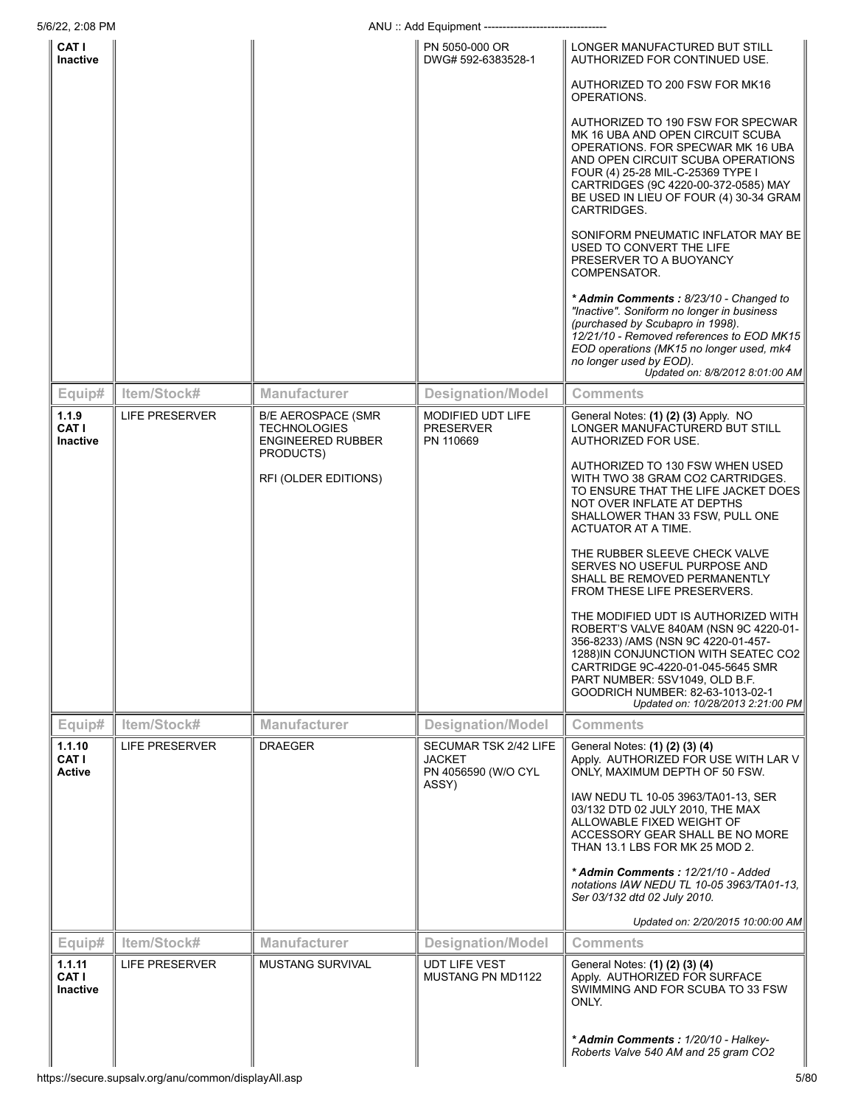| 5/6/22, 2:08 PM                           |                       |                                                                                           | ANU: Add Equipment ---------------------                               |                                                                                                                                                                                                                                                                                                            |
|-------------------------------------------|-----------------------|-------------------------------------------------------------------------------------------|------------------------------------------------------------------------|------------------------------------------------------------------------------------------------------------------------------------------------------------------------------------------------------------------------------------------------------------------------------------------------------------|
| CAT I<br>Inactive                         |                       |                                                                                           | PN 5050-000 OR<br>DWG# 592-6383528-1                                   | LONGER MANUFACTURED BUT STILL<br>AUTHORIZED FOR CONTINUED USE.                                                                                                                                                                                                                                             |
|                                           |                       |                                                                                           |                                                                        | AUTHORIZED TO 200 FSW FOR MK16<br>OPERATIONS.                                                                                                                                                                                                                                                              |
|                                           |                       |                                                                                           |                                                                        | AUTHORIZED TO 190 FSW FOR SPECWAR<br>MK 16 UBA AND OPEN CIRCUIT SCUBA<br>OPERATIONS. FOR SPECWAR MK 16 UBA<br>AND OPEN CIRCUIT SCUBA OPERATIONS<br>FOUR (4) 25-28 MIL-C-25369 TYPE I<br>CARTRIDGES (9C 4220-00-372-0585) MAY<br>BE USED IN LIEU OF FOUR (4) 30-34 GRAM<br>CARTRIDGES.                      |
|                                           |                       |                                                                                           |                                                                        | SONIFORM PNEUMATIC INFLATOR MAY BE<br>USED TO CONVERT THE LIFE<br>PRESERVER TO A BUOYANCY<br>COMPENSATOR.                                                                                                                                                                                                  |
|                                           |                       |                                                                                           |                                                                        | * Admin Comments: 8/23/10 - Changed to<br>"Inactive". Soniform no longer in business<br>(purchased by Scubapro in 1998).<br>12/21/10 - Removed references to EOD MK15<br>EOD operations (MK15 no longer used, mk4<br>no longer used by EOD).<br>Updated on: 8/8/2012 8:01:00 AM                            |
| Equip#                                    | Item/Stock#           | Manufacturer                                                                              | <b>Designation/Model</b>                                               | <b>Comments</b>                                                                                                                                                                                                                                                                                            |
| 1.1.9<br><b>CATI</b><br>Inactive          | LIFE PRESERVER        | <b>B/E AEROSPACE (SMR</b><br><b>TECHNOLOGIES</b><br><b>ENGINEERED RUBBER</b><br>PRODUCTS) | MODIFIED UDT LIFE<br><b>PRESERVER</b><br>PN 110669                     | General Notes: (1) (2) (3) Apply. NO<br>LONGER MANUFACTURERD BUT STILL<br>AUTHORIZED FOR USE.                                                                                                                                                                                                              |
|                                           |                       | RFI (OLDER EDITIONS)                                                                      |                                                                        | AUTHORIZED TO 130 FSW WHEN USED<br>WITH TWO 38 GRAM CO2 CARTRIDGES.<br>TO ENSURE THAT THE LIFE JACKET DOES<br>NOT OVER INFLATE AT DEPTHS<br>SHALLOWER THAN 33 FSW, PULL ONE<br>ACTUATOR AT A TIME.                                                                                                         |
|                                           |                       |                                                                                           |                                                                        | THE RUBBER SLEEVE CHECK VALVE<br>SERVES NO USEFUL PURPOSE AND<br>SHALL BE REMOVED PERMANENTLY<br>FROM THESE LIFE PRESERVERS.                                                                                                                                                                               |
|                                           |                       |                                                                                           |                                                                        | THE MODIFIED UDT IS AUTHORIZED WITH<br>ROBERT'S VALVE 840AM (NSN 9C 4220-01-<br>356-8233) /AMS (NSN 9C 4220-01-457-<br>1288)IN CONJUNCTION WITH SEATEC CO2<br>CARTRIDGE 9C-4220-01-045-5645 SMR<br>PART NUMBER: 5SV1049, OLD B.F.<br>GOODRICH NUMBER: 82-63-1013-02-1<br>Updated on: 10/28/2013 2:21:00 PM |
| Equip#                                    | Item/Stock#           | <b>Manufacturer</b>                                                                       | <b>Designation/Model</b>                                               | <b>Comments</b>                                                                                                                                                                                                                                                                                            |
| 1.1.10<br><b>CAT I</b><br><b>Active</b>   | <b>LIFE PRESERVER</b> | <b>DRAEGER</b>                                                                            | SECUMAR TSK 2/42 LIFE<br><b>JACKET</b><br>PN 4056590 (W/O CYL<br>ASSY) | General Notes: (1) (2) (3) (4)<br>Apply. AUTHORIZED FOR USE WITH LAR V<br>ONLY, MAXIMUM DEPTH OF 50 FSW.                                                                                                                                                                                                   |
|                                           |                       |                                                                                           |                                                                        | IAW NEDU TL 10-05 3963/TA01-13, SER<br>03/132 DTD 02 JULY 2010, THE MAX<br>ALLOWABLE FIXED WEIGHT OF<br>ACCESSORY GEAR SHALL BE NO MORE<br>THAN 13.1 LBS FOR MK 25 MOD 2.                                                                                                                                  |
|                                           |                       |                                                                                           |                                                                        | * Admin Comments: 12/21/10 - Added<br>notations IAW NEDU TL 10-05 3963/TA01-13.<br>Ser 03/132 dtd 02 July 2010.                                                                                                                                                                                            |
|                                           |                       |                                                                                           |                                                                        | Updated on: 2/20/2015 10:00:00 AM                                                                                                                                                                                                                                                                          |
| Equip#                                    | Item/Stock#           | <b>Manufacturer</b>                                                                       | <b>Designation/Model</b>                                               | <b>Comments</b>                                                                                                                                                                                                                                                                                            |
| 1.1.11<br><b>CAT I</b><br><b>Inactive</b> | LIFE PRESERVER        | <b>MUSTANG SURVIVAL</b>                                                                   | <b>UDT LIFE VEST</b><br>MUSTANG PN MD1122                              | General Notes: (1) (2) (3) (4)<br>Apply. AUTHORIZED FOR SURFACE<br>SWIMMING AND FOR SCUBA TO 33 FSW<br>ONLY.                                                                                                                                                                                               |
|                                           |                       |                                                                                           |                                                                        | * Admin Comments: 1/20/10 - Halkey-<br>Roberts Valve 540 AM and 25 gram CO2                                                                                                                                                                                                                                |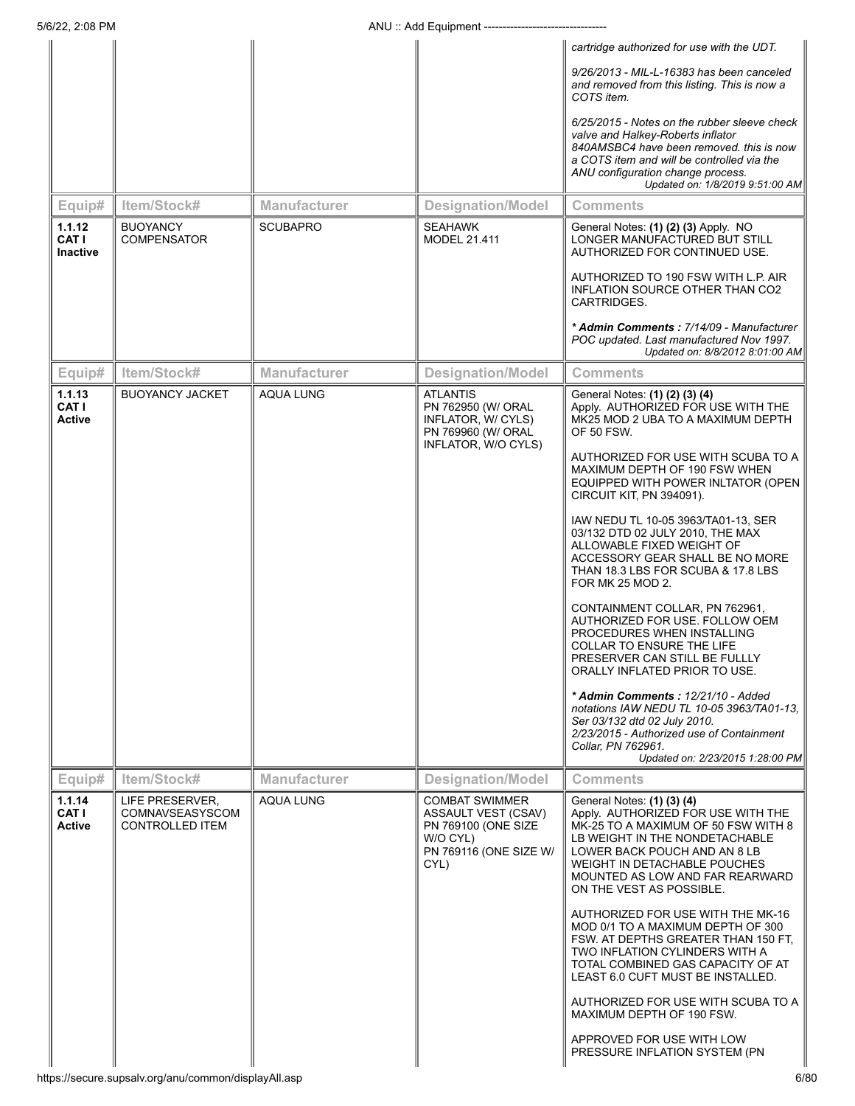|                                          |                                                              |                     |                                                                                                                   | cartridge authorized for use with the UDT.                                                                                                                                                                                                                               |
|------------------------------------------|--------------------------------------------------------------|---------------------|-------------------------------------------------------------------------------------------------------------------|--------------------------------------------------------------------------------------------------------------------------------------------------------------------------------------------------------------------------------------------------------------------------|
|                                          |                                                              |                     |                                                                                                                   | 9/26/2013 - MIL-L-16383 has been canceled<br>and removed from this listing. This is now a<br>COTS item.                                                                                                                                                                  |
|                                          |                                                              |                     |                                                                                                                   | 6/25/2015 - Notes on the rubber sleeve check<br>valve and Halkey-Roberts inflator<br>840AMSBC4 have been removed. this is now<br>a COTS item and will be controlled via the<br>ANU configuration change process.<br>Updated on: 1/8/2019 9:51:00 AM                      |
| Equip#                                   | Item/Stock#                                                  | <b>Manufacturer</b> | <b>Designation/Model</b>                                                                                          | <b>Comments</b>                                                                                                                                                                                                                                                          |
| 1.1.12<br><b>CATI</b><br><b>Inactive</b> | <b>BUOYANCY</b><br><b>COMPENSATOR</b>                        | <b>SCUBAPRO</b>     | <b>SEAHAWK</b><br><b>MODEL 21.411</b>                                                                             | General Notes: (1) (2) (3) Apply. NO<br>LONGER MANUFACTURED BUT STILL<br>AUTHORIZED FOR CONTINUED USE.                                                                                                                                                                   |
|                                          |                                                              |                     |                                                                                                                   | AUTHORIZED TO 190 FSW WITH L.P. AIR<br>INFLATION SOURCE OTHER THAN CO2<br>CARTRIDGES.                                                                                                                                                                                    |
|                                          |                                                              |                     |                                                                                                                   | * Admin Comments: 7/14/09 - Manufacturer<br>POC updated. Last manufactured Nov 1997.<br>Updated on: 8/8/2012 8:01:00 AM                                                                                                                                                  |
| Equip#                                   | Item/Stock#                                                  | <b>Manufacturer</b> | <b>Designation/Model</b>                                                                                          | <b>Comments</b>                                                                                                                                                                                                                                                          |
| 1.1.13<br><b>CATI</b><br><b>Active</b>   | <b>BUOYANCY JACKET</b>                                       | <b>AQUA LUNG</b>    | <b>ATLANTIS</b><br>PN 762950 (W/ ORAL<br>INFLATOR, W/ CYLS)<br>PN 769960 (W/ ORAL<br>INFLATOR, W/O CYLS)          | General Notes: (1) (2) (3) (4)<br>Apply. AUTHORIZED FOR USE WITH THE<br>MK25 MOD 2 UBA TO A MAXIMUM DEPTH<br><b>OF 50 FSW.</b>                                                                                                                                           |
|                                          |                                                              |                     |                                                                                                                   | AUTHORIZED FOR USE WITH SCUBA TO A<br>MAXIMUM DEPTH OF 190 FSW WHEN<br>EQUIPPED WITH POWER INLTATOR (OPEN<br>CIRCUIT KIT, PN 394091).                                                                                                                                    |
|                                          |                                                              |                     |                                                                                                                   | IAW NEDU TL 10-05 3963/TA01-13, SER<br>03/132 DTD 02 JULY 2010, THE MAX<br>ALLOWABLE FIXED WEIGHT OF<br>ACCESSORY GEAR SHALL BE NO MORE<br>THAN 18.3 LBS FOR SCUBA & 17.8 LBS<br>FOR MK 25 MOD 2.                                                                        |
|                                          |                                                              |                     |                                                                                                                   | CONTAINMENT COLLAR, PN 762961,<br>AUTHORIZED FOR USE. FOLLOW OEM<br>PROCEDURES WHEN INSTALLING<br><b>COLLAR TO ENSURE THE LIFE</b><br>PRESERVER CAN STILL BE FULLLY<br>ORALLY INFLATED PRIOR TO USE.                                                                     |
|                                          |                                                              |                     |                                                                                                                   | * Admin Comments: 12/21/10 - Added<br>notations IAW NEDU TL 10-05 3963/TA01-13,<br>Ser 03/132 dtd 02 July 2010.<br>2/23/2015 - Authorized use of Containment<br>Collar, PN 762961.<br>Updated on: 2/23/2015 1:28:00 PM                                                   |
| Equip#                                   | Item/Stock#                                                  | <b>Manufacturer</b> | <b>Designation/Model</b>                                                                                          | Comments                                                                                                                                                                                                                                                                 |
| 1.1.14<br><b>CAT I</b><br>Active         | LIFE PRESERVER,<br>COMNAVSEASYSCOM<br><b>CONTROLLED ITEM</b> | <b>AQUA LUNG</b>    | <b>COMBAT SWIMMER</b><br>ASSAULT VEST (CSAV)<br>PN 769100 (ONE SIZE<br>W/O CYL)<br>PN 769116 (ONE SIZE W/<br>CYL) | General Notes: (1) (3) (4)<br>Apply. AUTHORIZED FOR USE WITH THE<br>MK-25 TO A MAXIMUM OF 50 FSW WITH 8<br>LB WEIGHT IN THE NONDETACHABLE<br>LOWER BACK POUCH AND AN 8 LB<br>WEIGHT IN DETACHABLE POUCHES<br>MOUNTED AS LOW AND FAR REARWARD<br>ON THE VEST AS POSSIBLE. |
|                                          |                                                              |                     |                                                                                                                   | AUTHORIZED FOR USE WITH THE MK-16<br>MOD 0/1 TO A MAXIMUM DEPTH OF 300<br>FSW. AT DEPTHS GREATER THAN 150 FT,<br>TWO INFLATION CYLINDERS WITH A<br>TOTAL COMBINED GAS CAPACITY OF AT<br>LEAST 6.0 CUFT MUST BE INSTALLED.                                                |
|                                          |                                                              |                     |                                                                                                                   | AUTHORIZED FOR USE WITH SCUBA TO A<br>MAXIMUM DEPTH OF 190 FSW.                                                                                                                                                                                                          |
|                                          |                                                              |                     |                                                                                                                   | APPROVED FOR USE WITH LOW<br>PRESSURE INFLATION SYSTEM (PN)                                                                                                                                                                                                              |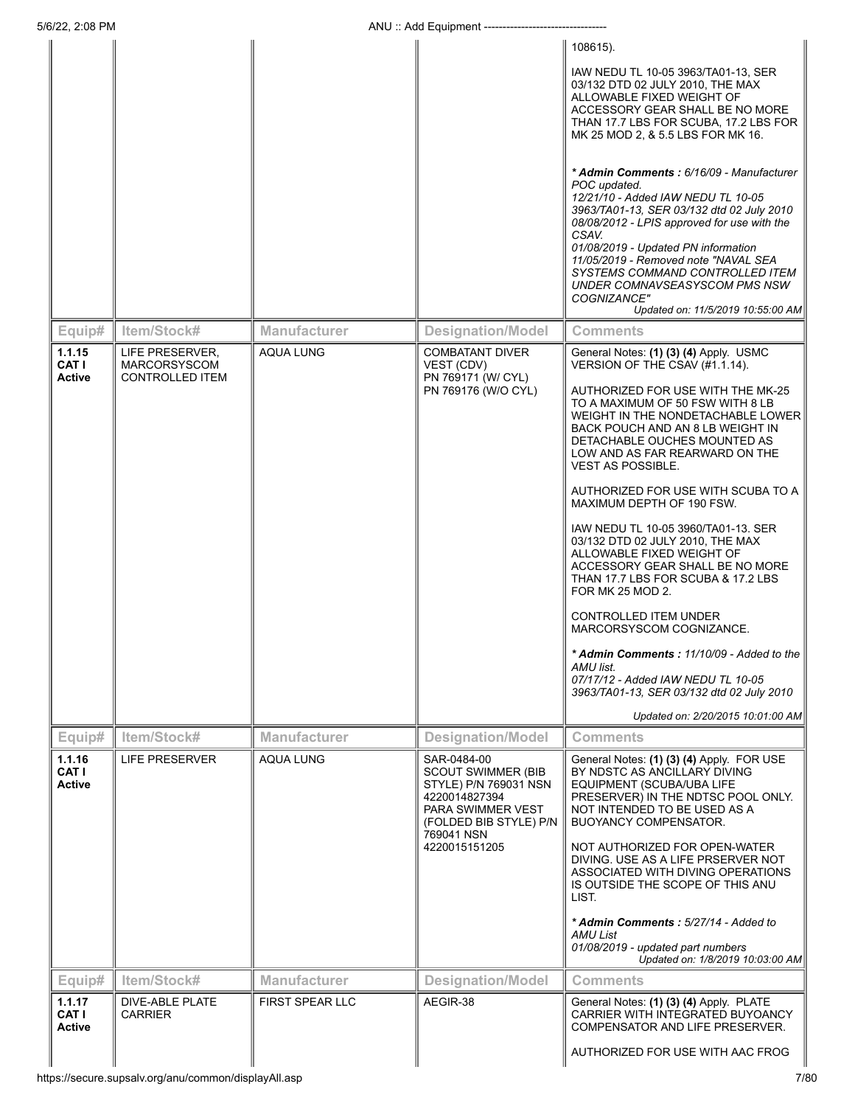| 5/6/22, 2:08 PM                         |                                                                  |                        | ANU: Add Equipment ----------------                                                                                                                              |                                                                                                                                                                                                                                                                                                                                                                                                                                                                                                                                                                                                                                                                                                                                                                                                           |
|-----------------------------------------|------------------------------------------------------------------|------------------------|------------------------------------------------------------------------------------------------------------------------------------------------------------------|-----------------------------------------------------------------------------------------------------------------------------------------------------------------------------------------------------------------------------------------------------------------------------------------------------------------------------------------------------------------------------------------------------------------------------------------------------------------------------------------------------------------------------------------------------------------------------------------------------------------------------------------------------------------------------------------------------------------------------------------------------------------------------------------------------------|
|                                         |                                                                  |                        |                                                                                                                                                                  | 108615).                                                                                                                                                                                                                                                                                                                                                                                                                                                                                                                                                                                                                                                                                                                                                                                                  |
|                                         |                                                                  |                        |                                                                                                                                                                  | IAW NEDU TL 10-05 3963/TA01-13, SER<br>03/132 DTD 02 JULY 2010, THE MAX<br>ALLOWABLE FIXED WEIGHT OF<br>ACCESSORY GEAR SHALL BE NO MORE<br>THAN 17.7 LBS FOR SCUBA, 17.2 LBS FOR<br>MK 25 MOD 2, & 5.5 LBS FOR MK 16.                                                                                                                                                                                                                                                                                                                                                                                                                                                                                                                                                                                     |
|                                         |                                                                  |                        |                                                                                                                                                                  | * Admin Comments: 6/16/09 - Manufacturer<br>POC updated.<br>12/21/10 - Added IAW NEDU TL 10-05<br>3963/TA01-13, SER 03/132 dtd 02 July 2010<br>08/08/2012 - LPIS approved for use with the<br>CSAV.<br>01/08/2019 - Updated PN information<br>11/05/2019 - Removed note "NAVAL SEA<br>SYSTEMS COMMAND CONTROLLED ITEM<br>UNDER COMNAVSEASYSCOM PMS NSW<br>COGNIZANCE"<br>Updated on: 11/5/2019 10:55:00 AM                                                                                                                                                                                                                                                                                                                                                                                                |
| Equip#                                  | Item/Stock#                                                      | <b>Manufacturer</b>    | <b>Designation/Model</b>                                                                                                                                         | Comments                                                                                                                                                                                                                                                                                                                                                                                                                                                                                                                                                                                                                                                                                                                                                                                                  |
| 1.1.15<br>CAT I<br><b>Active</b>        | LIFE PRESERVER,<br><b>MARCORSYSCOM</b><br><b>CONTROLLED ITEM</b> | <b>AQUA LUNG</b>       | <b>COMBATANT DIVER</b><br>VEST (CDV)<br>PN 769171 (W/ CYL)<br>PN 769176 (W/O CYL)                                                                                | General Notes: (1) (3) (4) Apply. USMC<br>VERSION OF THE CSAV (#1.1.14).<br>AUTHORIZED FOR USE WITH THE MK-25<br>TO A MAXIMUM OF 50 FSW WITH 8 LB<br>WEIGHT IN THE NONDETACHABLE LOWER<br>BACK POUCH AND AN 8 LB WEIGHT IN<br>DETACHABLE OUCHES MOUNTED AS<br>LOW AND AS FAR REARWARD ON THE<br><b>VEST AS POSSIBLE.</b><br>AUTHORIZED FOR USE WITH SCUBA TO A<br>MAXIMUM DEPTH OF 190 FSW.<br>IAW NEDU TL 10-05 3960/TA01-13. SER<br>03/132 DTD 02 JULY 2010, THE MAX<br>ALLOWABLE FIXED WEIGHT OF<br>ACCESSORY GEAR SHALL BE NO MORE<br>THAN 17.7 LBS FOR SCUBA & 17.2 LBS<br>FOR MK 25 MOD 2.<br><b>CONTROLLED ITEM UNDER</b><br>MARCORSYSCOM COGNIZANCE.<br>* Admin Comments: 11/10/09 - Added to the<br>AMU list.<br>07/17/12 - Added IAW NEDU TL 10-05<br>3963/TA01-13, SER 03/132 dtd 02 July 2010 |
|                                         |                                                                  |                        |                                                                                                                                                                  | Updated on: 2/20/2015 10:01:00 AM                                                                                                                                                                                                                                                                                                                                                                                                                                                                                                                                                                                                                                                                                                                                                                         |
| Equip#                                  | Item/Stock#                                                      | Manufacturer           | <b>Designation/Model</b>                                                                                                                                         | <b>Comments</b>                                                                                                                                                                                                                                                                                                                                                                                                                                                                                                                                                                                                                                                                                                                                                                                           |
| 1.1.16<br><b>CAT I</b><br><b>Active</b> | LIFE PRESERVER                                                   | <b>AQUA LUNG</b>       | SAR-0484-00<br><b>SCOUT SWIMMER (BIB</b><br>STYLE) P/N 769031 NSN<br>4220014827394<br>PARA SWIMMER VEST<br>(FOLDED BIB STYLE) P/N<br>769041 NSN<br>4220015151205 | General Notes: (1) (3) (4) Apply. FOR USE<br>BY NDSTC AS ANCILLARY DIVING<br>EQUIPMENT (SCUBA/UBA LIFE<br>PRESERVER) IN THE NDTSC POOL ONLY.<br>NOT INTENDED TO BE USED AS A<br><b>BUOYANCY COMPENSATOR.</b><br>NOT AUTHORIZED FOR OPEN-WATER<br>DIVING. USE AS A LIFE PRSERVER NOT<br>ASSOCIATED WITH DIVING OPERATIONS<br>IS OUTSIDE THE SCOPE OF THIS ANU<br>LIST.<br>* Admin Comments: 5/27/14 - Added to<br>AMU List                                                                                                                                                                                                                                                                                                                                                                                 |
|                                         |                                                                  |                        |                                                                                                                                                                  | 01/08/2019 - updated part numbers<br>Updated on: 1/8/2019 10:03:00 AM                                                                                                                                                                                                                                                                                                                                                                                                                                                                                                                                                                                                                                                                                                                                     |
| Equip#                                  | Item/Stock#                                                      | <b>Manufacturer</b>    | <b>Designation/Model</b>                                                                                                                                         | <b>Comments</b>                                                                                                                                                                                                                                                                                                                                                                                                                                                                                                                                                                                                                                                                                                                                                                                           |
| 1.1.17<br><b>CAT I</b><br>Active        | DIVE-ABLE PLATE<br><b>CARRIER</b>                                | <b>FIRST SPEAR LLC</b> | AEGIR-38                                                                                                                                                         | General Notes: (1) (3) (4) Apply. PLATE<br>CARRIER WITH INTEGRATED BUYOANCY<br>COMPENSATOR AND LIFE PRESERVER.                                                                                                                                                                                                                                                                                                                                                                                                                                                                                                                                                                                                                                                                                            |
|                                         | https://secure.supsalv.org/anu/common/displayAll.asp             |                        |                                                                                                                                                                  | AUTHORIZED FOR USE WITH AAC FROG<br>7/80                                                                                                                                                                                                                                                                                                                                                                                                                                                                                                                                                                                                                                                                                                                                                                  |
|                                         |                                                                  |                        |                                                                                                                                                                  |                                                                                                                                                                                                                                                                                                                                                                                                                                                                                                                                                                                                                                                                                                                                                                                                           |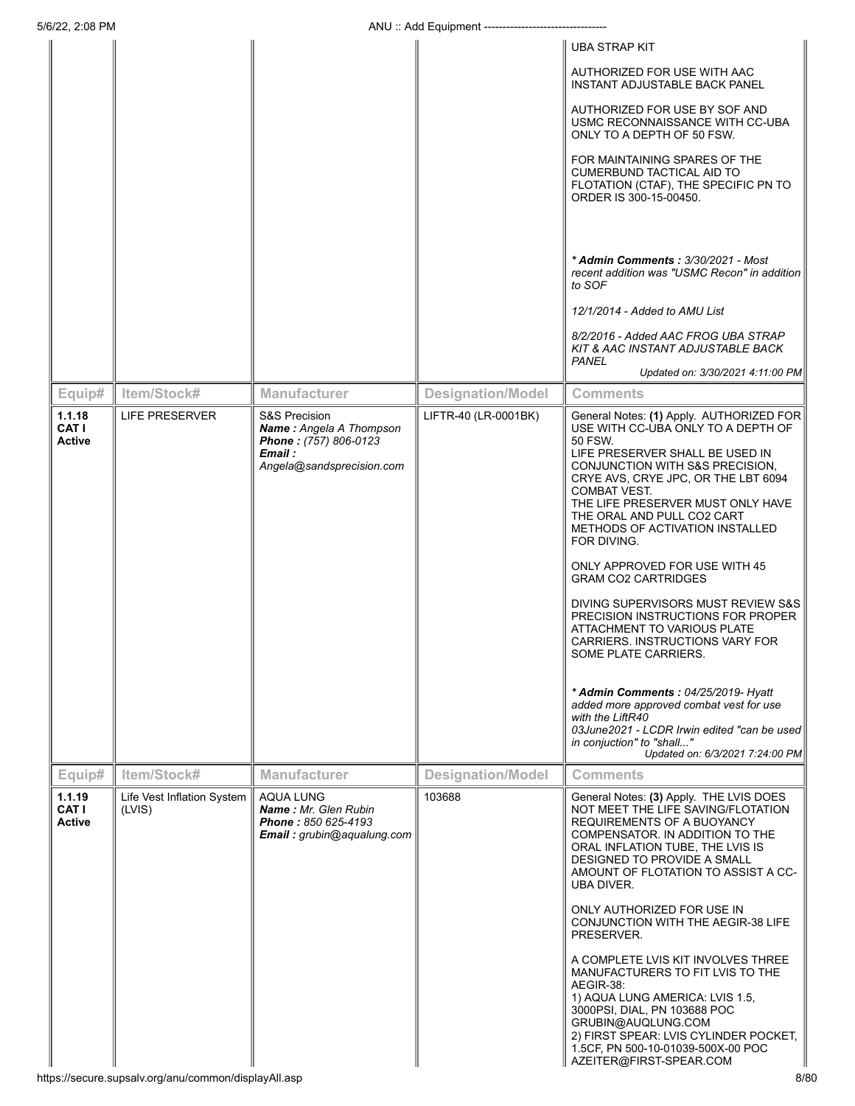|                                                                                   |                                                                                                      | 5/6/22, 2:08 PM<br>ANU: Add Equipment ------------------------- |                                                                                                                                                                                                                                                                                                        |  |  |  |
|-----------------------------------------------------------------------------------|------------------------------------------------------------------------------------------------------|-----------------------------------------------------------------|--------------------------------------------------------------------------------------------------------------------------------------------------------------------------------------------------------------------------------------------------------------------------------------------------------|--|--|--|
|                                                                                   |                                                                                                      |                                                                 | <b>UBA STRAP KIT</b>                                                                                                                                                                                                                                                                                   |  |  |  |
|                                                                                   |                                                                                                      |                                                                 | AUTHORIZED FOR USE WITH AAC<br>INSTANT ADJUSTABLE BACK PANEL                                                                                                                                                                                                                                           |  |  |  |
|                                                                                   |                                                                                                      |                                                                 | AUTHORIZED FOR USE BY SOF AND<br>USMC RECONNAISSANCE WITH CC-UBA<br>ONLY TO A DEPTH OF 50 FSW.                                                                                                                                                                                                         |  |  |  |
|                                                                                   |                                                                                                      |                                                                 | FOR MAINTAINING SPARES OF THE<br>CUMERBUND TACTICAL AID TO<br>FLOTATION (CTAF), THE SPECIFIC PN TO<br>ORDER IS 300-15-00450.                                                                                                                                                                           |  |  |  |
|                                                                                   |                                                                                                      |                                                                 | * Admin Comments : 3/30/2021 - Most<br>recent addition was "USMC Recon" in addition<br>to SOF                                                                                                                                                                                                          |  |  |  |
|                                                                                   |                                                                                                      |                                                                 | 12/1/2014 - Added to AMU List                                                                                                                                                                                                                                                                          |  |  |  |
|                                                                                   |                                                                                                      |                                                                 | 8/2/2016 - Added AAC FROG UBA STRAP<br>KIT & AAC INSTANT ADJUSTABLE BACK<br><b>PANEL</b>                                                                                                                                                                                                               |  |  |  |
| Item/Stock#<br>Equip#                                                             | <b>Manufacturer</b>                                                                                  | <b>Designation/Model</b>                                        | Updated on: 3/30/2021 4:11:00 PM<br><b>Comments</b>                                                                                                                                                                                                                                                    |  |  |  |
| <b>LIFE PRESERVER</b><br>1.1.18                                                   | <b>S&amp;S Precision</b>                                                                             | LIFTR-40 (LR-0001BK)                                            | General Notes: (1) Apply. AUTHORIZED FOR                                                                                                                                                                                                                                                               |  |  |  |
| <b>CAT I</b><br><b>Active</b>                                                     | Name: Angela A Thompson<br>Phone: (757) 806-0123<br>Email :<br>Angela@sandsprecision.com             |                                                                 | USE WITH CC-UBA ONLY TO A DEPTH OF<br>50 FSW.<br>LIFE PRESERVER SHALL BE USED IN<br>CONJUNCTION WITH S&S PRECISION,<br>CRYE AVS, CRYE JPC, OR THE LBT 6094<br><b>COMBAT VEST.</b><br>THE LIFE PRESERVER MUST ONLY HAVE<br>THE ORAL AND PULL CO2 CART<br>METHODS OF ACTIVATION INSTALLED<br>FOR DIVING. |  |  |  |
|                                                                                   |                                                                                                      |                                                                 | ONLY APPROVED FOR USE WITH 45<br><b>GRAM CO2 CARTRIDGES</b>                                                                                                                                                                                                                                            |  |  |  |
|                                                                                   |                                                                                                      |                                                                 | DIVING SUPERVISORS MUST REVIEW S&S<br>PRECISION INSTRUCTIONS FOR PROPER<br>ATTACHMENT TO VARIOUS PLATE<br>CARRIERS. INSTRUCTIONS VARY FOR<br>SOME PLATE CARRIERS.                                                                                                                                      |  |  |  |
|                                                                                   |                                                                                                      |                                                                 | * Admin Comments: 04/25/2019- Hyatt<br>added more approved combat vest for use<br>with the LiftR40<br>03June2021 - LCDR Irwin edited "can be used<br>in conjuction" to "shall"<br>Updated on: 6/3/2021 7:24:00 PM                                                                                      |  |  |  |
| Item/Stock#<br>Equip#                                                             | <b>Manufacturer</b>                                                                                  | <b>Designation/Model</b>                                        | <b>Comments</b>                                                                                                                                                                                                                                                                                        |  |  |  |
| 1.1.19<br>Life Vest Inflation System  <br><b>CAT I</b><br>(LVIS)<br><b>Active</b> | <b>AQUA LUNG</b><br><b>Name: Mr. Glen Rubin</b><br>Phone: 850 625-4193<br>Email: grubin@aqualung.com | 103688                                                          | General Notes: (3) Apply. THE LVIS DOES<br>NOT MEET THE LIFE SAVING/FLOTATION<br>REQUIREMENTS OF A BUOYANCY<br>COMPENSATOR. IN ADDITION TO THE<br>ORAL INFLATION TUBE, THE LVIS IS<br>DESIGNED TO PROVIDE A SMALL<br>AMOUNT OF FLOTATION TO ASSIST A CC-<br>UBA DIVER.                                 |  |  |  |
|                                                                                   |                                                                                                      |                                                                 | ONLY AUTHORIZED FOR USE IN<br>CONJUNCTION WITH THE AEGIR-38 LIFE<br>PRESERVER.                                                                                                                                                                                                                         |  |  |  |
| https://secure.supsalv.org/anu/common/displayAll.asp                              |                                                                                                      |                                                                 | A COMPLETE LVIS KIT INVOLVES THREE<br>MANUFACTURERS TO FIT LVIS TO THE<br>AEGIR-38:<br>1) AQUA LUNG AMERICA: LVIS 1.5,<br>3000PSI, DIAL, PN 103688 POC<br>GRUBIN@AUQLUNG.COM<br>2) FIRST SPEAR: LVIS CYLINDER POCKET,<br>1.5CF, PN 500-10-01039-500X-00 POC<br>AZEITER@FIRST-SPEAR.COM<br>8/80         |  |  |  |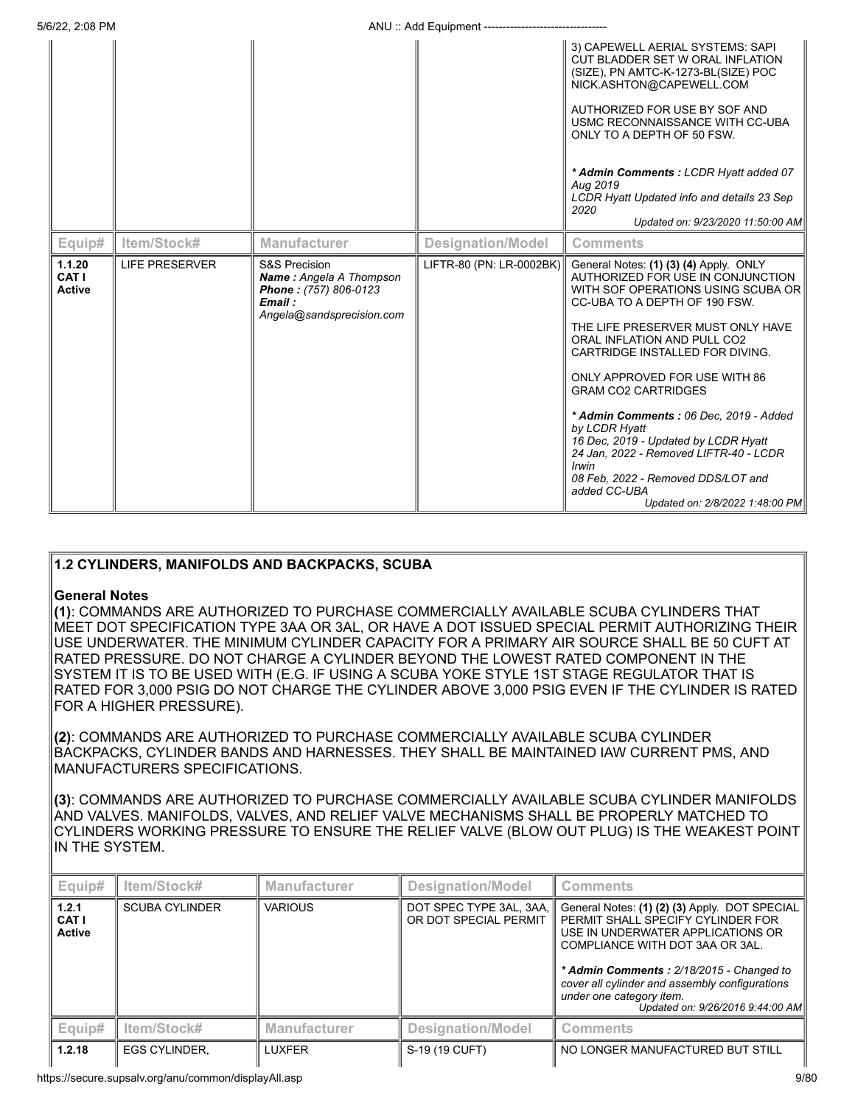|                                  |                       |                                                                                                                            |                          | 3) CAPEWELL AERIAL SYSTEMS: SAPI<br>CUT BLADDER SET W ORAL INFLATION<br>(SIZE), PN AMTC-K-1273-BL(SIZE) POC<br>NICK.ASHTON@CAPEWELL.COM<br>AUTHORIZED FOR USE BY SOF AND<br>USMC RECONNAISSANCE WITH CC-UBA<br>ONLY TO A DEPTH OF 50 FSW.<br>* Admin Comments: LCDR Hyatt added 07<br>Aug 2019<br>LCDR Hyatt Updated info and details 23 Sep<br>2020<br>Updated on: 9/23/2020 11:50:00 AM                                                                                                                                                                                      |
|----------------------------------|-----------------------|----------------------------------------------------------------------------------------------------------------------------|--------------------------|--------------------------------------------------------------------------------------------------------------------------------------------------------------------------------------------------------------------------------------------------------------------------------------------------------------------------------------------------------------------------------------------------------------------------------------------------------------------------------------------------------------------------------------------------------------------------------|
| Equip#                           | Item/Stock#           | <b>Manufacturer</b>                                                                                                        | <b>Designation/Model</b> | <b>Comments</b>                                                                                                                                                                                                                                                                                                                                                                                                                                                                                                                                                                |
| 1.1.20<br>CAT I<br><b>Active</b> | <b>LIFE PRESERVER</b> | <b>S&amp;S Precision</b><br><b>Name:</b> Angela A Thompson<br>Phone: (757) 806-0123<br>Email:<br>Angela@sandsprecision.com | LIFTR-80 (PN: LR-0002BK) | General Notes: (1) (3) (4) Apply. ONLY<br>AUTHORIZED FOR USE IN CONJUNCTION<br>WITH SOF OPERATIONS USING SCUBA OR<br>CC-UBA TO A DEPTH OF 190 FSW.<br>THE LIFE PRESERVER MUST ONLY HAVE<br>ORAL INFLATION AND PULL CO2<br>CARTRIDGE INSTALLED FOR DIVING.<br>ONLY APPROVED FOR USE WITH 86<br><b>GRAM CO2 CARTRIDGES</b><br>* Admin Comments: 06 Dec. 2019 - Added<br>by LCDR Hyatt<br>16 Dec. 2019 - Updated by LCDR Hyatt<br>24 Jan, 2022 - Removed LIFTR-40 - LCDR<br><i>Irwin</i><br>08 Feb. 2022 - Removed DDS/LOT and<br>added CC-UBA<br>Updated on: 2/8/2022 1:48:00 PM |

# **1.2 CYLINDERS, MANIFOLDS AND BACKPACKS, SCUBA**

# **General Notes**

**(1)**: COMMANDS ARE AUTHORIZED TO PURCHASE COMMERCIALLY AVAILABLE SCUBA CYLINDERS THAT MEET DOT SPECIFICATION TYPE 3AA OR 3AL, OR HAVE A DOT ISSUED SPECIAL PERMIT AUTHORIZING THEIR USE UNDERWATER. THE MINIMUM CYLINDER CAPACITY FOR A PRIMARY AIR SOURCE SHALL BE 50 CUFT AT RATED PRESSURE. DO NOT CHARGE A CYLINDER BEYOND THE LOWEST RATED COMPONENT IN THE SYSTEM IT IS TO BE USED WITH (E.G. IF USING A SCUBA YOKE STYLE 1ST STAGE REGULATOR THAT IS RATED FOR 3,000 PSIG DO NOT CHARGE THE CYLINDER ABOVE 3,000 PSIG EVEN IF THE CYLINDER IS RATED FOR A HIGHER PRESSURE).

**(2)**: COMMANDS ARE AUTHORIZED TO PURCHASE COMMERCIALLY AVAILABLE SCUBA CYLINDER BACKPACKS, CYLINDER BANDS AND HARNESSES. THEY SHALL BE MAINTAINED IAW CURRENT PMS, AND MANUFACTURERS SPECIFICATIONS.

**(3)**: COMMANDS ARE AUTHORIZED TO PURCHASE COMMERCIALLY AVAILABLE SCUBA CYLINDER MANIFOLDS AND VALVES. MANIFOLDS, VALVES, AND RELIEF VALVE MECHANISMS SHALL BE PROPERLY MATCHED TO CYLINDERS WORKING PRESSURE TO ENSURE THE RELIEF VALVE (BLOW OUT PLUG) IS THE WEAKEST POINT IN THE SYSTEM.

| Equip#                                 | Item/Stock#           | <b>Manufacturer</b> | <b>Designation/Model</b>                         | <b>Comments</b>                                                                                                                                                                                                                                                                                                          |
|----------------------------------------|-----------------------|---------------------|--------------------------------------------------|--------------------------------------------------------------------------------------------------------------------------------------------------------------------------------------------------------------------------------------------------------------------------------------------------------------------------|
| 1.2.1<br><b>CAT I</b><br><b>Active</b> | <b>SCUBA CYLINDER</b> | <b>VARIOUS</b>      | DOT SPEC TYPE 3AL, 3AA,<br>OR DOT SPECIAL PERMIT | General Notes: (1) (2) (3) Apply. DOT SPECIAL<br>PERMIT SHALL SPECIFY CYLINDER FOR<br>USE IN UNDERWATER APPLICATIONS OR<br>COMPLIANCE WITH DOT 3AA OR 3AL.<br>* Admin Comments: 2/18/2015 - Changed to<br>cover all cylinder and assembly configurations<br>under one category item.<br>Updated on: 9/26/2016 9:44:00 AM |
| Equip#                                 | Item/Stock#           | <b>Manufacturer</b> | <b>Designation/Model</b>                         | <b>Comments</b>                                                                                                                                                                                                                                                                                                          |
| 1.2.18                                 | <b>EGS CYLINDER.</b>  | <b>LUXFER</b>       | S-19 (19 CUFT)                                   | NO LONGER MANUFACTURED BUT STILL                                                                                                                                                                                                                                                                                         |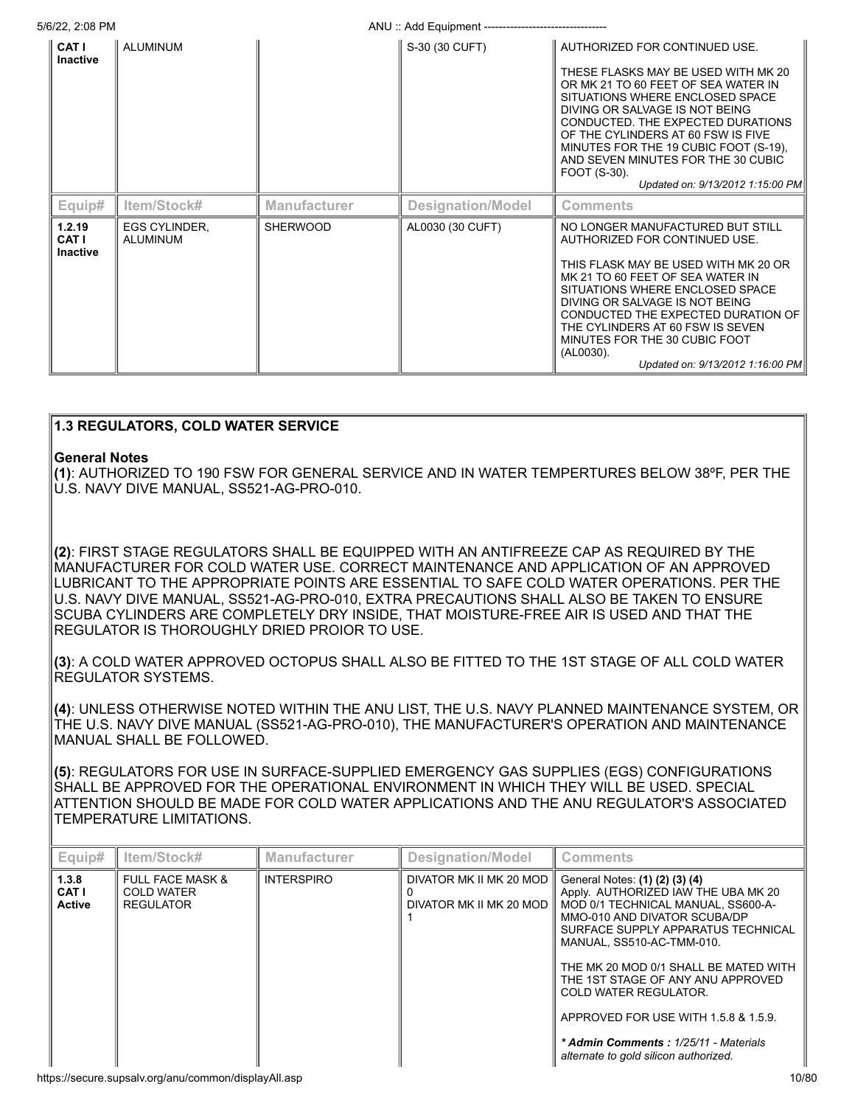5/6/22, 2:08 PM **ANU** :: Add Equipment ---

| CAT I<br><b>Inactive</b>           | <b>ALUMINUM</b>                  |                     | S-30 (30 CUFT)           | AUTHORIZED FOR CONTINUED USE.<br>THESE FLASKS MAY BE USED WITH MK 20<br>OR MK 21 TO 60 FEET OF SEA WATER IN<br>SITUATIONS WHERE ENCLOSED SPACE<br>DIVING OR SALVAGE IS NOT BEING<br>CONDUCTED. THE EXPECTED DURATIONS<br>OF THE CYLINDERS AT 60 FSW IS FIVE<br>MINUTES FOR THE 19 CUBIC FOOT (S-19).<br>AND SEVEN MINUTES FOR THE 30 CUBIC<br>FOOT (S-30).<br>Updated on: 9/13/2012 1:15:00 PM |
|------------------------------------|----------------------------------|---------------------|--------------------------|------------------------------------------------------------------------------------------------------------------------------------------------------------------------------------------------------------------------------------------------------------------------------------------------------------------------------------------------------------------------------------------------|
| Equip#                             | Item/Stock#                      | <b>Manufacturer</b> | <b>Designation/Model</b> | <b>Comments</b>                                                                                                                                                                                                                                                                                                                                                                                |
| 1.2.19<br>CAT I<br><b>Inactive</b> | <b>EGS CYLINDER.</b><br>ALUMINUM | <b>SHERWOOD</b>     | AL0030 (30 CUFT)         | NO LONGER MANUFACTURED BUT STILL<br>AUTHORIZED FOR CONTINUED USE.<br>THIS FLASK MAY BE USED WITH MK 20 OR<br>MK 21 TO 60 FEET OF SEA WATER IN<br>SITUATIONS WHERE ENCLOSED SPACE<br>DIVING OR SALVAGE IS NOT BEING<br>CONDUCTED THE EXPECTED DURATION OF<br>THE CYLINDERS AT 60 FSW IS SEVEN<br>MINUTES FOR THE 30 CUBIC FOOT<br>(AL0030).<br>Updated on: 9/13/2012 1:16:00 PM                 |

# **General Notes (1)**: AUTHORIZED TO 190 FSW FOR GENERAL SERVICE AND IN WATER TEMPERTURES BELOW 38ºF, PER THE U.S. NAVY DIVE MANUAL, SS521-AG-PRO-010. **(2)**: FIRST STAGE REGULATORS SHALL BE EQUIPPED WITH AN ANTIFREEZE CAP AS REQUIRED BY THE MANUFACTURER FOR COLD WATER USE. CORRECT MAINTENANCE AND APPLICATION OF AN APPROVED LUBRICANT TO THE APPROPRIATE POINTS ARE ESSENTIAL TO SAFE COLD WATER OPERATIONS. PER THE U.S. NAVY DIVE MANUAL, SS521-AG-PRO-010, EXTRA PRECAUTIONS SHALL ALSO BE TAKEN TO ENSURE SCUBA CYLINDERS ARE COMPLETELY DRY INSIDE, THAT MOISTURE-FREE AIR IS USED AND THAT THE REGULATOR IS THOROUGHLY DRIED PROIOR TO USE. **(3)**: A COLD WATER APPROVED OCTOPUS SHALL ALSO BE FITTED TO THE 1ST STAGE OF ALL COLD WATER REGULATOR SYSTEMS. **(4)**: UNLESS OTHERWISE NOTED WITHIN THE ANU LIST, THE U.S. NAVY PLANNED MAINTENANCE SYSTEM, OR THE U.S. NAVY DIVE MANUAL (SS521-AG-PRO-010), THE MANUFACTURER'S OPERATION AND MAINTENANCE MANUAL SHALL BE FOLLOWED. **(5)**: REGULATORS FOR USE IN SURFACE-SUPPLIED EMERGENCY GAS SUPPLIES (EGS) CONFIGURATIONS

SHALL BE APPROVED FOR THE OPERATIONAL ENVIRONMENT IN WHICH THEY WILL BE USED. SPECIAL ATTENTION SHOULD BE MADE FOR COLD WATER APPLICATIONS AND THE ANU REGULATOR'S ASSOCIATED TEMPERATURE LIMITATIONS.

| Equip#                                 | Item/Stock#                                                          | <b>Manufacturer</b> | <b>Designation/Model</b>                           | <b>Comments</b>                                                                                                                                                                                                                                                                                                                                                                                                                                 |
|----------------------------------------|----------------------------------------------------------------------|---------------------|----------------------------------------------------|-------------------------------------------------------------------------------------------------------------------------------------------------------------------------------------------------------------------------------------------------------------------------------------------------------------------------------------------------------------------------------------------------------------------------------------------------|
| 1.3.8<br><b>CAT I</b><br><b>Active</b> | <b>FULL FACE MASK &amp;</b><br><b>COLD WATER</b><br><b>REGULATOR</b> | <b>INTERSPIRO</b>   | DIVATOR MK II MK 20 MOD<br>DIVATOR MK II MK 20 MOD | General Notes: (1) (2) (3) (4)<br>Apply. AUTHORIZED IAW THE UBA MK 20<br>MOD 0/1 TECHNICAL MANUAL, SS600-A-<br>MMO-010 AND DIVATOR SCUBA/DP<br>SURFACE SUPPLY APPARATUS TECHNICAL<br>MANUAL, SS510-AC-TMM-010.<br>THE MK 20 MOD 0/1 SHALL BE MATED WITH<br>THE 1ST STAGE OF ANY ANU APPROVED<br>COLD WATER REGULATOR.<br>APPROVED FOR USE WITH 1.5.8 & 1.5.9.<br>* Admin Comments: 1/25/11 - Materials<br>alternate to gold silicon authorized. |

**1.3 REGULATORS, COLD WATER SERVICE**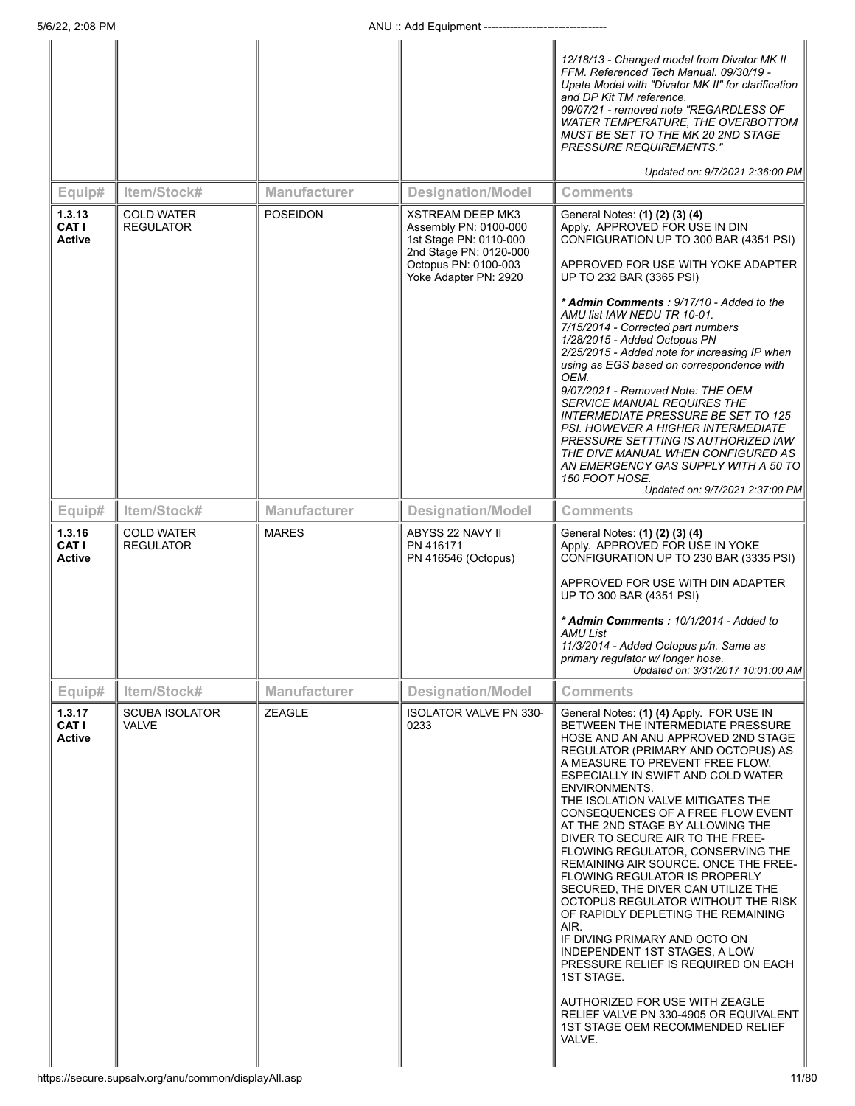|                                         |                                       |                     |                                                                                                                                                       | 12/18/13 - Changed model from Divator MK II<br>FFM. Referenced Tech Manual. 09/30/19 -<br>Upate Model with "Divator MK II" for clarification<br>and DP Kit TM reference.<br>09/07/21 - removed note "REGARDLESS OF<br>WATER TEMPERATURE, THE OVERBOTTOM<br>MUST BE SET TO THE MK 20 2ND STAGE<br><b>PRESSURE REQUIREMENTS."</b><br>Updated on: 9/7/2021 2:36:00 PM                                                                                                                                                                                                                                                                                                                                                                                                                                                                                                                                           |
|-----------------------------------------|---------------------------------------|---------------------|-------------------------------------------------------------------------------------------------------------------------------------------------------|--------------------------------------------------------------------------------------------------------------------------------------------------------------------------------------------------------------------------------------------------------------------------------------------------------------------------------------------------------------------------------------------------------------------------------------------------------------------------------------------------------------------------------------------------------------------------------------------------------------------------------------------------------------------------------------------------------------------------------------------------------------------------------------------------------------------------------------------------------------------------------------------------------------|
|                                         | Item/Stock#                           | <b>Manufacturer</b> | <b>Designation/Model</b>                                                                                                                              | <b>Comments</b>                                                                                                                                                                                                                                                                                                                                                                                                                                                                                                                                                                                                                                                                                                                                                                                                                                                                                              |
| Equip#<br>1.3.13<br>CAT I<br>Active     | <b>COLD WATER</b><br><b>REGULATOR</b> | <b>POSEIDON</b>     | <b>XSTREAM DEEP MK3</b><br>Assembly PN: 0100-000<br>1st Stage PN: 0110-000<br>2nd Stage PN: 0120-000<br>Octopus PN: 0100-003<br>Yoke Adapter PN: 2920 | General Notes: (1) (2) (3) (4)<br>Apply. APPROVED FOR USE IN DIN<br>CONFIGURATION UP TO 300 BAR (4351 PSI)<br>APPROVED FOR USE WITH YOKE ADAPTER<br>UP TO 232 BAR (3365 PSI)                                                                                                                                                                                                                                                                                                                                                                                                                                                                                                                                                                                                                                                                                                                                 |
|                                         |                                       |                     |                                                                                                                                                       | * Admin Comments: 9/17/10 - Added to the<br>AMU list IAW NEDU TR 10-01.<br>7/15/2014 - Corrected part numbers<br>1/28/2015 - Added Octopus PN<br>2/25/2015 - Added note for increasing IP when<br>using as EGS based on correspondence with<br>OEM.<br>9/07/2021 - Removed Note: THE OEM<br>SERVICE MANUAL REQUIRES THE<br>INTERMEDIATE PRESSURE BE SET TO 125<br>PSI. HOWEVER A HIGHER INTERMEDIATE<br>PRESSURE SETTTING IS AUTHORIZED IAW<br>THE DIVE MANUAL WHEN CONFIGURED AS<br>AN EMERGENCY GAS SUPPLY WITH A 50 TO<br>150 FOOT HOSE.<br>Updated on: 9/7/2021 2:37:00 PM                                                                                                                                                                                                                                                                                                                               |
| Equip#                                  | Item/Stock#                           | <b>Manufacturer</b> | <b>Designation/Model</b>                                                                                                                              | Comments                                                                                                                                                                                                                                                                                                                                                                                                                                                                                                                                                                                                                                                                                                                                                                                                                                                                                                     |
| 1.3.16<br><b>CATI</b><br>Active         | <b>COLD WATER</b><br><b>REGULATOR</b> | <b>MARES</b>        | ABYSS 22 NAVY II<br>PN 416171<br>PN 416546 (Octopus)                                                                                                  | General Notes: (1) (2) (3) (4)<br>Apply. APPROVED FOR USE IN YOKE<br>CONFIGURATION UP TO 230 BAR (3335 PSI)<br>APPROVED FOR USE WITH DIN ADAPTER                                                                                                                                                                                                                                                                                                                                                                                                                                                                                                                                                                                                                                                                                                                                                             |
|                                         |                                       |                     |                                                                                                                                                       | UP TO 300 BAR (4351 PSI)<br>* Admin Comments: 10/1/2014 - Added to<br>AMU List<br>11/3/2014 - Added Octopus p/n. Same as<br>primary regulator w/ longer hose.<br>Updated on: 3/31/2017 10:01:00 AM                                                                                                                                                                                                                                                                                                                                                                                                                                                                                                                                                                                                                                                                                                           |
| Equip#                                  | Item/Stock#                           | <b>Manufacturer</b> | <b>Designation/Model</b>                                                                                                                              | <b>Comments</b>                                                                                                                                                                                                                                                                                                                                                                                                                                                                                                                                                                                                                                                                                                                                                                                                                                                                                              |
| 1.3.17<br><b>CAT I</b><br><b>Active</b> | <b>SCUBA ISOLATOR</b><br>VALVE        | ZEAGLE              | <b>ISOLATOR VALVE PN 330-</b><br>0233                                                                                                                 | General Notes: (1) (4) Apply. FOR USE IN<br>BETWEEN THE INTERMEDIATE PRESSURE<br>HOSE AND AN ANU APPROVED 2ND STAGE<br>REGULATOR (PRIMARY AND OCTOPUS) AS<br>A MEASURE TO PREVENT FREE FLOW,<br>ESPECIALLY IN SWIFT AND COLD WATER<br>ENVIRONMENTS.<br>THE ISOLATION VALVE MITIGATES THE<br>CONSEQUENCES OF A FREE FLOW EVENT<br>AT THE 2ND STAGE BY ALLOWING THE<br>DIVER TO SECURE AIR TO THE FREE-<br>FLOWING REGULATOR, CONSERVING THE<br>REMAINING AIR SOURCE. ONCE THE FREE-<br><b>FLOWING REGULATOR IS PROPERLY</b><br>SECURED, THE DIVER CAN UTILIZE THE<br>OCTOPUS REGULATOR WITHOUT THE RISK<br>OF RAPIDLY DEPLETING THE REMAINING<br>AIR.<br>IF DIVING PRIMARY AND OCTO ON<br>INDEPENDENT 1ST STAGES, A LOW<br>PRESSURE RELIEF IS REQUIRED ON EACH<br><b>1ST STAGE.</b><br>AUTHORIZED FOR USE WITH ZEAGLE<br>RELIEF VALVE PN 330-4905 OR EQUIVALENT<br>1ST STAGE OEM RECOMMENDED RELIEF<br>VALVE. |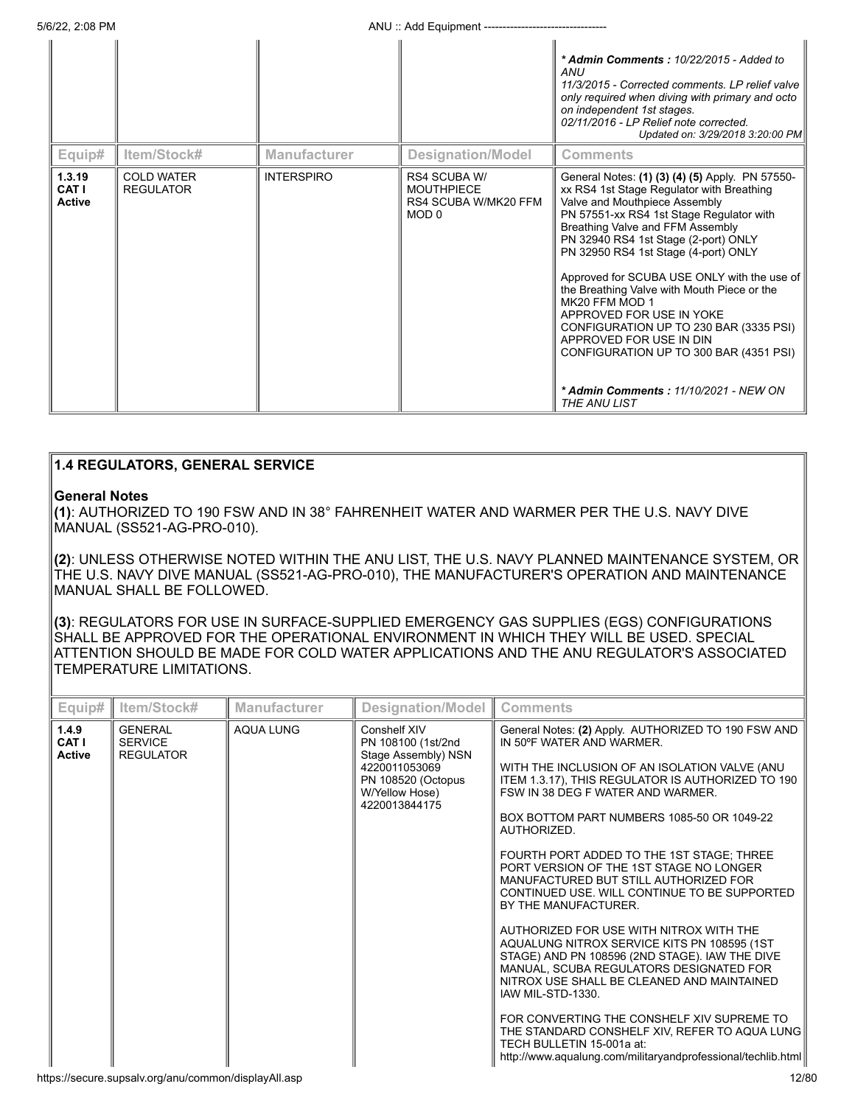5/6/22, 2:08 PM **ANU** :: Add Equipment ----

|                                  |                                       |                     |                                                                    | * Admin Comments: 10/22/2015 - Added to<br>ANU<br>11/3/2015 - Corrected comments. LP relief valve<br>only required when diving with primary and octo<br>on independent 1st stages.<br>02/11/2016 - LP Relief note corrected.<br>Updated on: 3/29/2018 3:20:00 PM                                                                                                                                                                                                                                                                                                                                                         |
|----------------------------------|---------------------------------------|---------------------|--------------------------------------------------------------------|--------------------------------------------------------------------------------------------------------------------------------------------------------------------------------------------------------------------------------------------------------------------------------------------------------------------------------------------------------------------------------------------------------------------------------------------------------------------------------------------------------------------------------------------------------------------------------------------------------------------------|
| Equip#                           | ltem/Stock#                           | <b>Manufacturer</b> | <b>Designation/Model</b>                                           | <b>Comments</b>                                                                                                                                                                                                                                                                                                                                                                                                                                                                                                                                                                                                          |
| 1.3.19<br>CAT I<br><b>Active</b> | <b>COLD WATER</b><br><b>REGULATOR</b> | <b>INTERSPIRO</b>   | RS4 SCUBA W/<br><b>MOUTHPIECE</b><br>RS4 SCUBA W/MK20 FFM<br>MOD 0 | General Notes: (1) (3) (4) (5) Apply. PN 57550-<br>xx RS4 1st Stage Regulator with Breathing<br>Valve and Mouthpiece Assembly<br>PN 57551-xx RS4 1st Stage Regulator with<br>Breathing Valve and FFM Assembly<br>PN 32940 RS4 1st Stage (2-port) ONLY<br>PN 32950 RS4 1st Stage (4-port) ONLY<br>Approved for SCUBA USE ONLY with the use of<br>the Breathing Valve with Mouth Piece or the<br>MK20 FFM MOD 1<br>APPROVED FOR USE IN YOKE<br>CONFIGURATION UP TO 230 BAR (3335 PSI)<br>APPROVED FOR USE IN DIN<br>CONFIGURATION UP TO 300 BAR (4351 PSI)<br>* Admin Comments: 11/10/2021 - NEW ON<br><b>THE ANU LIST</b> |

# **1.4 REGULATORS, GENERAL SERVICE**

# **General Notes**

**(1)**: AUTHORIZED TO 190 FSW AND IN 38° FAHRENHEIT WATER AND WARMER PER THE U.S. NAVY DIVE MANUAL (SS521-AG-PRO-010).

**(2)**: UNLESS OTHERWISE NOTED WITHIN THE ANU LIST, THE U.S. NAVY PLANNED MAINTENANCE SYSTEM, OR THE U.S. NAVY DIVE MANUAL (SS521-AG-PRO-010), THE MANUFACTURER'S OPERATION AND MAINTENANCE MANUAL SHALL BE FOLLOWED.

**(3)**: REGULATORS FOR USE IN SURFACE-SUPPLIED EMERGENCY GAS SUPPLIES (EGS) CONFIGURATIONS SHALL BE APPROVED FOR THE OPERATIONAL ENVIRONMENT IN WHICH THEY WILL BE USED. SPECIAL ATTENTION SHOULD BE MADE FOR COLD WATER APPLICATIONS AND THE ANU REGULATOR'S ASSOCIATED TEMPERATURE LIMITATIONS.

| Equip#                          | Item/Stock#                                          | <b>Manufacturer</b> | Designation/Model                                                                                                                   | <b>Comments</b>                                                                                                                                                                                                                                                                                                                                                                                                                                                                                                                                                                                                                                                                                                                                                                                                                                                                                                                                         |
|---------------------------------|------------------------------------------------------|---------------------|-------------------------------------------------------------------------------------------------------------------------------------|---------------------------------------------------------------------------------------------------------------------------------------------------------------------------------------------------------------------------------------------------------------------------------------------------------------------------------------------------------------------------------------------------------------------------------------------------------------------------------------------------------------------------------------------------------------------------------------------------------------------------------------------------------------------------------------------------------------------------------------------------------------------------------------------------------------------------------------------------------------------------------------------------------------------------------------------------------|
| 1.4.9<br>CAT I<br><b>Active</b> | <b>GENERAL</b><br><b>SERVICE</b><br><b>REGULATOR</b> | <b>AQUA LUNG</b>    | Conshelf XIV<br>PN 108100 (1st/2nd<br>Stage Assembly) NSN<br>4220011053069<br>PN 108520 (Octopus<br>W/Yellow Hose)<br>4220013844175 | General Notes: (2) Apply. AUTHORIZED TO 190 FSW AND<br>IN 50°F WATER AND WARMER.<br>WITH THE INCLUSION OF AN ISOLATION VALVE (ANU<br>ITEM 1.3.17), THIS REGULATOR IS AUTHORIZED TO 190<br>FSW IN 38 DEG F WATER AND WARMER.<br>BOX BOTTOM PART NUMBERS 1085-50 OR 1049-22<br>AUTHORIZED.<br>FOURTH PORT ADDED TO THE 1ST STAGE; THREE<br>PORT VERSION OF THE 1ST STAGE NO LONGER<br>MANUFACTURED BUT STILL AUTHORIZED FOR<br>CONTINUED USE, WILL CONTINUE TO BE SUPPORTED<br>BY THE MANUFACTURER.<br>AUTHORIZED FOR USE WITH NITROX WITH THE<br>AQUALUNG NITROX SERVICE KITS PN 108595 (1ST<br>STAGE) AND PN 108596 (2ND STAGE). IAW THE DIVE<br>MANUAL, SCUBA REGULATORS DESIGNATED FOR<br>NITROX USE SHALL BE CLEANED AND MAINTAINED<br>IAW MIL-STD-1330.<br>FOR CONVERTING THE CONSHELF XIV SUPREME TO<br>THE STANDARD CONSHELF XIV, REFER TO AQUA LUNG<br>TECH BULLETIN 15-001a at:<br>http://www.aqualung.com/militaryandprofessional/techlib.html |
|                                 | https://secure.supsalv.org/anu/common/displayAll.asp |                     |                                                                                                                                     | 12/80                                                                                                                                                                                                                                                                                                                                                                                                                                                                                                                                                                                                                                                                                                                                                                                                                                                                                                                                                   |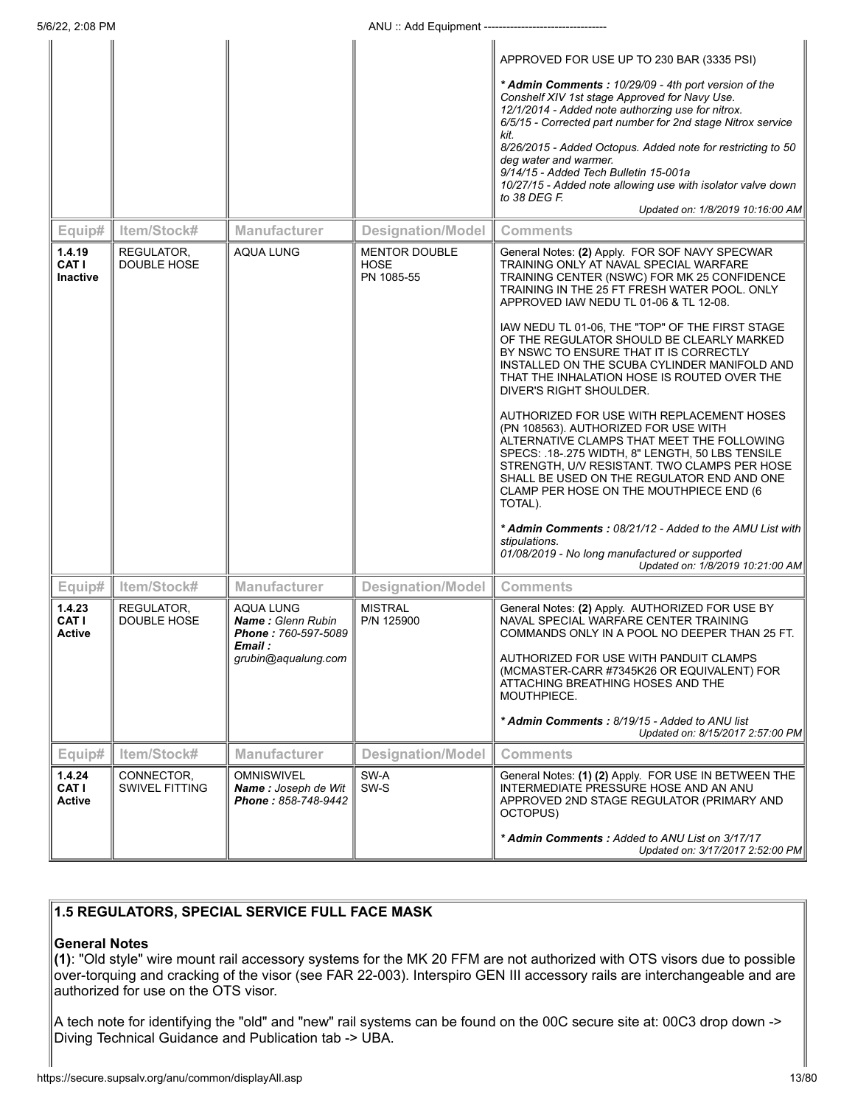5/6/22, 2:08 PM **ANU** :: Add Equipment ----

|                                           |                                     |                                                                                                |                                                   | APPROVED FOR USE UP TO 230 BAR (3335 PSI)<br>* Admin Comments: 10/29/09 - 4th port version of the<br>Conshelf XIV 1st stage Approved for Navy Use.<br>12/1/2014 - Added note authorzing use for nitrox.<br>6/5/15 - Corrected part number for 2nd stage Nitrox service<br>kit.<br>8/26/2015 - Added Octopus. Added note for restricting to 50<br>deg water and warmer.<br>9/14/15 - Added Tech Bulletin 15-001a<br>10/27/15 - Added note allowing use with isolator valve down<br>to 38 DEG $F$<br>Updated on: 1/8/2019 10:16:00 AM                                                                                                                                                                                                                                                                                                                                                                                                                                                                                |
|-------------------------------------------|-------------------------------------|------------------------------------------------------------------------------------------------|---------------------------------------------------|--------------------------------------------------------------------------------------------------------------------------------------------------------------------------------------------------------------------------------------------------------------------------------------------------------------------------------------------------------------------------------------------------------------------------------------------------------------------------------------------------------------------------------------------------------------------------------------------------------------------------------------------------------------------------------------------------------------------------------------------------------------------------------------------------------------------------------------------------------------------------------------------------------------------------------------------------------------------------------------------------------------------|
| Equip#                                    | Item/Stock#                         | <b>Manufacturer</b>                                                                            | <b>Designation/Model</b>                          | <b>Comments</b>                                                                                                                                                                                                                                                                                                                                                                                                                                                                                                                                                                                                                                                                                                                                                                                                                                                                                                                                                                                                    |
| 1.4.19<br><b>CAT I</b><br><b>Inactive</b> | REGULATOR,<br>DOUBLE HOSE           | AQUA LUNG                                                                                      | <b>MENTOR DOUBLE</b><br><b>HOSE</b><br>PN 1085-55 | General Notes: (2) Apply. FOR SOF NAVY SPECWAR<br>TRAINING ONLY AT NAVAL SPECIAL WARFARE<br>TRAINING CENTER (NSWC) FOR MK 25 CONFIDENCE<br>TRAINING IN THE 25 FT FRESH WATER POOL. ONLY<br>APPROVED IAW NEDU TL 01-06 & TL 12-08.<br>IAW NEDU TL 01-06, THE "TOP" OF THE FIRST STAGE<br>OF THE REGULATOR SHOULD BE CLEARLY MARKED<br>BY NSWC TO ENSURE THAT IT IS CORRECTLY<br>INSTALLED ON THE SCUBA CYLINDER MANIFOLD AND<br>THAT THE INHALATION HOSE IS ROUTED OVER THE<br>DIVER'S RIGHT SHOULDER.<br>AUTHORIZED FOR USE WITH REPLACEMENT HOSES<br>(PN 108563). AUTHORIZED FOR USE WITH<br>ALTERNATIVE CLAMPS THAT MEET THE FOLLOWING<br>SPECS: .18-.275 WIDTH, 8" LENGTH, 50 LBS TENSILE<br>STRENGTH, U/V RESISTANT. TWO CLAMPS PER HOSE<br>SHALL BE USED ON THE REGULATOR END AND ONE<br>CLAMP PER HOSE ON THE MOUTHPIECE END (6<br>TOTAL).<br>* Admin Comments: 08/21/12 - Added to the AMU List with<br>stipulations.<br>01/08/2019 - No long manufactured or supported<br>Updated on: 1/8/2019 10:21:00 AM |
| Equip#                                    | Item/Stock#                         | <b>Manufacturer</b>                                                                            | <b>Designation/Model</b>                          | <b>Comments</b>                                                                                                                                                                                                                                                                                                                                                                                                                                                                                                                                                                                                                                                                                                                                                                                                                                                                                                                                                                                                    |
| 1.4.23<br><b>CAT I</b><br>Active          | REGULATOR,<br>DOUBLE HOSE           | AQUA LUNG<br><b>Name:</b> Glenn Rubin<br>Phone: 760-597-5089<br>Email :<br>grubin@aqualung.com | <b>MISTRAL</b><br>P/N 125900                      | General Notes: (2) Apply. AUTHORIZED FOR USE BY<br>NAVAL SPECIAL WARFARE CENTER TRAINING<br>COMMANDS ONLY IN A POOL NO DEEPER THAN 25 FT.<br>AUTHORIZED FOR USE WITH PANDUIT CLAMPS<br>(MCMASTER-CARR #7345K26 OR EQUIVALENT) FOR<br>ATTACHING BREATHING HOSES AND THE<br>MOUTHPIECE.<br>* Admin Comments: 8/19/15 - Added to ANU list<br>Updated on: 8/15/2017 2:57:00 PM                                                                                                                                                                                                                                                                                                                                                                                                                                                                                                                                                                                                                                         |
| Equip#                                    | Item/Stock#                         | <b>Manufacturer</b>                                                                            | <b>Designation/Model</b>                          | <b>Comments</b>                                                                                                                                                                                                                                                                                                                                                                                                                                                                                                                                                                                                                                                                                                                                                                                                                                                                                                                                                                                                    |
| 1.4.24<br><b>CAT I</b><br>Active          | CONNECTOR,<br><b>SWIVEL FITTING</b> | <b>OMNISWIVEL</b><br>Name: Joseph de Wit<br>Phone: 858-748-9442                                | SW-A<br>SW-S                                      | General Notes: (1) (2) Apply. FOR USE IN BETWEEN THE<br>INTERMEDIATE PRESSURE HOSE AND AN ANU<br>APPROVED 2ND STAGE REGULATOR (PRIMARY AND<br>OCTOPUS)<br>* Admin Comments: Added to ANU List on 3/17/17<br>Updated on: 3/17/2017 2:52:00 PM                                                                                                                                                                                                                                                                                                                                                                                                                                                                                                                                                                                                                                                                                                                                                                       |

# **1.5 REGULATORS, SPECIAL SERVICE FULL FACE MASK**

# **General Notes**

**(1)**: "Old style" wire mount rail accessory systems for the MK 20 FFM are not authorized with OTS visors due to possible over-torquing and cracking of the visor (see FAR 22-003). Interspiro GEN III accessory rails are interchangeable and are authorized for use on the OTS visor.

A tech note for identifying the "old" and "new" rail systems can be found on the 00C secure site at: 00C3 drop down -> Diving Technical Guidance and Publication tab -> UBA.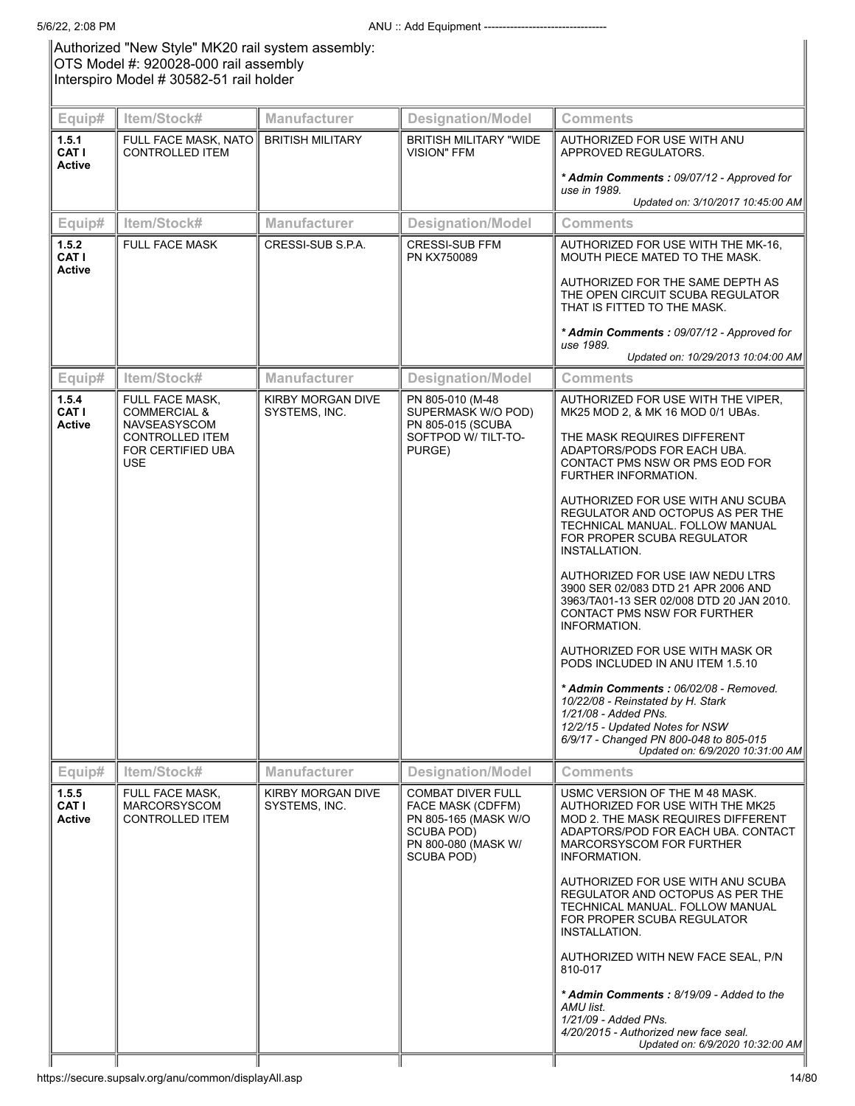Authorized "New Style" MK20 rail system assembly: OTS Model #: 920028-000 rail assembly Interspiro Model # 30582-51 rail holder

| Equip#                                 | Item/Stock#                                                      | Manufacturer                       | <b>Designation/Model</b>                                                                                                               | <b>Comments</b>                                                                                                                                                                                                      |
|----------------------------------------|------------------------------------------------------------------|------------------------------------|----------------------------------------------------------------------------------------------------------------------------------------|----------------------------------------------------------------------------------------------------------------------------------------------------------------------------------------------------------------------|
| 1.5.1<br><b>CAT I</b><br><b>Active</b> | FULL FACE MASK, NATO<br><b>CONTROLLED ITEM</b>                   | <b>BRITISH MILITARY</b>            | <b>BRITISH MILITARY "WIDE</b><br><b>VISION" FFM</b>                                                                                    | AUTHORIZED FOR USE WITH ANU<br>APPROVED REGULATORS.<br>* Admin Comments: 09/07/12 - Approved for<br>use in 1989.<br>Updated on: 3/10/2017 10:45:00 AM                                                                |
| Equip#                                 | Item/Stock#                                                      | Manufacturer                       | <b>Designation/Model</b>                                                                                                               | <b>Comments</b>                                                                                                                                                                                                      |
| 1.5.2<br>CAT I<br><b>Active</b>        | <b>FULL FACE MASK</b>                                            | CRESSI-SUB S.P.A.                  | <b>CRESSI-SUB FFM</b><br>PN KX750089                                                                                                   | AUTHORIZED FOR USE WITH THE MK-16.<br>MOUTH PIECE MATED TO THE MASK.                                                                                                                                                 |
|                                        |                                                                  |                                    |                                                                                                                                        | AUTHORIZED FOR THE SAME DEPTH AS<br>THE OPEN CIRCUIT SCUBA REGULATOR<br>THAT IS FITTED TO THE MASK.                                                                                                                  |
|                                        |                                                                  |                                    |                                                                                                                                        | * Admin Comments: 09/07/12 - Approved for<br>use 1989.                                                                                                                                                               |
|                                        |                                                                  |                                    |                                                                                                                                        | Updated on: 10/29/2013 10:04:00 AM                                                                                                                                                                                   |
| Equip#                                 | Item/Stock#                                                      | Manufacturer                       | <b>Designation/Model</b>                                                                                                               | <b>Comments</b>                                                                                                                                                                                                      |
| 1.5.4<br>CAT I<br><b>Active</b>        | FULL FACE MASK,<br><b>COMMERCIAL &amp;</b><br>NAVSEASYSCOM       | KIRBY MORGAN DIVE<br>SYSTEMS, INC. | PN 805-010 (M-48<br>SUPERMASK W/O POD)<br>PN 805-015 (SCUBA                                                                            | AUTHORIZED FOR USE WITH THE VIPER.<br>MK25 MOD 2, & MK 16 MOD 0/1 UBAs.                                                                                                                                              |
|                                        | <b>CONTROLLED ITEM</b><br>FOR CERTIFIED UBA<br><b>USE</b>        |                                    | SOFTPOD W/ TILT-TO-<br>PURGE)                                                                                                          | THE MASK REQUIRES DIFFERENT<br>ADAPTORS/PODS FOR EACH UBA.<br>CONTACT PMS NSW OR PMS EOD FOR<br>FURTHER INFORMATION.                                                                                                 |
|                                        |                                                                  |                                    |                                                                                                                                        | AUTHORIZED FOR USE WITH ANU SCUBA<br>REGULATOR AND OCTOPUS AS PER THE<br>TECHNICAL MANUAL. FOLLOW MANUAL<br>FOR PROPER SCUBA REGULATOR<br>INSTALLATION.                                                              |
|                                        |                                                                  |                                    |                                                                                                                                        | AUTHORIZED FOR USE IAW NEDU LTRS<br>3900 SER 02/083 DTD 21 APR 2006 AND<br>3963/TA01-13 SER 02/008 DTD 20 JAN 2010.<br>CONTACT PMS NSW FOR FURTHER<br>INFORMATION.                                                   |
|                                        |                                                                  |                                    |                                                                                                                                        | AUTHORIZED FOR USE WITH MASK OR<br>PODS INCLUDED IN ANU ITEM 1.5.10                                                                                                                                                  |
|                                        |                                                                  |                                    |                                                                                                                                        | * Admin Comments : 06/02/08 - Removed.<br>10/22/08 - Reinstated by H. Stark<br>1/21/08 - Added PNs.<br>12/2/15 - Updated Notes for NSW<br>6/9/17 - Changed PN 800-048 to 805-015<br>Updated on: 6/9/2020 10:31:00 AM |
| Equip#                                 | Item/Stock#                                                      | Manufacturer                       | <b>Designation/Model</b>                                                                                                               | <b>Comments</b>                                                                                                                                                                                                      |
| 1.5.5<br>CAT I<br><b>Active</b>        | FULL FACE MASK,<br><b>MARCORSYSCOM</b><br><b>CONTROLLED ITEM</b> | KIRBY MORGAN DIVE<br>SYSTEMS, INC. | <b>COMBAT DIVER FULL</b><br><b>FACE MASK (CDFFM)</b><br>PN 805-165 (MASK W/O<br>SCUBA POD)<br>PN 800-080 (MASK W/<br><b>SCUBA POD)</b> | USMC VERSION OF THE M 48 MASK.<br>AUTHORIZED FOR USE WITH THE MK25<br>MOD 2. THE MASK REQUIRES DIFFERENT<br>ADAPTORS/POD FOR EACH UBA. CONTACT<br>MARCORSYSCOM FOR FURTHER<br>INFORMATION.                           |
|                                        |                                                                  |                                    |                                                                                                                                        | AUTHORIZED FOR USE WITH ANU SCUBA<br>REGULATOR AND OCTOPUS AS PER THE<br>TECHNICAL MANUAL. FOLLOW MANUAL<br>FOR PROPER SCUBA REGULATOR<br>INSTALLATION.                                                              |
|                                        |                                                                  |                                    |                                                                                                                                        | AUTHORIZED WITH NEW FACE SEAL, P/N<br>810-017                                                                                                                                                                        |
|                                        |                                                                  |                                    |                                                                                                                                        | * Admin Comments: 8/19/09 - Added to the<br>AMU list.<br>1/21/09 - Added PNs.<br>4/20/2015 - Authorized new face seal.<br>Updated on: 6/9/2020 10:32:00 AM                                                           |
|                                        |                                                                  |                                    |                                                                                                                                        |                                                                                                                                                                                                                      |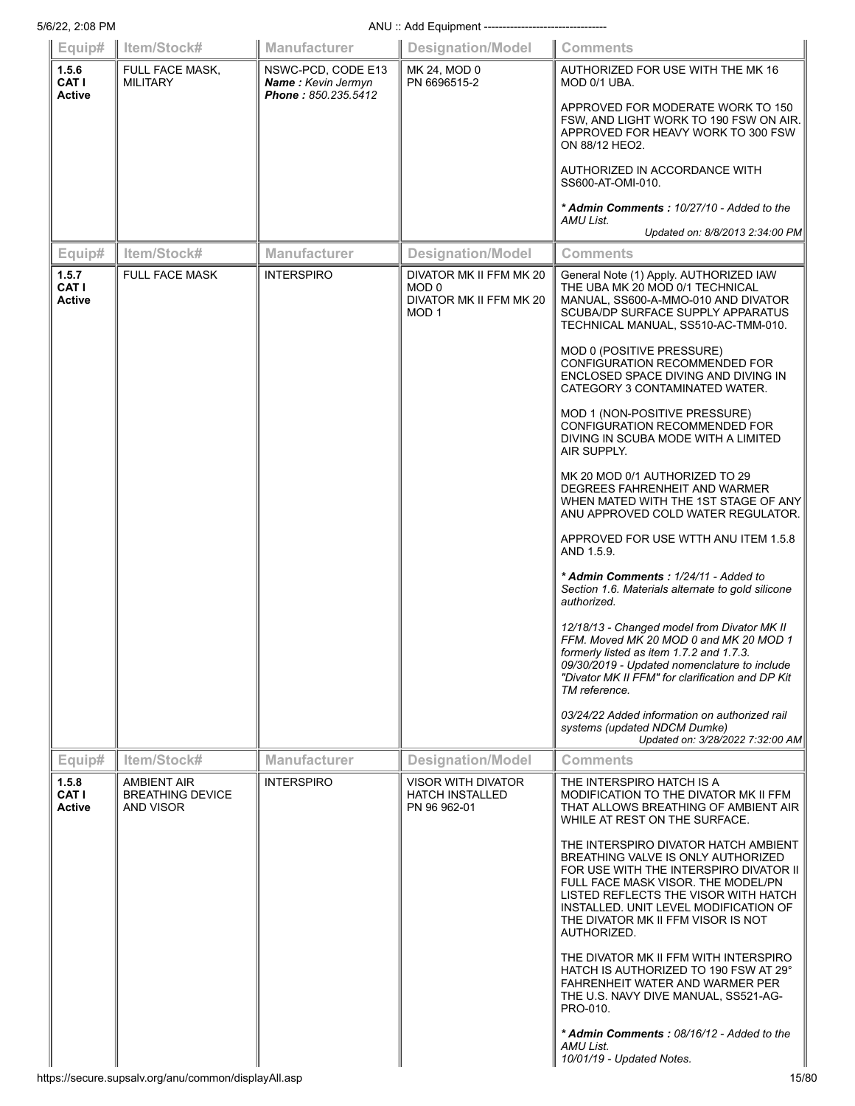| 5/6/22, 2:08 PM                 | ANU: Add Equipment ---------------------------------              |                                                                 |                                                                                 |                                                                                                                                                                                                                                                                                                                                                                                                                                                                                                                                                                                                                                                                                                                                                                                                                                                                                                                                                                                                                                                                                                                                 |  |  |
|---------------------------------|-------------------------------------------------------------------|-----------------------------------------------------------------|---------------------------------------------------------------------------------|---------------------------------------------------------------------------------------------------------------------------------------------------------------------------------------------------------------------------------------------------------------------------------------------------------------------------------------------------------------------------------------------------------------------------------------------------------------------------------------------------------------------------------------------------------------------------------------------------------------------------------------------------------------------------------------------------------------------------------------------------------------------------------------------------------------------------------------------------------------------------------------------------------------------------------------------------------------------------------------------------------------------------------------------------------------------------------------------------------------------------------|--|--|
| Equip#                          | Item/Stock#                                                       | Manufacturer                                                    | <b>Designation/Model</b>                                                        | <b>Comments</b>                                                                                                                                                                                                                                                                                                                                                                                                                                                                                                                                                                                                                                                                                                                                                                                                                                                                                                                                                                                                                                                                                                                 |  |  |
| 1.5.6<br>CAT I<br><b>Active</b> | FULL FACE MASK,<br><b>MILITARY</b>                                | NSWC-PCD, CODE E13<br>Name: Kevin Jermyn<br>Phone: 850.235.5412 | MK 24, MOD 0<br>PN 6696515-2                                                    | AUTHORIZED FOR USE WITH THE MK 16<br>MOD 0/1 UBA.<br>APPROVED FOR MODERATE WORK TO 150<br>FSW, AND LIGHT WORK TO 190 FSW ON AIR.<br>APPROVED FOR HEAVY WORK TO 300 FSW<br>ON 88/12 HEO2.<br>AUTHORIZED IN ACCORDANCE WITH<br>SS600-AT-OMI-010.<br>* Admin Comments: 10/27/10 - Added to the<br>AMU List.                                                                                                                                                                                                                                                                                                                                                                                                                                                                                                                                                                                                                                                                                                                                                                                                                        |  |  |
|                                 |                                                                   |                                                                 |                                                                                 | Updated on: 8/8/2013 2:34:00 PM                                                                                                                                                                                                                                                                                                                                                                                                                                                                                                                                                                                                                                                                                                                                                                                                                                                                                                                                                                                                                                                                                                 |  |  |
| Equip#                          | Item/Stock#                                                       | <b>Manufacturer</b>                                             | <b>Designation/Model</b>                                                        | <b>Comments</b>                                                                                                                                                                                                                                                                                                                                                                                                                                                                                                                                                                                                                                                                                                                                                                                                                                                                                                                                                                                                                                                                                                                 |  |  |
| 1.5.7<br>CAT I<br><b>Active</b> | <b>FULL FACE MASK</b>                                             | <b>INTERSPIRO</b>                                               | DIVATOR MK II FFM MK 20<br>MOD 0<br>DIVATOR MK II FFM MK 20<br>MOD <sub>1</sub> | General Note (1) Apply. AUTHORIZED IAW<br>THE UBA MK 20 MOD 0/1 TECHNICAL<br>MANUAL, SS600-A-MMO-010 AND DIVATOR<br><b>SCUBA/DP SURFACE SUPPLY APPARATUS</b><br>TECHNICAL MANUAL, SS510-AC-TMM-010.<br>MOD 0 (POSITIVE PRESSURE)<br>CONFIGURATION RECOMMENDED FOR<br>ENCLOSED SPACE DIVING AND DIVING IN<br>CATEGORY 3 CONTAMINATED WATER.<br>MOD 1 (NON-POSITIVE PRESSURE)<br>CONFIGURATION RECOMMENDED FOR<br>DIVING IN SCUBA MODE WITH A LIMITED<br>AIR SUPPLY.<br>MK 20 MOD 0/1 AUTHORIZED TO 29<br>DEGREES FAHRENHEIT AND WARMER<br>WHEN MATED WITH THE 1ST STAGE OF ANY<br>ANU APPROVED COLD WATER REGULATOR.<br>APPROVED FOR USE WTTH ANU ITEM 1.5.8<br>AND 1.5.9.<br>* Admin Comments: 1/24/11 - Added to<br>Section 1.6. Materials alternate to gold silicone<br>authorized.<br>12/18/13 - Changed model from Divator MK II<br>FFM Moved MK 20 MOD 0 and MK 20 MOD 1<br>formerly listed as item 1.7.2 and 1.7.3.<br>09/30/2019 - Updated nomenclature to include<br>"Divator MK II FFM" for clarification and DP Kit<br>TM reference.<br>03/24/22 Added information on authorized rail<br>systems (updated NDCM Dumke) |  |  |
|                                 |                                                                   |                                                                 |                                                                                 | Updated on: 3/28/2022 7:32:00 AM                                                                                                                                                                                                                                                                                                                                                                                                                                                                                                                                                                                                                                                                                                                                                                                                                                                                                                                                                                                                                                                                                                |  |  |
| Equip#                          | Item/Stock#                                                       | <b>Manufacturer</b>                                             | <b>Designation/Model</b>                                                        | <b>Comments</b>                                                                                                                                                                                                                                                                                                                                                                                                                                                                                                                                                                                                                                                                                                                                                                                                                                                                                                                                                                                                                                                                                                                 |  |  |
| 1.5.8<br>CAT I<br>Active        | <b>AMBIENT AIR</b><br><b>BREATHING DEVICE</b><br><b>AND VISOR</b> | <b>INTERSPIRO</b>                                               | <b>VISOR WITH DIVATOR</b><br><b>HATCH INSTALLED</b><br>PN 96 962-01             | THE INTERSPIRO HATCH IS A<br>MODIFICATION TO THE DIVATOR MK II FFM<br>THAT ALLOWS BREATHING OF AMBIENT AIR<br>WHILE AT REST ON THE SURFACE.<br>THE INTERSPIRO DIVATOR HATCH AMBIENT<br>BREATHING VALVE IS ONLY AUTHORIZED<br>FOR USE WITH THE INTERSPIRO DIVATOR II<br>FULL FACE MASK VISOR. THE MODEL/PN<br>LISTED REFLECTS THE VISOR WITH HATCH<br>INSTALLED. UNIT LEVEL MODIFICATION OF<br>THE DIVATOR MK II FFM VISOR IS NOT<br>AUTHORIZED.<br>THE DIVATOR MK II FFM WITH INTERSPIRO<br>HATCH IS AUTHORIZED TO 190 FSW AT 29°<br>FAHRENHEIT WATER AND WARMER PER<br>THE U.S. NAVY DIVE MANUAL, SS521-AG-<br>PRO-010.<br>* Admin Comments: 08/16/12 - Added to the<br>AMU List.<br>10/01/19 - Updated Notes.                                                                                                                                                                                                                                                                                                                                                                                                                 |  |  |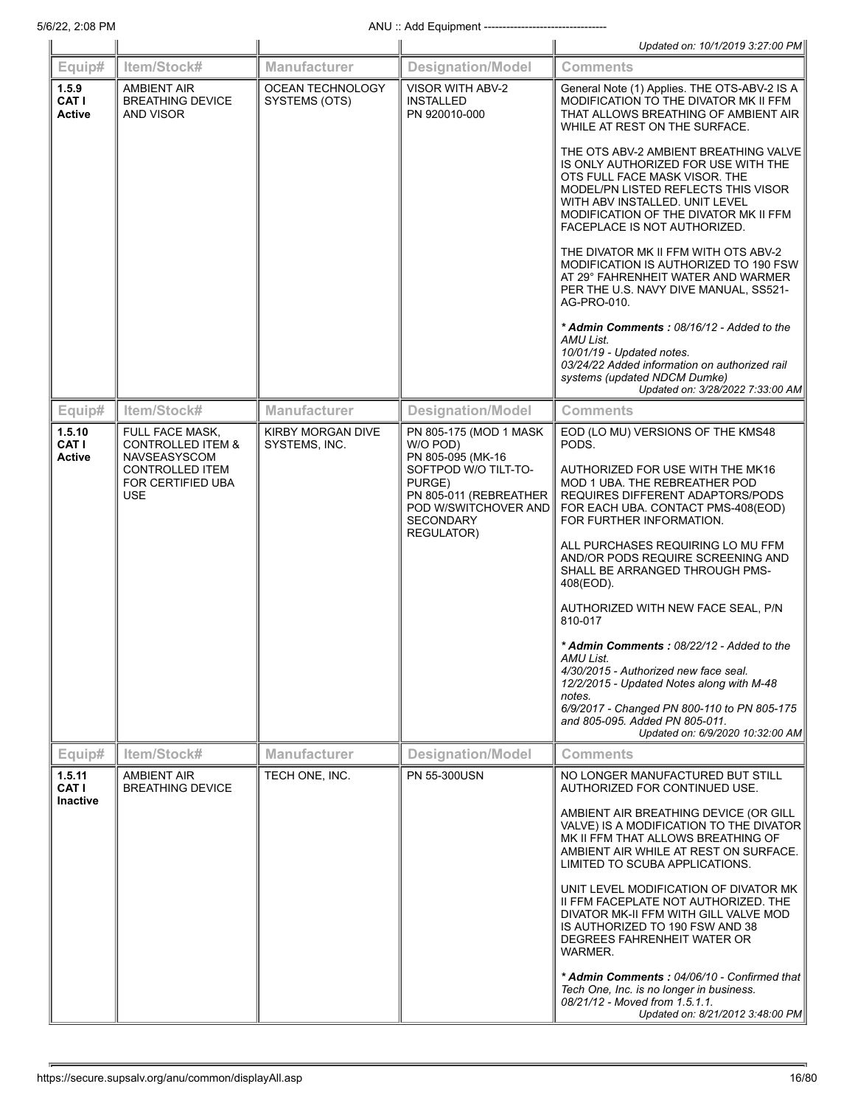|                                    |                                                                        |                                    |                                                                                                                           | Updated on: 10/1/2019 3:27:00 PM                                                                                                                                                                                                                                |
|------------------------------------|------------------------------------------------------------------------|------------------------------------|---------------------------------------------------------------------------------------------------------------------------|-----------------------------------------------------------------------------------------------------------------------------------------------------------------------------------------------------------------------------------------------------------------|
| Equip#                             | Item/Stock#                                                            | <b>Manufacturer</b>                | <b>Designation/Model</b>                                                                                                  | <b>Comments</b>                                                                                                                                                                                                                                                 |
| 1.5.9<br>CAT I<br><b>Active</b>    | <b>AMBIENT AIR</b><br><b>BREATHING DEVICE</b><br><b>AND VISOR</b>      | OCEAN TECHNOLOGY<br>SYSTEMS (OTS)  | <b>VISOR WITH ABV-2</b><br><b>INSTALLED</b><br>PN 920010-000                                                              | General Note (1) Applies. THE OTS-ABV-2 IS A<br>MODIFICATION TO THE DIVATOR MK II FFM<br>THAT ALLOWS BREATHING OF AMBIENT AIR<br>WHILE AT REST ON THE SURFACE.                                                                                                  |
|                                    |                                                                        |                                    |                                                                                                                           | THE OTS ABV-2 AMBIENT BREATHING VALVE<br>IS ONLY AUTHORIZED FOR USE WITH THE<br>OTS FULL FACE MASK VISOR. THE<br>MODEL/PN LISTED REFLECTS THIS VISOR<br>WITH ABV INSTALLED. UNIT LEVEL<br>MODIFICATION OF THE DIVATOR MK II FFM<br>FACEPLACE IS NOT AUTHORIZED. |
|                                    |                                                                        |                                    |                                                                                                                           | THE DIVATOR MK II FFM WITH OTS ABV-2<br>MODIFICATION IS AUTHORIZED TO 190 FSW<br>AT 29° FAHRENHEIT WATER AND WARMER<br>PER THE U.S. NAVY DIVE MANUAL, SS521-<br>AG-PRO-010.                                                                                     |
|                                    |                                                                        |                                    |                                                                                                                           | * Admin Comments: 08/16/12 - Added to the<br>AMU List.<br>10/01/19 - Updated notes.<br>03/24/22 Added information on authorized rail<br>systems (updated NDCM Dumke)<br>Updated on: 3/28/2022 7:33:00 AM                                                        |
| Equip#                             | Item/Stock#                                                            | <b>Manufacturer</b>                | <b>Designation/Model</b>                                                                                                  | <b>Comments</b>                                                                                                                                                                                                                                                 |
| 1.5.10<br>CAT I<br><b>Active</b>   | FULL FACE MASK,<br><b>CONTROLLED ITEM &amp;</b><br><b>NAVSEASYSCOM</b> | KIRBY MORGAN DIVE<br>SYSTEMS, INC. | PN 805-175 (MOD 1 MASK<br>W/O POD)<br>PN 805-095 (MK-16                                                                   | EOD (LO MU) VERSIONS OF THE KMS48<br>PODS.                                                                                                                                                                                                                      |
|                                    | <b>CONTROLLED ITEM</b><br>FOR CERTIFIED UBA<br><b>USE</b>              |                                    | SOFTPOD W/O TILT-TO-<br>PURGE)<br>PN 805-011 (REBREATHER<br>POD W/SWITCHOVER AND<br><b>SECONDARY</b><br><b>REGULATOR)</b> | AUTHORIZED FOR USE WITH THE MK16<br>MOD 1 UBA. THE REBREATHER POD<br>REQUIRES DIFFERENT ADAPTORS/PODS<br>FOR EACH UBA. CONTACT PMS-408(EOD)<br>FOR FURTHER INFORMATION.                                                                                         |
|                                    |                                                                        |                                    |                                                                                                                           | ALL PURCHASES REQUIRING LO MU FFM<br>AND/OR PODS REQUIRE SCREENING AND<br>SHALL BE ARRANGED THROUGH PMS-<br>408(EOD).                                                                                                                                           |
|                                    |                                                                        |                                    |                                                                                                                           | AUTHORIZED WITH NEW FACE SEAL, P/N<br>810-017                                                                                                                                                                                                                   |
|                                    |                                                                        |                                    |                                                                                                                           | * Admin Comments: 08/22/12 - Added to the<br>AMU List.<br>4/30/2015 - Authorized new face seal.<br>12/2/2015 - Updated Notes along with M-48                                                                                                                    |
|                                    |                                                                        |                                    |                                                                                                                           | notes.<br>6/9/2017 - Changed PN 800-110 to PN 805-175<br>and 805-095. Added PN 805-011.<br>Updated on: 6/9/2020 10:32:00 AM                                                                                                                                     |
| Equip#                             | Item/Stock#                                                            | <b>Manufacturer</b>                | <b>Designation/Model</b>                                                                                                  | <b>Comments</b>                                                                                                                                                                                                                                                 |
| 1.5.11<br>CAT I<br><b>Inactive</b> | <b>AMBIENT AIR</b><br><b>BREATHING DEVICE</b>                          | TECH ONE, INC.                     | PN 55-300USN                                                                                                              | NO LONGER MANUFACTURED BUT STILL<br>AUTHORIZED FOR CONTINUED USE.                                                                                                                                                                                               |
|                                    |                                                                        |                                    |                                                                                                                           | AMBIENT AIR BREATHING DEVICE (OR GILL<br>VALVE) IS A MODIFICATION TO THE DIVATOR<br>MK II FFM THAT ALLOWS BREATHING OF<br>AMBIENT AIR WHILE AT REST ON SURFACE.<br>LIMITED TO SCUBA APPLICATIONS.                                                               |
|                                    |                                                                        |                                    |                                                                                                                           | UNIT LEVEL MODIFICATION OF DIVATOR MK<br>II FFM FACEPLATE NOT AUTHORIZED. THE<br>DIVATOR MK-II FFM WITH GILL VALVE MOD<br>IS AUTHORIZED TO 190 FSW AND 38<br>DEGREES FAHRENHEIT WATER OR<br>WARMER.                                                             |
|                                    |                                                                        |                                    |                                                                                                                           | * Admin Comments: 04/06/10 - Confirmed that<br>Tech One, Inc. is no longer in business.<br>08/21/12 - Moved from 1.5.1.1.<br>Updated on: 8/21/2012 3:48:00 PM                                                                                                   |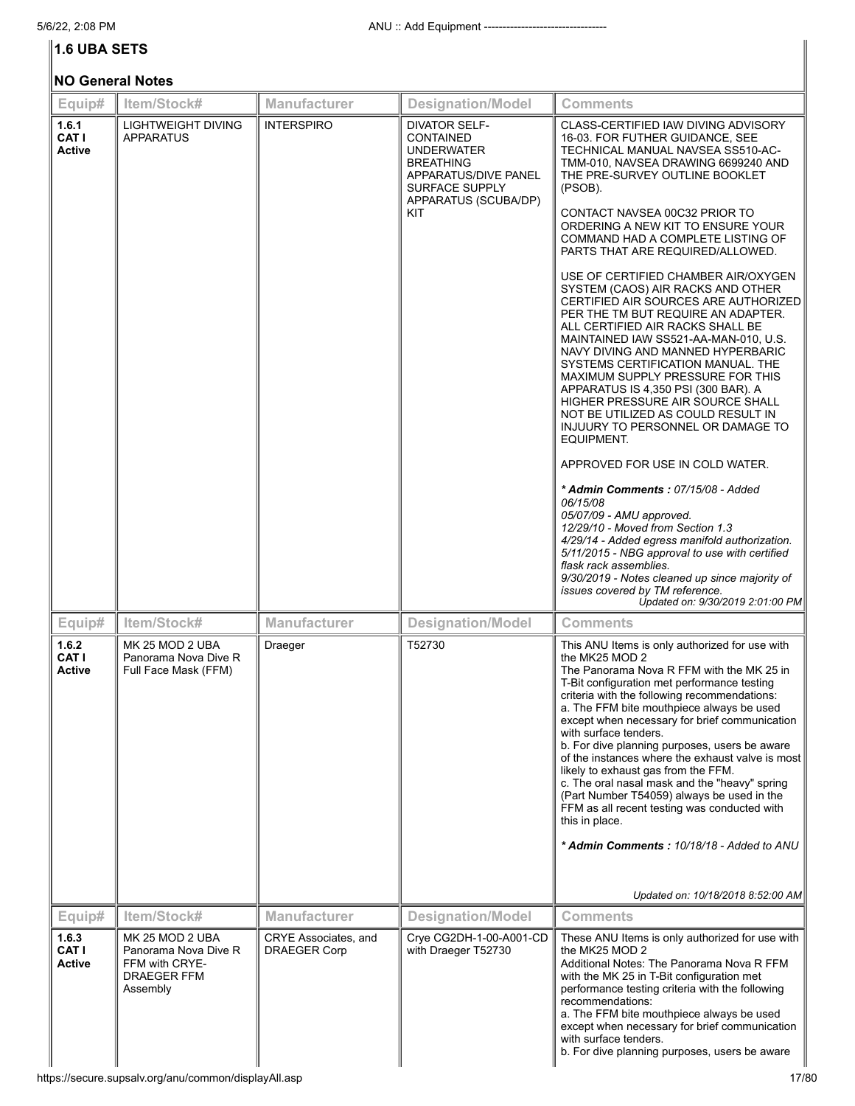# **1.6 UBA SETS**

|                                 | <b>NO General Notes</b>                                                              |                                             |                                                                                                                                                                   |                                                                                                                                                                                                                                                                                                                                                                                                                                                                                                                                                                                                                                                                                                                                                                                                                                                                                                                                                                                                                                                                                                                                                                                                                                                                                      |  |  |  |
|---------------------------------|--------------------------------------------------------------------------------------|---------------------------------------------|-------------------------------------------------------------------------------------------------------------------------------------------------------------------|--------------------------------------------------------------------------------------------------------------------------------------------------------------------------------------------------------------------------------------------------------------------------------------------------------------------------------------------------------------------------------------------------------------------------------------------------------------------------------------------------------------------------------------------------------------------------------------------------------------------------------------------------------------------------------------------------------------------------------------------------------------------------------------------------------------------------------------------------------------------------------------------------------------------------------------------------------------------------------------------------------------------------------------------------------------------------------------------------------------------------------------------------------------------------------------------------------------------------------------------------------------------------------------|--|--|--|
| Equip#                          | Item/Stock#                                                                          | <b>Manufacturer</b>                         | <b>Designation/Model</b>                                                                                                                                          | <b>Comments</b>                                                                                                                                                                                                                                                                                                                                                                                                                                                                                                                                                                                                                                                                                                                                                                                                                                                                                                                                                                                                                                                                                                                                                                                                                                                                      |  |  |  |
| 1.6.1<br>CAT I<br><b>Active</b> | LIGHTWEIGHT DIVING<br><b>APPARATUS</b>                                               | <b>INTERSPIRO</b>                           | <b>DIVATOR SELF-</b><br><b>CONTAINED</b><br><b>UNDERWATER</b><br><b>BREATHING</b><br>APPARATUS/DIVE PANEL<br><b>SURFACE SUPPLY</b><br>APPARATUS (SCUBA/DP)<br>KIT | CLASS-CERTIFIED IAW DIVING ADVISORY<br>16-03. FOR FUTHER GUIDANCE, SEE<br>TECHNICAL MANUAL NAVSEA SS510-AC-<br>TMM-010, NAVSEA DRAWING 6699240 AND<br>THE PRE-SURVEY OUTLINE BOOKLET<br>(PSOB).<br>CONTACT NAVSEA 00C32 PRIOR TO<br>ORDERING A NEW KIT TO ENSURE YOUR<br>COMMAND HAD A COMPLETE LISTING OF<br>PARTS THAT ARE REQUIRED/ALLOWED.<br>USE OF CERTIFIED CHAMBER AIR/OXYGEN<br>SYSTEM (CAOS) AIR RACKS AND OTHER<br>CERTIFIED AIR SOURCES ARE AUTHORIZED<br>PER THE TM BUT REQUIRE AN ADAPTER.<br>ALL CERTIFIED AIR RACKS SHALL BE<br>MAINTAINED IAW SS521-AA-MAN-010, U.S.<br>NAVY DIVING AND MANNED HYPERBARIC<br>SYSTEMS CERTIFICATION MANUAL. THE<br>MAXIMUM SUPPLY PRESSURE FOR THIS<br>APPARATUS IS 4,350 PSI (300 BAR). A<br>HIGHER PRESSURE AIR SOURCE SHALL<br>NOT BE UTILIZED AS COULD RESULT IN<br>INJUURY TO PERSONNEL OR DAMAGE TO<br>EQUIPMENT.<br>APPROVED FOR USE IN COLD WATER.<br>* Admin Comments: 07/15/08 - Added<br>06/15/08<br>05/07/09 - AMU approved.<br>12/29/10 - Moved from Section 1.3<br>4/29/14 - Added egress manifold authorization.<br>5/11/2015 - NBG approval to use with certified<br>flask rack assemblies.<br>9/30/2019 - Notes cleaned up since majority of<br>issues covered by TM reference.<br>Updated on: 9/30/2019 2:01:00 PM |  |  |  |
| Equip#                          | Item/Stock#                                                                          | <b>Manufacturer</b>                         | <b>Designation/Model</b>                                                                                                                                          | <b>Comments</b>                                                                                                                                                                                                                                                                                                                                                                                                                                                                                                                                                                                                                                                                                                                                                                                                                                                                                                                                                                                                                                                                                                                                                                                                                                                                      |  |  |  |
| 1.6.2<br>CAT I<br><b>Active</b> | MK 25 MOD 2 UBA<br>Panorama Nova Dive R<br>Full Face Mask (FFM)                      | Draeger                                     | T52730                                                                                                                                                            | This ANU Items is only authorized for use with<br>the MK25 MOD 2<br>The Panorama Nova R FFM with the MK 25 in<br>T-Bit configuration met performance testing<br>criteria with the following recommendations:<br>a. The FFM bite mouthpiece always be used<br>except when necessary for brief communication<br>with surface tenders.<br>b. For dive planning purposes, users be aware<br>of the instances where the exhaust valve is most<br>likely to exhaust gas from the FFM.<br>c. The oral nasal mask and the "heavy" spring<br>(Part Number T54059) always be used in the<br>FFM as all recent testing was conducted with<br>this in place.<br>* Admin Comments: 10/18/18 - Added to ANU<br>Updated on: 10/18/2018 8:52:00 AM                                                                                                                                                                                                                                                                                                                                                                                                                                                                                                                                                   |  |  |  |
| Equip#                          | Item/Stock#                                                                          | Manufacturer                                | <b>Designation/Model</b>                                                                                                                                          | <b>Comments</b>                                                                                                                                                                                                                                                                                                                                                                                                                                                                                                                                                                                                                                                                                                                                                                                                                                                                                                                                                                                                                                                                                                                                                                                                                                                                      |  |  |  |
| 1.6.3<br>CAT I<br>Active        | MK 25 MOD 2 UBA<br>Panorama Nova Dive R<br>FFM with CRYE-<br>DRAEGER FFM<br>Assembly | CRYE Associates, and<br><b>DRAEGER Corp</b> | Crye CG2DH-1-00-A001-CD<br>with Draeger T52730                                                                                                                    | These ANU Items is only authorized for use with<br>the MK25 MOD 2<br>Additional Notes: The Panorama Nova R FFM<br>with the MK 25 in T-Bit configuration met<br>performance testing criteria with the following<br>recommendations:<br>a. The FFM bite mouthpiece always be used<br>except when necessary for brief communication<br>with surface tenders.<br>b. For dive planning purposes, users be aware                                                                                                                                                                                                                                                                                                                                                                                                                                                                                                                                                                                                                                                                                                                                                                                                                                                                           |  |  |  |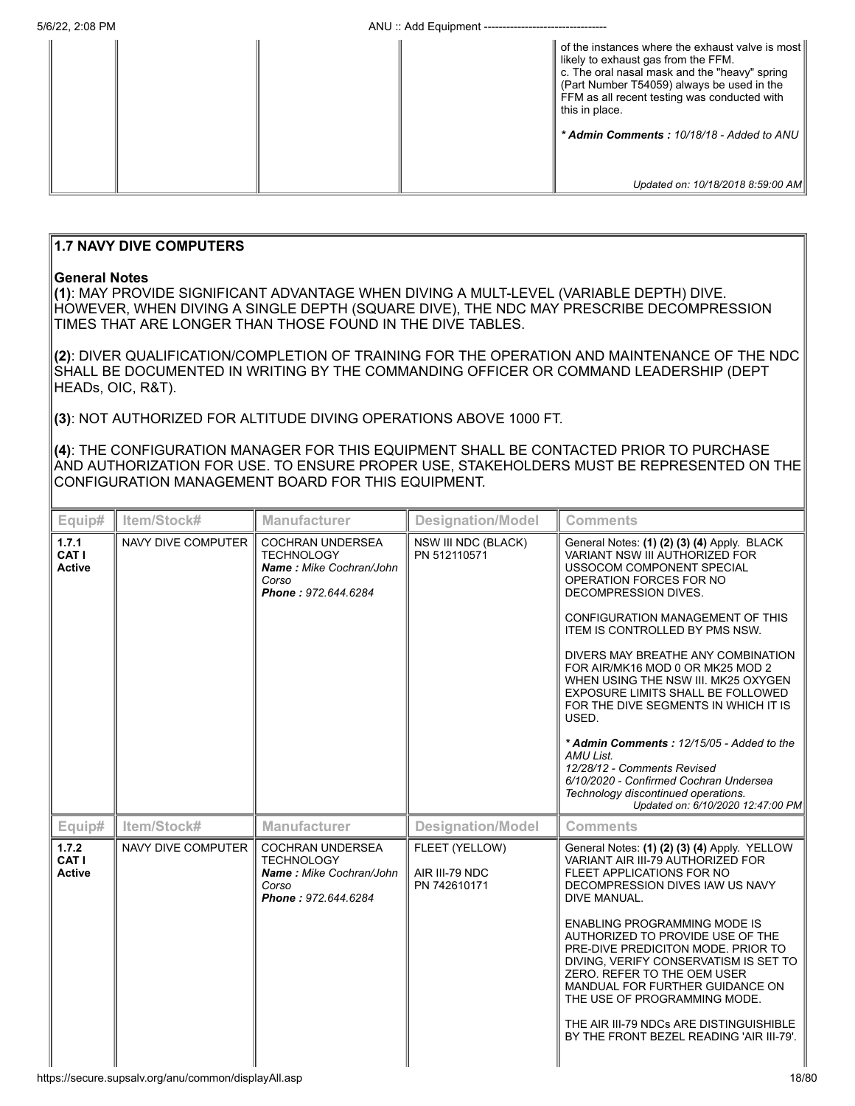|  |  | of the instances where the exhaust valve is most<br>likely to exhaust gas from the FFM.<br>c. The oral nasal mask and the "heavy" spring<br>(Part Number T54059) always be used in the<br>FFM as all recent testing was conducted with<br>this in place.<br>* Admin Comments: 10/18/18 - Added to ANU |
|--|--|-------------------------------------------------------------------------------------------------------------------------------------------------------------------------------------------------------------------------------------------------------------------------------------------------------|
|  |  | Updated on: 10/18/2018 8:59:00 AM                                                                                                                                                                                                                                                                     |

# **1.7 NAVY DIVE COMPUTERS**

#### **General Notes**

**(1)**: MAY PROVIDE SIGNIFICANT ADVANTAGE WHEN DIVING A MULT-LEVEL (VARIABLE DEPTH) DIVE. HOWEVER, WHEN DIVING A SINGLE DEPTH (SQUARE DIVE), THE NDC MAY PRESCRIBE DECOMPRESSION TIMES THAT ARE LONGER THAN THOSE FOUND IN THE DIVE TABLES.

**(2)**: DIVER QUALIFICATION/COMPLETION OF TRAINING FOR THE OPERATION AND MAINTENANCE OF THE NDC SHALL BE DOCUMENTED IN WRITING BY THE COMMANDING OFFICER OR COMMAND LEADERSHIP (DEPT HEADs, OIC, R&T).

**(3)**: NOT AUTHORIZED FOR ALTITUDE DIVING OPERATIONS ABOVE 1000 FT.

**(4)**: THE CONFIGURATION MANAGER FOR THIS EQUIPMENT SHALL BE CONTACTED PRIOR TO PURCHASE AND AUTHORIZATION FOR USE. TO ENSURE PROPER USE, STAKEHOLDERS MUST BE REPRESENTED ON THE CONFIGURATION MANAGEMENT BOARD FOR THIS EQUIPMENT.

| Equip#                          | Item/Stock#        | <b>Manufacturer</b>                                                                                     | <b>Designation/Model</b>                         | <b>Comments</b>                                                                                                                                                                                                                                                                                                                                                                                                                                                                                                                                                                                                                                                                |
|---------------------------------|--------------------|---------------------------------------------------------------------------------------------------------|--------------------------------------------------|--------------------------------------------------------------------------------------------------------------------------------------------------------------------------------------------------------------------------------------------------------------------------------------------------------------------------------------------------------------------------------------------------------------------------------------------------------------------------------------------------------------------------------------------------------------------------------------------------------------------------------------------------------------------------------|
| 1.7.1<br>CAT I<br><b>Active</b> | NAVY DIVE COMPUTER | <b>COCHRAN UNDERSEA</b><br><b>TECHNOLOGY</b><br>Name: Mike Cochran/John<br>Corso<br>Phone: 972.644.6284 | NSW III NDC (BLACK)<br>PN 512110571              | General Notes: (1) (2) (3) (4) Apply. BLACK<br><b>VARIANT NSW III AUTHORIZED FOR</b><br>USSOCOM COMPONENT SPECIAL<br>OPERATION FORCES FOR NO<br>DECOMPRESSION DIVES.<br>CONFIGURATION MANAGEMENT OF THIS<br><b>ITEM IS CONTROLLED BY PMS NSW.</b><br>DIVERS MAY BREATHE ANY COMBINATION<br>FOR AIR/MK16 MOD 0 OR MK25 MOD 2<br>WHEN USING THE NSW III. MK25 OXYGEN<br>EXPOSURE LIMITS SHALL BE FOLLOWED<br>FOR THE DIVE SEGMENTS IN WHICH IT IS<br>USED.<br>* Admin Comments: 12/15/05 - Added to the<br><b>AMU List.</b><br>12/28/12 - Comments Revised<br>6/10/2020 - Confirmed Cochran Undersea<br>Technology discontinued operations.<br>Updated on: 6/10/2020 12:47:00 PM |
| Equip#                          | Item/Stock#        | Manufacturer                                                                                            | <b>Designation/Model</b>                         | <b>Comments</b>                                                                                                                                                                                                                                                                                                                                                                                                                                                                                                                                                                                                                                                                |
| 1.7.2<br>CAT I<br><b>Active</b> | NAVY DIVE COMPUTER | <b>COCHRAN UNDERSEA</b><br><b>TECHNOLOGY</b><br>Name: Mike Cochran/John<br>Corso<br>Phone: 972.644.6284 | FLEET (YELLOW)<br>AIR III-79 NDC<br>PN 742610171 | General Notes: (1) (2) (3) (4) Apply. YELLOW<br>VARIANT AIR III-79 AUTHORIZED FOR<br>FLEET APPLICATIONS FOR NO<br>DECOMPRESSION DIVES IAW US NAVY<br>DIVE MANUAL.<br><b>ENABLING PROGRAMMING MODE IS</b><br>AUTHORIZED TO PROVIDE USE OF THE<br>PRE-DIVE PREDICITON MODE. PRIOR TO<br>DIVING, VERIFY CONSERVATISM IS SET TO<br>ZERO. REFER TO THE OEM USER<br>MANDUAL FOR FURTHER GUIDANCE ON<br>THE USE OF PROGRAMMING MODE.<br>THE AIR III-79 NDCs ARE DISTINGUISHIBLE<br>BY THE FRONT BEZEL READING 'AIR III-79'.                                                                                                                                                           |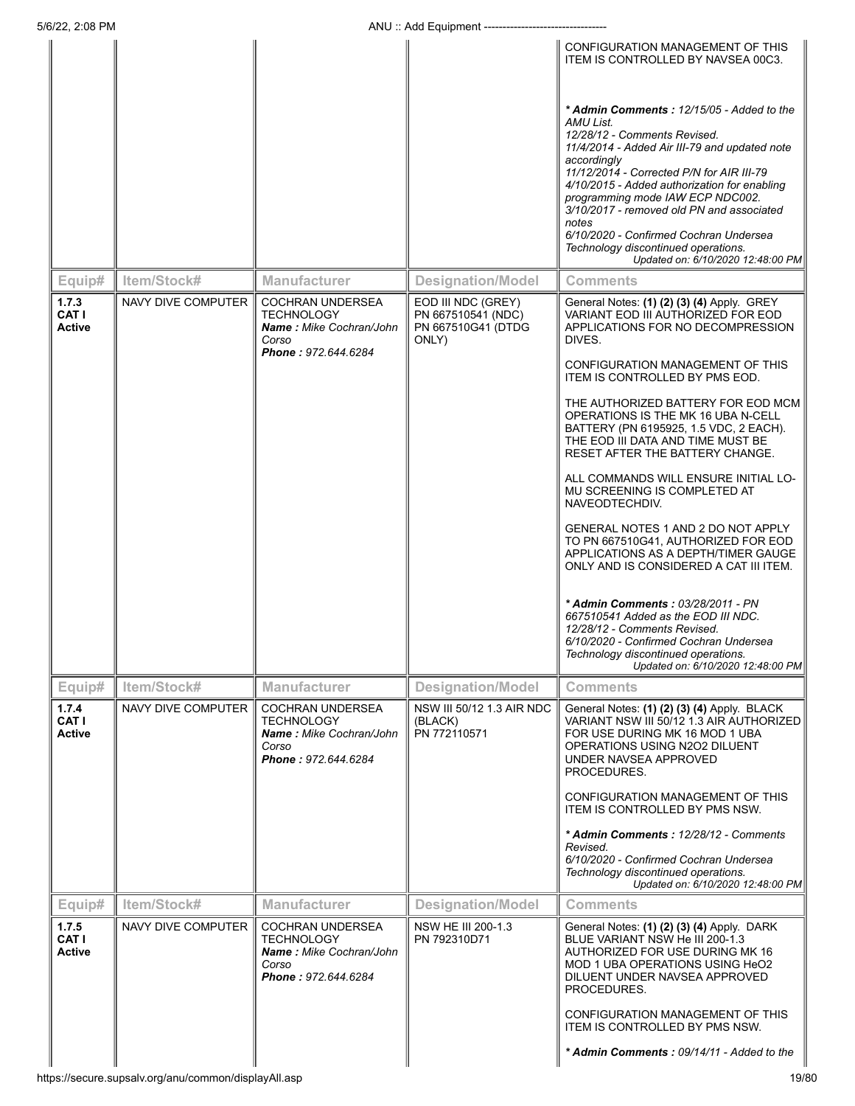|                          |        |                    |                                                                                                         |                                                                         | CONFIGURATION MANAGEMENT OF THIS<br>ITEM IS CONTROLLED BY NAVSEA 00C3.                                                                                                                                                         |
|--------------------------|--------|--------------------|---------------------------------------------------------------------------------------------------------|-------------------------------------------------------------------------|--------------------------------------------------------------------------------------------------------------------------------------------------------------------------------------------------------------------------------|
|                          |        |                    |                                                                                                         |                                                                         | * Admin Comments: 12/15/05 - Added to the<br>AMU List.<br>12/28/12 - Comments Revised.<br>11/4/2014 - Added Air III-79 and updated note<br>accordingly                                                                         |
|                          |        |                    |                                                                                                         |                                                                         | 11/12/2014 - Corrected P/N for AIR III-79<br>4/10/2015 - Added authorization for enabling<br>programming mode IAW ECP NDC002.<br>3/10/2017 - removed old PN and associated<br>notes                                            |
|                          |        |                    |                                                                                                         |                                                                         | 6/10/2020 - Confirmed Cochran Undersea<br>Technology discontinued operations.<br>Updated on: 6/10/2020 12:48:00 PM                                                                                                             |
|                          | Equip# | Item/Stock#        | <b>Manufacturer</b>                                                                                     | <b>Designation/Model</b>                                                | <b>Comments</b>                                                                                                                                                                                                                |
| 1.7.3<br>CAT I<br>Active |        | NAVY DIVE COMPUTER | <b>COCHRAN UNDERSEA</b><br><b>TECHNOLOGY</b><br>Name: Mike Cochran/John<br>Corso<br>Phone: 972.644.6284 | EOD III NDC (GREY)<br>PN 667510541 (NDC)<br>PN 667510G41 (DTDG<br>ONLY) | General Notes: (1) (2) (3) (4) Apply. GREY<br>VARIANT EOD III AUTHORIZED FOR EOD<br>APPLICATIONS FOR NO DECOMPRESSION<br>DIVES.                                                                                                |
|                          |        |                    |                                                                                                         |                                                                         | CONFIGURATION MANAGEMENT OF THIS<br>ITEM IS CONTROLLED BY PMS EOD.                                                                                                                                                             |
|                          |        |                    |                                                                                                         |                                                                         | THE AUTHORIZED BATTERY FOR EOD MCM<br>OPERATIONS IS THE MK 16 UBA N-CELL<br>BATTERY (PN 6195925, 1.5 VDC, 2 EACH).<br>THE EOD III DATA AND TIME MUST BE<br>RESET AFTER THE BATTERY CHANGE.                                     |
|                          |        |                    |                                                                                                         |                                                                         | ALL COMMANDS WILL ENSURE INITIAL LO-<br>MU SCREENING IS COMPLETED AT<br>NAVEODTECHDIV.                                                                                                                                         |
|                          |        |                    |                                                                                                         |                                                                         | GENERAL NOTES 1 AND 2 DO NOT APPLY<br>TO PN 667510G41, AUTHORIZED FOR EOD<br>APPLICATIONS AS A DEPTH/TIMER GAUGE<br>ONLY AND IS CONSIDERED A CAT III ITEM.                                                                     |
|                          |        |                    |                                                                                                         |                                                                         | * Admin Comments: 03/28/2011 - PN<br>667510541 Added as the EOD III NDC.<br>12/28/12 - Comments Revised.<br>6/10/2020 - Confirmed Cochran Undersea<br>Technology discontinued operations.<br>Updated on: 6/10/2020 12:48:00 PM |
|                          | Equip# | Item/Stock#        | <b>Manufacturer</b>                                                                                     | <b>Designation/Model</b>                                                | <b>Comments</b>                                                                                                                                                                                                                |
| 1.7.4<br>CAT I<br>Active |        | NAVY DIVE COMPUTER | <b>COCHRAN UNDERSEA</b><br><b>TECHNOLOGY</b><br>Name: Mike Cochran/John<br>Corso<br>Phone: 972.644.6284 | NSW III 50/12 1.3 AIR NDC<br>(BLACK)<br>PN 772110571                    | General Notes: (1) (2) (3) (4) Apply. BLACK<br>VARIANT NSW III 50/12 1.3 AIR AUTHORIZED<br>FOR USE DURING MK 16 MOD 1 UBA<br>OPERATIONS USING N2O2 DILUENT<br>UNDER NAVSEA APPROVED<br>PROCEDURES.                             |
|                          |        |                    |                                                                                                         |                                                                         | CONFIGURATION MANAGEMENT OF THIS<br><b>ITEM IS CONTROLLED BY PMS NSW.</b>                                                                                                                                                      |
|                          |        |                    |                                                                                                         |                                                                         | * Admin Comments: 12/28/12 - Comments<br>Revised.<br>6/10/2020 - Confirmed Cochran Undersea                                                                                                                                    |
|                          |        |                    |                                                                                                         |                                                                         | Technology discontinued operations.<br>Updated on: 6/10/2020 12:48:00 PM                                                                                                                                                       |
|                          | Equip# | Item/Stock#        | <b>Manufacturer</b>                                                                                     | <b>Designation/Model</b>                                                | <b>Comments</b>                                                                                                                                                                                                                |
| 1.7.5<br>CAT I<br>Active |        | NAVY DIVE COMPUTER | <b>COCHRAN UNDERSEA</b><br><b>TECHNOLOGY</b><br>Name: Mike Cochran/John<br>Corso<br>Phone: 972.644.6284 | NSW HE III 200-1.3<br>PN 792310D71                                      | General Notes: (1) (2) (3) (4) Apply. DARK<br>BLUE VARIANT NSW He III 200-1.3<br>AUTHORIZED FOR USE DURING MK 16<br>MOD 1 UBA OPERATIONS USING HeO2<br>DILUENT UNDER NAVSEA APPROVED<br>PROCEDURES.                            |
|                          |        |                    |                                                                                                         |                                                                         | CONFIGURATION MANAGEMENT OF THIS<br>ITEM IS CONTROLLED BY PMS NSW.                                                                                                                                                             |
|                          |        |                    |                                                                                                         |                                                                         | * Admin Comments: 09/14/11 - Added to the                                                                                                                                                                                      |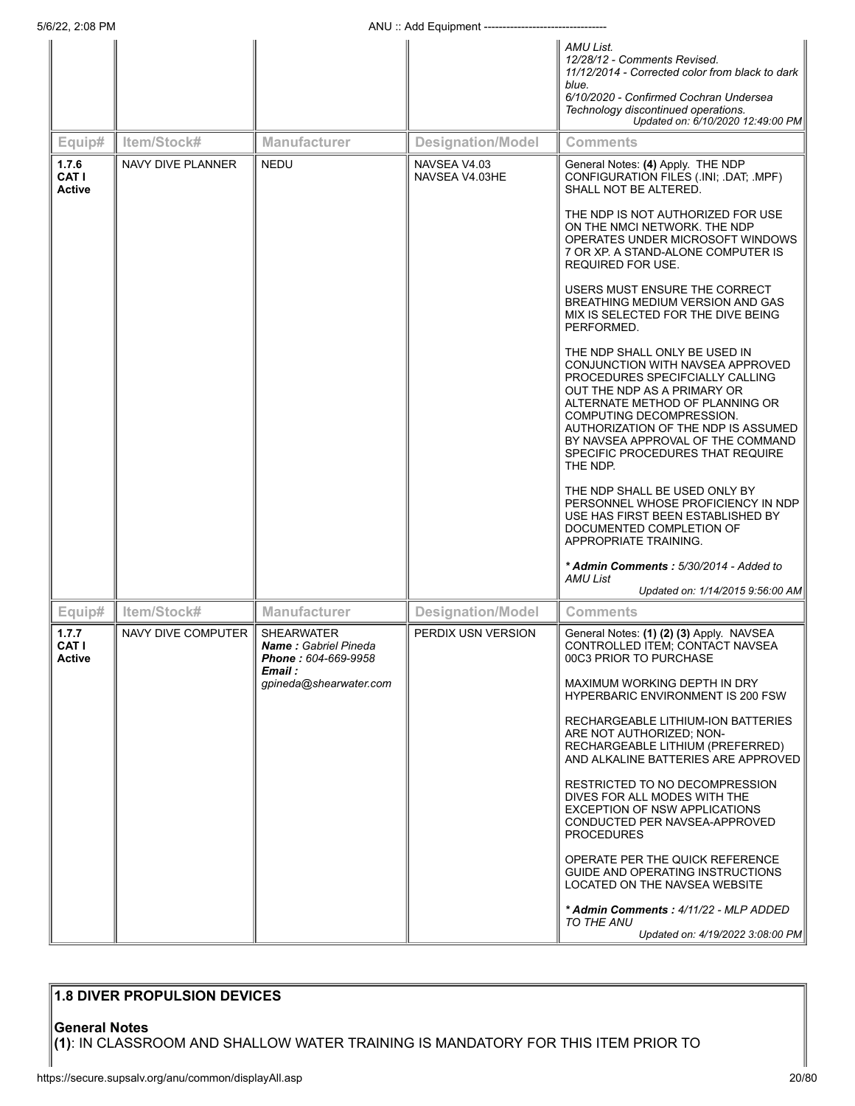|                                 |                    |                                                                                 | $1.1101.09$ Lyupinon.          |                                                                                                                                                                                                                                                                                                                                |
|---------------------------------|--------------------|---------------------------------------------------------------------------------|--------------------------------|--------------------------------------------------------------------------------------------------------------------------------------------------------------------------------------------------------------------------------------------------------------------------------------------------------------------------------|
|                                 |                    |                                                                                 |                                | AMU List.<br>12/28/12 - Comments Revised.<br>11/12/2014 - Corrected color from black to dark<br>blue.<br>6/10/2020 - Confirmed Cochran Undersea<br>Technology discontinued operations.<br>Updated on: 6/10/2020 12:49:00 PM                                                                                                    |
| Equip#                          | Item/Stock#        | <b>Manufacturer</b>                                                             | <b>Designation/Model</b>       | <b>Comments</b>                                                                                                                                                                                                                                                                                                                |
| 1.7.6<br>CAT I<br><b>Active</b> | NAVY DIVE PLANNER  | <b>NEDU</b>                                                                     | NAVSEA V4.03<br>NAVSEA V4.03HE | General Notes: (4) Apply. THE NDP<br>CONFIGURATION FILES (.INI; .DAT; .MPF)<br>SHALL NOT BE ALTERED.                                                                                                                                                                                                                           |
|                                 |                    |                                                                                 |                                | THE NDP IS NOT AUTHORIZED FOR USE<br>ON THE NMCI NETWORK. THE NDP<br>OPERATES UNDER MICROSOFT WINDOWS<br>7 OR XP. A STAND-ALONE COMPUTER IS<br>REQUIRED FOR USE.                                                                                                                                                               |
|                                 |                    |                                                                                 |                                | USERS MUST ENSURE THE CORRECT<br>BREATHING MEDIUM VERSION AND GAS<br>MIX IS SELECTED FOR THE DIVE BEING<br>PERFORMED.                                                                                                                                                                                                          |
|                                 |                    |                                                                                 |                                | THE NDP SHALL ONLY BE USED IN<br>CONJUNCTION WITH NAVSEA APPROVED<br>PROCEDURES SPECIFCIALLY CALLING<br>OUT THE NDP AS A PRIMARY OR<br>ALTERNATE METHOD OF PLANNING OR<br>COMPUTING DECOMPRESSION.<br>AUTHORIZATION OF THE NDP IS ASSUMED<br>BY NAVSEA APPROVAL OF THE COMMAND<br>SPECIFIC PROCEDURES THAT REQUIRE<br>THE NDP. |
|                                 |                    |                                                                                 |                                | THE NDP SHALL BE USED ONLY BY<br>PERSONNEL WHOSE PROFICIENCY IN NDP<br>USE HAS FIRST BEEN ESTABLISHED BY<br>DOCUMENTED COMPLETION OF<br>APPROPRIATE TRAINING.                                                                                                                                                                  |
|                                 |                    |                                                                                 |                                | * Admin Comments: 5/30/2014 - Added to<br>AMU List<br>Updated on: 1/14/2015 9:56:00 AM                                                                                                                                                                                                                                         |
| Equip#                          | Item/Stock#        | <b>Manufacturer</b>                                                             | <b>Designation/Model</b>       | <b>Comments</b>                                                                                                                                                                                                                                                                                                                |
| 1.7.7<br><b>CAT I</b><br>Active | NAVY DIVE COMPUTER | <b>SHEARWATER</b><br><b>Name:</b> Gabriel Pineda<br><b>Phone :</b> 604-669-9958 | PERDIX USN VERSION             | General Notes: (1) (2) (3) Apply. NAVSEA<br>CONTROLLED ITEM, CONTACT NAVSEA<br>00C3 PRIOR TO PURCHASE                                                                                                                                                                                                                          |
|                                 |                    | Email :<br>gpineda@shearwater.com                                               |                                | MAXIMUM WORKING DEPTH IN DRY<br><b>HYPERBARIC ENVIRONMENT IS 200 FSW</b>                                                                                                                                                                                                                                                       |
|                                 |                    |                                                                                 |                                | RECHARGEABLE LITHIUM-ION BATTERIES<br>ARE NOT AUTHORIZED; NON-<br>RECHARGEABLE LITHIUM (PREFERRED)<br>AND ALKALINE BATTERIES ARE APPROVED                                                                                                                                                                                      |
|                                 |                    |                                                                                 |                                | RESTRICTED TO NO DECOMPRESSION<br>DIVES FOR ALL MODES WITH THE<br><b>EXCEPTION OF NSW APPLICATIONS</b><br>CONDUCTED PER NAVSEA-APPROVED<br><b>PROCEDURES</b>                                                                                                                                                                   |
|                                 |                    |                                                                                 |                                | OPERATE PER THE QUICK REFERENCE<br>GUIDE AND OPERATING INSTRUCTIONS<br>LOCATED ON THE NAVSEA WEBSITE                                                                                                                                                                                                                           |
|                                 |                    |                                                                                 |                                | * Admin Comments: 4/11/22 - MLP ADDED<br>TO THE ANU<br>Updated on: 4/19/2022 3:08:00 PM                                                                                                                                                                                                                                        |

# **1.8 DIVER PROPULSION DEVICES**

**General Notes**

**(1)**: IN CLASSROOM AND SHALLOW WATER TRAINING IS MANDATORY FOR THIS ITEM PRIOR TO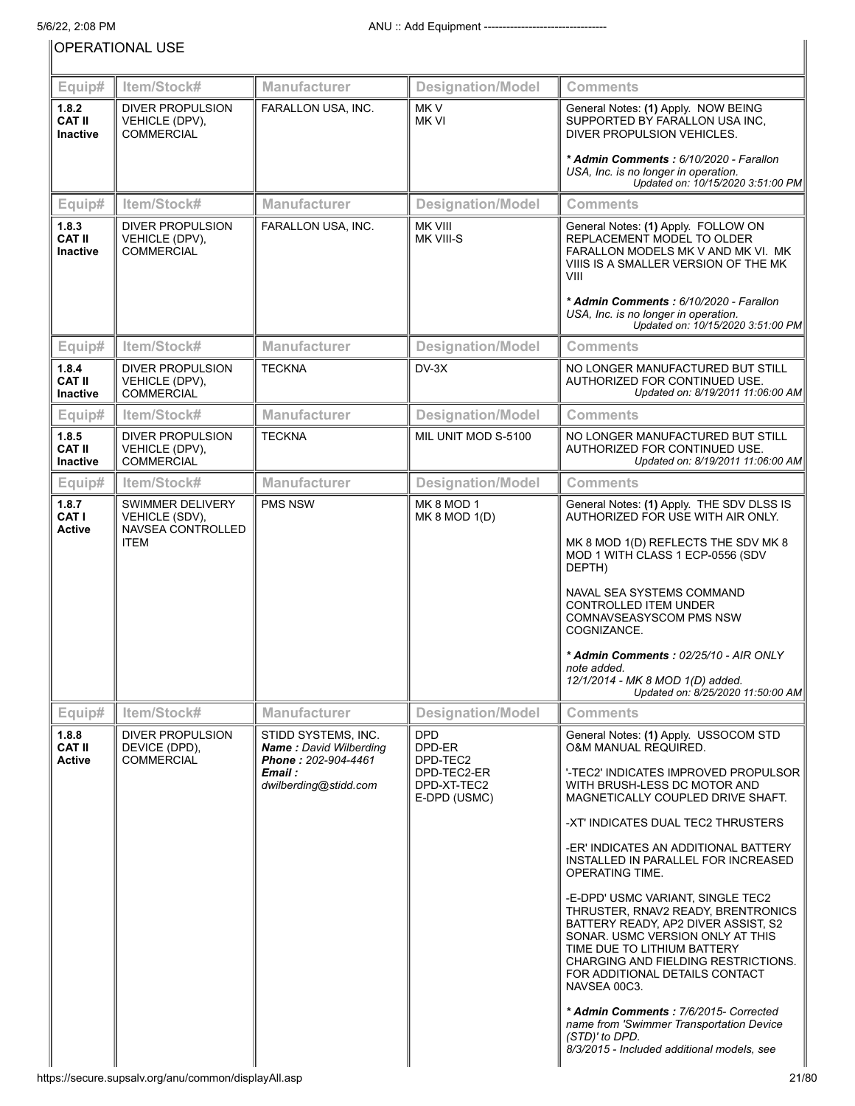OPERATIONAL USE

| Equip#                                    | Item/Stock#                                                            | Manufacturer                                                                                                    | <b>Designation/Model</b>                                                       | <b>Comments</b>                                                                                                                                                                                                                                                                                                                                                                                                                                                                                                                                                                                                                                                                                                                                                  |
|-------------------------------------------|------------------------------------------------------------------------|-----------------------------------------------------------------------------------------------------------------|--------------------------------------------------------------------------------|------------------------------------------------------------------------------------------------------------------------------------------------------------------------------------------------------------------------------------------------------------------------------------------------------------------------------------------------------------------------------------------------------------------------------------------------------------------------------------------------------------------------------------------------------------------------------------------------------------------------------------------------------------------------------------------------------------------------------------------------------------------|
| 1.8.2<br><b>CAT II</b><br><b>Inactive</b> | <b>DIVER PROPULSION</b><br>VEHICLE (DPV),<br><b>COMMERCIAL</b>         | FARALLON USA, INC.                                                                                              | MK <sub>V</sub><br>MK VI                                                       | General Notes: (1) Apply. NOW BEING<br>SUPPORTED BY FARALLON USA INC,<br>DIVER PROPULSION VEHICLES.                                                                                                                                                                                                                                                                                                                                                                                                                                                                                                                                                                                                                                                              |
|                                           |                                                                        |                                                                                                                 |                                                                                | * Admin Comments: 6/10/2020 - Farallon<br>USA, Inc. is no longer in operation.<br>Updated on: 10/15/2020 3:51:00 PM                                                                                                                                                                                                                                                                                                                                                                                                                                                                                                                                                                                                                                              |
| Equip#                                    | Item/Stock#                                                            | Manufacturer                                                                                                    | <b>Designation/Model</b>                                                       | <b>Comments</b>                                                                                                                                                                                                                                                                                                                                                                                                                                                                                                                                                                                                                                                                                                                                                  |
| 1.8.3<br><b>CAT II</b><br><b>Inactive</b> | <b>DIVER PROPULSION</b><br>VEHICLE (DPV),<br><b>COMMERCIAL</b>         | FARALLON USA, INC.                                                                                              | <b>MK VIII</b><br>MK VIII-S                                                    | General Notes: (1) Apply. FOLLOW ON<br>REPLACEMENT MODEL TO OLDER<br>FARALLON MODELS MK V AND MK VI. MK<br>VIIIS IS A SMALLER VERSION OF THE MK<br>VIII<br>* Admin Comments: 6/10/2020 - Farallon<br>USA, Inc. is no longer in operation.                                                                                                                                                                                                                                                                                                                                                                                                                                                                                                                        |
|                                           |                                                                        |                                                                                                                 |                                                                                | Updated on: 10/15/2020 3:51:00 PM                                                                                                                                                                                                                                                                                                                                                                                                                                                                                                                                                                                                                                                                                                                                |
| Equip#                                    | Item/Stock#                                                            | Manufacturer                                                                                                    | <b>Designation/Model</b>                                                       | <b>Comments</b>                                                                                                                                                                                                                                                                                                                                                                                                                                                                                                                                                                                                                                                                                                                                                  |
| 1.8.4<br><b>CAT II</b><br><b>Inactive</b> | <b>DIVER PROPULSION</b><br>VEHICLE (DPV),<br><b>COMMERCIAL</b>         | <b>TECKNA</b>                                                                                                   | $DV-3X$                                                                        | NO LONGER MANUFACTURED BUT STILL<br>AUTHORIZED FOR CONTINUED USE.<br>Updated on: 8/19/2011 11:06:00 AM                                                                                                                                                                                                                                                                                                                                                                                                                                                                                                                                                                                                                                                           |
| Equip#                                    | Item/Stock#                                                            | <b>Manufacturer</b>                                                                                             | <b>Designation/Model</b>                                                       | <b>Comments</b>                                                                                                                                                                                                                                                                                                                                                                                                                                                                                                                                                                                                                                                                                                                                                  |
| 1.8.5<br><b>CAT II</b><br><b>Inactive</b> | DIVER PROPULSION<br>VEHICLE (DPV),<br><b>COMMERCIAL</b>                | <b>TECKNA</b>                                                                                                   | MIL UNIT MOD S-5100                                                            | NO LONGER MANUFACTURED BUT STILL<br>AUTHORIZED FOR CONTINUED USE.<br>Updated on: 8/19/2011 11:06:00 AM                                                                                                                                                                                                                                                                                                                                                                                                                                                                                                                                                                                                                                                           |
| Equip#                                    | Item/Stock#                                                            | <b>Manufacturer</b>                                                                                             | <b>Designation/Model</b>                                                       | <b>Comments</b>                                                                                                                                                                                                                                                                                                                                                                                                                                                                                                                                                                                                                                                                                                                                                  |
| 1.8.7<br>CAT I<br><b>Active</b>           | SWIMMER DELIVERY<br>VEHICLE (SDV),<br>NAVSEA CONTROLLED<br><b>ITEM</b> | <b>PMS NSW</b>                                                                                                  | MK 8 MOD 1<br>MK 8 MOD 1(D)                                                    | General Notes: (1) Apply. THE SDV DLSS IS<br>AUTHORIZED FOR USE WITH AIR ONLY.<br>MK 8 MOD 1(D) REFLECTS THE SDV MK 8<br>MOD 1 WITH CLASS 1 ECP-0556 (SDV<br>DEPTH)                                                                                                                                                                                                                                                                                                                                                                                                                                                                                                                                                                                              |
|                                           |                                                                        |                                                                                                                 |                                                                                | NAVAL SEA SYSTEMS COMMAND<br><b>CONTROLLED ITEM UNDER</b><br>COMNAVSEASYSCOM PMS NSW<br>COGNIZANCE.<br>* Admin Comments: 02/25/10 - AIR ONLY<br>note added.                                                                                                                                                                                                                                                                                                                                                                                                                                                                                                                                                                                                      |
|                                           |                                                                        |                                                                                                                 |                                                                                | 12/1/2014 - MK 8 MOD 1(D) added.<br>Updated on: 8/25/2020 11:50:00 AM                                                                                                                                                                                                                                                                                                                                                                                                                                                                                                                                                                                                                                                                                            |
| Equip#                                    | Item/Stock#                                                            | <b>Manufacturer</b>                                                                                             | <b>Designation/Model</b>                                                       | <b>Comments</b>                                                                                                                                                                                                                                                                                                                                                                                                                                                                                                                                                                                                                                                                                                                                                  |
| 1.8.8<br><b>CAT II</b><br><b>Active</b>   | <b>DIVER PROPULSION</b><br>DEVICE (DPD),<br><b>COMMERCIAL</b>          | STIDD SYSTEMS, INC.<br><b>Name: David Wilberding</b><br>Phone: 202-904-4461<br>Email :<br>dwilberding@stidd.com | <b>DPD</b><br>DPD-ER<br>DPD-TEC2<br>DPD-TEC2-ER<br>DPD-XT-TEC2<br>E-DPD (USMC) | General Notes: (1) Apply. USSOCOM STD<br><b>O&amp;M MANUAL REQUIRED.</b><br>'-TEC2' INDICATES IMPROVED PROPULSOR<br>WITH BRUSH-LESS DC MOTOR AND<br>MAGNETICALLY COUPLED DRIVE SHAFT.<br>-XT' INDICATES DUAL TEC2 THRUSTERS<br>-ER' INDICATES AN ADDITIONAL BATTERY<br>INSTALLED IN PARALLEL FOR INCREASED<br>OPERATING TIME.<br>-E-DPD' USMC VARIANT, SINGLE TEC2<br>THRUSTER, RNAV2 READY, BRENTRONICS<br>BATTERY READY, AP2 DIVER ASSIST, S2<br>SONAR. USMC VERSION ONLY AT THIS<br>TIME DUE TO LITHIUM BATTERY<br>CHARGING AND FIELDING RESTRICTIONS.<br>FOR ADDITIONAL DETAILS CONTACT<br>NAVSEA 00C3.<br>* Admin Comments: 7/6/2015- Corrected<br>name from 'Swimmer Transportation Device<br>(STD)' to DPD.<br>8/3/2015 - Included additional models, see |

 $\begin{array}{c} \hline \end{array}$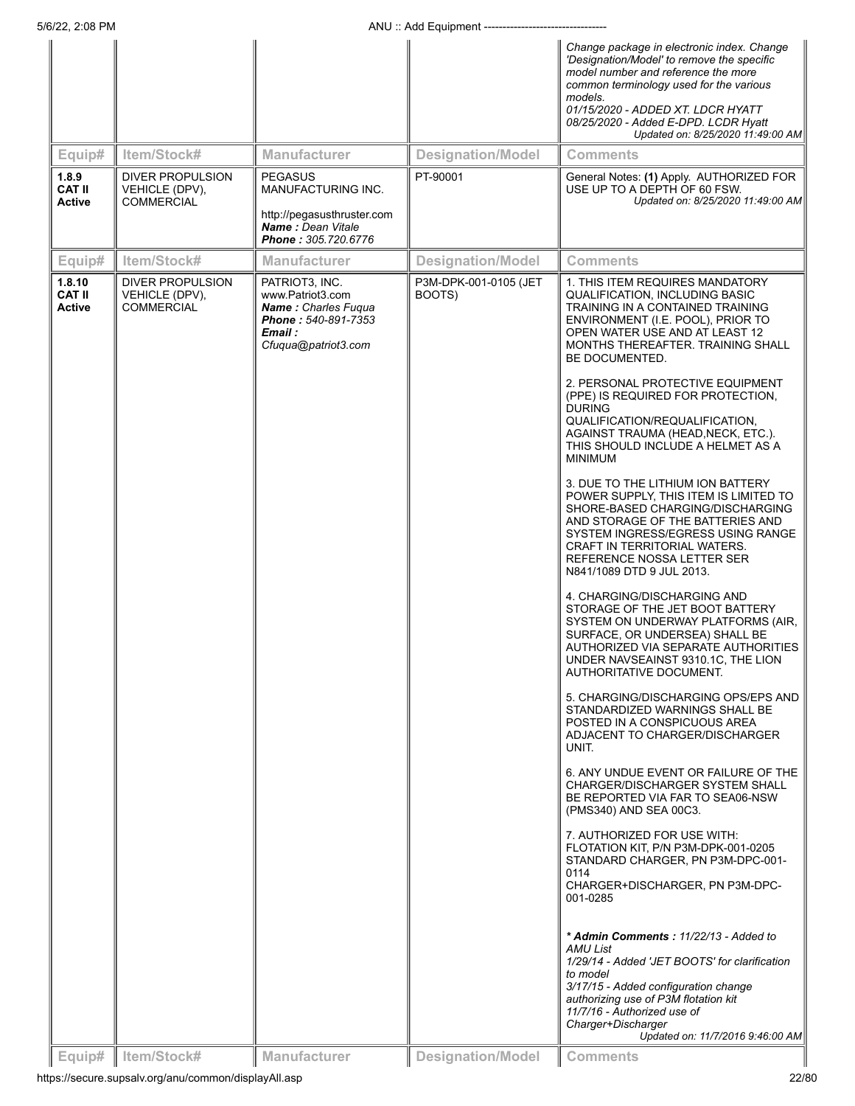| Equip#                                  | Item/Stock#                                                    | <b>Manufacturer</b>                                                                                                       | <b>Designation/Model</b>        | Change package in electronic index. Change<br>'Designation/Model' to remove the specific<br>model number and reference the more<br>common terminology used for the various<br>models.<br>01/15/2020 - ADDED XT. LDCR HYATT<br>08/25/2020 - Added E-DPD. LCDR Hyatt<br>Updated on: 8/25/2020 11:49:00 AM<br><b>Comments</b>                                                                                                                                                                                                                                                                                                                                                                                                                                                                                                                                                                                                                                                                                                                                                                                                                                                                                                                                                                                                                                                                                                                                                                                                                                                |
|-----------------------------------------|----------------------------------------------------------------|---------------------------------------------------------------------------------------------------------------------------|---------------------------------|---------------------------------------------------------------------------------------------------------------------------------------------------------------------------------------------------------------------------------------------------------------------------------------------------------------------------------------------------------------------------------------------------------------------------------------------------------------------------------------------------------------------------------------------------------------------------------------------------------------------------------------------------------------------------------------------------------------------------------------------------------------------------------------------------------------------------------------------------------------------------------------------------------------------------------------------------------------------------------------------------------------------------------------------------------------------------------------------------------------------------------------------------------------------------------------------------------------------------------------------------------------------------------------------------------------------------------------------------------------------------------------------------------------------------------------------------------------------------------------------------------------------------------------------------------------------------|
| 1.8.9<br><b>CAT II</b><br><b>Active</b> | <b>DIVER PROPULSION</b><br>VEHICLE (DPV),<br><b>COMMERCIAL</b> | <b>PEGASUS</b><br>MANUFACTURING INC.<br>http://pegasusthruster.com<br>Name: Dean Vitale<br>Phone: 305.720.6776            | PT-90001                        | General Notes: (1) Apply. AUTHORIZED FOR<br>USE UP TO A DEPTH OF 60 FSW.<br>Updated on: 8/25/2020 11:49:00 AM                                                                                                                                                                                                                                                                                                                                                                                                                                                                                                                                                                                                                                                                                                                                                                                                                                                                                                                                                                                                                                                                                                                                                                                                                                                                                                                                                                                                                                                             |
| Equip#                                  | Item/Stock#                                                    | <b>Manufacturer</b>                                                                                                       | <b>Designation/Model</b>        | <b>Comments</b>                                                                                                                                                                                                                                                                                                                                                                                                                                                                                                                                                                                                                                                                                                                                                                                                                                                                                                                                                                                                                                                                                                                                                                                                                                                                                                                                                                                                                                                                                                                                                           |
| 1.8.10<br><b>CAT II</b><br>Active       | DIVER PROPULSION<br>VEHICLE (DPV),<br><b>COMMERCIAL</b>        | PATRIOT3, INC.<br>www.Patriot3.com<br><b>Name: Charles Fugua</b><br>Phone: 540-891-7353<br>Email :<br>Cfuqua@patriot3.com | P3M-DPK-001-0105 (JET<br>BOOTS) | 1. THIS ITEM REQUIRES MANDATORY<br>QUALIFICATION, INCLUDING BASIC<br>TRAINING IN A CONTAINED TRAINING<br>ENVIRONMENT (I.E. POOL), PRIOR TO<br>OPEN WATER USE AND AT LEAST 12<br>MONTHS THEREAFTER. TRAINING SHALL<br>BE DOCUMENTED.<br>2. PERSONAL PROTECTIVE EQUIPMENT<br>(PPE) IS REQUIRED FOR PROTECTION,<br><b>DURING</b><br>QUALIFICATION/REQUALIFICATION,<br>AGAINST TRAUMA (HEAD, NECK, ETC.).<br>THIS SHOULD INCLUDE A HELMET AS A<br><b>MINIMUM</b><br>3. DUE TO THE LITHIUM ION BATTERY<br>POWER SUPPLY, THIS ITEM IS LIMITED TO<br>SHORE-BASED CHARGING/DISCHARGING<br>AND STORAGE OF THE BATTERIES AND<br>SYSTEM INGRESS/EGRESS USING RANGE<br>CRAFT IN TERRITORIAL WATERS.<br>REFERENCE NOSSA LETTER SER<br>N841/1089 DTD 9 JUL 2013.<br>4. CHARGING/DISCHARGING AND<br>STORAGE OF THE JET BOOT BATTERY<br>SYSTEM ON UNDERWAY PLATFORMS (AIR,<br>SURFACE, OR UNDERSEA) SHALL BE<br>AUTHORIZED VIA SEPARATE AUTHORITIES<br>UNDER NAVSEAINST 9310.1C, THE LION<br>AUTHORITATIVE DOCUMENT.<br>5. CHARGING/DISCHARGING OPS/EPS AND<br>STANDARDIZED WARNINGS SHALL BE<br>POSTED IN A CONSPICUOUS AREA<br>ADJACENT TO CHARGER/DISCHARGER<br>UNIT.<br>6. ANY UNDUE EVENT OR FAILURE OF THE<br>CHARGER/DISCHARGER SYSTEM SHALL<br>BE REPORTED VIA FAR TO SEA06-NSW<br>(PMS340) AND SEA 00C3.<br>7. AUTHORIZED FOR USE WITH:<br>FLOTATION KIT, P/N P3M-DPK-001-0205<br>STANDARD CHARGER, PN P3M-DPC-001-<br>0114<br>CHARGER+DISCHARGER, PN P3M-DPC-<br>001-0285<br>* Admin Comments: 11/22/13 - Added to<br>AMU List<br>1/29/14 - Added 'JET BOOTS' for clarification |
|                                         |                                                                |                                                                                                                           |                                 | to model<br>3/17/15 - Added configuration change<br>authorizing use of P3M flotation kit<br>11/7/16 - Authorized use of<br>Charger+Discharger<br>Updated on: 11/7/2016 9:46:00 AM                                                                                                                                                                                                                                                                                                                                                                                                                                                                                                                                                                                                                                                                                                                                                                                                                                                                                                                                                                                                                                                                                                                                                                                                                                                                                                                                                                                         |
| Equip#                                  | Item/Stock#                                                    | <b>Manufacturer</b>                                                                                                       | <b>Designation/Model</b>        | <b>Comments</b>                                                                                                                                                                                                                                                                                                                                                                                                                                                                                                                                                                                                                                                                                                                                                                                                                                                                                                                                                                                                                                                                                                                                                                                                                                                                                                                                                                                                                                                                                                                                                           |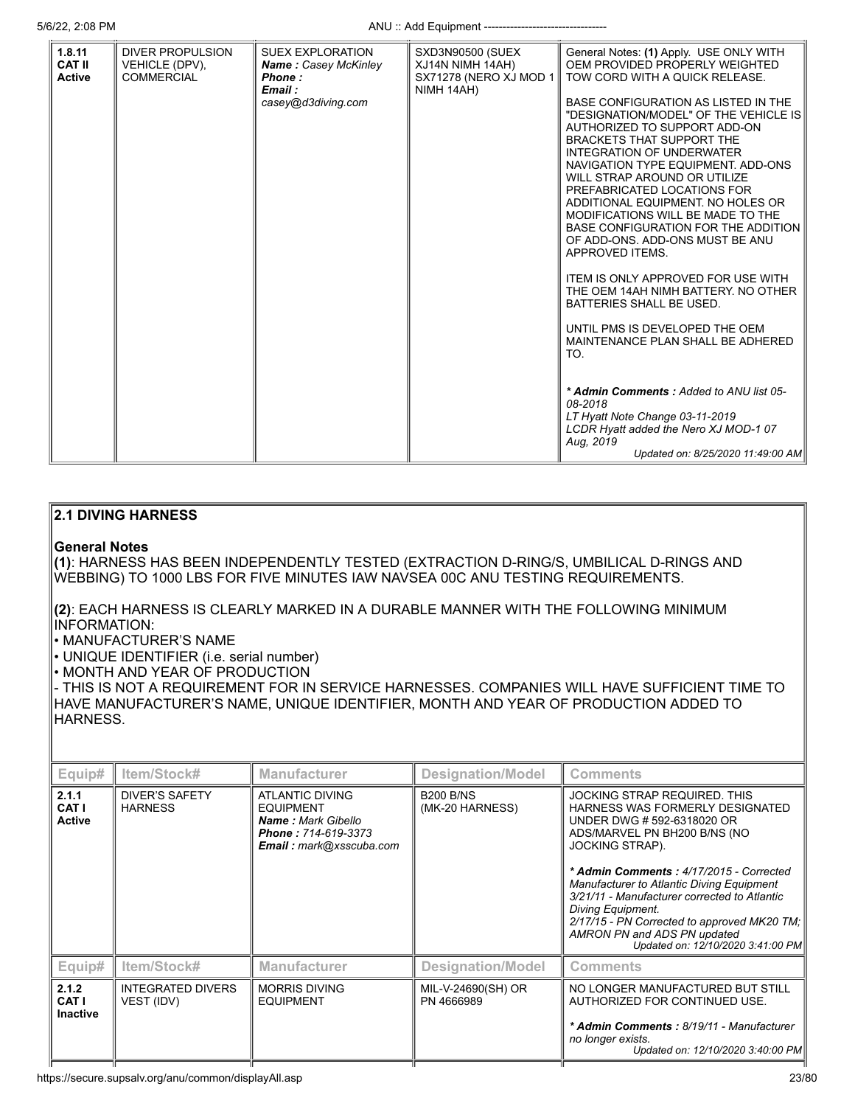| <b>DIVER PROPULSION</b><br>SXD3N90500 (SUEX<br>General Notes: (1) Apply. USE ONLY WITH<br><b>SUEX EXPLORATION</b><br>OEM PROVIDED PROPERLY WEIGHTED<br>VEHICLE (DPV),<br><b>Name: Casey McKinley</b><br>XJ14N NIMH 14AH)<br>SX71278 (NERO XJ MOD 1<br><b>COMMERCIAL</b><br>TOW CORD WITH A QUICK RELEASE.<br>Phone:<br>Email:<br>NIMH 14AH)<br>casey@d3diving.com<br>BASE CONFIGURATION AS LISTED IN THE<br>"DESIGNATION/MODEL" OF THE VEHICLE IS<br>AUTHORIZED TO SUPPORT ADD-ON<br><b>BRACKETS THAT SUPPORT THE</b><br>INTEGRATION OF UNDERWATER<br>NAVIGATION TYPE EQUIPMENT. ADD-ONS<br>WILL STRAP AROUND OR UTILIZE<br>PREFABRICATED LOCATIONS FOR<br>ADDITIONAL EQUIPMENT. NO HOLES OR<br>MODIFICATIONS WILL BE MADE TO THE<br>BASE CONFIGURATION FOR THE ADDITION<br>OF ADD-ONS. ADD-ONS MUST BE ANU<br>APPROVED ITEMS.<br><b>ITEM IS ONLY APPROVED FOR USE WITH</b><br>THE OEM 14AH NIMH BATTERY. NO OTHER<br>BATTERIES SHALL BE USED.<br>UNTIL PMS IS DEVELOPED THE OEM<br>MAINTENANCE PLAN SHALL BE ADHERED<br>TO.<br>* Admin Comments: Added to ANU list 05-<br>08-2018<br>LT Hyatt Note Change 03-11-2019<br>LCDR Hyatt added the Nero XJ MOD-1 07<br>Aug. 2019 |                                          |  |                                   |
|-----------------------------------------------------------------------------------------------------------------------------------------------------------------------------------------------------------------------------------------------------------------------------------------------------------------------------------------------------------------------------------------------------------------------------------------------------------------------------------------------------------------------------------------------------------------------------------------------------------------------------------------------------------------------------------------------------------------------------------------------------------------------------------------------------------------------------------------------------------------------------------------------------------------------------------------------------------------------------------------------------------------------------------------------------------------------------------------------------------------------------------------------------------------------------|------------------------------------------|--|-----------------------------------|
|                                                                                                                                                                                                                                                                                                                                                                                                                                                                                                                                                                                                                                                                                                                                                                                                                                                                                                                                                                                                                                                                                                                                                                             | 1.8.11<br><b>CAT II</b><br><b>Active</b> |  | Updated on: 8/25/2020 11:49:00 AM |

# **2.1 DIVING HARNESS**

# **General Notes**

**(1)**: HARNESS HAS BEEN INDEPENDENTLY TESTED (EXTRACTION D-RING/S, UMBILICAL D-RINGS AND WEBBING) TO 1000 LBS FOR FIVE MINUTES IAW NAVSEA 00C ANU TESTING REQUIREMENTS.

**(2)**: EACH HARNESS IS CLEARLY MARKED IN A DURABLE MANNER WITH THE FOLLOWING MINIMUM INFORMATION:

• MANUFACTURER'S NAME

• UNIQUE IDENTIFIER (i.e. serial number)

• MONTH AND YEAR OF PRODUCTION

- THIS IS NOT A REQUIREMENT FOR IN SERVICE HARNESSES. COMPANIES WILL HAVE SUFFICIENT TIME TO HAVE MANUFACTURER'S NAME, UNIQUE IDENTIFIER, MONTH AND YEAR OF PRODUCTION ADDED TO HARNESS.

| Equip#                            | ltem/Stock#                             | <b>Manufacturer</b>                                                                                                       | Designation/Model                   | <b>Comments</b>                                                                                                                                                                                                                                                                                                                                                                                                                                |
|-----------------------------------|-----------------------------------------|---------------------------------------------------------------------------------------------------------------------------|-------------------------------------|------------------------------------------------------------------------------------------------------------------------------------------------------------------------------------------------------------------------------------------------------------------------------------------------------------------------------------------------------------------------------------------------------------------------------------------------|
| 2.1.1<br>CAT I<br><b>Active</b>   | <b>DIVER'S SAFETY</b><br><b>HARNESS</b> | ATLANTIC DIVING<br><b>EQUIPMENT</b><br><b>Name: Mark Gibello</b><br>Phone: 714-619-3373<br><b>Email:</b> mark@xsscuba.com | <b>B200 B/NS</b><br>(MK-20 HARNESS) | JOCKING STRAP REQUIRED. THIS<br>HARNESS WAS FORMERLY DESIGNATED<br>UNDER DWG # 592-6318020 OR<br>ADS/MARVEL PN BH200 B/NS (NO<br><b>JOCKING STRAP).</b><br>* Admin Comments: 4/17/2015 - Corrected<br>Manufacturer to Atlantic Diving Equipment<br>3/21/11 - Manufacturer corrected to Atlantic<br><b>Diving Equipment.</b><br>2/17/15 - PN Corrected to approved MK20 TM;<br>AMRON PN and ADS PN updated<br>Updated on: 12/10/2020 3:41:00 PM |
| Equip#                            | Item/Stock#                             | <b>Manufacturer</b>                                                                                                       | <b>Designation/Model</b>            | <b>Comments</b>                                                                                                                                                                                                                                                                                                                                                                                                                                |
| 2.1.2<br>CAT I<br><b>Inactive</b> | <b>INTEGRATED DIVERS</b><br>VEST (IDV)  | <b>MORRIS DIVING</b><br><b>EQUIPMENT</b>                                                                                  | MIL-V-24690(SH) OR<br>PN 4666989    | NO LONGER MANUFACTURED BUT STILL<br>AUTHORIZED FOR CONTINUED USE.<br>* Admin Comments: 8/19/11 - Manufacturer<br>no longer exists.<br>Updated on: 12/10/2020 3:40:00 PM                                                                                                                                                                                                                                                                        |
|                                   |                                         |                                                                                                                           |                                     |                                                                                                                                                                                                                                                                                                                                                                                                                                                |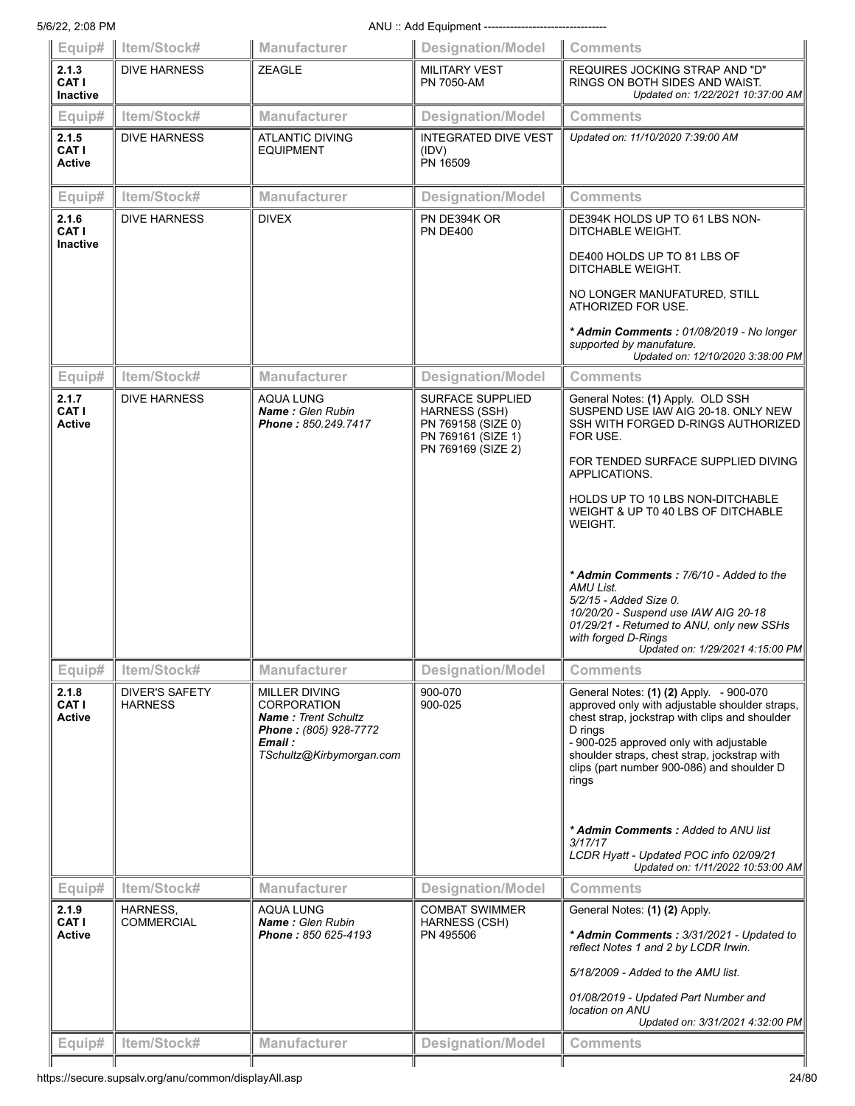5/6/22, 2:08 PM **ANU** :: Add Equipment ----------

| Equip#                                 | Item/Stock#                             | Manufacturer                                                                                                                             | <b>Designation/Model</b>                                                                                   | <b>Comments</b>                                                                                                                                                                                                                                                                                                                                                                                                                           |
|----------------------------------------|-----------------------------------------|------------------------------------------------------------------------------------------------------------------------------------------|------------------------------------------------------------------------------------------------------------|-------------------------------------------------------------------------------------------------------------------------------------------------------------------------------------------------------------------------------------------------------------------------------------------------------------------------------------------------------------------------------------------------------------------------------------------|
| 2.1.3<br>CAT I<br><b>Inactive</b>      | <b>DIVE HARNESS</b>                     | <b>ZEAGLE</b>                                                                                                                            | <b>MILITARY VEST</b><br><b>PN 7050-AM</b>                                                                  | REQUIRES JOCKING STRAP AND "D"<br>RINGS ON BOTH SIDES AND WAIST.<br>Updated on: 1/22/2021 10:37:00 AM                                                                                                                                                                                                                                                                                                                                     |
| Equip#                                 | Item/Stock#                             | <b>Manufacturer</b>                                                                                                                      | <b>Designation/Model</b>                                                                                   | <b>Comments</b>                                                                                                                                                                                                                                                                                                                                                                                                                           |
| 2.1.5<br><b>CAT I</b><br><b>Active</b> | <b>DIVE HARNESS</b>                     | <b>ATLANTIC DIVING</b><br><b>EQUIPMENT</b>                                                                                               | <b>INTEGRATED DIVE VEST</b><br>(IDV)<br>PN 16509                                                           | Updated on: 11/10/2020 7:39:00 AM                                                                                                                                                                                                                                                                                                                                                                                                         |
| Equip#                                 | Item/Stock#                             | Manufacturer                                                                                                                             | <b>Designation/Model</b>                                                                                   | <b>Comments</b>                                                                                                                                                                                                                                                                                                                                                                                                                           |
| 2.1.6<br>CAT I<br>Inactive             | <b>DIVE HARNESS</b>                     | <b>DIVEX</b>                                                                                                                             | PN DE394K OR<br><b>PN DE400</b>                                                                            | DE394K HOLDS UP TO 61 LBS NON-<br>DITCHABLE WEIGHT.<br>DE400 HOLDS UP TO 81 LBS OF<br>DITCHABLE WEIGHT.                                                                                                                                                                                                                                                                                                                                   |
|                                        |                                         |                                                                                                                                          |                                                                                                            | NO LONGER MANUFATURED, STILL<br>ATHORIZED FOR USE.<br>* Admin Comments: 01/08/2019 - No longer<br>supported by manufature.<br>Updated on: 12/10/2020 3:38:00 PM                                                                                                                                                                                                                                                                           |
| Equip#                                 | Item/Stock#                             | Manufacturer                                                                                                                             | <b>Designation/Model</b>                                                                                   | <b>Comments</b>                                                                                                                                                                                                                                                                                                                                                                                                                           |
| 2.1.7<br>CAT I<br><b>Active</b>        | <b>DIVE HARNESS</b>                     | <b>AQUA LUNG</b><br>Name: Glen Rubin<br>Phone: 850.249.7417                                                                              | <b>SURFACE SUPPLIED</b><br>HARNESS (SSH)<br>PN 769158 (SIZE 0)<br>PN 769161 (SIZE 1)<br>PN 769169 (SIZE 2) | General Notes: (1) Apply. OLD SSH<br>SUSPEND USE IAW AIG 20-18, ONLY NEW<br>SSH WITH FORGED D-RINGS AUTHORIZED<br>FOR USE.                                                                                                                                                                                                                                                                                                                |
|                                        |                                         |                                                                                                                                          |                                                                                                            | FOR TENDED SURFACE SUPPLIED DIVING<br>APPLICATIONS.                                                                                                                                                                                                                                                                                                                                                                                       |
|                                        |                                         |                                                                                                                                          |                                                                                                            | HOLDS UP TO 10 LBS NON-DITCHABLE<br>WEIGHT & UP T0 40 LBS OF DITCHABLE<br><b>WEIGHT.</b>                                                                                                                                                                                                                                                                                                                                                  |
|                                        |                                         |                                                                                                                                          |                                                                                                            | * Admin Comments: 7/6/10 - Added to the<br>AMU List.<br>5/2/15 - Added Size 0.<br>10/20/20 - Suspend use IAW AIG 20-18<br>01/29/21 - Returned to ANU, only new SSHs<br>with forged D-Rings<br>Updated on: 1/29/2021 4:15:00 PM                                                                                                                                                                                                            |
| Equip#                                 | Item/Stock#                             | <b>Manufacturer</b>                                                                                                                      | <b>Designation/Model</b>                                                                                   | <b>Comments</b>                                                                                                                                                                                                                                                                                                                                                                                                                           |
| 2.1.8<br>CAT I<br><b>Active</b>        | <b>DIVER'S SAFETY</b><br><b>HARNESS</b> | <b>MILLER DIVING</b><br><b>CORPORATION</b><br><b>Name: Trent Schultz</b><br>Phone: (805) 928-7772<br>Email :<br>TSchultz@Kirbymorgan.com | 900-070<br>900-025                                                                                         | General Notes: (1) (2) Apply. - 900-070<br>approved only with adjustable shoulder straps,<br>chest strap, jockstrap with clips and shoulder<br>D rings<br>- 900-025 approved only with adjustable<br>shoulder straps, chest strap, jockstrap with<br>clips (part number 900-086) and shoulder D<br>rings<br>* Admin Comments: Added to ANU list<br>3/17/17<br>LCDR Hyatt - Updated POC info 02/09/21<br>Updated on: 1/11/2022 10:53:00 AM |
| Equip#                                 | Item/Stock#                             | Manufacturer                                                                                                                             | <b>Designation/Model</b>                                                                                   | <b>Comments</b>                                                                                                                                                                                                                                                                                                                                                                                                                           |
| 2.1.9<br>CAT I<br>Active               | HARNESS,<br><b>COMMERCIAL</b>           | <b>AQUA LUNG</b><br>Name: Glen Rubin<br>Phone: 850 625-4193                                                                              | <b>COMBAT SWIMMER</b><br><b>HARNESS (CSH)</b><br>PN 495506                                                 | General Notes: (1) (2) Apply.<br>* Admin Comments: 3/31/2021 - Updated to<br>reflect Notes 1 and 2 by LCDR Irwin.<br>5/18/2009 - Added to the AMU list.<br>01/08/2019 - Updated Part Number and<br>location on ANU<br>Updated on: 3/31/2021 4:32:00 PM                                                                                                                                                                                    |
| Equip#                                 | Item/Stock#                             | <b>Manufacturer</b>                                                                                                                      | <b>Designation/Model</b>                                                                                   | <b>Comments</b>                                                                                                                                                                                                                                                                                                                                                                                                                           |
|                                        |                                         |                                                                                                                                          |                                                                                                            |                                                                                                                                                                                                                                                                                                                                                                                                                                           |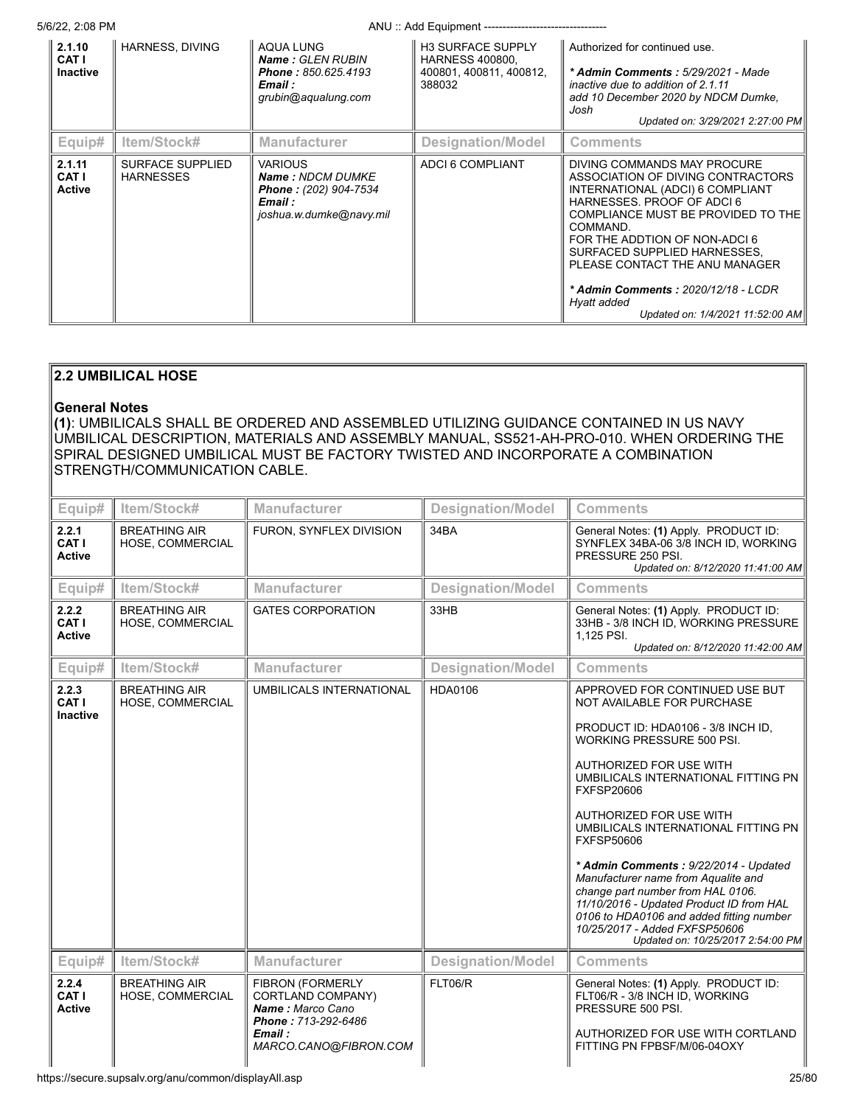5/6/22, 2:08 PM ANU :: Add Equipment ---------------------------------

| 2.1.10<br>CAT I<br>Inactive      | <b>HARNESS, DIVING</b>               | AQUA LUNG<br><b>Name: GLEN RUBIN</b><br><b>Phone: 850.625.4193</b><br>Email :<br>grubin@aqualung.com            | <b>H3 SURFACE SUPPLY</b><br><b>HARNESS 400800.</b><br>400801, 400811, 400812,<br>388032 | Authorized for continued use.<br>* Admin Comments: 5/29/2021 - Made<br>inactive due to addition of 2.1.11<br>add 10 December 2020 by NDCM Dumke,<br>Josh<br>Updated on: 3/29/2021 2:27:00 PM                                                                                                                                                                                     |
|----------------------------------|--------------------------------------|-----------------------------------------------------------------------------------------------------------------|-----------------------------------------------------------------------------------------|----------------------------------------------------------------------------------------------------------------------------------------------------------------------------------------------------------------------------------------------------------------------------------------------------------------------------------------------------------------------------------|
| Equip#                           | Item/Stock#                          | <b>Manufacturer</b>                                                                                             | <b>Designation/Model</b>                                                                | <b>Comments</b>                                                                                                                                                                                                                                                                                                                                                                  |
| 2.1.11<br>CAT I<br><b>Active</b> | SURFACE SUPPLIED<br><b>HARNESSES</b> | <b>VARIOUS</b><br><b>Name: NDCM DUMKE</b><br><b>Phone: (202) 904-7534</b><br>Email :<br>joshua.w.dumke@navy.mil | ADCI 6 COMPLIANT                                                                        | DIVING COMMANDS MAY PROCURE<br>ASSOCIATION OF DIVING CONTRACTORS<br>INTERNATIONAL (ADCI) 6 COMPLIANT<br>HARNESSES, PROOF OF ADCI6<br>COMPLIANCE MUST BE PROVIDED TO THE<br>COMMAND.<br>FOR THE ADDTION OF NON-ADCI6<br>SURFACED SUPPLIED HARNESSES.<br>PLEASE CONTACT THE ANU MANAGER<br>* Admin Comments : 2020/12/18 - LCDR<br>Hyatt added<br>Updated on: 1/4/2021 11:52:00 AM |

# **2.2 UMBILICAL HOSE**

# **General Notes**

**(1)**: UMBILICALS SHALL BE ORDERED AND ASSEMBLED UTILIZING GUIDANCE CONTAINED IN US NAVY UMBILICAL DESCRIPTION, MATERIALS AND ASSEMBLY MANUAL, SS521-AH-PRO-010. WHEN ORDERING THE SPIRAL DESIGNED UMBILICAL MUST BE FACTORY TWISTED AND INCORPORATE A COMBINATION STRENGTH/COMMUNICATION CABLE.

| Equip#                            | Item/Stock#                              | <b>Manufacturer</b>                                                                                                         | <b>Designation/Model</b> | <b>Comments</b>                                                                                                                                                                                                                                                                                                                                                                                                                                                                                                                                                                                  |  |
|-----------------------------------|------------------------------------------|-----------------------------------------------------------------------------------------------------------------------------|--------------------------|--------------------------------------------------------------------------------------------------------------------------------------------------------------------------------------------------------------------------------------------------------------------------------------------------------------------------------------------------------------------------------------------------------------------------------------------------------------------------------------------------------------------------------------------------------------------------------------------------|--|
| 2.2.1<br>CAT I<br><b>Active</b>   | <b>BREATHING AIR</b><br>HOSE, COMMERCIAL | FURON, SYNFLEX DIVISION                                                                                                     | 34BA                     | General Notes: (1) Apply. PRODUCT ID:<br>SYNFLEX 34BA-06 3/8 INCH ID, WORKING<br>PRESSURE 250 PSI.<br>Updated on: 8/12/2020 11:41:00 AM                                                                                                                                                                                                                                                                                                                                                                                                                                                          |  |
| Equip#                            | Item/Stock#                              | <b>Manufacturer</b>                                                                                                         | <b>Designation/Model</b> | <b>Comments</b>                                                                                                                                                                                                                                                                                                                                                                                                                                                                                                                                                                                  |  |
| 2.2.2<br>CAT I<br><b>Active</b>   | <b>BREATHING AIR</b><br>HOSE, COMMERCIAL | <b>GATES CORPORATION</b>                                                                                                    | 33HB                     | General Notes: (1) Apply. PRODUCT ID:<br>33HB - 3/8 INCH ID, WORKING PRESSURE<br>1,125 PSI.<br>Updated on: 8/12/2020 11:42:00 AM                                                                                                                                                                                                                                                                                                                                                                                                                                                                 |  |
| Equip#                            | Item/Stock#                              | <b>Manufacturer</b>                                                                                                         | <b>Designation/Model</b> | <b>Comments</b>                                                                                                                                                                                                                                                                                                                                                                                                                                                                                                                                                                                  |  |
| 2.2.3<br>CAT I<br><b>Inactive</b> | <b>BREATHING AIR</b><br>HOSE, COMMERCIAL | UMBILICALS INTERNATIONAL                                                                                                    | HDA0106                  | APPROVED FOR CONTINUED USE BUT<br>NOT AVAILABLE FOR PURCHASE<br>PRODUCT ID: HDA0106 - 3/8 INCH ID,<br>WORKING PRESSURE 500 PSI.<br>AUTHORIZED FOR USE WITH<br>UMBILICALS INTERNATIONAL FITTING PN<br><b>FXFSP20606</b><br>AUTHORIZED FOR USE WITH<br>UMBILICALS INTERNATIONAL FITTING PN<br><b>FXFSP50606</b><br>* Admin Comments: 9/22/2014 - Updated<br>Manufacturer name from Aqualite and<br>change part number from HAL 0106.<br>11/10/2016 - Updated Product ID from HAL<br>0106 to HDA0106 and added fitting number<br>10/25/2017 - Added FXFSP50606<br>Updated on: 10/25/2017 2:54:00 PM |  |
| Equip#                            | Item/Stock#                              | <b>Manufacturer</b>                                                                                                         | <b>Designation/Model</b> | <b>Comments</b>                                                                                                                                                                                                                                                                                                                                                                                                                                                                                                                                                                                  |  |
| 2.2.4<br>CAT I<br><b>Active</b>   | <b>BREATHING AIR</b><br>HOSE, COMMERCIAL | <b>FIBRON (FORMERLY</b><br>CORTLAND COMPANY)<br>Name: Marco Cano<br>Phone: 713-292-6486<br>Email :<br>MARCO.CANO@FIBRON.COM | FLT06/R                  | General Notes: (1) Apply. PRODUCT ID:<br>FLT06/R - 3/8 INCH ID, WORKING<br>PRESSURE 500 PSI.<br>AUTHORIZED FOR USE WITH CORTLAND<br>FITTING PN FPBSF/M/06-04OXY                                                                                                                                                                                                                                                                                                                                                                                                                                  |  |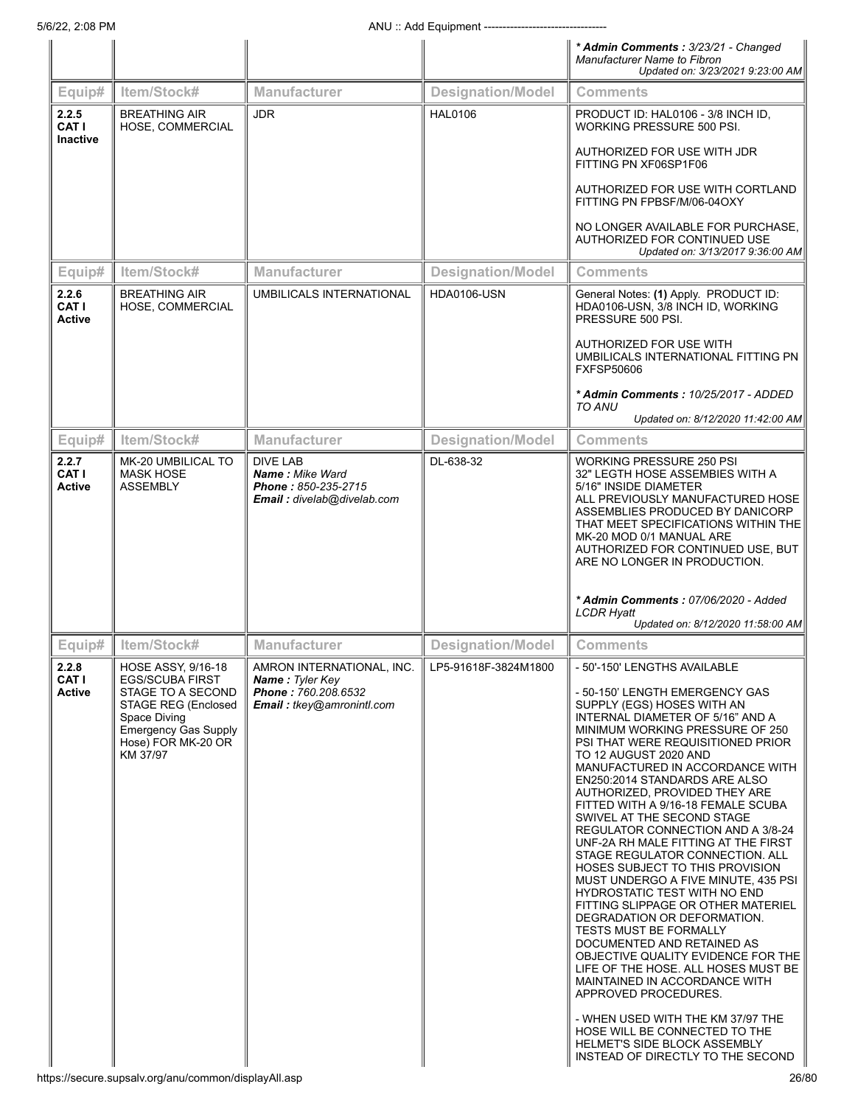|                                        |                                                                                                                                                                                  |                                                                                                         |                          | * Admin Comments: 3/23/21 - Changed<br><b>Manufacturer Name to Fibron</b><br>Updated on: 3/23/2021 9:23:00 AM                                                                                                                                                                                                                                                                                                                                                                                                                                                                                                                                                                                                                                                                                                                                                                                                                                                    |
|----------------------------------------|----------------------------------------------------------------------------------------------------------------------------------------------------------------------------------|---------------------------------------------------------------------------------------------------------|--------------------------|------------------------------------------------------------------------------------------------------------------------------------------------------------------------------------------------------------------------------------------------------------------------------------------------------------------------------------------------------------------------------------------------------------------------------------------------------------------------------------------------------------------------------------------------------------------------------------------------------------------------------------------------------------------------------------------------------------------------------------------------------------------------------------------------------------------------------------------------------------------------------------------------------------------------------------------------------------------|
| Equip#                                 | Item/Stock#                                                                                                                                                                      | Manufacturer                                                                                            | <b>Designation/Model</b> | <b>Comments</b>                                                                                                                                                                                                                                                                                                                                                                                                                                                                                                                                                                                                                                                                                                                                                                                                                                                                                                                                                  |
| 2.2.5<br>CAT I<br><b>Inactive</b>      | <b>BREATHING AIR</b><br>HOSE, COMMERCIAL                                                                                                                                         | <b>JDR</b>                                                                                              | <b>HAL0106</b>           | PRODUCT ID: HAL0106 - 3/8 INCH ID,<br>WORKING PRESSURE 500 PSI.                                                                                                                                                                                                                                                                                                                                                                                                                                                                                                                                                                                                                                                                                                                                                                                                                                                                                                  |
|                                        |                                                                                                                                                                                  |                                                                                                         |                          | AUTHORIZED FOR USE WITH JDR<br>FITTING PN XF06SP1F06                                                                                                                                                                                                                                                                                                                                                                                                                                                                                                                                                                                                                                                                                                                                                                                                                                                                                                             |
|                                        |                                                                                                                                                                                  |                                                                                                         |                          | AUTHORIZED FOR USE WITH CORTLAND<br>FITTING PN FPBSF/M/06-04OXY                                                                                                                                                                                                                                                                                                                                                                                                                                                                                                                                                                                                                                                                                                                                                                                                                                                                                                  |
|                                        |                                                                                                                                                                                  |                                                                                                         |                          | NO LONGER AVAILABLE FOR PURCHASE.<br>AUTHORIZED FOR CONTINUED USE<br>Updated on: 3/13/2017 9:36:00 AM                                                                                                                                                                                                                                                                                                                                                                                                                                                                                                                                                                                                                                                                                                                                                                                                                                                            |
| Equip#                                 | Item/Stock#                                                                                                                                                                      | <b>Manufacturer</b>                                                                                     | <b>Designation/Model</b> | <b>Comments</b>                                                                                                                                                                                                                                                                                                                                                                                                                                                                                                                                                                                                                                                                                                                                                                                                                                                                                                                                                  |
| 2.2.6<br>CAT I<br><b>Active</b>        | <b>BREATHING AIR</b><br>HOSE, COMMERCIAL                                                                                                                                         | <b>UMBILICALS INTERNATIONAL</b>                                                                         | <b>HDA0106-USN</b>       | General Notes: (1) Apply. PRODUCT ID:<br>HDA0106-USN, 3/8 INCH ID, WORKING<br>PRESSURE 500 PSI.                                                                                                                                                                                                                                                                                                                                                                                                                                                                                                                                                                                                                                                                                                                                                                                                                                                                  |
|                                        |                                                                                                                                                                                  |                                                                                                         |                          | AUTHORIZED FOR USE WITH<br>UMBILICALS INTERNATIONAL FITTING PN<br><b>FXFSP50606</b>                                                                                                                                                                                                                                                                                                                                                                                                                                                                                                                                                                                                                                                                                                                                                                                                                                                                              |
|                                        |                                                                                                                                                                                  |                                                                                                         |                          | * Admin Comments: 10/25/2017 - ADDED<br>TO ANU                                                                                                                                                                                                                                                                                                                                                                                                                                                                                                                                                                                                                                                                                                                                                                                                                                                                                                                   |
|                                        |                                                                                                                                                                                  |                                                                                                         |                          | Updated on: 8/12/2020 11:42:00 AM                                                                                                                                                                                                                                                                                                                                                                                                                                                                                                                                                                                                                                                                                                                                                                                                                                                                                                                                |
| Equip#                                 | Item/Stock#                                                                                                                                                                      | <b>Manufacturer</b>                                                                                     | <b>Designation/Model</b> | <b>Comments</b>                                                                                                                                                                                                                                                                                                                                                                                                                                                                                                                                                                                                                                                                                                                                                                                                                                                                                                                                                  |
| 2.2.7<br>CAT I<br><b>Active</b>        | MK-20 UMBILICAL TO<br><b>MASK HOSE</b><br><b>ASSEMBLY</b>                                                                                                                        | <b>DIVE LAB</b><br><b>Name: Mike Ward</b><br>Phone: 850-235-2715<br>Email: divelab@divelab.com          | DL-638-32                | WORKING PRESSURE 250 PSI<br>32" LEGTH HOSE ASSEMBIES WITH A<br>5/16" INSIDE DIAMETER<br>ALL PREVIOUSLY MANUFACTURED HOSE<br>ASSEMBLIES PRODUCED BY DANICORP<br>THAT MEET SPECIFICATIONS WITHIN THE<br>MK-20 MOD 0/1 MANUAL ARE<br>AUTHORIZED FOR CONTINUED USE, BUT<br>ARE NO LONGER IN PRODUCTION.                                                                                                                                                                                                                                                                                                                                                                                                                                                                                                                                                                                                                                                              |
|                                        |                                                                                                                                                                                  |                                                                                                         |                          | * Admin Comments: 07/06/2020 - Added<br><b>LCDR Hyatt</b><br>Updated on: 8/12/2020 11:58:00 AM                                                                                                                                                                                                                                                                                                                                                                                                                                                                                                                                                                                                                                                                                                                                                                                                                                                                   |
| Equip#                                 | Item/Stock#                                                                                                                                                                      | <b>Manufacturer</b>                                                                                     | <b>Designation/Model</b> | <b>Comments</b>                                                                                                                                                                                                                                                                                                                                                                                                                                                                                                                                                                                                                                                                                                                                                                                                                                                                                                                                                  |
| 2.2.8<br><b>CAT I</b><br><b>Active</b> | HOSE ASSY, 9/16-18<br><b>EGS/SCUBA FIRST</b><br>STAGE TO A SECOND<br><b>STAGE REG (Enclosed</b><br>Space Diving<br><b>Emergency Gas Supply</b><br>Hose) FOR MK-20 OR<br>KM 37/97 | AMRON INTERNATIONAL, INC.<br><b>Name: Tyler Key</b><br>Phone: 760.208.6532<br>Email: tkey@amronintl.com | LP5-91618F-3824M1800     | - 50'-150' LENGTHS AVAILABLE<br>- 50-150' LENGTH EMERGENCY GAS<br>SUPPLY (EGS) HOSES WITH AN<br>INTERNAL DIAMETER OF 5/16" AND A<br>MINIMUM WORKING PRESSURE OF 250<br>PSI THAT WERE REQUISITIONED PRIOR<br>TO 12 AUGUST 2020 AND<br>MANUFACTURED IN ACCORDANCE WITH<br>EN250:2014 STANDARDS ARE ALSO<br>AUTHORIZED, PROVIDED THEY ARE<br>FITTED WITH A 9/16-18 FEMALE SCUBA<br>SWIVEL AT THE SECOND STAGE<br>REGULATOR CONNECTION AND A 3/8-24<br>UNF-2A RH MALE FITTING AT THE FIRST<br>STAGE REGULATOR CONNECTION. ALL<br><b>HOSES SUBJECT TO THIS PROVISION</b><br>MUST UNDERGO A FIVE MINUTE, 435 PSI<br><b>HYDROSTATIC TEST WITH NO END</b><br>FITTING SLIPPAGE OR OTHER MATERIEL<br>DEGRADATION OR DEFORMATION.<br><b>TESTS MUST BE FORMALLY</b><br>DOCUMENTED AND RETAINED AS<br>OBJECTIVE QUALITY EVIDENCE FOR THE<br>LIFE OF THE HOSE. ALL HOSES MUST BE<br>MAINTAINED IN ACCORDANCE WITH<br>APPROVED PROCEDURES.<br>- WHEN USED WITH THE KM 37/97 THE |
|                                        | https://secure.supsalv.org/anu/common/displayAll.asp                                                                                                                             |                                                                                                         |                          | HOSE WILL BE CONNECTED TO THE<br><b>HELMET'S SIDE BLOCK ASSEMBLY</b><br>INSTEAD OF DIRECTLY TO THE SECOND<br>26/80                                                                                                                                                                                                                                                                                                                                                                                                                                                                                                                                                                                                                                                                                                                                                                                                                                               |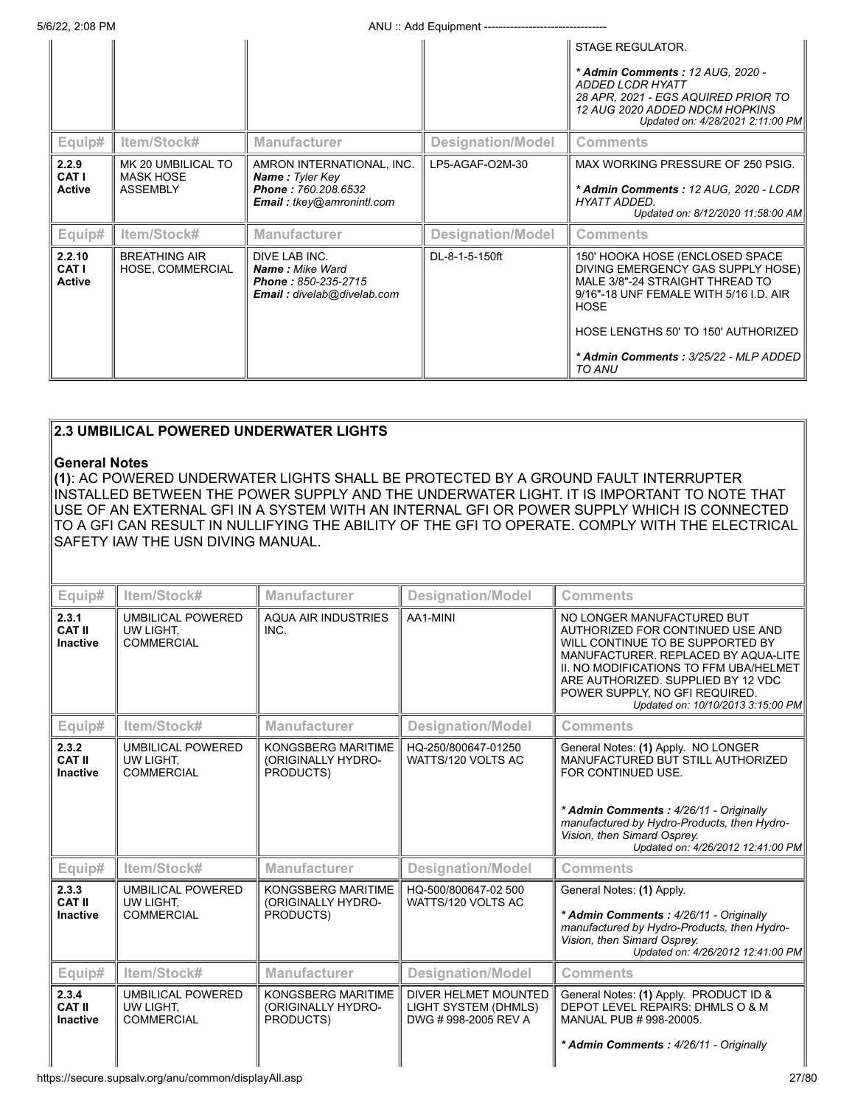5/6/22, 2:08 PM **ANU** :: Add Equipment --------

|                                        |                                                           |                                                                                                                          |                          | <b>STAGE REGULATOR.</b><br>* Admin Comments: 12 AUG, 2020 -<br>ADDED LCDR HYATT<br>28 APR, 2021 - EGS AQUIRED PRIOR TO<br>12 AUG 2020 ADDED NDCM HOPKINS<br>Updated on: 4/28/2021 2:11:00 PM                                                               |
|----------------------------------------|-----------------------------------------------------------|--------------------------------------------------------------------------------------------------------------------------|--------------------------|------------------------------------------------------------------------------------------------------------------------------------------------------------------------------------------------------------------------------------------------------------|
| Equip#                                 | Item/Stock#                                               | <b>Manufacturer</b>                                                                                                      | <b>Designation/Model</b> | <b>Comments</b>                                                                                                                                                                                                                                            |
| 2.2.9<br><b>CAT I</b><br><b>Active</b> | MK 20 UMBILICAL TO<br><b>MASK HOSE</b><br><b>ASSEMBLY</b> | AMRON INTERNATIONAL, INC.<br><b>Name: Tyler Key</b><br><b>Phone: 760.208.6532</b><br><b>Email:</b> $t$ key@amronintl.com | LP5-AGAF-O2M-30          | MAX WORKING PRESSURE OF 250 PSIG.<br>* Admin Comments: 12 AUG, 2020 - LCDR<br>HYATT ADDED.<br>Updated on: 8/12/2020 11:58:00 AM                                                                                                                            |
| Equip#                                 | Item/Stock#                                               | <b>Manufacturer</b>                                                                                                      | <b>Designation/Model</b> | <b>Comments</b>                                                                                                                                                                                                                                            |
| 2.2.10<br>CAT I<br><b>Active</b>       | <b>BREATHING AIR</b><br>HOSE, COMMERCIAL                  | DIVE LAB INC.<br><b>Name:</b> Mike Ward<br>Phone: 850-235-2715<br>Email: divelab@divelab.com                             | DL-8-1-5-150ft           | 150' HOOKA HOSE (ENCLOSED SPACE<br>DIVING EMERGENCY GAS SUPPLY HOSE)<br>MALE 3/8"-24 STRAIGHT THREAD TO<br>9/16"-18 UNF FEMALE WITH 5/16 I.D. AIR<br><b>HOSE</b><br>HOSE LENGTHS 50' TO 150' AUTHORIZED<br>* Admin Comments: 3/25/22 - MLP ADDED<br>TO ANU |

# **2.3 UMBILICAL POWERED UNDERWATER LIGHTS**

#### **General Notes**

**(1)**: AC POWERED UNDERWATER LIGHTS SHALL BE PROTECTED BY A GROUND FAULT INTERRUPTER INSTALLED BETWEEN THE POWER SUPPLY AND THE UNDERWATER LIGHT. IT IS IMPORTANT TO NOTE THAT USE OF AN EXTERNAL GFI IN A SYSTEM WITH AN INTERNAL GFI OR POWER SUPPLY WHICH IS CONNECTED TO A GFI CAN RESULT IN NULLIFYING THE ABILITY OF THE GFI TO OPERATE. COMPLY WITH THE ELECTRICAL SAFETY IAW THE USN DIVING MANUAL.

| Equip#                                    | Item/Stock#                                                | <b>Manufacturer</b>                                          | <b>Designation/Model</b>                                            | Comments                                                                                                                                                                                                                                                                                         |
|-------------------------------------------|------------------------------------------------------------|--------------------------------------------------------------|---------------------------------------------------------------------|--------------------------------------------------------------------------------------------------------------------------------------------------------------------------------------------------------------------------------------------------------------------------------------------------|
| 2.3.1<br><b>CAT II</b><br><b>Inactive</b> | <b>UMBILICAL POWERED</b><br>UW LIGHT.<br><b>COMMERCIAL</b> | <b>AQUA AIR INDUSTRIES</b><br>INC.                           | AA1-MINI                                                            | NO LONGER MANUFACTURED BUT<br>AUTHORIZED FOR CONTINUED USE AND<br>WILL CONTINUE TO BE SUPPORTED BY<br>MANUFACTURER. REPLACED BY AQUA-LITE<br>II. NO MODIFICATIONS TO FFM UBA/HELMET<br>ARE AUTHORIZED. SUPPLIED BY 12 VDC<br>POWER SUPPLY, NO GFI REQUIRED.<br>Updated on: 10/10/2013 3:15:00 PM |
| Equip#                                    | Item/Stock#                                                | <b>Manufacturer</b>                                          | <b>Designation/Model</b>                                            | Comments                                                                                                                                                                                                                                                                                         |
| 2.3.2<br><b>CAT II</b><br><b>Inactive</b> | <b>UMBILICAL POWERED</b><br>UW LIGHT.<br><b>COMMERCIAL</b> | <b>KONGSBERG MARITIME</b><br>(ORIGINALLY HYDRO-<br>PRODUCTS) | HQ-250/800647-01250<br>WATTS/120 VOLTS AC                           | General Notes: (1) Apply. NO LONGER<br>MANUFACTURED BUT STILL AUTHORIZED<br>FOR CONTINUED USE.<br>* Admin Comments: 4/26/11 - Originally<br>manufactured by Hydro-Products, then Hydro-<br>Vision, then Simard Osprey.<br>Updated on: 4/26/2012 12:41:00 PM                                      |
| Equip#                                    | Item/Stock#                                                | <b>Manufacturer</b>                                          | <b>Designation/Model</b>                                            | <b>Comments</b>                                                                                                                                                                                                                                                                                  |
| 2.3.3<br><b>CAT II</b><br><b>Inactive</b> | <b>UMBILICAL POWERED</b><br>UW LIGHT,<br><b>COMMERCIAL</b> | <b>KONGSBERG MARITIME</b><br>(ORIGINALLY HYDRO-<br>PRODUCTS) | HQ-500/800647-02 500<br>WATTS/120 VOLTS AC                          | General Notes: (1) Apply.<br>* Admin Comments: 4/26/11 - Originally<br>manufactured by Hydro-Products, then Hydro-<br>Vision, then Simard Osprey.<br>Updated on: 4/26/2012 12:41:00 PM                                                                                                           |
| Equip#                                    | Item/Stock#                                                | <b>Manufacturer</b>                                          | <b>Designation/Model</b>                                            | <b>Comments</b>                                                                                                                                                                                                                                                                                  |
| 2.3.4<br><b>CAT II</b><br><b>Inactive</b> | <b>UMBILICAL POWERED</b><br>UW LIGHT.<br><b>COMMERCIAL</b> | <b>KONGSBERG MARITIME</b><br>(ORIGINALLY HYDRO-<br>PRODUCTS) | DIVER HELMET MOUNTED<br>LIGHT SYSTEM (DHMLS)<br>DWG #998-2005 REV A | General Notes: (1) Apply. PRODUCT ID &<br>DEPOT LEVEL REPAIRS: DHMLS O & M<br>MANUAL PUB # 998-20005.<br>* Admin Comments: 4/26/11 - Originally                                                                                                                                                  |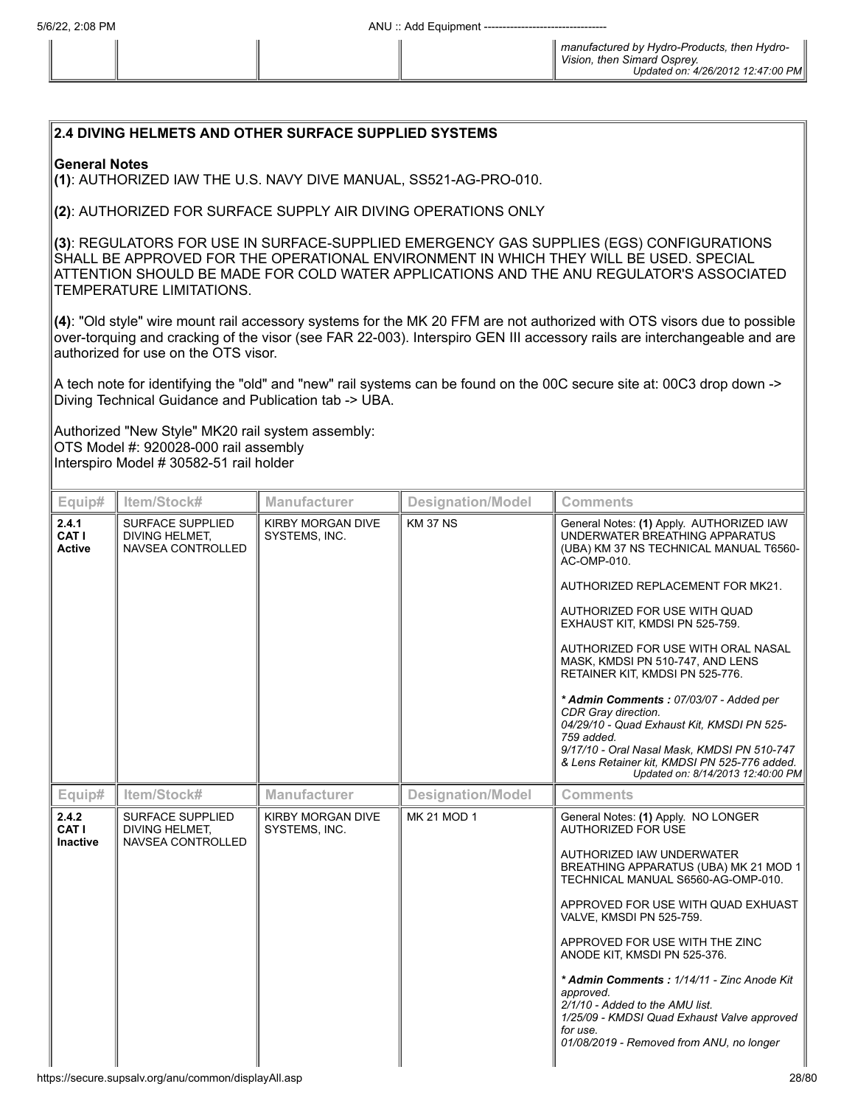# **2.4 DIVING HELMETS AND OTHER SURFACE SUPPLIED SYSTEMS**

#### **General Notes**

**(1)**: AUTHORIZED IAW THE U.S. NAVY DIVE MANUAL, SS521-AG-PRO-010.

**(2)**: AUTHORIZED FOR SURFACE SUPPLY AIR DIVING OPERATIONS ONLY

**(3)**: REGULATORS FOR USE IN SURFACE-SUPPLIED EMERGENCY GAS SUPPLIES (EGS) CONFIGURATIONS SHALL BE APPROVED FOR THE OPERATIONAL ENVIRONMENT IN WHICH THEY WILL BE USED. SPECIAL ATTENTION SHOULD BE MADE FOR COLD WATER APPLICATIONS AND THE ANU REGULATOR'S ASSOCIATED TEMPERATURE LIMITATIONS.

**(4)**: "Old style" wire mount rail accessory systems for the MK 20 FFM are not authorized with OTS visors due to possible over-torquing and cracking of the visor (see FAR 22-003). Interspiro GEN III accessory rails are interchangeable and are authorized for use on the OTS visor.

A tech note for identifying the "old" and "new" rail systems can be found on the 00C secure site at: 00C3 drop down -> Diving Technical Guidance and Publication tab -> UBA.

Authorized "New Style" MK20 rail system assembly: OTS Model #: 920028-000 rail assembly Interspiro Model # 30582-51 rail holder

| Equip#                            | Item/Stock#                                                           | <b>Manufacturer</b>                | <b>Designation/Model</b> | <b>Comments</b>                                                                                                                                                                                                                                                                                                                                                                                                                                                                                                                                                                    |
|-----------------------------------|-----------------------------------------------------------------------|------------------------------------|--------------------------|------------------------------------------------------------------------------------------------------------------------------------------------------------------------------------------------------------------------------------------------------------------------------------------------------------------------------------------------------------------------------------------------------------------------------------------------------------------------------------------------------------------------------------------------------------------------------------|
| 2.4.1<br>CAT I<br><b>Active</b>   | <b>SURFACE SUPPLIED</b><br><b>DIVING HELMET.</b><br>NAVSEA CONTROLLED | KIRBY MORGAN DIVE<br>SYSTEMS, INC. | <b>KM 37 NS</b>          | General Notes: (1) Apply. AUTHORIZED IAW<br>UNDERWATER BREATHING APPARATUS<br>(UBA) KM 37 NS TECHNICAL MANUAL T6560-<br>AC-OMP-010.<br>AUTHORIZED REPLACEMENT FOR MK21.<br>AUTHORIZED FOR USE WITH QUAD<br>EXHAUST KIT, KMDSI PN 525-759.<br>AUTHORIZED FOR USE WITH ORAL NASAL<br>MASK, KMDSI PN 510-747, AND LENS<br>RETAINER KIT, KMDSI PN 525-776.<br>* Admin Comments: 07/03/07 - Added per<br>CDR Gray direction.<br>04/29/10 - Quad Exhaust Kit, KMSDI PN 525-<br>759 added.<br>9/17/10 - Oral Nasal Mask, KMDSI PN 510-747<br>& Lens Retainer kit, KMDSI PN 525-776 added. |
|                                   |                                                                       |                                    |                          | Updated on: 8/14/2013 12:40:00 PM                                                                                                                                                                                                                                                                                                                                                                                                                                                                                                                                                  |
| Equip#                            | Item/Stock#                                                           | <b>Manufacturer</b>                | <b>Designation/Model</b> | <b>Comments</b>                                                                                                                                                                                                                                                                                                                                                                                                                                                                                                                                                                    |
| 2.4.2<br>CAT I<br><b>Inactive</b> | <b>SURFACE SUPPLIED</b><br><b>DIVING HELMET.</b><br>NAVSEA CONTROLLED | KIRBY MORGAN DIVE<br>SYSTEMS, INC. | <b>MK 21 MOD 1</b>       | General Notes: (1) Apply. NO LONGER<br><b>AUTHORIZED FOR USE</b><br>AUTHORIZED IAW UNDERWATER<br>BREATHING APPARATUS (UBA) MK 21 MOD 1<br>TECHNICAL MANUAL S6560-AG-OMP-010.<br>APPROVED FOR USE WITH QUAD EXHUAST<br>VALVE, KMSDI PN 525-759.<br>APPROVED FOR USE WITH THE ZINC<br>ANODE KIT, KMSDI PN 525-376.<br>* Admin Comments: 1/14/11 - Zinc Anode Kit<br>approved.<br>2/1/10 - Added to the AMU list.<br>1/25/09 - KMDSI Quad Exhaust Valve approved<br>for use.<br>01/08/2019 - Removed from ANU, no longer                                                              |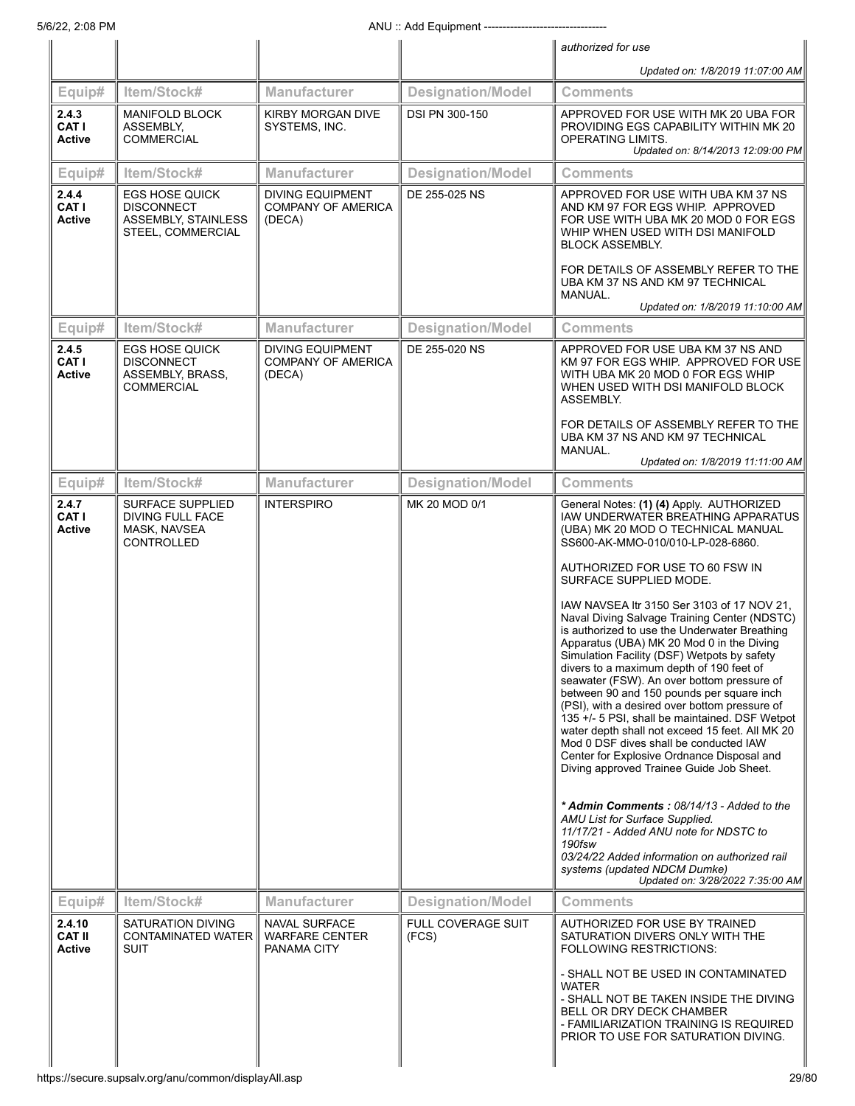|                                   |                                                                                               |                                                                |                             | authorized for use                                                                                                                                                                                                                                                                                                                                                                                                                                                                                                                                                                                                                                                                                                                                                                                                                                                                                                                                                                                                                                                                                                                                         |
|-----------------------------------|-----------------------------------------------------------------------------------------------|----------------------------------------------------------------|-----------------------------|------------------------------------------------------------------------------------------------------------------------------------------------------------------------------------------------------------------------------------------------------------------------------------------------------------------------------------------------------------------------------------------------------------------------------------------------------------------------------------------------------------------------------------------------------------------------------------------------------------------------------------------------------------------------------------------------------------------------------------------------------------------------------------------------------------------------------------------------------------------------------------------------------------------------------------------------------------------------------------------------------------------------------------------------------------------------------------------------------------------------------------------------------------|
|                                   |                                                                                               |                                                                |                             | Updated on: 1/8/2019 11:07:00 AM                                                                                                                                                                                                                                                                                                                                                                                                                                                                                                                                                                                                                                                                                                                                                                                                                                                                                                                                                                                                                                                                                                                           |
| Equip#                            | Item/Stock#                                                                                   | <b>Manufacturer</b>                                            | <b>Designation/Model</b>    | <b>Comments</b>                                                                                                                                                                                                                                                                                                                                                                                                                                                                                                                                                                                                                                                                                                                                                                                                                                                                                                                                                                                                                                                                                                                                            |
| 2.4.3<br>CAT I<br><b>Active</b>   | <b>MANIFOLD BLOCK</b><br>ASSEMBLY,<br><b>COMMERCIAL</b>                                       | <b>KIRBY MORGAN DIVE</b><br>SYSTEMS, INC.                      | DSI PN 300-150              | APPROVED FOR USE WITH MK 20 UBA FOR<br>PROVIDING EGS CAPABILITY WITHIN MK 20<br><b>OPERATING LIMITS.</b><br>Updated on: 8/14/2013 12:09:00 PM                                                                                                                                                                                                                                                                                                                                                                                                                                                                                                                                                                                                                                                                                                                                                                                                                                                                                                                                                                                                              |
| Equip#                            | Item/Stock#                                                                                   | <b>Manufacturer</b>                                            | <b>Designation/Model</b>    | <b>Comments</b>                                                                                                                                                                                                                                                                                                                                                                                                                                                                                                                                                                                                                                                                                                                                                                                                                                                                                                                                                                                                                                                                                                                                            |
| 2.4.4<br>CAT I<br>Active          | <b>EGS HOSE QUICK</b><br><b>DISCONNECT</b><br><b>ASSEMBLY, STAINLESS</b><br>STEEL, COMMERCIAL | <b>DIVING EQUIPMENT</b><br><b>COMPANY OF AMERICA</b><br>(DECA) | DE 255-025 NS               | APPROVED FOR USE WITH UBA KM 37 NS<br>AND KM 97 FOR EGS WHIP. APPROVED<br>FOR USE WITH UBA MK 20 MOD 0 FOR EGS<br>WHIP WHEN USED WITH DSI MANIFOLD<br><b>BLOCK ASSEMBLY.</b><br>FOR DETAILS OF ASSEMBLY REFER TO THE<br>UBA KM 37 NS AND KM 97 TECHNICAL<br>MANUAL.                                                                                                                                                                                                                                                                                                                                                                                                                                                                                                                                                                                                                                                                                                                                                                                                                                                                                        |
|                                   |                                                                                               |                                                                |                             | Updated on: 1/8/2019 11:10:00 AM                                                                                                                                                                                                                                                                                                                                                                                                                                                                                                                                                                                                                                                                                                                                                                                                                                                                                                                                                                                                                                                                                                                           |
| Equip#                            | Item/Stock#                                                                                   | <b>Manufacturer</b>                                            | <b>Designation/Model</b>    | <b>Comments</b>                                                                                                                                                                                                                                                                                                                                                                                                                                                                                                                                                                                                                                                                                                                                                                                                                                                                                                                                                                                                                                                                                                                                            |
| 2.4.5<br>CAT I<br>Active          | <b>EGS HOSE QUICK</b><br><b>DISCONNECT</b><br>ASSEMBLY, BRASS,<br><b>COMMERCIAL</b>           | <b>DIVING EQUIPMENT</b><br><b>COMPANY OF AMERICA</b><br>(DECA) | DE 255-020 NS               | APPROVED FOR USE UBA KM 37 NS AND<br>KM 97 FOR EGS WHIP. APPROVED FOR USE<br>WITH UBA MK 20 MOD 0 FOR EGS WHIP<br>WHEN USED WITH DSI MANIFOLD BLOCK<br><b>ASSEMBLY.</b><br>FOR DETAILS OF ASSEMBLY REFER TO THE<br>UBA KM 37 NS AND KM 97 TECHNICAL<br>MANUAL.<br>Updated on: 1/8/2019 11:11:00 AM                                                                                                                                                                                                                                                                                                                                                                                                                                                                                                                                                                                                                                                                                                                                                                                                                                                         |
| Equip#                            | Item/Stock#                                                                                   | <b>Manufacturer</b>                                            | <b>Designation/Model</b>    | <b>Comments</b>                                                                                                                                                                                                                                                                                                                                                                                                                                                                                                                                                                                                                                                                                                                                                                                                                                                                                                                                                                                                                                                                                                                                            |
| 2.4.7<br>CAT I<br>Active          | SURFACE SUPPLIED<br><b>DIVING FULL FACE</b><br>MASK, NAVSEA<br>CONTROLLED                     | <b>INTERSPIRO</b>                                              | MK 20 MOD 0/1               | General Notes: (1) (4) Apply. AUTHORIZED<br>IAW UNDERWATER BREATHING APPARATUS<br>(UBA) MK 20 MOD O TECHNICAL MANUAL<br>SS600-AK-MMO-010/010-LP-028-6860.<br>AUTHORIZED FOR USE TO 60 FSW IN<br>SURFACE SUPPLIED MODE.<br>IAW NAVSEA Itr 3150 Ser 3103 of 17 NOV 21,<br>Naval Diving Salvage Training Center (NDSTC)<br>is authorized to use the Underwater Breathing<br>Apparatus (UBA) MK 20 Mod 0 in the Diving<br>Simulation Facility (DSF) Wetpots by safety<br>divers to a maximum depth of 190 feet of<br>seawater (FSW). An over bottom pressure of<br>between 90 and 150 pounds per square inch<br>(PSI), with a desired over bottom pressure of<br>135 +/- 5 PSI, shall be maintained. DSF Wetpot<br>water depth shall not exceed 15 feet. All MK 20<br>Mod 0 DSF dives shall be conducted IAW<br>Center for Explosive Ordnance Disposal and<br>Diving approved Trainee Guide Job Sheet.<br>* Admin Comments: 08/14/13 - Added to the<br>AMU List for Surface Supplied.<br>11/17/21 - Added ANU note for NDSTC to<br>190fsw<br>03/24/22 Added information on authorized rail<br>systems (updated NDCM Dumke)<br>Updated on: 3/28/2022 7:35:00 AM |
| Equip#                            | Item/Stock#                                                                                   | Manufacturer                                                   | <b>Designation/Model</b>    | <b>Comments</b>                                                                                                                                                                                                                                                                                                                                                                                                                                                                                                                                                                                                                                                                                                                                                                                                                                                                                                                                                                                                                                                                                                                                            |
| 2.4.10<br><b>CAT II</b><br>Active | SATURATION DIVING<br>CONTAMINATED WATER<br><b>SUIT</b>                                        | <b>NAVAL SURFACE</b><br><b>WARFARE CENTER</b><br>PANAMA CITY   | FULL COVERAGE SUIT<br>(FCS) | AUTHORIZED FOR USE BY TRAINED<br>SATURATION DIVERS ONLY WITH THE<br><b>FOLLOWING RESTRICTIONS:</b><br>- SHALL NOT BE USED IN CONTAMINATED<br><b>WATER</b><br>- SHALL NOT BE TAKEN INSIDE THE DIVING<br>BELL OR DRY DECK CHAMBER<br>- FAMILIARIZATION TRAINING IS REQUIRED<br>PRIOR TO USE FOR SATURATION DIVING.                                                                                                                                                                                                                                                                                                                                                                                                                                                                                                                                                                                                                                                                                                                                                                                                                                           |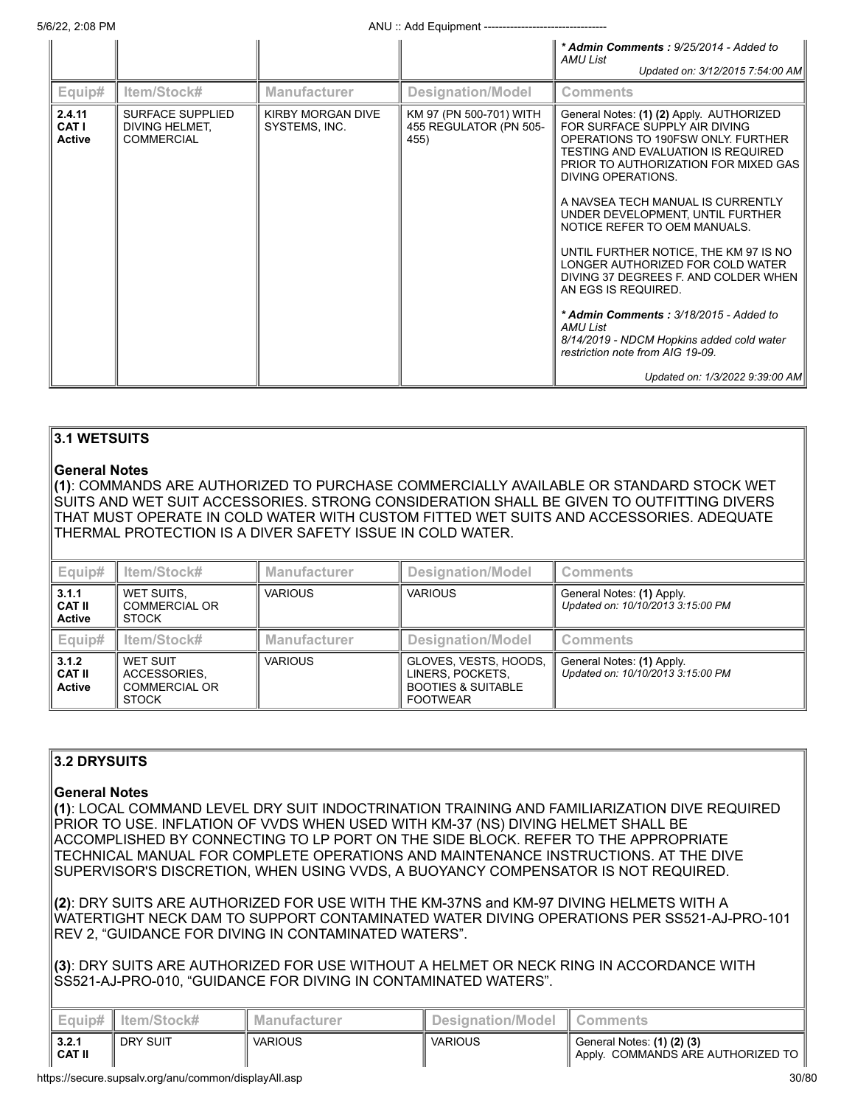5/6/22, 2:08 PM **ANU** :: Add Equipment ---

|                                  |                                                                |                                           |                                                           | * Admin Comments: 9/25/2014 - Added to<br>AMU List<br>Updated on: 3/12/2015 7:54:00 AM                                                                                                                                                                                                                                                                                                                                                                                                                                                                                                                                                                    |
|----------------------------------|----------------------------------------------------------------|-------------------------------------------|-----------------------------------------------------------|-----------------------------------------------------------------------------------------------------------------------------------------------------------------------------------------------------------------------------------------------------------------------------------------------------------------------------------------------------------------------------------------------------------------------------------------------------------------------------------------------------------------------------------------------------------------------------------------------------------------------------------------------------------|
| Equip#                           | ltem/Stock#                                                    | <b>Manufacturer</b>                       | Designation/Model                                         | <b>Comments</b>                                                                                                                                                                                                                                                                                                                                                                                                                                                                                                                                                                                                                                           |
| 2.4.11<br>CAT I<br><b>Active</b> | <b>SURFACE SUPPLIED</b><br>DIVING HELMET,<br><b>COMMERCIAL</b> | <b>KIRBY MORGAN DIVE</b><br>SYSTEMS, INC. | KM 97 (PN 500-701) WITH<br>455 REGULATOR (PN 505-<br>455) | General Notes: (1) (2) Apply. AUTHORIZED<br>FOR SURFACE SUPPLY AIR DIVING<br>OPERATIONS TO 190FSW ONLY. FURTHER<br>TESTING AND EVALUATION IS REQUIRED<br>PRIOR TO AUTHORIZATION FOR MIXED GAS<br>DIVING OPERATIONS.<br>A NAVSEA TECH MANUAL IS CURRENTLY<br>UNDER DEVELOPMENT, UNTIL FURTHER<br>NOTICE REFER TO OEM MANUALS.<br>UNTIL FURTHER NOTICE, THE KM 97 IS NO<br>LONGER AUTHORIZED FOR COLD WATER<br>DIVING 37 DEGREES F. AND COLDER WHEN<br>AN EGS IS REQUIRED.<br>* Admin Comments: 3/18/2015 - Added to<br><b>AMU List</b><br>8/14/2019 - NDCM Hopkins added cold water<br>restriction note from AIG 19-09.<br>Updated on: 1/3/2022 9:39:00 AM |

# **3.1 WETSUITS**

#### **General Notes**

**(1)**: COMMANDS ARE AUTHORIZED TO PURCHASE COMMERCIALLY AVAILABLE OR STANDARD STOCK WET SUITS AND WET SUIT ACCESSORIES. STRONG CONSIDERATION SHALL BE GIVEN TO OUTFITTING DIVERS THAT MUST OPERATE IN COLD WATER WITH CUSTOM FITTED WET SUITS AND ACCESSORIES. ADEQUATE THERMAL PROTECTION IS A DIVER SAFETY ISSUE IN COLD WATER.

| Equip#                                  | Item/Stock#                                               | <b>Manufacturer</b> | <b>Designation/Model</b>                                                                      | <b>Comments</b>                                                |
|-----------------------------------------|-----------------------------------------------------------|---------------------|-----------------------------------------------------------------------------------------------|----------------------------------------------------------------|
| 3.1.1<br><b>CAT II</b><br><b>Active</b> | WET SUITS.<br>COMMERCIAL OR<br><b>STOCK</b>               | <b>VARIOUS</b>      | <b>VARIOUS</b>                                                                                | General Notes: (1) Apply.<br>Updated on: 10/10/2013 3:15:00 PM |
| Equip#                                  | Item/Stock#                                               | <b>Manufacturer</b> | Designation/Model                                                                             | <b>Comments</b>                                                |
| 3.1.2<br><b>CAT II</b><br><b>Active</b> | WET SUIT<br>ACCESSORIES.<br>COMMERCIAL OR<br><b>STOCK</b> | <b>VARIOUS</b>      | GLOVES, VESTS, HOODS,<br>LINERS, POCKETS,<br><b>BOOTIES &amp; SUITABLE</b><br><b>FOOTWEAR</b> | General Notes: (1) Apply.<br>Updated on: 10/10/2013 3:15:00 PM |

# **3.2 DRYSUITS**

# **General Notes**

**(1)**: LOCAL COMMAND LEVEL DRY SUIT INDOCTRINATION TRAINING AND FAMILIARIZATION DIVE REQUIRED PRIOR TO USE. INFLATION OF VVDS WHEN USED WITH KM-37 (NS) DIVING HELMET SHALL BE ACCOMPLISHED BY CONNECTING TO LP PORT ON THE SIDE BLOCK. REFER TO THE APPROPRIATE TECHNICAL MANUAL FOR COMPLETE OPERATIONS AND MAINTENANCE INSTRUCTIONS. AT THE DIVE SUPERVISOR'S DISCRETION, WHEN USING VVDS, A BUOYANCY COMPENSATOR IS NOT REQUIRED.

**(2)**: DRY SUITS ARE AUTHORIZED FOR USE WITH THE KM-37NS and KM-97 DIVING HELMETS WITH A WATERTIGHT NECK DAM TO SUPPORT CONTAMINATED WATER DIVING OPERATIONS PER SS521-AJ-PRO-101 REV 2, "GUIDANCE FOR DIVING IN CONTAMINATED WATERS".

**(3)**: DRY SUITS ARE AUTHORIZED FOR USE WITHOUT A HELMET OR NECK RING IN ACCORDANCE WITH SS521-AJ-PRO-010, "GUIDANCE FOR DIVING IN CONTAMINATED WATERS".

|                        | Equip#   Item/Stock# | <b>Manufacturer</b> | <b>Designation/Model</b> | Comments:                                                                    |
|------------------------|----------------------|---------------------|--------------------------|------------------------------------------------------------------------------|
| 3.2.1<br><b>CAT II</b> | <b>DRY SUIT</b>      | <b>VARIOUS</b>      | <b>VARIOUS</b>           | General Notes: (1) (2) (3)<br><sup>1</sup> Apply. COMMANDS ARE AUTHORIZED TO |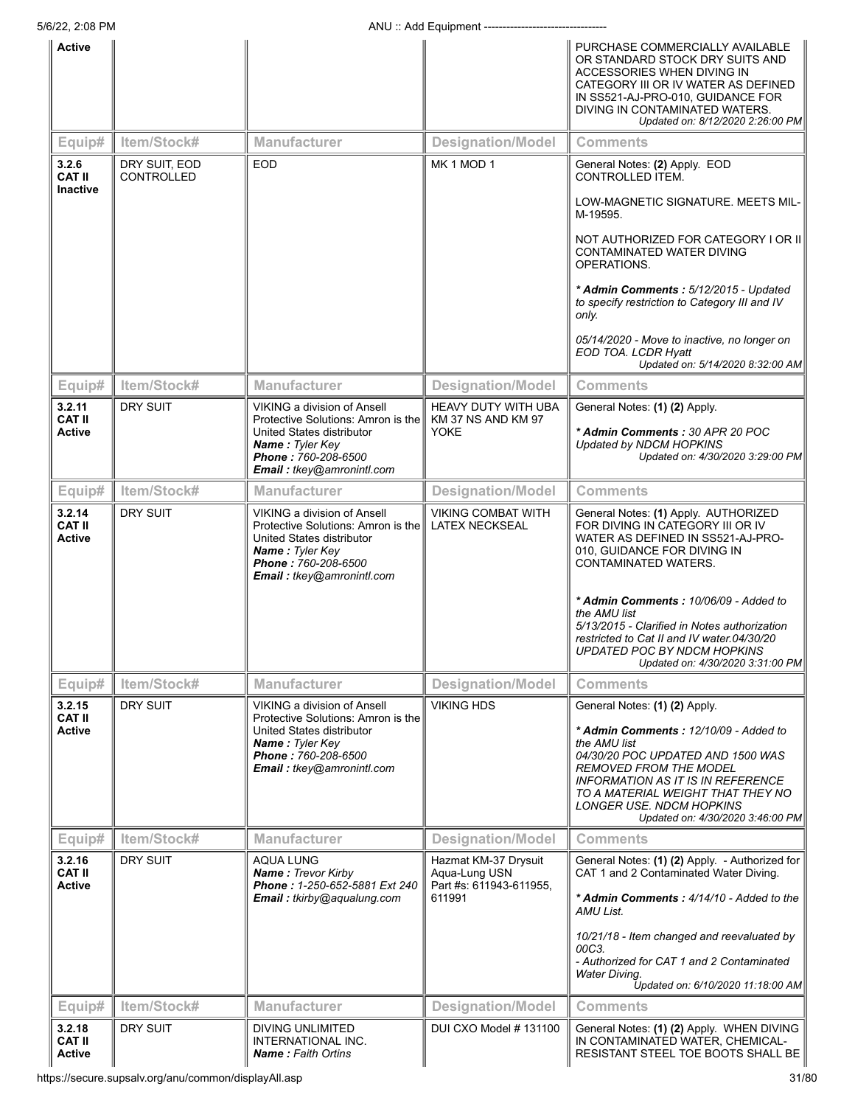| UU122, ZU1IV                             |                                    | וויוטווישן בשטרד. טוורז                                                                                                                                                      |                                                                            |                                                                                                                                                                                                                                                                                                        |
|------------------------------------------|------------------------------------|------------------------------------------------------------------------------------------------------------------------------------------------------------------------------|----------------------------------------------------------------------------|--------------------------------------------------------------------------------------------------------------------------------------------------------------------------------------------------------------------------------------------------------------------------------------------------------|
| <b>Active</b>                            |                                    |                                                                                                                                                                              |                                                                            | PURCHASE COMMERCIALLY AVAILABLE<br>OR STANDARD STOCK DRY SUITS AND<br>ACCESSORIES WHEN DIVING IN<br>CATEGORY III OR IV WATER AS DEFINED<br>IN SS521-AJ-PRO-010, GUIDANCE FOR<br>DIVING IN CONTAMINATED WATERS.<br>Updated on: 8/12/2020 2:26:00 PM                                                     |
| Equip#                                   | Item/Stock#                        | <b>Manufacturer</b>                                                                                                                                                          | <b>Designation/Model</b>                                                   | <b>Comments</b>                                                                                                                                                                                                                                                                                        |
| 3.2.6<br><b>CAT II</b>                   | DRY SUIT, EOD<br><b>CONTROLLED</b> | <b>EOD</b>                                                                                                                                                                   | MK <sub>1</sub> MOD <sub>1</sub>                                           | General Notes: (2) Apply. EOD<br>CONTROLLED ITEM.                                                                                                                                                                                                                                                      |
| <b>Inactive</b>                          |                                    |                                                                                                                                                                              |                                                                            | LOW-MAGNETIC SIGNATURE. MEETS MIL-<br>M-19595.                                                                                                                                                                                                                                                         |
|                                          |                                    |                                                                                                                                                                              |                                                                            | NOT AUTHORIZED FOR CATEGORY I OR II<br>CONTAMINATED WATER DIVING<br>OPERATIONS.                                                                                                                                                                                                                        |
|                                          |                                    |                                                                                                                                                                              |                                                                            | * Admin Comments: 5/12/2015 - Updated<br>to specify restriction to Category III and IV<br>only.                                                                                                                                                                                                        |
|                                          |                                    |                                                                                                                                                                              |                                                                            | 05/14/2020 - Move to inactive, no longer on<br>EOD TOA. LCDR Hyatt<br>Updated on: 5/14/2020 8:32:00 AM                                                                                                                                                                                                 |
| Equip#                                   | Item/Stock#                        | <b>Manufacturer</b>                                                                                                                                                          | <b>Designation/Model</b>                                                   | <b>Comments</b>                                                                                                                                                                                                                                                                                        |
| 3.2.11<br><b>CAT II</b>                  | <b>DRY SUIT</b>                    | <b>VIKING a division of Ansell</b><br>Protective Solutions: Amron is the                                                                                                     | <b>HEAVY DUTY WITH UBA</b><br><b>KM 37 NS AND KM 97</b>                    | General Notes: (1) (2) Apply.                                                                                                                                                                                                                                                                          |
| <b>Active</b>                            |                                    | United States distributor<br>Name: Tyler Key<br>Phone: 760-208-6500<br>Email: tkey@amronintl.com                                                                             | <b>YOKE</b>                                                                | * Admin Comments: 30 APR 20 POC<br>Updated by NDCM HOPKINS<br>Updated on: 4/30/2020 3:29:00 PM                                                                                                                                                                                                         |
| Equip#                                   | Item/Stock#                        | <b>Manufacturer</b>                                                                                                                                                          | <b>Designation/Model</b>                                                   | <b>Comments</b>                                                                                                                                                                                                                                                                                        |
| 3.2.14<br><b>CAT II</b><br><b>Active</b> | DRY SUIT                           | VIKING a division of Ansell<br>Protective Solutions: Amron is the<br>United States distributor<br>Name: Tyler Key<br>Phone: 760-208-6500<br>Email: tkey@amronintl.com        | <b>VIKING COMBAT WITH</b><br><b>LATEX NECKSEAL</b>                         | General Notes: (1) Apply. AUTHORIZED<br>FOR DIVING IN CATEGORY III OR IV<br>WATER AS DEFINED IN SS521-AJ-PRO-<br>010, GUIDANCE FOR DIVING IN<br>CONTAMINATED WATERS.                                                                                                                                   |
|                                          |                                    |                                                                                                                                                                              |                                                                            | * Admin Comments: 10/06/09 - Added to<br>the AMU list<br>5/13/2015 - Clarified in Notes authorization<br>restricted to Cat II and IV water.04/30/20<br>UPDATED POC BY NDCM HOPKINS<br>Updated on: 4/30/2020 3:31:00 PM                                                                                 |
| Equip#                                   | Item/Stock#                        | <b>Manufacturer</b>                                                                                                                                                          | <b>Designation/Model</b>                                                   | <b>Comments</b>                                                                                                                                                                                                                                                                                        |
| 3.2.15<br><b>CAT II</b><br><b>Active</b> | DRY SUIT                           | <b>VIKING a division of Ansell</b><br>Protective Solutions: Amron is the<br>United States distributor<br>Name: Tyler Key<br>Phone: 760-208-6500<br>Email: tkey@amronintl.com | <b>VIKING HDS</b>                                                          | General Notes: (1) (2) Apply.<br>* Admin Comments: 12/10/09 - Added to<br>the AMU list<br>04/30/20 POC UPDATED AND 1500 WAS<br><b>REMOVED FROM THE MODEL</b><br>INFORMATION AS IT IS IN REFERENCE<br>TO A MATERIAL WEIGHT THAT THEY NO<br>LONGER USE. NDCM HOPKINS<br>Updated on: 4/30/2020 3:46:00 PM |
| Equip#                                   | Item/Stock#                        | Manufacturer                                                                                                                                                                 | <b>Designation/Model</b>                                                   | <b>Comments</b>                                                                                                                                                                                                                                                                                        |
| 3.2.16<br><b>CAT II</b><br><b>Active</b> | DRY SUIT                           | <b>AQUA LUNG</b><br><b>Name: Trevor Kirby</b><br>Phone: 1-250-652-5881 Ext 240<br><b>Email:</b> tkirby@aqualung.com                                                          | Hazmat KM-37 Drysuit<br>Aqua-Lung USN<br>Part #s: 611943-611955,<br>611991 | General Notes: (1) (2) Apply. - Authorized for<br>CAT 1 and 2 Contaminated Water Diving.<br>* Admin Comments: 4/14/10 - Added to the<br>AMU List.                                                                                                                                                      |
|                                          |                                    |                                                                                                                                                                              |                                                                            | 10/21/18 - Item changed and reevaluated by<br>00C3.<br>- Authorized for CAT 1 and 2 Contaminated<br><b>Water Diving.</b><br>Updated on: 6/10/2020 11:18:00 AM                                                                                                                                          |
| Equip#                                   | Item/Stock#                        | Manufacturer                                                                                                                                                                 | <b>Designation/Model</b>                                                   | <b>Comments</b>                                                                                                                                                                                                                                                                                        |
| 3.2.18<br><b>CAT II</b><br><b>Active</b> | DRY SUIT                           | <b>DIVING UNLIMITED</b><br>INTERNATIONAL INC.<br><b>Name: Faith Ortins</b>                                                                                                   | DUI CXO Model # 131100                                                     | General Notes: (1) (2) Apply. WHEN DIVING<br>IN CONTAMINATED WATER, CHEMICAL-<br>RESISTANT STEEL TOE BOOTS SHALL BE                                                                                                                                                                                    |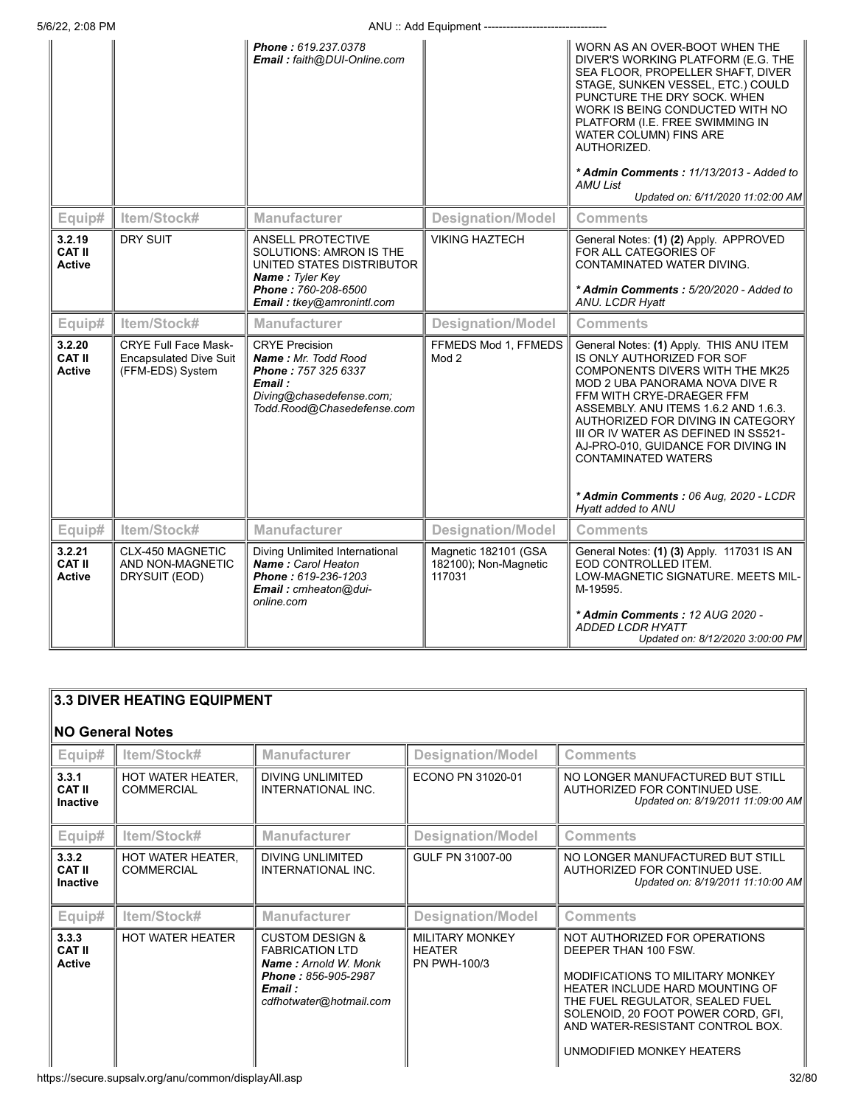|                                          |                                                                                  | Phone: 619.237.0378<br>Email: faith@DUI-Online.com                                                                                              |                                                         | WORN AS AN OVER-BOOT WHEN THE<br>DIVER'S WORKING PLATFORM (E.G. THE<br>SEA FLOOR, PROPELLER SHAFT, DIVER<br>STAGE, SUNKEN VESSEL, ETC.) COULD<br>PUNCTURE THE DRY SOCK. WHEN<br>WORK IS BEING CONDUCTED WITH NO<br>PLATFORM (I.E. FREE SWIMMING IN<br>WATER COLUMN) FINS ARE<br>AUTHORIZED.<br>* Admin Comments: 11/13/2013 - Added to<br><b>AMU List</b><br>Updated on: 6/11/2020 11:02:00 AM                                  |
|------------------------------------------|----------------------------------------------------------------------------------|-------------------------------------------------------------------------------------------------------------------------------------------------|---------------------------------------------------------|---------------------------------------------------------------------------------------------------------------------------------------------------------------------------------------------------------------------------------------------------------------------------------------------------------------------------------------------------------------------------------------------------------------------------------|
| Equip#                                   | Item/Stock#                                                                      | <b>Manufacturer</b>                                                                                                                             | <b>Designation/Model</b>                                | <b>Comments</b>                                                                                                                                                                                                                                                                                                                                                                                                                 |
| 3.2.19<br><b>CAT II</b><br><b>Active</b> | <b>DRY SUIT</b>                                                                  | ANSELL PROTECTIVE<br>SOLUTIONS: AMRON IS THE<br>UNITED STATES DISTRIBUTOR<br><b>Name: Tyler Key</b>                                             | <b>VIKING HAZTECH</b>                                   | General Notes: (1) (2) Apply. APPROVED<br>FOR ALL CATEGORIES OF<br>CONTAMINATED WATER DIVING.                                                                                                                                                                                                                                                                                                                                   |
|                                          |                                                                                  | Phone: 760-208-6500<br>Email: tkey@amronintl.com                                                                                                |                                                         | * Admin Comments: 5/20/2020 - Added to<br>ANU. LCDR Hyatt                                                                                                                                                                                                                                                                                                                                                                       |
| Equip#                                   | Item/Stock#                                                                      | <b>Manufacturer</b>                                                                                                                             | <b>Designation/Model</b>                                | <b>Comments</b>                                                                                                                                                                                                                                                                                                                                                                                                                 |
| 3.2.20<br><b>CAT II</b><br><b>Active</b> | <b>CRYE Full Face Mask-</b><br><b>Encapsulated Dive Suit</b><br>(FFM-EDS) System | <b>CRYE Precision</b><br>Name: Mr. Todd Rood<br><b>Phone: 757 325 6337</b><br>Email :<br>Diving@chasedefense.com;<br>Todd.Rood@Chasedefense.com | FFMEDS Mod 1, FFMEDS<br>Mod <sub>2</sub>                | General Notes: (1) Apply. THIS ANU ITEM<br>IS ONLY AUTHORIZED FOR SOF<br>COMPONENTS DIVERS WITH THE MK25<br>MOD 2 UBA PANORAMA NOVA DIVE R<br>FFM WITH CRYE-DRAEGER FFM<br>ASSEMBLY. ANU ITEMS 1.6.2 AND 1.6.3.<br>AUTHORIZED FOR DIVING IN CATEGORY<br>III OR IV WATER AS DEFINED IN SS521-<br>AJ-PRO-010, GUIDANCE FOR DIVING IN<br><b>CONTAMINATED WATERS</b><br>* Admin Comments: 06 Aug, 2020 - LCDR<br>Hyatt added to ANU |
| Equip#                                   | Item/Stock#                                                                      | <b>Manufacturer</b>                                                                                                                             | <b>Designation/Model</b>                                | <b>Comments</b>                                                                                                                                                                                                                                                                                                                                                                                                                 |
| 3.2.21<br><b>CAT II</b><br><b>Active</b> | CLX-450 MAGNETIC<br>AND NON-MAGNETIC<br>DRYSUIT (EOD)                            | Diving Unlimited International<br>Name: Carol Heaton<br>Phone: 619-236-1203<br>Email: cmheaton@dui-<br>online.com                               | Magnetic 182101 (GSA<br>182100); Non-Magnetic<br>117031 | General Notes: (1) (3) Apply. 117031 IS AN<br>EOD CONTROLLED ITEM.<br>LOW-MAGNETIC SIGNATURE. MEETS MIL-<br>M-19595.<br>* Admin Comments: 12 AUG 2020 -<br>ADDED LCDR HYATT<br>Updated on: 8/12/2020 3:00:00 PM                                                                                                                                                                                                                 |

|                                           | 3.3 DIVER HEATING EQUIPMENT            |                                                                                                                                                  |                                                         |                                                                                                                                                                                                                                                                               |  |
|-------------------------------------------|----------------------------------------|--------------------------------------------------------------------------------------------------------------------------------------------------|---------------------------------------------------------|-------------------------------------------------------------------------------------------------------------------------------------------------------------------------------------------------------------------------------------------------------------------------------|--|
| <b>NO General Notes</b>                   |                                        |                                                                                                                                                  |                                                         |                                                                                                                                                                                                                                                                               |  |
| Equip#                                    | Item/Stock#                            | <b>Manufacturer</b>                                                                                                                              | <b>Designation/Model</b>                                | <b>Comments</b>                                                                                                                                                                                                                                                               |  |
| 3.3.1<br><b>CAT II</b><br><b>Inactive</b> | HOT WATER HEATER.<br><b>COMMERCIAL</b> | <b>DIVING UNLIMITED</b><br>INTERNATIONAL INC.                                                                                                    | ECONO PN 31020-01                                       | NO LONGER MANUFACTURED BUT STILL<br>AUTHORIZED FOR CONTINUED USE.<br>Updated on: 8/19/2011 11:09:00 AM                                                                                                                                                                        |  |
| Equip#                                    | Item/Stock#                            | <b>Manufacturer</b>                                                                                                                              | <b>Designation/Model</b>                                | <b>Comments</b>                                                                                                                                                                                                                                                               |  |
| 3.3.2<br><b>CAT II</b><br><b>Inactive</b> | HOT WATER HEATER.<br><b>COMMERCIAL</b> | <b>DIVING UNLIMITED</b><br>INTERNATIONAL INC.                                                                                                    | GULF PN 31007-00                                        | NO LONGER MANUFACTURED BUT STILL<br>AUTHORIZED FOR CONTINUED USE.<br>Updated on: 8/19/2011 11:10:00 AM                                                                                                                                                                        |  |
| Equip#                                    | Item/Stock#                            | <b>Manufacturer</b>                                                                                                                              | <b>Designation/Model</b>                                | <b>Comments</b>                                                                                                                                                                                                                                                               |  |
| 3.3.3<br><b>CAT II</b><br><b>Active</b>   | <b>HOT WATER HEATER</b>                | <b>CUSTOM DESIGN &amp;</b><br><b>FABRICATION LTD</b><br><b>Name:</b> Arnold W. Monk<br>Phone: 856-905-2987<br>Email :<br>cdfhotwater@hotmail.com | <b>MILITARY MONKEY</b><br><b>HEATER</b><br>PN PWH-100/3 | NOT AUTHORIZED FOR OPERATIONS<br>DEEPER THAN 100 FSW.<br>MODIFICATIONS TO MILITARY MONKEY<br><b>HEATER INCLUDE HARD MOUNTING OF</b><br>THE FUEL REGULATOR. SEALED FUEL<br>SOLENOID, 20 FOOT POWER CORD, GFI,<br>AND WATER-RESISTANT CONTROL BOX.<br>UNMODIFIED MONKEY HEATERS |  |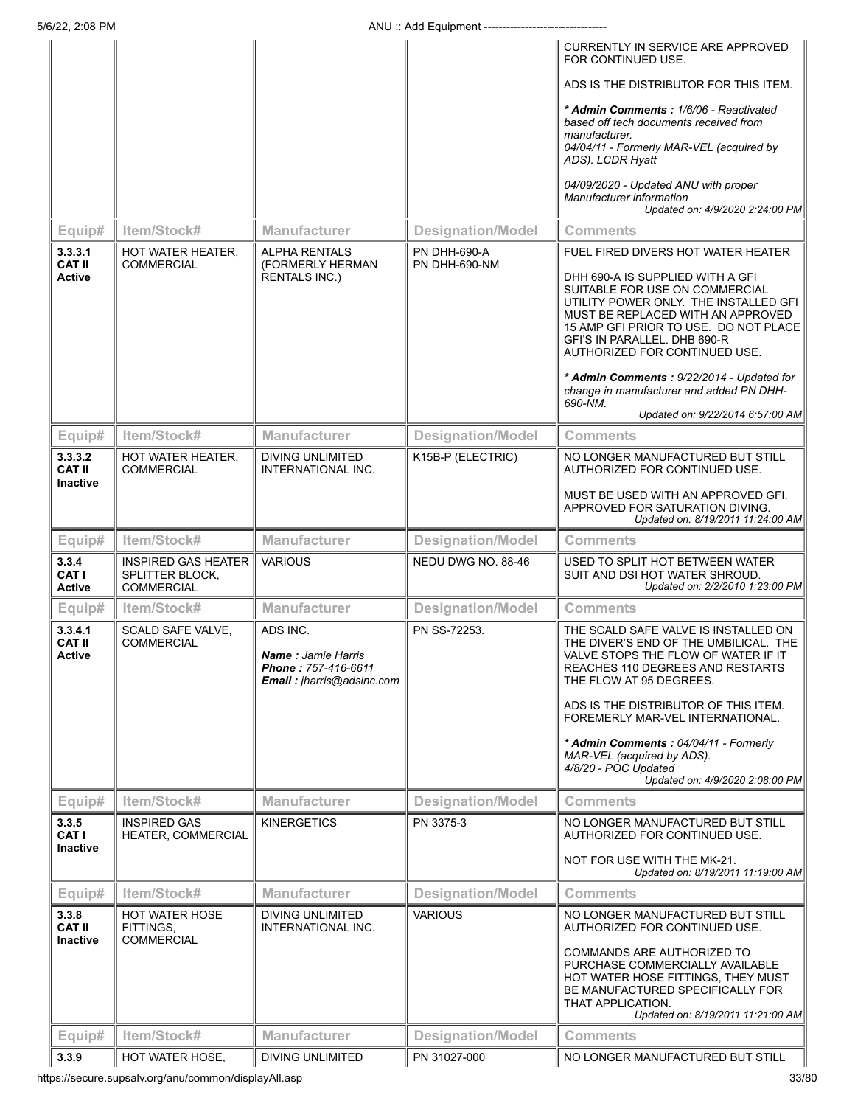|                                             |                                                                           |                                                                                           |                                       | CURRENTLY IN SERVICE ARE APPROVED<br>FOR CONTINUED USE.                                                                                                                                                                                                    |
|---------------------------------------------|---------------------------------------------------------------------------|-------------------------------------------------------------------------------------------|---------------------------------------|------------------------------------------------------------------------------------------------------------------------------------------------------------------------------------------------------------------------------------------------------------|
|                                             |                                                                           |                                                                                           |                                       | ADS IS THE DISTRIBUTOR FOR THIS ITEM.                                                                                                                                                                                                                      |
|                                             |                                                                           |                                                                                           |                                       | * Admin Comments: 1/6/06 - Reactivated<br>based off tech documents received from<br>manufacturer.<br>04/04/11 - Formerly MAR-VEL (acquired by<br>ADS). LCDR Hyatt                                                                                          |
|                                             |                                                                           |                                                                                           |                                       | 04/09/2020 - Updated ANU with proper<br>Manufacturer information<br>Updated on: 4/9/2020 2:24:00 PM                                                                                                                                                        |
| Equip#                                      | Item/Stock#                                                               | <b>Manufacturer</b>                                                                       | <b>Designation/Model</b>              | Comments                                                                                                                                                                                                                                                   |
| 3.3.3.1<br><b>CAT II</b>                    | <b>HOT WATER HEATER,</b><br><b>COMMERCIAL</b>                             | <b>ALPHA RENTALS</b><br>(FORMERLY HERMAN                                                  | <b>PN DHH-690-A</b><br>PN DHH-690-NM  | FUEL FIRED DIVERS HOT WATER HEATER                                                                                                                                                                                                                         |
| <b>Active</b>                               |                                                                           | <b>RENTALS INC.)</b>                                                                      |                                       | DHH 690-A IS SUPPLIED WITH A GFI<br>SUITABLE FOR USE ON COMMERCIAL<br>UTILITY POWER ONLY. THE INSTALLED GFI<br>MUST BE REPLACED WITH AN APPROVED<br>15 AMP GFI PRIOR TO USE. DO NOT PLACE<br>GFI'S IN PARALLEL. DHB 690-R<br>AUTHORIZED FOR CONTINUED USE. |
|                                             |                                                                           |                                                                                           |                                       | * Admin Comments: 9/22/2014 - Updated for<br>change in manufacturer and added PN DHH-<br>690-NM.                                                                                                                                                           |
|                                             |                                                                           |                                                                                           |                                       | Updated on: 9/22/2014 6:57:00 AM                                                                                                                                                                                                                           |
| Equip#                                      | Item/Stock#                                                               | <b>Manufacturer</b>                                                                       | <b>Designation/Model</b>              | Comments                                                                                                                                                                                                                                                   |
| 3.3.3.2<br><b>CAT II</b><br><b>Inactive</b> | <b>HOT WATER HEATER,</b><br><b>COMMERCIAL</b>                             | DIVING UNLIMITED<br>INTERNATIONAL INC.                                                    | K15B-P (ELECTRIC)                     | NO LONGER MANUFACTURED BUT STILL<br>AUTHORIZED FOR CONTINUED USE.                                                                                                                                                                                          |
|                                             |                                                                           |                                                                                           |                                       | MUST BE USED WITH AN APPROVED GFI.<br>APPROVED FOR SATURATION DIVING.<br>Updated on: 8/19/2011 11:24:00 AM                                                                                                                                                 |
| Equip#                                      | Item/Stock#                                                               | <b>Manufacturer</b>                                                                       | <b>Designation/Model</b>              | <b>Comments</b>                                                                                                                                                                                                                                            |
|                                             |                                                                           |                                                                                           |                                       |                                                                                                                                                                                                                                                            |
| 3.3.4<br>CAT I<br><b>Active</b>             | <b>INSPIRED GAS HEATER</b><br><b>SPLITTER BLOCK,</b><br><b>COMMERCIAL</b> | <b>VARIOUS</b>                                                                            | NEDU DWG NO. 88-46                    | USED TO SPLIT HOT BETWEEN WATER<br>SUIT AND DSI HOT WATER SHROUD.<br>Updated on: 2/2/2010 1:23:00 PM                                                                                                                                                       |
| Equip#                                      | Item/Stock#                                                               | <b>Manufacturer</b>                                                                       | <b>Designation/Model</b>              | <b>Comments</b>                                                                                                                                                                                                                                            |
| 3.3.4.1<br>CAT II<br>Active                 | SCALD SAFE VALVE,<br><b>COMMERCIAL</b>                                    | ADS INC.<br><b>Name:</b> Jamie Harris<br>Phone: 757-416-6611<br>Email: jharris@adsinc.com | PN SS-72253.                          | THE SCALD SAFE VALVE IS INSTALLED ON<br>THE DIVER'S END OF THE UMBILICAL. THE<br>VALVE STOPS THE FLOW OF WATER IF IT<br>REACHES 110 DEGREES AND RESTARTS<br>THE FLOW AT 95 DEGREES.                                                                        |
|                                             |                                                                           |                                                                                           |                                       | ADS IS THE DISTRIBUTOR OF THIS ITEM.<br>FOREMERLY MAR-VEL INTERNATIONAL.                                                                                                                                                                                   |
|                                             |                                                                           |                                                                                           |                                       | * Admin Comments: 04/04/11 - Formerly<br>MAR-VEL (acquired by ADS).<br>4/8/20 - POC Updated                                                                                                                                                                |
|                                             | Item/Stock#                                                               | <b>Manufacturer</b>                                                                       |                                       | Updated on: 4/9/2020 2:08:00 PM<br><b>Comments</b>                                                                                                                                                                                                         |
| Equip#<br>3.3.5                             | <b>INSPIRED GAS</b>                                                       | <b>KINERGETICS</b>                                                                        | <b>Designation/Model</b><br>PN 3375-3 | NO LONGER MANUFACTURED BUT STILL                                                                                                                                                                                                                           |
| CAT I<br><b>Inactive</b>                    | HEATER, COMMERCIAL                                                        |                                                                                           |                                       | AUTHORIZED FOR CONTINUED USE.<br>NOT FOR USE WITH THE MK-21.                                                                                                                                                                                               |
|                                             |                                                                           |                                                                                           |                                       | Updated on: 8/19/2011 11:19:00 AM                                                                                                                                                                                                                          |
| Equip#<br>3.3.8                             | Item/Stock#                                                               | <b>Manufacturer</b><br>DIVING UNLIMITED                                                   | <b>Designation/Model</b>              | <b>Comments</b><br>NO LONGER MANUFACTURED BUT STILL                                                                                                                                                                                                        |
| <b>CAT II</b>                               | HOT WATER HOSE<br>FITTINGS,                                               | INTERNATIONAL INC.                                                                        | <b>VARIOUS</b>                        | AUTHORIZED FOR CONTINUED USE.                                                                                                                                                                                                                              |
| <b>Inactive</b>                             | <b>COMMERCIAL</b>                                                         |                                                                                           |                                       | COMMANDS ARE AUTHORIZED TO<br>PURCHASE COMMERCIALLY AVAILABLE<br>HOT WATER HOSE FITTINGS, THEY MUST<br>BE MANUFACTURED SPECIFICALLY FOR<br>THAT APPLICATION.<br>Updated on: 8/19/2011 11:21:00 AM                                                          |
| Equip#                                      | Item/Stock#                                                               | <b>Manufacturer</b>                                                                       | <b>Designation/Model</b>              | <b>Comments</b>                                                                                                                                                                                                                                            |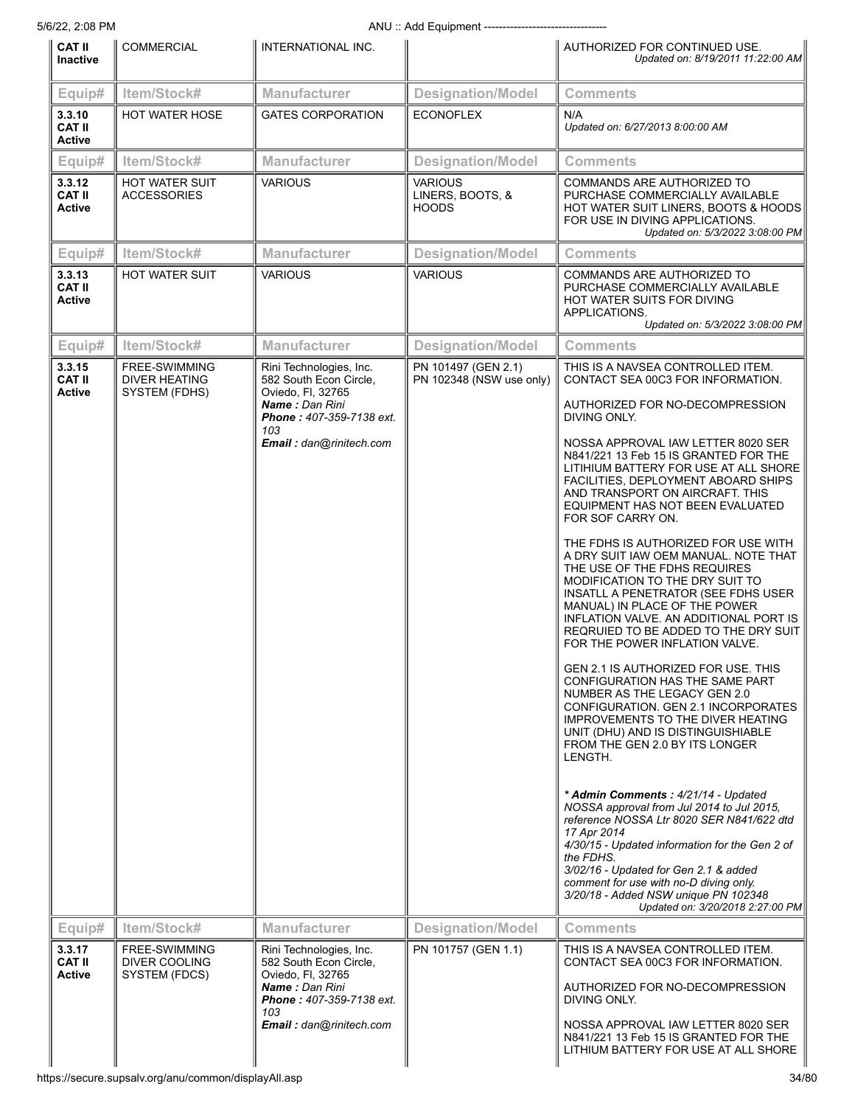| <b>CAT II</b><br><b>Inactive</b>         | <b>COMMERCIAL</b>                                      | INTERNATIONAL INC.                                                                                                                                            |                                                 | AUTHORIZED FOR CONTINUED USE.<br>Updated on: 8/19/2011 11:22:00 AM                                                                                                                                                                                                                                                                                                                                                                                                                                                                                                                                                                                                                                                                                                                                                                                                                                                                                                                                                                                                                                                                                                                                                          |
|------------------------------------------|--------------------------------------------------------|---------------------------------------------------------------------------------------------------------------------------------------------------------------|-------------------------------------------------|-----------------------------------------------------------------------------------------------------------------------------------------------------------------------------------------------------------------------------------------------------------------------------------------------------------------------------------------------------------------------------------------------------------------------------------------------------------------------------------------------------------------------------------------------------------------------------------------------------------------------------------------------------------------------------------------------------------------------------------------------------------------------------------------------------------------------------------------------------------------------------------------------------------------------------------------------------------------------------------------------------------------------------------------------------------------------------------------------------------------------------------------------------------------------------------------------------------------------------|
| Equip#                                   | Item/Stock#                                            | <b>Manufacturer</b>                                                                                                                                           | <b>Designation/Model</b>                        | <b>Comments</b>                                                                                                                                                                                                                                                                                                                                                                                                                                                                                                                                                                                                                                                                                                                                                                                                                                                                                                                                                                                                                                                                                                                                                                                                             |
| 3.3.10<br><b>CAT II</b><br><b>Active</b> | <b>HOT WATER HOSE</b>                                  | <b>GATES CORPORATION</b>                                                                                                                                      | <b>ECONOFLEX</b>                                | N/A<br>Updated on: 6/27/2013 8:00:00 AM                                                                                                                                                                                                                                                                                                                                                                                                                                                                                                                                                                                                                                                                                                                                                                                                                                                                                                                                                                                                                                                                                                                                                                                     |
| Equip#                                   | Item/Stock#                                            | <b>Manufacturer</b>                                                                                                                                           | <b>Designation/Model</b>                        | <b>Comments</b>                                                                                                                                                                                                                                                                                                                                                                                                                                                                                                                                                                                                                                                                                                                                                                                                                                                                                                                                                                                                                                                                                                                                                                                                             |
| 3.3.12<br><b>CAT II</b><br>Active        | <b>HOT WATER SUIT</b><br><b>ACCESSORIES</b>            | <b>VARIOUS</b>                                                                                                                                                | <b>VARIOUS</b><br>LINERS, BOOTS, &<br>HOODS     | COMMANDS ARE AUTHORIZED TO<br>PURCHASE COMMERCIALLY AVAILABLE<br>HOT WATER SUIT LINERS, BOOTS & HOODS<br>FOR USE IN DIVING APPLICATIONS.<br>Updated on: 5/3/2022 3:08:00 PM                                                                                                                                                                                                                                                                                                                                                                                                                                                                                                                                                                                                                                                                                                                                                                                                                                                                                                                                                                                                                                                 |
| Equip#                                   | Item/Stock#                                            | <b>Manufacturer</b>                                                                                                                                           | <b>Designation/Model</b>                        | <b>Comments</b>                                                                                                                                                                                                                                                                                                                                                                                                                                                                                                                                                                                                                                                                                                                                                                                                                                                                                                                                                                                                                                                                                                                                                                                                             |
| 3.3.13<br><b>CAT II</b><br>Active        | <b>HOT WATER SUIT</b>                                  | <b>VARIOUS</b>                                                                                                                                                | <b>VARIOUS</b>                                  | COMMANDS ARE AUTHORIZED TO<br>PURCHASE COMMERCIALLY AVAILABLE<br>HOT WATER SUITS FOR DIVING<br>APPLICATIONS.<br>Updated on: 5/3/2022 3:08:00 PM                                                                                                                                                                                                                                                                                                                                                                                                                                                                                                                                                                                                                                                                                                                                                                                                                                                                                                                                                                                                                                                                             |
| Equip#                                   | Item/Stock#                                            | <b>Manufacturer</b>                                                                                                                                           | <b>Designation/Model</b>                        | <b>Comments</b>                                                                                                                                                                                                                                                                                                                                                                                                                                                                                                                                                                                                                                                                                                                                                                                                                                                                                                                                                                                                                                                                                                                                                                                                             |
| 3.3.15<br><b>CAT II</b><br>Active        | FREE-SWIMMING<br><b>DIVER HEATING</b><br>SYSTEM (FDHS) | Rini Technologies, Inc.<br>582 South Econ Circle,<br>Oviedo, Fl, 32765<br><b>Name: Dan Rini</b><br>Phone: 407-359-7138 ext.<br>103<br>Email: dan@rinitech.com | PN 101497 (GEN 2.1)<br>PN 102348 (NSW use only) | THIS IS A NAVSEA CONTROLLED ITEM.<br>CONTACT SEA 00C3 FOR INFORMATION.<br>AUTHORIZED FOR NO-DECOMPRESSION<br>DIVING ONLY.<br>NOSSA APPROVAL IAW LETTER 8020 SER<br>N841/221 13 Feb 15 IS GRANTED FOR THE<br>LITIHIUM BATTERY FOR USE AT ALL SHORE<br>FACILITIES, DEPLOYMENT ABOARD SHIPS<br>AND TRANSPORT ON AIRCRAFT. THIS<br>EQUIPMENT HAS NOT BEEN EVALUATED<br>FOR SOF CARRY ON.<br>THE FDHS IS AUTHORIZED FOR USE WITH<br>A DRY SUIT IAW OEM MANUAL. NOTE THAT<br>THE USE OF THE FDHS REQUIRES<br>MODIFICATION TO THE DRY SUIT TO<br>INSATLL A PENETRATOR (SEE FDHS USER<br>MANUAL) IN PLACE OF THE POWER<br>INFLATION VALVE. AN ADDITIONAL PORT IS<br>REQRUIED TO BE ADDED TO THE DRY SUIT<br>FOR THE POWER INFLATION VALVE.<br><b>GEN 2.1 IS AUTHORIZED FOR USE. THIS</b><br>CONFIGURATION HAS THE SAME PART<br>NUMBER AS THE LEGACY GEN 2.0<br>CONFIGURATION. GEN 2.1 INCORPORATES<br><b>IMPROVEMENTS TO THE DIVER HEATING</b><br>UNIT (DHU) AND IS DISTINGUISHIABLE<br>FROM THE GEN 2.0 BY ITS LONGER<br>LENGTH.<br>* Admin Comments: 4/21/14 - Updated<br>NOSSA approval from Jul 2014 to Jul 2015,<br>reference NOSSA Ltr 8020 SER N841/622 dtd<br>17 Apr 2014<br>4/30/15 - Updated information for the Gen 2 of |
|                                          |                                                        |                                                                                                                                                               |                                                 | the FDHS.<br>3/02/16 - Updated for Gen 2.1 & added<br>comment for use with no-D diving only.<br>3/20/18 - Added NSW unique PN 102348<br>Updated on: 3/20/2018 2:27:00 PM                                                                                                                                                                                                                                                                                                                                                                                                                                                                                                                                                                                                                                                                                                                                                                                                                                                                                                                                                                                                                                                    |
| Equip#                                   | Item/Stock#                                            | <b>Manufacturer</b>                                                                                                                                           | <b>Designation/Model</b>                        | <b>Comments</b>                                                                                                                                                                                                                                                                                                                                                                                                                                                                                                                                                                                                                                                                                                                                                                                                                                                                                                                                                                                                                                                                                                                                                                                                             |
| 3.3.17<br><b>CAT II</b><br>Active        | FREE-SWIMMING<br>DIVER COOLING<br>SYSTEM (FDCS)        | Rini Technologies, Inc.<br>582 South Econ Circle,<br>Oviedo, Fl, 32765<br><b>Name: Dan Rini</b><br>Phone: 407-359-7138 ext.<br>103<br>Email: dan@rinitech.com | PN 101757 (GEN 1.1)                             | THIS IS A NAVSEA CONTROLLED ITEM.<br>CONTACT SEA 00C3 FOR INFORMATION.<br>AUTHORIZED FOR NO-DECOMPRESSION<br>DIVING ONLY.<br>NOSSA APPROVAL IAW LETTER 8020 SER<br>N841/221 13 Feb 15 IS GRANTED FOR THE<br>LITHIUM BATTERY FOR USE AT ALL SHORE                                                                                                                                                                                                                                                                                                                                                                                                                                                                                                                                                                                                                                                                                                                                                                                                                                                                                                                                                                            |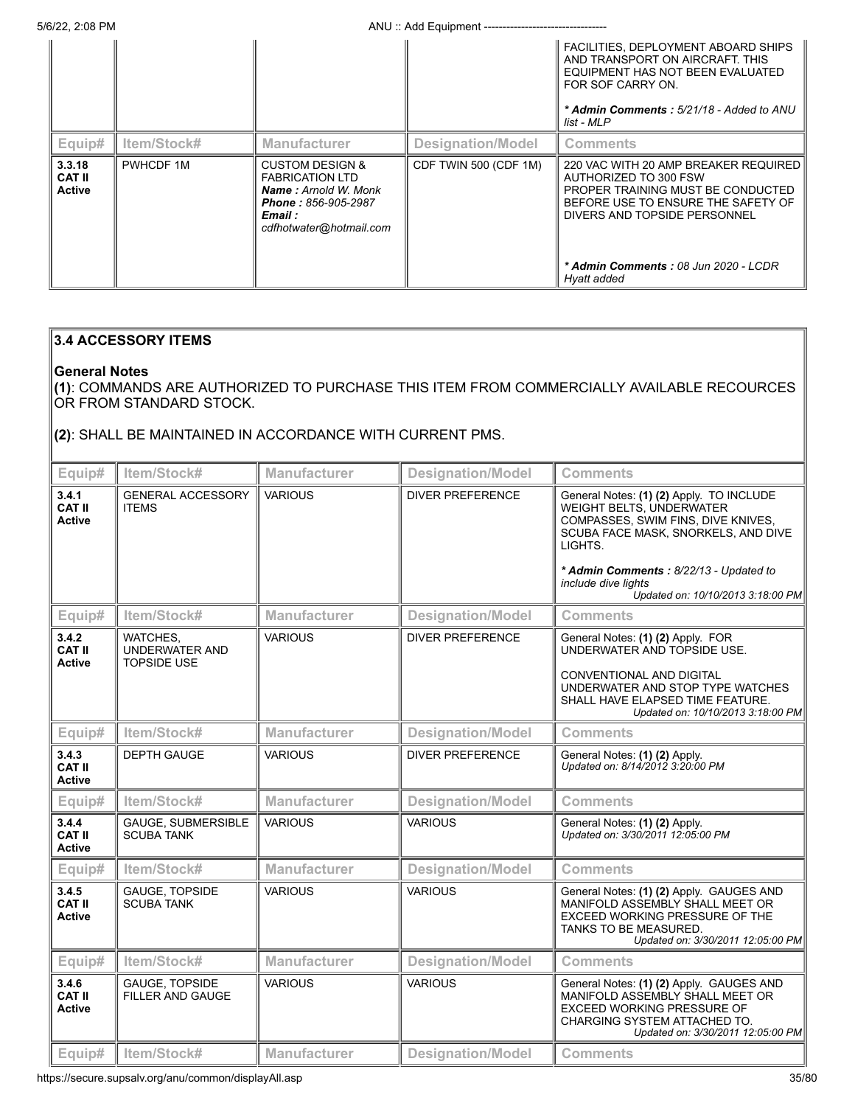5/6/22, 2:08 PM ANU :: Add Equipment ---------------------------------

|                                          |             |                                                                                                                                                         |                       | FACILITIES, DEPLOYMENT ABOARD SHIPS<br>AND TRANSPORT ON AIRCRAFT THIS<br>EQUIPMENT HAS NOT BEEN EVALUATED<br>FOR SOF CARRY ON.<br>* Admin Comments: 5/21/18 - Added to ANU<br>list - MLP                                        |
|------------------------------------------|-------------|---------------------------------------------------------------------------------------------------------------------------------------------------------|-----------------------|---------------------------------------------------------------------------------------------------------------------------------------------------------------------------------------------------------------------------------|
| Equip#                                   | Item/Stock# | <b>Manufacturer</b>                                                                                                                                     | Designation/Model     | Comments                                                                                                                                                                                                                        |
| 3.3.18<br><b>CAT II</b><br><b>Active</b> | PWHCDF 1M   | <b>CUSTOM DESIGN &amp;</b><br><b>FABRICATION LTD</b><br><b>Name:</b> Arnold W. Monk<br><b>Phone: 856-905-2987</b><br>Email :<br>cdfhotwater@hotmail.com | CDF TWIN 500 (CDF 1M) | 220 VAC WITH 20 AMP BREAKER REQUIRED<br>AUTHORIZED TO 300 FSW<br>PROPER TRAINING MUST BE CONDUCTED<br>BEFORE USE TO ENSURE THE SAFETY OF<br>DIVERS AND TOPSIDE PERSONNEL<br>* Admin Comments: 08 Jun 2020 - LCDR<br>Hyatt added |

# **3.4 ACCESSORY ITEMS**

# **General Notes**

**(1)**: COMMANDS ARE AUTHORIZED TO PURCHASE THIS ITEM FROM COMMERCIALLY AVAILABLE RECOURCES OR FROM STANDARD STOCK.

**(2)**: SHALL BE MAINTAINED IN ACCORDANCE WITH CURRENT PMS.

| Equip#                                  | Item/Stock#                                             | Manufacturer        | <b>Designation/Model</b> | <b>Comments</b>                                                                                                                                                                                                                                                           |
|-----------------------------------------|---------------------------------------------------------|---------------------|--------------------------|---------------------------------------------------------------------------------------------------------------------------------------------------------------------------------------------------------------------------------------------------------------------------|
| 3.4.1<br><b>CAT II</b><br><b>Active</b> | <b>GENERAL ACCESSORY</b><br><b>ITEMS</b>                | <b>VARIOUS</b>      | <b>DIVER PREFERENCE</b>  | General Notes: (1) (2) Apply. TO INCLUDE<br><b>WEIGHT BELTS, UNDERWATER</b><br>COMPASSES, SWIM FINS, DIVE KNIVES,<br>SCUBA FACE MASK, SNORKELS, AND DIVE<br>LIGHTS.<br>* Admin Comments: 8/22/13 - Updated to<br>include dive lights<br>Updated on: 10/10/2013 3:18:00 PM |
| Equip#                                  | Item/Stock#                                             | <b>Manufacturer</b> | <b>Designation/Model</b> | <b>Comments</b>                                                                                                                                                                                                                                                           |
| 3.4.2<br><b>CAT II</b><br><b>Active</b> | WATCHES,<br><b>UNDERWATER AND</b><br><b>TOPSIDE USE</b> | <b>VARIOUS</b>      | <b>DIVER PREFERENCE</b>  | General Notes: (1) (2) Apply. FOR<br>UNDERWATER AND TOPSIDE USE.<br><b>CONVENTIONAL AND DIGITAL</b><br>UNDERWATER AND STOP TYPE WATCHES<br>SHALL HAVE ELAPSED TIME FEATURE.<br>Updated on: 10/10/2013 3:18:00 PM                                                          |
| Equip#                                  | Item/Stock#                                             | <b>Manufacturer</b> | <b>Designation/Model</b> | <b>Comments</b>                                                                                                                                                                                                                                                           |
| 3.4.3<br>CAT II<br><b>Active</b>        | <b>DEPTH GAUGE</b>                                      | <b>VARIOUS</b>      | <b>DIVER PREFERENCE</b>  | General Notes: (1) (2) Apply.<br>Updated on: 8/14/2012 3:20:00 PM                                                                                                                                                                                                         |
| Equip#                                  | Item/Stock#                                             | <b>Manufacturer</b> | <b>Designation/Model</b> | <b>Comments</b>                                                                                                                                                                                                                                                           |
| 3.4.4<br><b>CAT II</b><br><b>Active</b> | GAUGE, SUBMERSIBLE<br><b>SCUBA TANK</b>                 | <b>VARIOUS</b>      | <b>VARIOUS</b>           | General Notes: (1) (2) Apply.<br>Updated on: 3/30/2011 12:05:00 PM                                                                                                                                                                                                        |
| Equip#                                  | Item/Stock#                                             | <b>Manufacturer</b> | <b>Designation/Model</b> | <b>Comments</b>                                                                                                                                                                                                                                                           |
| 3.4.5<br><b>CAT II</b><br><b>Active</b> | <b>GAUGE, TOPSIDE</b><br><b>SCUBA TANK</b>              | <b>VARIOUS</b>      | <b>VARIOUS</b>           | General Notes: (1) (2) Apply. GAUGES AND<br>MANIFOLD ASSEMBLY SHALL MEET OR<br><b>EXCEED WORKING PRESSURE OF THE</b><br>TANKS TO BE MEASURED.<br>Updated on: 3/30/2011 12:05:00 PM                                                                                        |
| Equip#                                  | Item/Stock#                                             | <b>Manufacturer</b> | <b>Designation/Model</b> | <b>Comments</b>                                                                                                                                                                                                                                                           |
| 3.4.6<br><b>CAT II</b><br><b>Active</b> | <b>GAUGE, TOPSIDE</b><br><b>FILLER AND GAUGE</b>        | <b>VARIOUS</b>      | <b>VARIOUS</b>           | General Notes: (1) (2) Apply. GAUGES AND<br>MANIFOLD ASSEMBLY SHALL MEET OR<br><b>EXCEED WORKING PRESSURE OF</b><br>CHARGING SYSTEM ATTACHED TO.<br>Updated on: 3/30/2011 12:05:00 PM                                                                                     |
| Equip#                                  | Item/Stock#                                             | <b>Manufacturer</b> | <b>Designation/Model</b> | <b>Comments</b>                                                                                                                                                                                                                                                           |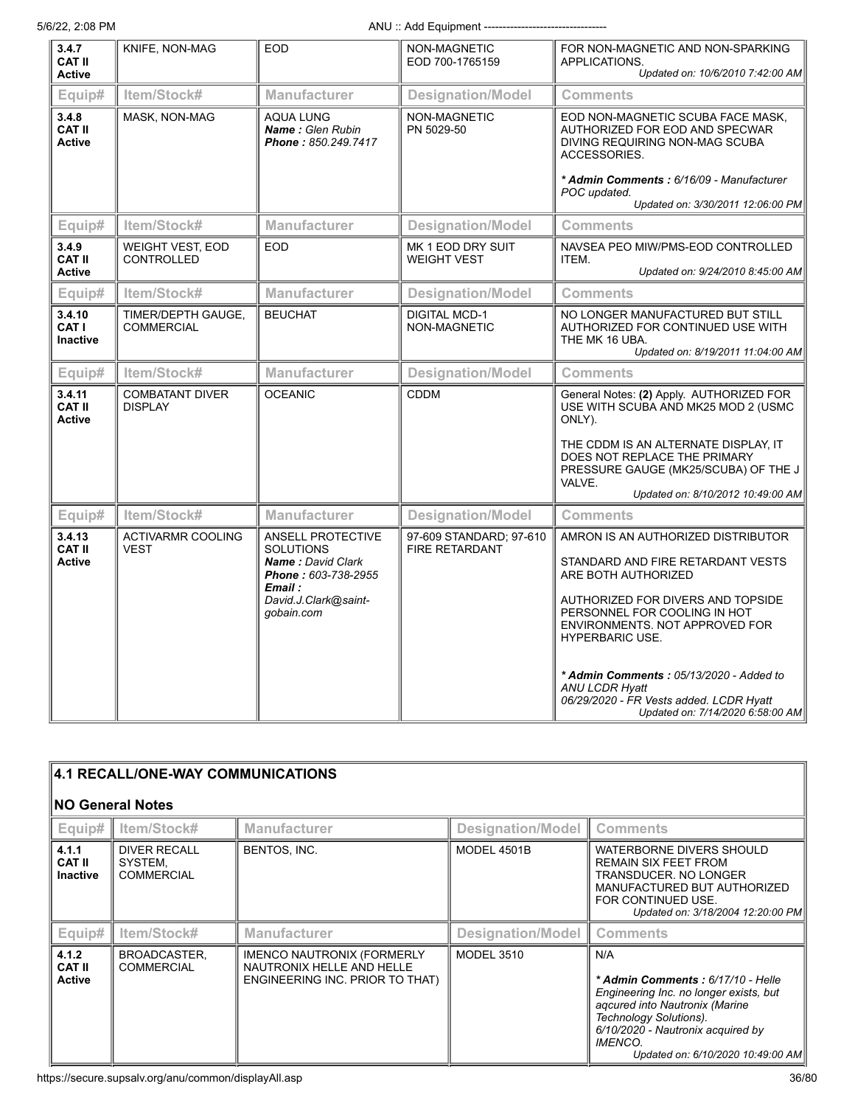5/6/22, 2:08 PM ANU :: Add Equipment ---------------------------------

| 3.4.7<br><b>CAT II</b><br><b>Active</b>   | KNIFE, NON-MAG                               | <b>EOD</b>                                                                                                                                | NON-MAGNETIC<br>EOD 700-1765159                  | FOR NON-MAGNETIC AND NON-SPARKING<br>APPLICATIONS.<br>Updated on: 10/6/2010 7:42:00 AM                                                                                                                                                                                                                                                                                             |
|-------------------------------------------|----------------------------------------------|-------------------------------------------------------------------------------------------------------------------------------------------|--------------------------------------------------|------------------------------------------------------------------------------------------------------------------------------------------------------------------------------------------------------------------------------------------------------------------------------------------------------------------------------------------------------------------------------------|
| Equip#                                    | Item/Stock#                                  | <b>Manufacturer</b>                                                                                                                       | <b>Designation/Model</b>                         | <b>Comments</b>                                                                                                                                                                                                                                                                                                                                                                    |
| 3.4.8<br><b>CAT II</b><br><b>Active</b>   | MASK, NON-MAG                                | <b>AQUA LUNG</b><br>Name: Glen Rubin<br>Phone: 850.249.7417                                                                               | NON-MAGNETIC<br>PN 5029-50                       | EOD NON-MAGNETIC SCUBA FACE MASK,<br>AUTHORIZED FOR EOD AND SPECWAR<br>DIVING REQUIRING NON-MAG SCUBA<br>ACCESSORIES.<br>* Admin Comments: 6/16/09 - Manufacturer                                                                                                                                                                                                                  |
|                                           |                                              |                                                                                                                                           |                                                  | POC updated.<br>Updated on: 3/30/2011 12:06:00 PM                                                                                                                                                                                                                                                                                                                                  |
| Equip#                                    | Item/Stock#                                  | <b>Manufacturer</b>                                                                                                                       | <b>Designation/Model</b>                         | <b>Comments</b>                                                                                                                                                                                                                                                                                                                                                                    |
| 3.4.9<br><b>CAT II</b><br>Active          | <b>WEIGHT VEST, EOD</b><br><b>CONTROLLED</b> | <b>EOD</b>                                                                                                                                | MK 1 EOD DRY SUIT<br><b>WEIGHT VEST</b>          | NAVSEA PEO MIW/PMS-EOD CONTROLLED<br>ITEM.<br>Updated on: 9/24/2010 8:45:00 AM                                                                                                                                                                                                                                                                                                     |
| Equip#                                    | Item/Stock#                                  | <b>Manufacturer</b>                                                                                                                       | <b>Designation/Model</b>                         | <b>Comments</b>                                                                                                                                                                                                                                                                                                                                                                    |
| 3.4.10<br><b>CAT I</b><br><b>Inactive</b> | TIMER/DEPTH GAUGE,<br><b>COMMERCIAL</b>      | <b>BEUCHAT</b>                                                                                                                            | <b>DIGITAL MCD-1</b><br>NON-MAGNETIC             | NO LONGER MANUFACTURED BUT STILL<br>AUTHORIZED FOR CONTINUED USE WITH<br>THE MK 16 UBA.<br>Updated on: 8/19/2011 11:04:00 AM                                                                                                                                                                                                                                                       |
| Equip#                                    | Item/Stock#                                  | Manufacturer                                                                                                                              | <b>Designation/Model</b>                         | Comments                                                                                                                                                                                                                                                                                                                                                                           |
| 3.4.11<br><b>CAT II</b><br><b>Active</b>  | <b>COMBATANT DIVER</b><br><b>DISPLAY</b>     | <b>OCEANIC</b>                                                                                                                            | <b>CDDM</b>                                      | General Notes: (2) Apply. AUTHORIZED FOR<br>USE WITH SCUBA AND MK25 MOD 2 (USMC<br>ONLY).<br>THE CDDM IS AN ALTERNATE DISPLAY, IT<br>DOES NOT REPLACE THE PRIMARY<br>PRESSURE GAUGE (MK25/SCUBA) OF THE J<br>VALVE.<br>Updated on: 8/10/2012 10:49:00 AM                                                                                                                           |
| Equip#                                    | Item/Stock#                                  | <b>Manufacturer</b>                                                                                                                       | <b>Designation/Model</b>                         | <b>Comments</b>                                                                                                                                                                                                                                                                                                                                                                    |
| 3.4.13<br><b>CAT II</b><br><b>Active</b>  | <b>ACTIVARMR COOLING</b><br><b>VEST</b>      | ANSELL PROTECTIVE<br><b>SOLUTIONS</b><br><b>Name: David Clark</b><br>Phone: 603-738-2955<br>Email :<br>David.J.Clark@saint-<br>gobain.com | 97-609 STANDARD; 97-610<br><b>FIRE RETARDANT</b> | AMRON IS AN AUTHORIZED DISTRIBUTOR<br>STANDARD AND FIRE RETARDANT VESTS<br>ARE BOTH AUTHORIZED<br>AUTHORIZED FOR DIVERS AND TOPSIDE<br>PERSONNEL FOR COOLING IN HOT<br>ENVIRONMENTS. NOT APPROVED FOR<br><b>HYPERBARIC USE.</b><br>* Admin Comments: 05/13/2020 - Added to<br><b>ANU LCDR Hyatt</b><br>06/29/2020 - FR Vests added. LCDR Hyatt<br>Updated on: 7/14/2020 6:58:00 AM |

| 4.1 RECALL/ONE-WAY COMMUNICATIONS         |                                                     |                                                                                                   |                          |                                                                                                                                                                                                                                            |
|-------------------------------------------|-----------------------------------------------------|---------------------------------------------------------------------------------------------------|--------------------------|--------------------------------------------------------------------------------------------------------------------------------------------------------------------------------------------------------------------------------------------|
| <b>NO General Notes</b>                   |                                                     |                                                                                                   |                          |                                                                                                                                                                                                                                            |
| Equip#                                    | Item/Stock#                                         | <b>Manufacturer</b>                                                                               | <b>Designation/Model</b> | <b>Comments</b>                                                                                                                                                                                                                            |
| 4.1.1<br><b>CAT II</b><br><b>Inactive</b> | <b>DIVER RECALL</b><br>SYSTEM,<br><b>COMMERCIAL</b> | BENTOS, INC.                                                                                      | MODEL 4501B              | WATERBORNE DIVERS SHOULD<br><b>REMAIN SIX FEET FROM</b><br>TRANSDUCER, NO LONGER<br>MANUFACTURED BUT AUTHORIZED<br>FOR CONTINUED USE.<br>Updated on: 3/18/2004 12:20:00 PM                                                                 |
| Equip#                                    | Item/Stock#                                         | <b>Manufacturer</b>                                                                               | <b>Designation/Model</b> | <b>Comments</b>                                                                                                                                                                                                                            |
| 4.1.2<br><b>CAT II</b><br><b>Active</b>   | BROADCASTER,<br><b>COMMERCIAL</b>                   | <b>IMENCO NAUTRONIX (FORMERLY</b><br>NAUTRONIX HELLE AND HELLE<br>ENGINEERING INC. PRIOR TO THAT) | <b>MODEL 3510</b>        | N/A<br>* Admin Comments: 6/17/10 - Helle<br>Engineering Inc. no longer exists, but<br>agcured into Nautronix (Marine<br>Technology Solutions).<br>6/10/2020 - Nautronix acquired by<br><b>IMENCO.</b><br>Updated on: 6/10/2020 10:49:00 AM |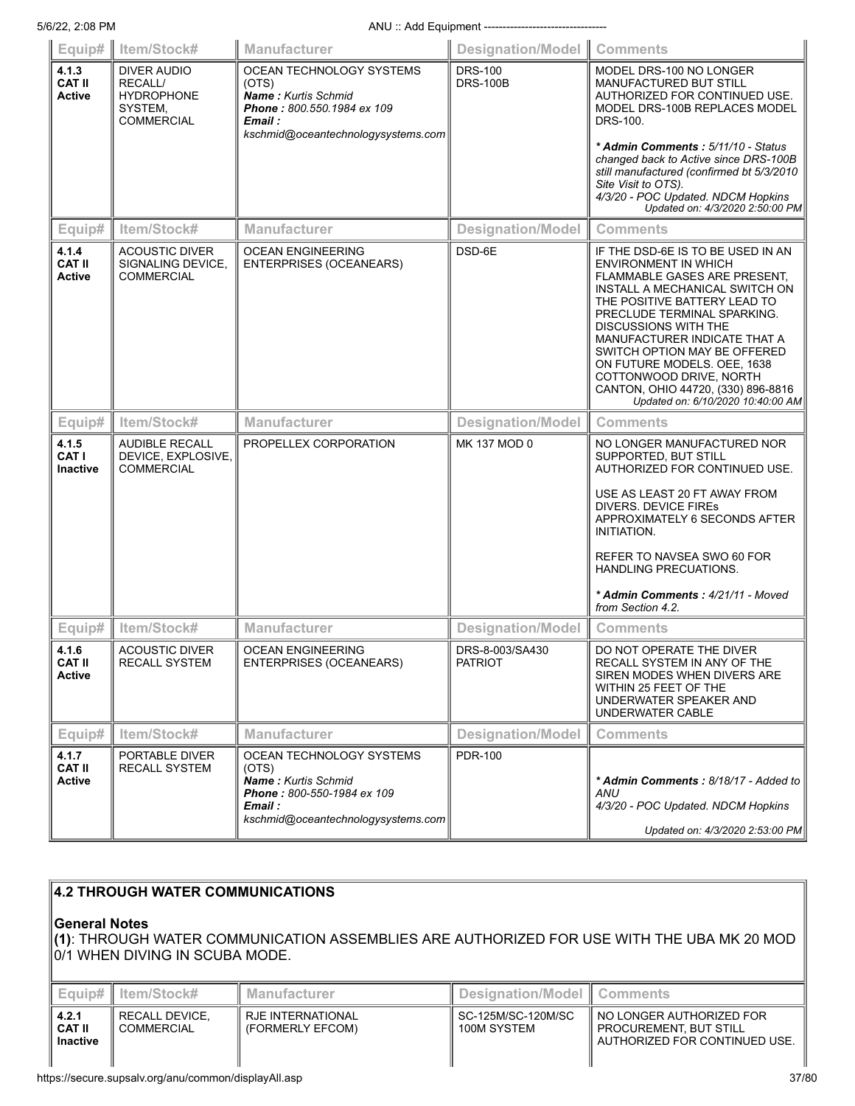|                                          | Equip#   Item/Stock#                                                               | Manufacturer                                                                                                                                   | Designation/Model Comments        |                                                                                                                                                                                                                                                                                                                                                                                                                         |
|------------------------------------------|------------------------------------------------------------------------------------|------------------------------------------------------------------------------------------------------------------------------------------------|-----------------------------------|-------------------------------------------------------------------------------------------------------------------------------------------------------------------------------------------------------------------------------------------------------------------------------------------------------------------------------------------------------------------------------------------------------------------------|
| 4.1.3<br><b>CAT II</b><br>Active         | DIVER AUDIO<br><b>RECALL/</b><br><b>HYDROPHONE</b><br>SYSTEM,<br><b>COMMERCIAL</b> | OCEAN TECHNOLOGY SYSTEMS<br>(OTS)<br>Name: Kurtis Schmid<br>Phone: 800.550.1984 ex 109<br>Email :<br>kschmid@oceantechnologysystems.com        | <b>DRS-100</b><br><b>DRS-100B</b> | MODEL DRS-100 NO LONGER<br><b>MANUFACTURED BUT STILL</b><br>AUTHORIZED FOR CONTINUED USE.<br>MODEL DRS-100B REPLACES MODEL<br>DRS-100.<br>* Admin Comments: 5/11/10 - Status<br>changed back to Active since DRS-100B<br>still manufactured (confirmed bt 5/3/2010<br>Site Visit to OTS).<br>4/3/20 - POC Updated. NDCM Hopkins<br>Updated on: 4/3/2020 2:50:00 PM                                                      |
| Equip#                                   | Item/Stock#                                                                        | <b>Manufacturer</b>                                                                                                                            | <b>Designation/Model</b>          | <b>Comments</b>                                                                                                                                                                                                                                                                                                                                                                                                         |
| 4.1.4<br><b>CAT II</b><br><b>Active</b>  | <b>ACOUSTIC DIVER</b><br>SIGNALING DEVICE,<br><b>COMMERCIAL</b>                    | <b>OCEAN ENGINEERING</b><br><b>ENTERPRISES (OCEANEARS)</b>                                                                                     | DSD-6E                            | IF THE DSD-6E IS TO BE USED IN AN<br>ENVIRONMENT IN WHICH<br>FLAMMABLE GASES ARE PRESENT,<br>INSTALL A MECHANICAL SWITCH ON<br>THE POSITIVE BATTERY LEAD TO<br>PRECLUDE TERMINAL SPARKING.<br>DISCUSSIONS WITH THE<br>MANUFACTURER INDICATE THAT A<br>SWITCH OPTION MAY BE OFFERED<br>ON FUTURE MODELS. OEE, 1638<br>COTTONWOOD DRIVE, NORTH<br>CANTON, OHIO 44720, (330) 896-8816<br>Updated on: 6/10/2020 10:40:00 AM |
| Equip#                                   | Item/Stock#                                                                        | <b>Manufacturer</b>                                                                                                                            | <b>Designation/Model</b>          | <b>Comments</b>                                                                                                                                                                                                                                                                                                                                                                                                         |
| 4.1.5<br><b>CAT I</b><br><b>Inactive</b> | <b>AUDIBLE RECALL</b><br>DEVICE, EXPLOSIVE,<br><b>COMMERCIAL</b>                   | PROPELLEX CORPORATION                                                                                                                          | MK 137 MOD 0                      | NO LONGER MANUFACTURED NOR<br>SUPPORTED, BUT STILL<br>AUTHORIZED FOR CONTINUED USE.<br>USE AS LEAST 20 FT AWAY FROM<br>DIVERS. DEVICE FIRES<br>APPROXIMATELY 6 SECONDS AFTER<br>INITIATION.<br>REFER TO NAVSEA SWO 60 FOR<br><b>HANDLING PRECUATIONS.</b><br>* Admin Comments : 4/21/11 - Moved<br>from Section 4.2.                                                                                                    |
| Equip#                                   | Item/Stock#                                                                        | Manufacturer                                                                                                                                   | <b>Designation/Model</b>          | <b>Comments</b>                                                                                                                                                                                                                                                                                                                                                                                                         |
| 4.1.6<br><b>CAT II</b><br><b>Active</b>  | <b>ACOUSTIC DIVER</b><br><b>RECALL SYSTEM</b>                                      | <b>OCEAN ENGINEERING</b><br><b>ENTERPRISES (OCEANEARS)</b>                                                                                     | DRS-8-003/SA430<br><b>PATRIOT</b> | DO NOT OPERATE THE DIVER<br>RECALL SYSTEM IN ANY OF THE<br>SIREN MODES WHEN DIVERS ARE<br>WITHIN 25 FEET OF THE<br>UNDERWATER SPEAKER AND<br>UNDERWATER CABLE                                                                                                                                                                                                                                                           |
| Equip#                                   | Item/Stock#                                                                        | <b>Manufacturer</b>                                                                                                                            | <b>Designation/Model</b>          | <b>Comments</b>                                                                                                                                                                                                                                                                                                                                                                                                         |
| 4.1.7<br><b>CAT II</b><br>Active         | PORTABLE DIVER<br><b>RECALL SYSTEM</b>                                             | OCEAN TECHNOLOGY SYSTEMS<br>(OTS)<br><b>Name:</b> Kurtis Schmid<br>Phone: 800-550-1984 ex 109<br>Email :<br>kschmid@oceantechnologysystems.com | <b>PDR-100</b>                    | * Admin Comments : 8/18/17 - Added to<br>ANU<br>4/3/20 - POC Updated. NDCM Hopkins<br>Updated on: 4/3/2020 2:53:00 PM                                                                                                                                                                                                                                                                                                   |

## **4.2 THROUGH WATER COMMUNICATIONS**

## **General Notes**

**(1)**: THROUGH WATER COMMUNICATION ASSEMBLIES ARE AUTHORIZED FOR USE WITH THE UBA MK 20 MOD 0/1 WHEN DIVING IN SCUBA MODE.

|                                           | <b>Equip# II Item/Stock#</b> | Manufacturer                             | Designation/Model   Comments      |                                                                                       |
|-------------------------------------------|------------------------------|------------------------------------------|-----------------------------------|---------------------------------------------------------------------------------------|
| 4.2.1<br><b>CAT II</b><br><b>Inactive</b> | RECALL DEVICE.<br>COMMERCIAL | II RJE INTERNATIONAL<br>(FORMERLY EFCOM) | SC-125M/SC-120M/SC<br>100M SYSTEM | l NO LONGER AUTHORIZED FOR<br>PROCUREMENT, BUT STILL<br>AUTHORIZED FOR CONTINUED USE. |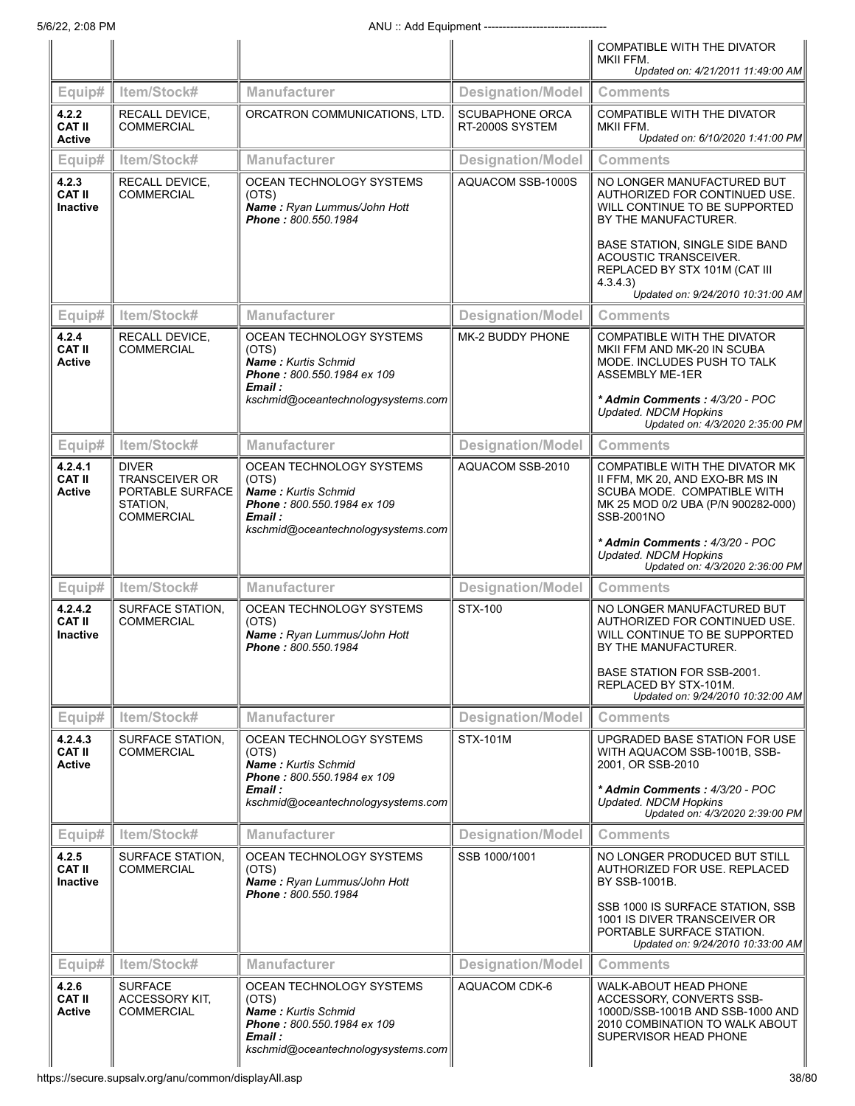|                                             |                                                                                            |                                                                                                                                                |                                           | COMPATIBLE WITH THE DIVATOR                                                                                                                          |
|---------------------------------------------|--------------------------------------------------------------------------------------------|------------------------------------------------------------------------------------------------------------------------------------------------|-------------------------------------------|------------------------------------------------------------------------------------------------------------------------------------------------------|
|                                             |                                                                                            |                                                                                                                                                |                                           | MKII FFM.<br>Updated on: 4/21/2011 11:49:00 AM                                                                                                       |
| Equip#                                      | Item/Stock#                                                                                | <b>Manufacturer</b>                                                                                                                            | <b>Designation/Model</b>                  | <b>Comments</b>                                                                                                                                      |
| 4.2.2<br><b>CAT II</b><br><b>Active</b>     | <b>RECALL DEVICE.</b><br><b>COMMERCIAL</b>                                                 | ORCATRON COMMUNICATIONS, LTD.                                                                                                                  | <b>SCUBAPHONE ORCA</b><br>RT-2000S SYSTEM | COMPATIBLE WITH THE DIVATOR<br>MKII FFM.<br>Updated on: 6/10/2020 1:41:00 PM                                                                         |
| Equip#                                      | Item/Stock#                                                                                | Manufacturer                                                                                                                                   | <b>Designation/Model</b>                  | <b>Comments</b>                                                                                                                                      |
| 4.2.3<br><b>CAT II</b><br><b>Inactive</b>   | RECALL DEVICE,<br><b>COMMERCIAL</b>                                                        | OCEAN TECHNOLOGY SYSTEMS<br>(OTS)<br>Name: Ryan Lummus/John Hott<br>Phone: 800.550.1984                                                        | AQUACOM SSB-1000S                         | NO LONGER MANUFACTURED BUT<br>AUTHORIZED FOR CONTINUED USE.<br>WILL CONTINUE TO BE SUPPORTED<br>BY THE MANUFACTURER.                                 |
|                                             |                                                                                            |                                                                                                                                                |                                           | BASE STATION, SINGLE SIDE BAND<br>ACOUSTIC TRANSCEIVER.<br>REPLACED BY STX 101M (CAT III<br>4.3.4.3<br>Updated on: 9/24/2010 10:31:00 AM             |
| Equip#                                      | Item/Stock#                                                                                | <b>Manufacturer</b>                                                                                                                            | Designation/Model                         | <b>Comments</b>                                                                                                                                      |
| 4.2.4<br><b>CAT II</b><br><b>Active</b>     | RECALL DEVICE,<br><b>COMMERCIAL</b>                                                        | OCEAN TECHNOLOGY SYSTEMS<br>(OTS)<br>Name: Kurtis Schmid<br>Phone: 800.550.1984 ex 109<br>Email :                                              | MK-2 BUDDY PHONE                          | COMPATIBLE WITH THE DIVATOR<br>MKII FFM AND MK-20 IN SCUBA<br>MODE. INCLUDES PUSH TO TALK<br><b>ASSEMBLY ME-1ER</b>                                  |
|                                             |                                                                                            | kschmid@oceantechnologysystems.com                                                                                                             |                                           | * Admin Comments: 4/3/20 - POC<br><b>Updated. NDCM Hopkins</b><br>Updated on: 4/3/2020 2:35:00 PM                                                    |
| Equip#                                      | Item/Stock#                                                                                | <b>Manufacturer</b>                                                                                                                            | Designation/Model                         | <b>Comments</b>                                                                                                                                      |
| 4.2.4.1<br><b>CAT II</b><br><b>Active</b>   | <b>DIVER</b><br><b>TRANSCEIVER OR</b><br>PORTABLE SURFACE<br>STATION,<br><b>COMMERCIAL</b> | OCEAN TECHNOLOGY SYSTEMS<br>(OTS)<br>Name: Kurtis Schmid<br>Phone: 800.550.1984 ex 109<br>Email :<br>kschmid@oceantechnologysystems.com        | AQUACOM SSB-2010                          | COMPATIBLE WITH THE DIVATOR MK<br>II FFM, MK 20, AND EXO-BR MS IN<br>SCUBA MODE. COMPATIBLE WITH<br>MK 25 MOD 0/2 UBA (P/N 900282-000)<br>SSB-2001NO |
|                                             |                                                                                            |                                                                                                                                                |                                           | * Admin Comments: 4/3/20 - POC<br><b>Updated. NDCM Hopkins</b><br>Updated on: 4/3/2020 2:36:00 PM                                                    |
| Equip#                                      | Item/Stock#                                                                                | <b>Manufacturer</b>                                                                                                                            | <b>Designation/Model</b>                  | <b>Comments</b>                                                                                                                                      |
| 4.2.4.2<br><b>CAT II</b><br><b>Inactive</b> | <b>SURFACE STATION.</b><br><b>COMMERCIAL</b>                                               | OCEAN TECHNOLOGY SYSTEMS<br>(OTS)<br>Name: Ryan Lummus/John Hott<br>Phone: 800.550.1984                                                        | STX-100                                   | NO LONGER MANUFACTURED BUT<br>AUTHORIZED FOR CONTINUED USE.<br>WILL CONTINUE TO BE SUPPORTED<br>BY THE MANUFACTURER.                                 |
|                                             |                                                                                            |                                                                                                                                                |                                           | BASE STATION FOR SSB-2001.<br>REPLACED BY STX-101M.<br>Updated on: 9/24/2010 10:32:00 AM                                                             |
| Equip#                                      | Item/Stock#                                                                                | <b>Manufacturer</b>                                                                                                                            | <b>Designation/Model</b>                  | <b>Comments</b>                                                                                                                                      |
| 4.2.4.3<br><b>CAT II</b><br><b>Active</b>   | SURFACE STATION,<br><b>COMMERCIAL</b>                                                      | OCEAN TECHNOLOGY SYSTEMS<br>(OTS)<br><b>Name:</b> Kurtis Schmid<br>Phone: 800.550.1984 ex 109                                                  | <b>STX-101M</b>                           | UPGRADED BASE STATION FOR USE<br>WITH AQUACOM SSB-1001B, SSB-<br>2001, OR SSB-2010                                                                   |
|                                             |                                                                                            | Email :<br>kschmid@oceantechnologysystems.com                                                                                                  |                                           | * Admin Comments : 4/3/20 - POC<br><b>Updated. NDCM Hopkins</b><br>Updated on: 4/3/2020 2:39:00 PM                                                   |
| Equip#                                      | Item/Stock#                                                                                | <b>Manufacturer</b>                                                                                                                            | <b>Designation/Model</b>                  | <b>Comments</b>                                                                                                                                      |
| 4.2.5<br><b>CAT II</b><br><b>Inactive</b>   | SURFACE STATION.<br><b>COMMERCIAL</b>                                                      | OCEAN TECHNOLOGY SYSTEMS<br>(OTS)<br>Name: Ryan Lummus/John Hott<br>Phone: 800.550.1984                                                        | SSB 1000/1001                             | NO LONGER PRODUCED BUT STILL<br>AUTHORIZED FOR USE. REPLACED<br>BY SSB-1001B.                                                                        |
|                                             |                                                                                            |                                                                                                                                                |                                           | SSB 1000 IS SURFACE STATION, SSB<br>1001 IS DIVER TRANSCEIVER OR<br>PORTABLE SURFACE STATION.<br>Updated on: 9/24/2010 10:33:00 AM                   |
| Equip#                                      | Item/Stock#                                                                                | <b>Manufacturer</b>                                                                                                                            | <b>Designation/Model</b>                  | <b>Comments</b>                                                                                                                                      |
| 4.2.6<br><b>CAT II</b><br><b>Active</b>     | <b>SURFACE</b><br><b>ACCESSORY KIT,</b><br><b>COMMERCIAL</b>                               | OCEAN TECHNOLOGY SYSTEMS<br>(OTS)<br><b>Name: Kurtis Schmid</b><br>Phone: 800.550.1984 ex 109<br>Email :<br>kschmid@oceantechnologysystems.com | AQUACOM CDK-6                             | WALK-ABOUT HEAD PHONE<br>ACCESSORY, CONVERTS SSB-<br>1000D/SSB-1001B AND SSB-1000 AND<br>2010 COMBINATION TO WALK ABOUT<br>SUPERVISOR HEAD PHONE     |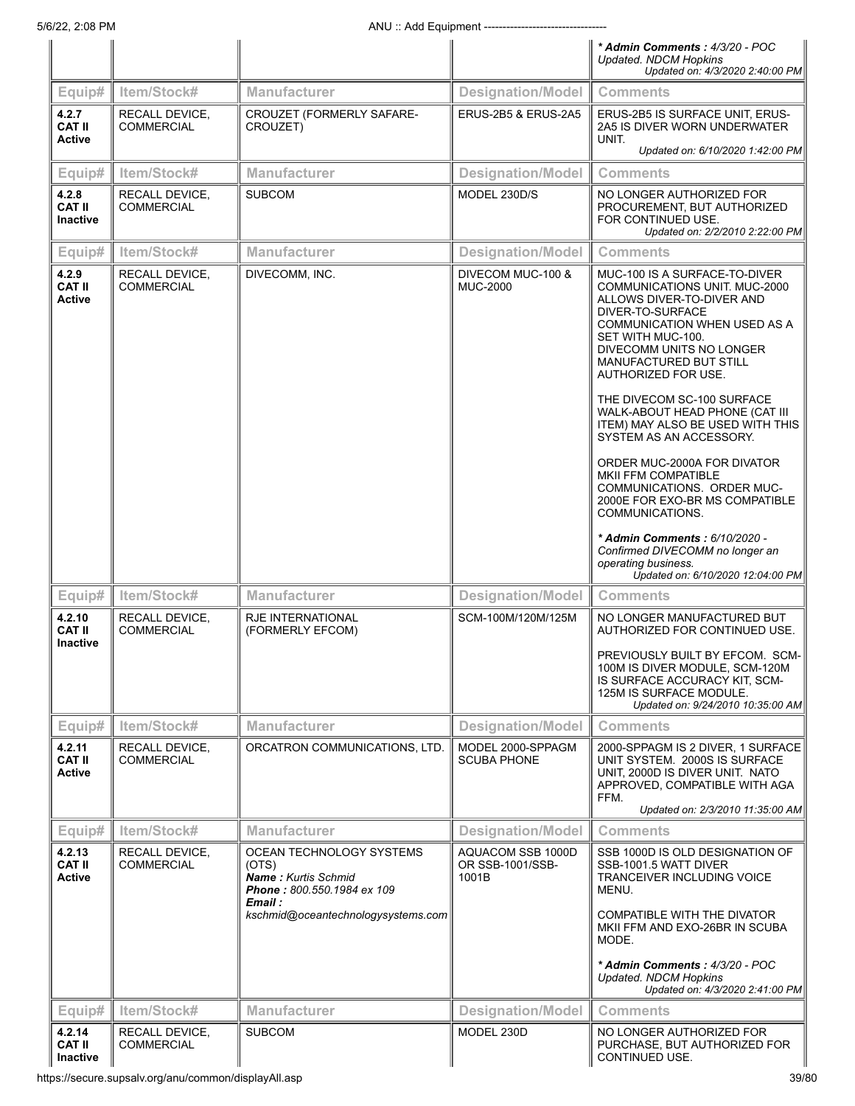|                                            |                                     |                                                                                                                                         |                                                | * Admin Comments: 4/3/20 - POC<br><b>Updated. NDCM Hopkins</b><br>Updated on: 4/3/2020 2:40:00 PM                                                                                                                                                                                                                                                                       |
|--------------------------------------------|-------------------------------------|-----------------------------------------------------------------------------------------------------------------------------------------|------------------------------------------------|-------------------------------------------------------------------------------------------------------------------------------------------------------------------------------------------------------------------------------------------------------------------------------------------------------------------------------------------------------------------------|
| Equip#                                     | Item/Stock#                         | <b>Manufacturer</b>                                                                                                                     | Designation/Model                              | <b>Comments</b>                                                                                                                                                                                                                                                                                                                                                         |
| 4.2.7<br><b>CAT II</b><br><b>Active</b>    | RECALL DEVICE,<br><b>COMMERCIAL</b> | CROUZET (FORMERLY SAFARE-<br>CROUZET)                                                                                                   | ERUS-2B5 & ERUS-2A5                            | ERUS-2B5 IS SURFACE UNIT, ERUS-<br>2A5 IS DIVER WORN UNDERWATER<br>UNIT.<br>Updated on: 6/10/2020 1:42:00 PM                                                                                                                                                                                                                                                            |
| Equip#                                     | Item/Stock#                         | <b>Manufacturer</b>                                                                                                                     | <b>Designation/Model</b>                       | <b>Comments</b>                                                                                                                                                                                                                                                                                                                                                         |
| 4.2.8<br><b>CAT II</b><br><b>Inactive</b>  | RECALL DEVICE,<br><b>COMMERCIAL</b> | <b>SUBCOM</b>                                                                                                                           | MODEL 230D/S                                   | NO LONGER AUTHORIZED FOR<br>PROCUREMENT, BUT AUTHORIZED<br>FOR CONTINUED USE.<br>Updated on: 2/2/2010 2:22:00 PM                                                                                                                                                                                                                                                        |
| Equip#                                     | Item/Stock#                         | Manufacturer                                                                                                                            | <b>Designation/Model</b>                       | <b>Comments</b>                                                                                                                                                                                                                                                                                                                                                         |
| 4.2.9<br><b>CAT II</b><br><b>Active</b>    | RECALL DEVICE,<br><b>COMMERCIAL</b> | DIVECOMM, INC.                                                                                                                          | DIVECOM MUC-100 &<br><b>MUC-2000</b>           | MUC-100 IS A SURFACE-TO-DIVER<br>COMMUNICATIONS UNIT. MUC-2000<br>ALLOWS DIVER-TO-DIVER AND<br>DIVER-TO-SURFACE<br><b>COMMUNICATION WHEN USED AS A</b><br>SET WITH MUC-100.<br>DIVECOMM UNITS NO LONGER<br>MANUFACTURED BUT STILL<br>AUTHORIZED FOR USE.<br>THE DIVECOM SC-100 SURFACE                                                                                  |
|                                            |                                     |                                                                                                                                         |                                                | WALK-ABOUT HEAD PHONE (CAT III<br>ITEM) MAY ALSO BE USED WITH THIS<br>SYSTEM AS AN ACCESSORY.<br>ORDER MUC-2000A FOR DIVATOR<br>MKII FFM COMPATIBLE<br>COMMUNICATIONS. ORDER MUC-<br>2000E FOR EXO-BR MS COMPATIBLE<br>COMMUNICATIONS.<br>* Admin Comments : 6/10/2020 -<br>Confirmed DIVECOMM no longer an<br>operating business.<br>Updated on: 6/10/2020 12:04:00 PM |
| Equip#                                     | Item/Stock#                         | <b>Manufacturer</b>                                                                                                                     | <b>Designation/Model</b>                       | Comments                                                                                                                                                                                                                                                                                                                                                                |
| 4.2.10<br><b>CAT II</b><br><b>Inactive</b> | RECALL DEVICE,<br><b>COMMERCIAL</b> | <b>RJE INTERNATIONAL</b><br>(FORMERLY EFCOM)                                                                                            | SCM-100M/120M/125M                             | NO LONGER MANUFACTURED BUT<br>AUTHORIZED FOR CONTINUED USE.<br>PREVIOUSLY BUILT BY EFCOM. SCM-<br>100M IS DIVER MODULE, SCM-120M<br>IS SURFACE ACCURACY KIT, SCM-<br>125M IS SURFACE MODULE.<br>Updated on: 9/24/2010 10:35:00 AM                                                                                                                                       |
| Equip#                                     | Item/Stock#                         | <b>Manufacturer</b>                                                                                                                     | <b>Designation/Model</b>                       | <b>Comments</b>                                                                                                                                                                                                                                                                                                                                                         |
| 4.2.11<br><b>CAT II</b><br><b>Active</b>   | RECALL DEVICE,<br><b>COMMERCIAL</b> | ORCATRON COMMUNICATIONS, LTD.                                                                                                           | MODEL 2000-SPPAGM<br><b>SCUBA PHONE</b>        | 2000-SPPAGM IS 2 DIVER, 1 SURFACE<br>UNIT SYSTEM. 2000S IS SURFACE<br>UNIT, 2000D IS DIVER UNIT. NATO<br>APPROVED, COMPATIBLE WITH AGA<br>FFM.<br>Updated on: 2/3/2010 11:35:00 AM                                                                                                                                                                                      |
| Equip#                                     | Item/Stock#                         | <b>Manufacturer</b>                                                                                                                     | <b>Designation/Model</b>                       | <b>Comments</b>                                                                                                                                                                                                                                                                                                                                                         |
| 4.2.13<br><b>CAT II</b><br><b>Active</b>   | RECALL DEVICE,<br><b>COMMERCIAL</b> | OCEAN TECHNOLOGY SYSTEMS<br>(OTS)<br>Name: Kurtis Schmid<br>Phone: 800.550.1984 ex 109<br>Email :<br>kschmid@oceantechnologysystems.com | AQUACOM SSB 1000D<br>OR SSB-1001/SSB-<br>1001B | SSB 1000D IS OLD DESIGNATION OF<br>SSB-1001.5 WATT DIVER<br>TRANCEIVER INCLUDING VOICE<br>MENU.<br>COMPATIBLE WITH THE DIVATOR<br>MKII FFM AND EXO-26BR IN SCUBA<br>MODE.<br>* Admin Comments: 4/3/20 - POC                                                                                                                                                             |
|                                            |                                     |                                                                                                                                         |                                                | <b>Updated. NDCM Hopkins</b><br>Updated on: 4/3/2020 2:41:00 PM                                                                                                                                                                                                                                                                                                         |
| Equip#                                     | Item/Stock#                         | <b>Manufacturer</b>                                                                                                                     | <b>Designation/Model</b>                       | <b>Comments</b>                                                                                                                                                                                                                                                                                                                                                         |
| 4.2.14<br><b>CAT II</b><br>Inactive        | RECALL DEVICE,<br><b>COMMERCIAL</b> | <b>SUBCOM</b>                                                                                                                           | MODEL 230D                                     | NO LONGER AUTHORIZED FOR<br>PURCHASE, BUT AUTHORIZED FOR<br>CONTINUED USE.                                                                                                                                                                                                                                                                                              |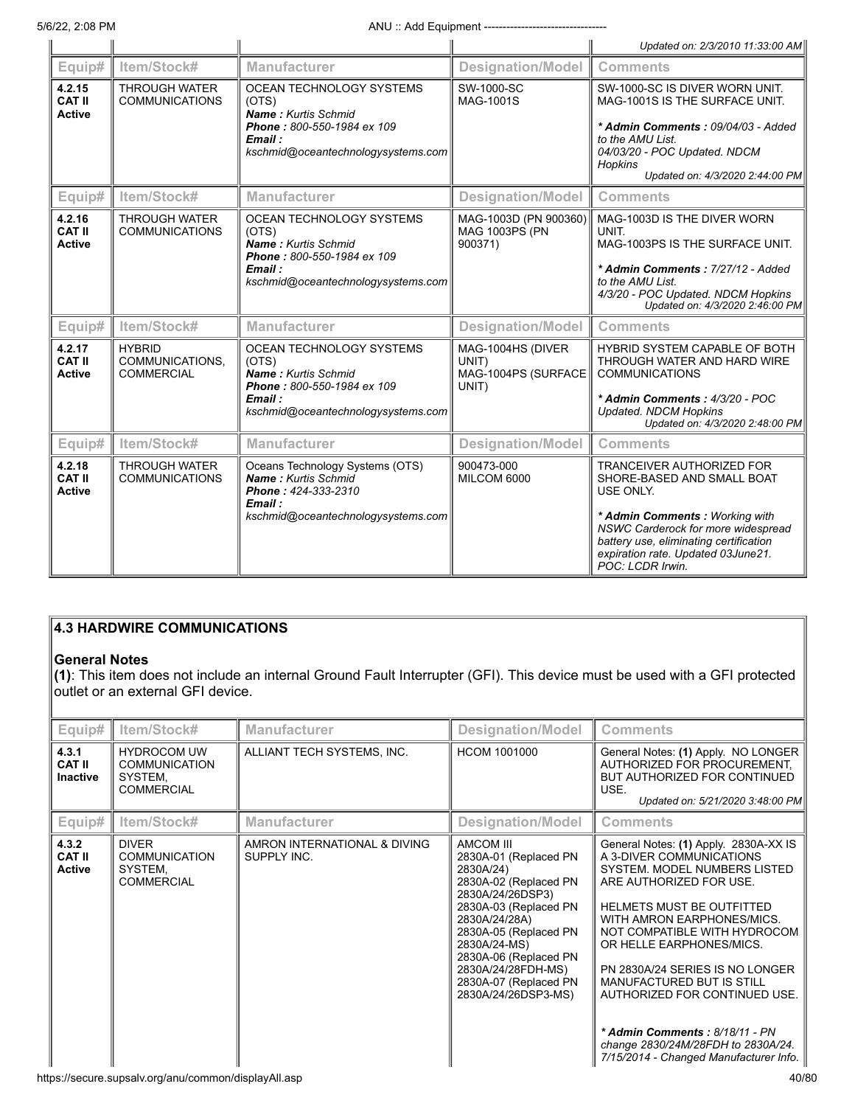|                                          |                                                       |                                                                                                                                                |                                                            | Updated on: 2/3/2010 11:33:00 AM                                                                                                                                                                                                                        |
|------------------------------------------|-------------------------------------------------------|------------------------------------------------------------------------------------------------------------------------------------------------|------------------------------------------------------------|---------------------------------------------------------------------------------------------------------------------------------------------------------------------------------------------------------------------------------------------------------|
| Equip#                                   | Item/Stock#                                           | <b>Manufacturer</b>                                                                                                                            | <b>Designation/Model</b>                                   | <b>Comments</b>                                                                                                                                                                                                                                         |
| 4.2.15<br><b>CAT II</b><br><b>Active</b> | <b>THROUGH WATER</b><br><b>COMMUNICATIONS</b>         | OCEAN TECHNOLOGY SYSTEMS<br>(OTS)<br><b>Name: Kurtis Schmid</b><br>Phone: 800-550-1984 ex 109<br>Email:<br>kschmid@oceantechnologysystems.com  | SW-1000-SC<br>MAG-1001S                                    | SW-1000-SC IS DIVER WORN UNIT.<br>MAG-1001S IS THE SURFACE UNIT.<br>* Admin Comments: 09/04/03 - Added<br>to the AMU List.<br>04/03/20 - POC Updated. NDCM<br>Hopkins<br>Updated on: 4/3/2020 2:44:00 PM                                                |
| Equip#                                   | Item/Stock#                                           | <b>Manufacturer</b>                                                                                                                            | <b>Designation/Model</b>                                   | <b>Comments</b>                                                                                                                                                                                                                                         |
| 4.2.16<br><b>CAT II</b><br><b>Active</b> | <b>THROUGH WATER</b><br><b>COMMUNICATIONS</b>         | OCEAN TECHNOLOGY SYSTEMS<br>(OTS)<br><b>Name: Kurtis Schmid</b><br>Phone: 800-550-1984 ex 109<br>Email :<br>kschmid@oceantechnologysystems.com | MAG-1003D (PN 900360)<br><b>MAG 1003PS (PN</b><br>900371)  | MAG-1003D IS THE DIVER WORN<br>UNIT.<br>MAG-1003PS IS THE SURFACE UNIT.<br>* Admin Comments: 7/27/12 - Added<br>to the AMU List.<br>4/3/20 - POC Updated. NDCM Hopkins<br>Updated on: 4/3/2020 2:46:00 PM                                               |
| Equip#                                   | Item/Stock#                                           | <b>Manufacturer</b>                                                                                                                            | <b>Designation/Model</b>                                   | <b>Comments</b>                                                                                                                                                                                                                                         |
| 4.2.17<br><b>CAT II</b><br><b>Active</b> | <b>HYBRID</b><br>COMMUNICATIONS.<br><b>COMMERCIAL</b> | OCEAN TECHNOLOGY SYSTEMS<br>(OTS)<br>Name: Kurtis Schmid<br>Phone: 800-550-1984 ex 109<br>Email :<br>kschmid@oceantechnologysystems.com        | MAG-1004HS (DIVER<br>UNIT)<br>MAG-1004PS (SURFACE<br>UNIT) | HYBRID SYSTEM CAPABLE OF BOTH<br>THROUGH WATER AND HARD WIRE<br><b>COMMUNICATIONS</b><br>* Admin Comments: 4/3/20 - POC<br><b>Updated. NDCM Hopkins</b><br>Updated on: 4/3/2020 2:48:00 PM                                                              |
| Equip#                                   | Item/Stock#                                           | Manufacturer                                                                                                                                   | <b>Designation/Model</b>                                   | <b>Comments</b>                                                                                                                                                                                                                                         |
| 4.2.18<br><b>CAT II</b><br><b>Active</b> | <b>THROUGH WATER</b><br><b>COMMUNICATIONS</b>         | Oceans Technology Systems (OTS)<br><b>Name: Kurtis Schmid</b><br>Phone: 424-333-2310<br>Email:<br>kschmid@oceantechnologysystems.com           | 900473-000<br>MILCOM 6000                                  | <b>TRANCEIVER AUTHORIZED FOR</b><br>SHORE-BASED AND SMALL BOAT<br>USE ONLY.<br>* Admin Comments: Working with<br>NSWC Carderock for more widespread<br>battery use, eliminating certification<br>expiration rate. Updated 03June21.<br>POC: LCDR Irwin. |

## **4.3 HARDWIRE COMMUNICATIONS**

## **General Notes**

**(1)**: This item does not include an internal Ground Fault Interrupter (GFI). This device must be used with a GFI protected outlet or an external GFI device.

| Equip#                                    | Item/Stock#                                                                | <b>Manufacturer</b>                                           | <b>Designation/Model</b>                                                                                                                                                                                                                                                       | <b>Comments</b>                                                                                                                                                                                                                                                                                                                                                                                                                                                                      |  |  |  |
|-------------------------------------------|----------------------------------------------------------------------------|---------------------------------------------------------------|--------------------------------------------------------------------------------------------------------------------------------------------------------------------------------------------------------------------------------------------------------------------------------|--------------------------------------------------------------------------------------------------------------------------------------------------------------------------------------------------------------------------------------------------------------------------------------------------------------------------------------------------------------------------------------------------------------------------------------------------------------------------------------|--|--|--|
| 4.3.1<br><b>CAT II</b><br><b>Inactive</b> | <b>HYDROCOM UW</b><br><b>COMMUNICATION</b><br>SYSTEM.<br><b>COMMERCIAL</b> | ALLIANT TECH SYSTEMS, INC.                                    | <b>HCOM 1001000</b>                                                                                                                                                                                                                                                            | General Notes: (1) Apply. NO LONGER<br>AUTHORIZED FOR PROCUREMENT.<br>BUT AUTHORIZED FOR CONTINUED<br>USE.<br>Updated on: 5/21/2020 3:48:00 PM                                                                                                                                                                                                                                                                                                                                       |  |  |  |
| Equip#                                    | Item/Stock#                                                                | <b>Manufacturer</b>                                           | <b>Designation/Model</b>                                                                                                                                                                                                                                                       | <b>Comments</b>                                                                                                                                                                                                                                                                                                                                                                                                                                                                      |  |  |  |
| 4.3.2<br><b>CAT II</b><br><b>Active</b>   | <b>DIVER</b><br><b>COMMUNICATION</b><br>SYSTEM.<br><b>COMMERCIAL</b>       | AMRON INTERNATIONAL & DIVING<br>SUPPLY INC.                   | AMCOM III<br>2830A-01 (Replaced PN<br>2830A/24)<br>2830A-02 (Replaced PN<br>2830A/24/26DSP3)<br>2830A-03 (Replaced PN<br>2830A/24/28A)<br>2830A-05 (Replaced PN<br>2830A/24-MS)<br>2830A-06 (Replaced PN<br>2830A/24/28FDH-MS)<br>2830A-07 (Replaced PN<br>2830A/24/26DSP3-MS) | General Notes: (1) Apply. 2830A-XX IS<br>A 3-DIVER COMMUNICATIONS<br>SYSTEM, MODEL NUMBERS LISTED<br>ARE AUTHORIZED FOR USE.<br><b>HELMETS MUST BE OUTFITTED</b><br>WITH AMRON EARPHONES/MICS.<br>NOT COMPATIBLE WITH HYDROCOM<br>OR HELLE EARPHONES/MICS.<br>PN 2830A/24 SERIES IS NO LONGER<br><b>MANUFACTURED BUT IS STILL</b><br>AUTHORIZED FOR CONTINUED USE.<br>* Admin Comments: 8/18/11 - PN<br>change 2830/24M/28FDH to 2830A/24.<br>7/15/2014 - Changed Manufacturer Info. |  |  |  |
|                                           |                                                                            | https://secure.supsalv.org/anu/common/displayAll.asp<br>40/80 |                                                                                                                                                                                                                                                                                |                                                                                                                                                                                                                                                                                                                                                                                                                                                                                      |  |  |  |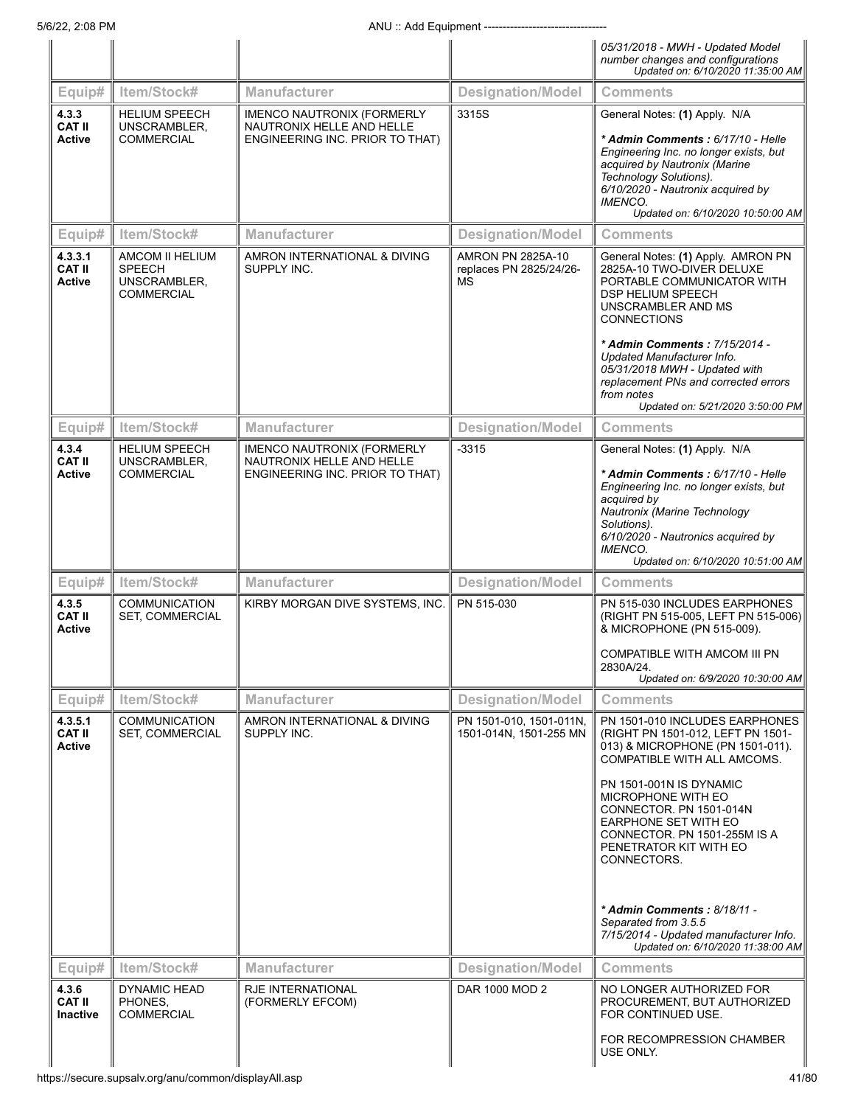|                                           |                                                                       |                                                                                                   |                                                    | 05/31/2018 - MWH - Updated Model<br>number changes and configurations<br>Updated on: 6/10/2020 11:35:00 AM                                                                                                                                                                 |
|-------------------------------------------|-----------------------------------------------------------------------|---------------------------------------------------------------------------------------------------|----------------------------------------------------|----------------------------------------------------------------------------------------------------------------------------------------------------------------------------------------------------------------------------------------------------------------------------|
| Equip#                                    | Item/Stock#                                                           | Manufacturer                                                                                      | <b>Designation/Model</b>                           | <b>Comments</b>                                                                                                                                                                                                                                                            |
| 4.3.3<br>CAT II<br><b>Active</b>          | <b>HELIUM SPEECH</b><br>UNSCRAMBLER,<br><b>COMMERCIAL</b>             | <b>IMENCO NAUTRONIX (FORMERLY</b><br>NAUTRONIX HELLE AND HELLE<br>ENGINEERING INC. PRIOR TO THAT) | 3315S                                              | General Notes: (1) Apply. N/A<br>* Admin Comments: 6/17/10 - Helle<br>Engineering Inc. no longer exists, but<br>acquired by Nautronix (Marine<br>Technology Solutions).<br>6/10/2020 - Nautronix acquired by<br><i><b>IMENCO.</b></i><br>Updated on: 6/10/2020 10:50:00 AM |
| Equip#                                    | Item/Stock#                                                           | Manufacturer                                                                                      | <b>Designation/Model</b>                           | <b>Comments</b>                                                                                                                                                                                                                                                            |
| 4.3.3.1<br>CAT II<br><b>Active</b>        | AMCOM II HELIUM<br><b>SPEECH</b><br>UNSCRAMBLER,<br><b>COMMERCIAL</b> | AMRON INTERNATIONAL & DIVING<br>SUPPLY INC.                                                       | AMRON PN 2825A-10<br>replaces PN 2825/24/26-<br>MS | General Notes: (1) Apply. AMRON PN<br>2825A-10 TWO-DIVER DELUXE<br>PORTABLE COMMUNICATOR WITH<br>DSP HELIUM SPEECH<br>UNSCRAMBLER AND MS<br><b>CONNECTIONS</b>                                                                                                             |
|                                           |                                                                       |                                                                                                   |                                                    | * Admin Comments: 7/15/2014 -<br>Updated Manufacturer Info.<br>05/31/2018 MWH - Updated with<br>replacement PNs and corrected errors<br>from notes<br>Updated on: 5/21/2020 3:50:00 PM                                                                                     |
| Equip#                                    | Item/Stock#                                                           | Manufacturer                                                                                      | <b>Designation/Model</b>                           | <b>Comments</b>                                                                                                                                                                                                                                                            |
| 4.3.4<br>CAT II                           | <b>HELIUM SPEECH</b><br>UNSCRAMBLER,                                  | <b>IMENCO NAUTRONIX (FORMERLY</b><br>NAUTRONIX HELLE AND HELLE                                    | $-3315$                                            | General Notes: (1) Apply. N/A                                                                                                                                                                                                                                              |
| <b>Active</b>                             | <b>COMMERCIAL</b>                                                     | ENGINEERING INC. PRIOR TO THAT)                                                                   |                                                    | * Admin Comments: 6/17/10 - Helle<br>Engineering Inc. no longer exists, but<br>acquired by<br>Nautronix (Marine Technology<br>Solutions).<br>6/10/2020 - Nautronics acquired by<br><b>IMENCO.</b><br>Updated on: 6/10/2020 10:51:00 AM                                     |
| Equip#                                    | Item/Stock#                                                           | <b>Manufacturer</b>                                                                               | <b>Designation/Model</b>                           | <b>Comments</b>                                                                                                                                                                                                                                                            |
| 4.3.5<br>CAT II<br><b>Active</b>          | <b>COMMUNICATION</b><br>SET, COMMERCIAL                               | KIRBY MORGAN DIVE SYSTEMS, INC.                                                                   | PN 515-030                                         | PN 515-030 INCLUDES EARPHONES<br>(RIGHT PN 515-005, LEFT PN 515-006)<br>& MICROPHONE (PN 515-009).<br>COMPATIBLE WITH AMCOM III PN                                                                                                                                         |
|                                           |                                                                       |                                                                                                   |                                                    | 2830A/24.<br>Updated on: 6/9/2020 10:30:00 AM                                                                                                                                                                                                                              |
| Equip#                                    | Item/Stock#                                                           | <b>Manufacturer</b>                                                                               | <b>Designation/Model</b>                           | <b>Comments</b>                                                                                                                                                                                                                                                            |
| 4.3.5.1<br><b>CAT II</b><br><b>Active</b> | <b>COMMUNICATION</b><br>SET, COMMERCIAL                               | AMRON INTERNATIONAL & DIVING<br>SUPPLY INC.                                                       | PN 1501-010, 1501-011N,<br>1501-014N, 1501-255 MN  | PN 1501-010 INCLUDES EARPHONES<br>(RIGHT PN 1501-012, LEFT PN 1501-<br>013) & MICROPHONE (PN 1501-011).<br>COMPATIBLE WITH ALL AMCOMS.                                                                                                                                     |
|                                           |                                                                       |                                                                                                   |                                                    | PN 1501-001N IS DYNAMIC<br>MICROPHONE WITH EO<br>CONNECTOR. PN 1501-014N<br><b>EARPHONE SET WITH EO</b><br>CONNECTOR. PN 1501-255M IS A<br>PENETRATOR KIT WITH EO<br>CONNECTORS.                                                                                           |
|                                           |                                                                       |                                                                                                   |                                                    | * Admin Comments: 8/18/11 -<br>Separated from 3.5.5<br>7/15/2014 - Updated manufacturer Info.<br>Updated on: 6/10/2020 11:38:00 AM                                                                                                                                         |
| Equip#                                    | Item/Stock#                                                           | <b>Manufacturer</b>                                                                               | <b>Designation/Model</b>                           | <b>Comments</b>                                                                                                                                                                                                                                                            |
| 4.3.6<br><b>CAT II</b><br><b>Inactive</b> | <b>DYNAMIC HEAD</b><br>PHONES,<br><b>COMMERCIAL</b>                   | <b>RJE INTERNATIONAL</b><br>(FORMERLY EFCOM)                                                      | DAR 1000 MOD 2                                     | NO LONGER AUTHORIZED FOR<br>PROCUREMENT, BUT AUTHORIZED<br>FOR CONTINUED USE.                                                                                                                                                                                              |
|                                           |                                                                       |                                                                                                   |                                                    | FOR RECOMPRESSION CHAMBER<br>USE ONLY.                                                                                                                                                                                                                                     |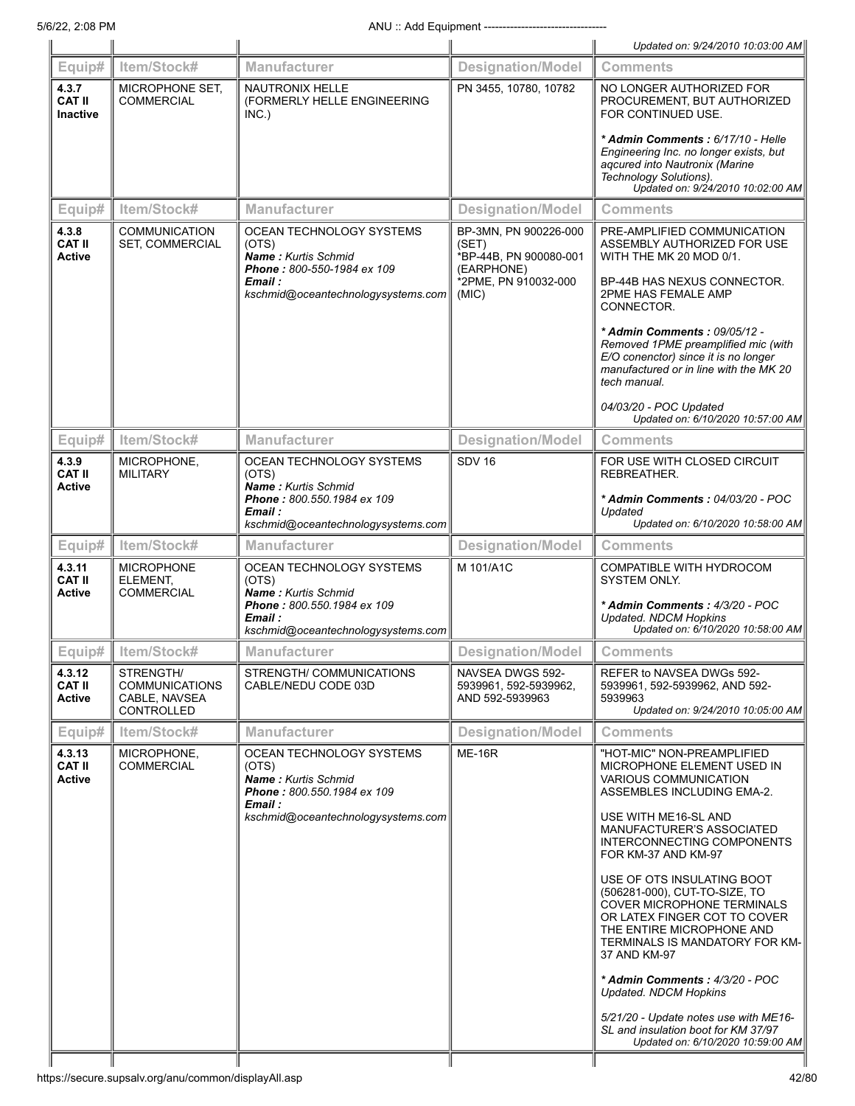|                                           |                                                                          |                                                                                                          |                                                                        | Updated on: 9/24/2010 10:03:00 AM                                                                                                                                                                               |
|-------------------------------------------|--------------------------------------------------------------------------|----------------------------------------------------------------------------------------------------------|------------------------------------------------------------------------|-----------------------------------------------------------------------------------------------------------------------------------------------------------------------------------------------------------------|
| Equip#                                    | Item/Stock#                                                              | <b>Manufacturer</b>                                                                                      | <b>Designation/Model</b>                                               | <b>Comments</b>                                                                                                                                                                                                 |
| 4.3.7<br><b>CAT II</b><br><b>Inactive</b> | MICROPHONE SET.<br><b>COMMERCIAL</b>                                     | <b>NAUTRONIX HELLE</b><br>(FORMERLY HELLE ENGINEERING<br>INC.)                                           | PN 3455, 10780, 10782                                                  | NO LONGER AUTHORIZED FOR<br>PROCUREMENT, BUT AUTHORIZED<br>FOR CONTINUED USE.                                                                                                                                   |
|                                           |                                                                          |                                                                                                          |                                                                        | * Admin Comments: 6/17/10 - Helle<br>Engineering Inc. no longer exists, but<br>agcured into Nautronix (Marine<br>Technology Solutions).<br>Updated on: 9/24/2010 10:02:00 AM                                    |
| Equip#                                    | Item/Stock#                                                              | <b>Manufacturer</b>                                                                                      | <b>Designation/Model</b>                                               | <b>Comments</b>                                                                                                                                                                                                 |
| 4.3.8<br><b>CAT II</b><br>Active          | <b>COMMUNICATION</b><br>SET, COMMERCIAL                                  | OCEAN TECHNOLOGY SYSTEMS<br>(OTS)<br><b>Name: Kurtis Schmid</b><br>Phone: 800-550-1984 ex 109            | BP-3MN, PN 900226-000<br>(SET)<br>*BP-44B, PN 900080-001<br>(EARPHONE) | PRE-AMPLIFIED COMMUNICATION<br>ASSEMBLY AUTHORIZED FOR USE<br>WITH THE MK 20 MOD 0/1.                                                                                                                           |
|                                           |                                                                          | Email :<br>kschmid@oceantechnologysystems.com                                                            | *2PME, PN 910032-000<br>(MIC)                                          | BP-44B HAS NEXUS CONNECTOR.<br>2PME HAS FEMALE AMP<br>CONNECTOR.                                                                                                                                                |
|                                           |                                                                          |                                                                                                          |                                                                        | * Admin Comments: 09/05/12 -<br>Removed 1PME preamplified mic (with<br>E/O conenctor) since it is no longer<br>manufactured or in line with the MK 20<br>tech manual.                                           |
|                                           |                                                                          |                                                                                                          |                                                                        | 04/03/20 - POC Updated<br>Updated on: 6/10/2020 10:57:00 AM                                                                                                                                                     |
| Equip#                                    | Item/Stock#                                                              | Manufacturer                                                                                             | <b>Designation/Model</b>                                               | <b>Comments</b>                                                                                                                                                                                                 |
| 4.3.9<br><b>CAT II</b><br><b>Active</b>   | MICROPHONE,<br><b>MILITARY</b>                                           | OCEAN TECHNOLOGY SYSTEMS<br>(OTS)<br><b>Name: Kurtis Schmid</b>                                          | <b>SDV 16</b>                                                          | FOR USE WITH CLOSED CIRCUIT<br>REBREATHER.                                                                                                                                                                      |
|                                           |                                                                          | Phone: 800.550.1984 ex 109<br>Email :                                                                    |                                                                        | * Admin Comments: 04/03/20 - POC<br>Updated                                                                                                                                                                     |
|                                           |                                                                          | kschmid@oceantechnologysystems.com                                                                       |                                                                        | Updated on: 6/10/2020 10:58:00 AM                                                                                                                                                                               |
| Equip#                                    | Item/Stock#                                                              | <b>Manufacturer</b>                                                                                      | <b>Designation/Model</b>                                               | <b>Comments</b>                                                                                                                                                                                                 |
| 4.3.11<br><b>CAT II</b><br>Active         | <b>MICROPHONE</b><br>ELEMENT.<br><b>COMMERCIAL</b>                       | OCEAN TECHNOLOGY SYSTEMS<br>(OTS)<br><b>Name: Kurtis Schmid</b>                                          | M 101/A1C                                                              | COMPATIBLE WITH HYDROCOM<br>SYSTEM ONLY.                                                                                                                                                                        |
|                                           |                                                                          | Phone: 800.550.1984 ex 109<br>Email :<br>kschmid@oceantechnologysystems.com                              |                                                                        | * Admin Comments: 4/3/20 - POC<br><b>Updated. NDCM Hopkins</b><br>Updated on: 6/10/2020 10:58:00 AM                                                                                                             |
| Equip#                                    | Item/Stock#                                                              | <b>Manufacturer</b>                                                                                      | <b>Designation/Model</b>                                               | <b>Comments</b>                                                                                                                                                                                                 |
| 4.3.12<br><b>CAT II</b><br><b>Active</b>  | STRENGTH/<br><b>COMMUNICATIONS</b><br>CABLE, NAVSEA<br><b>CONTROLLED</b> | STRENGTH/ COMMUNICATIONS<br>CABLE/NEDU CODE 03D                                                          | NAVSEA DWGS 592-<br>5939961, 592-5939962,<br>AND 592-5939963           | REFER to NAVSEA DWGs 592-<br>5939961, 592-5939962, AND 592-<br>5939963<br>Updated on: 9/24/2010 10:05:00 AM                                                                                                     |
| Equip#                                    | Item/Stock#                                                              | <b>Manufacturer</b>                                                                                      | <b>Designation/Model</b>                                               | <b>Comments</b>                                                                                                                                                                                                 |
| 4.3.13<br><b>CAT II</b><br>Active         | MICROPHONE,<br><b>COMMERCIAL</b>                                         | OCEAN TECHNOLOGY SYSTEMS<br>(OTS)<br><b>Name: Kurtis Schmid</b><br>Phone: 800.550.1984 ex 109<br>Email : | <b>ME-16R</b>                                                          | "HOT-MIC" NON-PREAMPLIFIED<br>MICROPHONE ELEMENT USED IN<br><b>VARIOUS COMMUNICATION</b><br>ASSEMBLES INCLUDING EMA-2.                                                                                          |
|                                           |                                                                          | kschmid@oceantechnologysystems.com                                                                       |                                                                        | USE WITH ME16-SL AND<br><b>MANUFACTURER'S ASSOCIATED</b><br>INTERCONNECTING COMPONENTS<br>FOR KM-37 AND KM-97                                                                                                   |
|                                           |                                                                          |                                                                                                          |                                                                        | USE OF OTS INSULATING BOOT<br>(506281-000), CUT-TO-SIZE, TO<br><b>COVER MICROPHONE TERMINALS</b><br>OR LATEX FINGER COT TO COVER<br>THE ENTIRE MICROPHONE AND<br>TERMINALS IS MANDATORY FOR KM-<br>37 AND KM-97 |
|                                           |                                                                          |                                                                                                          |                                                                        | * Admin Comments: 4/3/20 - POC<br><b>Updated. NDCM Hopkins</b>                                                                                                                                                  |
|                                           |                                                                          |                                                                                                          |                                                                        | 5/21/20 - Update notes use with ME16-<br>SL and insulation boot for KM 37/97<br>Updated on: 6/10/2020 10:59:00 AM                                                                                               |
|                                           |                                                                          |                                                                                                          |                                                                        |                                                                                                                                                                                                                 |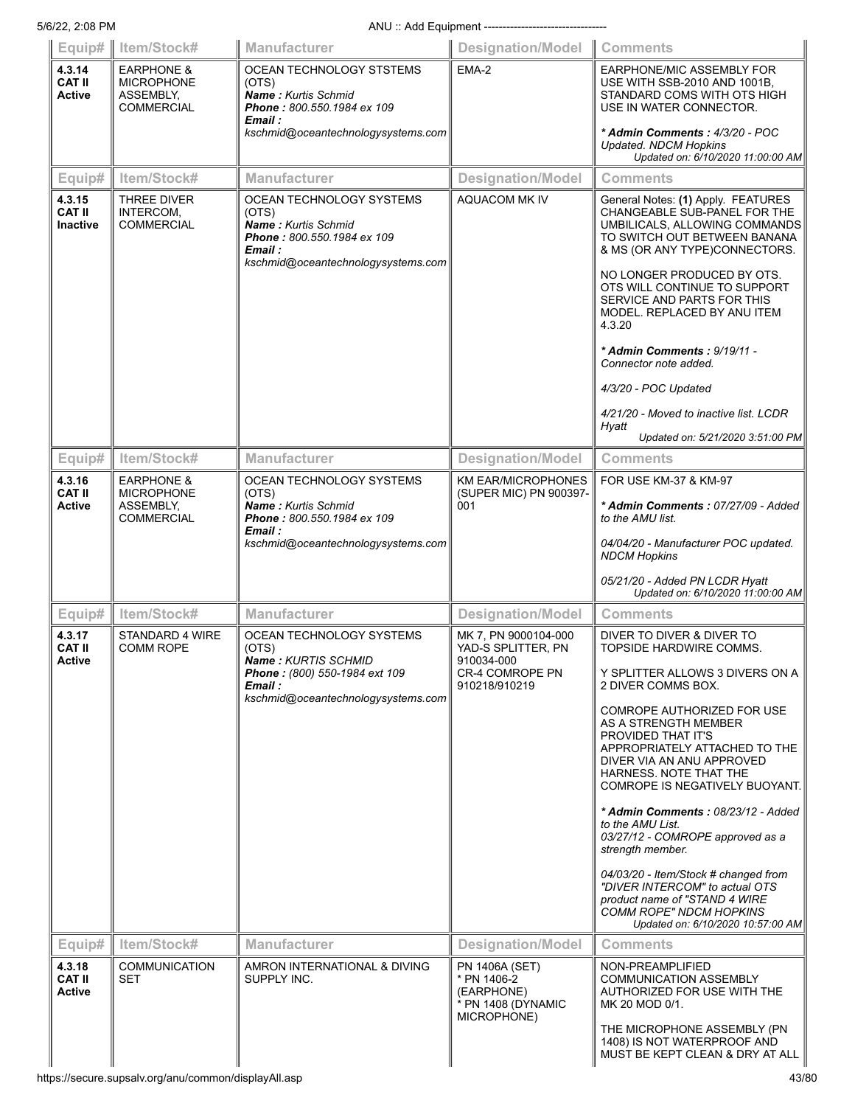| Equip# $\parallel$                       | Item/Stock#                                                           | Manufacturer                                                                                                                                   | Designation/Model Comments                                                       |                                                                                                                                                                                                                                                                                                           |
|------------------------------------------|-----------------------------------------------------------------------|------------------------------------------------------------------------------------------------------------------------------------------------|----------------------------------------------------------------------------------|-----------------------------------------------------------------------------------------------------------------------------------------------------------------------------------------------------------------------------------------------------------------------------------------------------------|
| 4.3.14<br><b>CAT II</b><br><b>Active</b> | <b>EARPHONE &amp;</b><br><b>MICROPHONE</b><br>ASSEMBLY,<br>COMMERCIAL | OCEAN TECHNOLOGY STSTEMS<br>(OTS)<br>Name: Kurtis Schmid<br>Phone: 800.550.1984 ex 109<br>Email :                                              | EMA-2                                                                            | EARPHONE/MIC ASSEMBLY FOR<br>USE WITH SSB-2010 AND 1001B,<br>STANDARD COMS WITH OTS HIGH<br>USE IN WATER CONNECTOR.                                                                                                                                                                                       |
|                                          |                                                                       | kschmid@oceantechnologysystems.com                                                                                                             |                                                                                  | * Admin Comments: 4/3/20 - POC<br><b>Updated. NDCM Hopkins</b><br>Updated on: 6/10/2020 11:00:00 AM                                                                                                                                                                                                       |
| Equip#                                   | Item/Stock#                                                           | Manufacturer                                                                                                                                   | <b>Designation/Model</b>                                                         | <b>Comments</b>                                                                                                                                                                                                                                                                                           |
| 4.3.15<br><b>CAT II</b><br>Inactive      | <b>THREE DIVER</b><br>INTERCOM,<br><b>COMMERCIAL</b>                  | OCEAN TECHNOLOGY SYSTEMS<br>(OTS)<br><b>Name: Kurtis Schmid</b><br>Phone: 800.550.1984 ex 109<br>Email :<br>kschmid@oceantechnologysystems.com | AQUACOM MK IV                                                                    | General Notes: (1) Apply. FEATURES<br>CHANGEABLE SUB-PANEL FOR THE<br>UMBILICALS, ALLOWING COMMANDS<br>TO SWITCH OUT BETWEEN BANANA<br>& MS (OR ANY TYPE)CONNECTORS.<br>NO LONGER PRODUCED BY OTS.<br>OTS WILL CONTINUE TO SUPPORT<br>SERVICE AND PARTS FOR THIS<br>MODEL. REPLACED BY ANU ITEM<br>4.3.20 |
|                                          |                                                                       |                                                                                                                                                |                                                                                  | * Admin Comments: 9/19/11 -<br>Connector note added.                                                                                                                                                                                                                                                      |
|                                          |                                                                       |                                                                                                                                                |                                                                                  | 4/3/20 - POC Updated                                                                                                                                                                                                                                                                                      |
|                                          |                                                                       |                                                                                                                                                |                                                                                  | 4/21/20 - Moved to inactive list. LCDR<br>Hyatt                                                                                                                                                                                                                                                           |
|                                          |                                                                       |                                                                                                                                                |                                                                                  | Updated on: 5/21/2020 3:51:00 PM                                                                                                                                                                                                                                                                          |
| Equip#                                   | Item/Stock#                                                           | Manufacturer                                                                                                                                   | <b>Designation/Model</b>                                                         | <b>Comments</b>                                                                                                                                                                                                                                                                                           |
| 4.3.16<br><b>CAT II</b><br><b>Active</b> | <b>EARPHONE &amp;</b><br><b>MICROPHONE</b><br>ASSEMBLY,<br>COMMERCIAL | OCEAN TECHNOLOGY SYSTEMS<br>(OTS)<br>Name: Kurtis Schmid<br>Phone: 800.550.1984 ex 109<br>Email :<br>kschmid@oceantechnologysystems.com        | <b>KM EAR/MICROPHONES</b><br>(SUPER MIC) PN 900397-<br>001                       | FOR USE KM-37 & KM-97<br>* Admin Comments: 07/27/09 - Added<br>to the AMU list.<br>04/04/20 - Manufacturer POC updated.                                                                                                                                                                                   |
|                                          |                                                                       |                                                                                                                                                |                                                                                  | <b>NDCM Hopkins</b><br>05/21/20 - Added PN LCDR Hyatt<br>Updated on: 6/10/2020 11:00:00 AM                                                                                                                                                                                                                |
| Equip#                                   | Item/Stock#                                                           | Manufacturer                                                                                                                                   | <b>Designation/Model</b>                                                         | <b>Comments</b>                                                                                                                                                                                                                                                                                           |
| 4.3.17<br>CAT II                         | STANDARD 4 WIRE<br>COMM ROPE                                          | OCEAN TECHNOLOGY SYSTEMS<br>(OTS)                                                                                                              | MK 7, PN 9000104-000<br>YAD-S SPLITTER, PN                                       | DIVER TO DIVER & DIVER TO<br>TOPSIDE HARDWIRE COMMS.                                                                                                                                                                                                                                                      |
| Active                                   |                                                                       | Name: KURTIS SCHMID<br>Phone: (800) 550-1984 ext 109<br>Email:<br>kschmid@oceantechnologysystems.com                                           | 910034-000<br><b>CR-4 COMROPE PN</b><br>910218/910219                            | Y SPLITTER ALLOWS 3 DIVERS ON A<br>2 DIVER COMMS BOX.                                                                                                                                                                                                                                                     |
|                                          |                                                                       |                                                                                                                                                |                                                                                  | <b>COMROPE AUTHORIZED FOR USE</b><br>AS A STRENGTH MEMBER<br>PROVIDED THAT IT'S<br>APPROPRIATELY ATTACHED TO THE<br>DIVER VIA AN ANU APPROVED<br>HARNESS. NOTE THAT THE<br>COMROPE IS NEGATIVELY BUOYANT.                                                                                                 |
|                                          |                                                                       |                                                                                                                                                |                                                                                  | * Admin Comments: 08/23/12 - Added<br>to the AMU List.<br>03/27/12 - COMROPE approved as a<br>strength member.                                                                                                                                                                                            |
|                                          |                                                                       |                                                                                                                                                |                                                                                  | 04/03/20 - Item/Stock # changed from<br>"DIVER INTERCOM" to actual OTS<br>product name of "STAND 4 WIRE<br>COMM ROPE" NDCM HOPKINS<br>Updated on: 6/10/2020 10:57:00 AM                                                                                                                                   |
| Equip#                                   | Item/Stock#                                                           | Manufacturer                                                                                                                                   | <b>Designation/Model</b>                                                         | <b>Comments</b>                                                                                                                                                                                                                                                                                           |
| 4.3.18<br><b>CAT II</b><br>Active        | <b>COMMUNICATION</b><br>SET                                           | AMRON INTERNATIONAL & DIVING<br>SUPPLY INC.                                                                                                    | PN 1406A (SET)<br>* PN 1406-2<br>(EARPHONE)<br>* PN 1408 (DYNAMIC<br>MICROPHONE) | NON-PREAMPLIFIED<br><b>COMMUNICATION ASSEMBLY</b><br>AUTHORIZED FOR USE WITH THE<br>MK 20 MOD 0/1.<br>THE MICROPHONE ASSEMBLY (PN                                                                                                                                                                         |
|                                          |                                                                       |                                                                                                                                                |                                                                                  | 1408) IS NOT WATERPROOF AND<br>MUST BE KEPT CLEAN & DRY AT ALL                                                                                                                                                                                                                                            |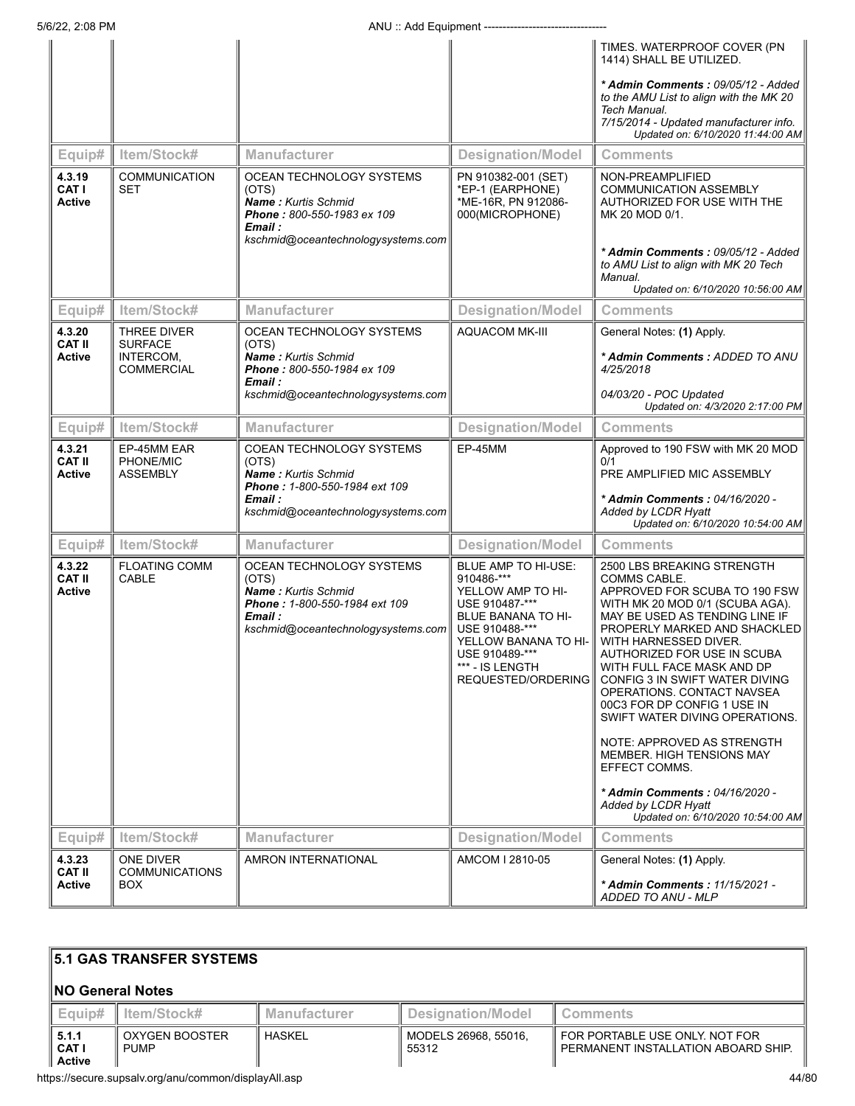| Equip#<br>4.3.19<br><b>CAT I</b><br><b>Active</b> | Item/Stock#<br><b>COMMUNICATION</b><br>SET                      | Manufacturer<br>OCEAN TECHNOLOGY SYSTEMS<br>(OTS)<br><b>Name:</b> Kurtis Schmid<br>Phone: 800-550-1983 ex 109<br>Email :<br>kschmid@oceantechnologysystems.com | <b>Designation/Model</b><br>PN 910382-001 (SET)<br>*EP-1 (EARPHONE)<br>*ME-16R, PN 912086-<br>000(MICROPHONE)                                                                                       | TIMES. WATERPROOF COVER (PN<br>1414) SHALL BE UTILIZED.<br>* Admin Comments : 09/05/12 - Added<br>to the AMU List to align with the MK 20<br>Tech Manual.<br>7/15/2014 - Updated manufacturer info.<br>Updated on: 6/10/2020 11:44:00 AM<br><b>Comments</b><br>NON-PREAMPLIFIED<br><b>COMMUNICATION ASSEMBLY</b><br>AUTHORIZED FOR USE WITH THE<br>MK 20 MOD 0/1.<br>* Admin Comments : 09/05/12 - Added<br>to AMU List to align with MK 20 Tech<br>Manual.                                                                                                                              |
|---------------------------------------------------|-----------------------------------------------------------------|----------------------------------------------------------------------------------------------------------------------------------------------------------------|-----------------------------------------------------------------------------------------------------------------------------------------------------------------------------------------------------|------------------------------------------------------------------------------------------------------------------------------------------------------------------------------------------------------------------------------------------------------------------------------------------------------------------------------------------------------------------------------------------------------------------------------------------------------------------------------------------------------------------------------------------------------------------------------------------|
|                                                   |                                                                 |                                                                                                                                                                |                                                                                                                                                                                                     | Updated on: 6/10/2020 10:56:00 AM                                                                                                                                                                                                                                                                                                                                                                                                                                                                                                                                                        |
| Equip#                                            | Item/Stock#                                                     | <b>Manufacturer</b>                                                                                                                                            | <b>Designation/Model</b>                                                                                                                                                                            | <b>Comments</b>                                                                                                                                                                                                                                                                                                                                                                                                                                                                                                                                                                          |
| 4.3.20<br><b>CAT II</b><br>Active                 | THREE DIVER<br><b>SURFACE</b><br>INTERCOM,<br><b>COMMERCIAL</b> | OCEAN TECHNOLOGY SYSTEMS<br>(OTS)<br>Name: Kurtis Schmid<br>Phone: 800-550-1984 ex 109<br>Email :<br>kschmid@oceantechnologysystems.com                        | <b>AQUACOM MK-III</b>                                                                                                                                                                               | General Notes: (1) Apply.<br>* Admin Comments: ADDED TO ANU<br>4/25/2018<br>04/03/20 - POC Updated<br>Updated on: 4/3/2020 2:17:00 PM                                                                                                                                                                                                                                                                                                                                                                                                                                                    |
| Equip#                                            | Item/Stock#                                                     | Manufacturer                                                                                                                                                   | <b>Designation/Model</b>                                                                                                                                                                            | <b>Comments</b>                                                                                                                                                                                                                                                                                                                                                                                                                                                                                                                                                                          |
| 4.3.21<br><b>CAT II</b><br>Active                 | EP-45MM EAR<br>PHONE/MIC<br><b>ASSEMBLY</b>                     | COEAN TECHNOLOGY SYSTEMS<br>(OTS)<br>Name: Kurtis Schmid<br>Phone: 1-800-550-1984 ext 109<br>Email :<br>kschmid@oceantechnologysystems.com                     | EP-45MM                                                                                                                                                                                             | Approved to 190 FSW with MK 20 MOD<br>0/1<br>PRE AMPLIFIED MIC ASSEMBLY<br>* Admin Comments: 04/16/2020 -<br>Added by LCDR Hyatt<br>Updated on: 6/10/2020 10:54:00 AM                                                                                                                                                                                                                                                                                                                                                                                                                    |
| Equip#                                            | Item/Stock#                                                     | Manufacturer                                                                                                                                                   | <b>Designation/Model</b>                                                                                                                                                                            | <b>Comments</b>                                                                                                                                                                                                                                                                                                                                                                                                                                                                                                                                                                          |
| 4.3.22<br><b>CAT II</b><br>Active                 | <b>FLOATING COMM</b><br>CABLE                                   | OCEAN TECHNOLOGY SYSTEMS<br>(OTS)<br>Name: Kurtis Schmid<br>Phone: 1-800-550-1984 ext 109<br>Email :<br>kschmid@oceantechnologysystems.com                     | BLUE AMP TO HI-USE:<br>910486-***<br>YELLOW AMP TO HI-<br>USE 910487-***<br>BLUE BANANA TO HI-<br>USE 910488-***<br>YELLOW BANANA TO HI-<br>USE 910489-***<br>*** - IS LENGTH<br>REQUESTED/ORDERING | 2500 LBS BREAKING STRENGTH<br>COMMS CABLE.<br>APPROVED FOR SCUBA TO 190 FSW<br>WITH MK 20 MOD 0/1 (SCUBA AGA).<br>MAY BE USED AS TENDING LINE IF<br>PROPERLY MARKED AND SHACKLED<br>WITH HARNESSED DIVER.<br>AUTHORIZED FOR USE IN SCUBA<br>WITH FULL FACE MASK AND DP<br>CONFIG 3 IN SWIFT WATER DIVING<br>OPERATIONS, CONTACT NAVSEA<br>00C3 FOR DP CONFIG 1 USE IN<br>SWIFT WATER DIVING OPERATIONS.<br>NOTE: APPROVED AS STRENGTH<br><b>MEMBER. HIGH TENSIONS MAY</b><br>EFFECT COMMS.<br>* Admin Comments: 04/16/2020 -<br>Added by LCDR Hyatt<br>Updated on: 6/10/2020 10:54:00 AM |
| Equip#                                            | Item/Stock#                                                     | Manufacturer                                                                                                                                                   | <b>Designation/Model</b>                                                                                                                                                                            | <b>Comments</b>                                                                                                                                                                                                                                                                                                                                                                                                                                                                                                                                                                          |
| 4.3.23<br><b>CAT II</b><br>Active                 | ONE DIVER<br><b>COMMUNICATIONS</b><br>BOX.                      | AMRON INTERNATIONAL                                                                                                                                            | AMCOM I 2810-05                                                                                                                                                                                     | General Notes: (1) Apply.<br>* Admin Comments: 11/15/2021 -<br>ADDED TO ANU - MLP                                                                                                                                                                                                                                                                                                                                                                                                                                                                                                        |

#### **5.1 GAS TRANSFER SYSTEMS NO General Notes Equip# Item/Stock# Manufacturer Designation/Model Comments 5.1.1 CAT I Active** OXYGEN BOOSTER PUMP  $HASKEL$  MODELS 26968, 55016, 55312 FOR PORTABLE USE ONLY. NOT FOR PERMANENT INSTALLATION ABOARD SHIP.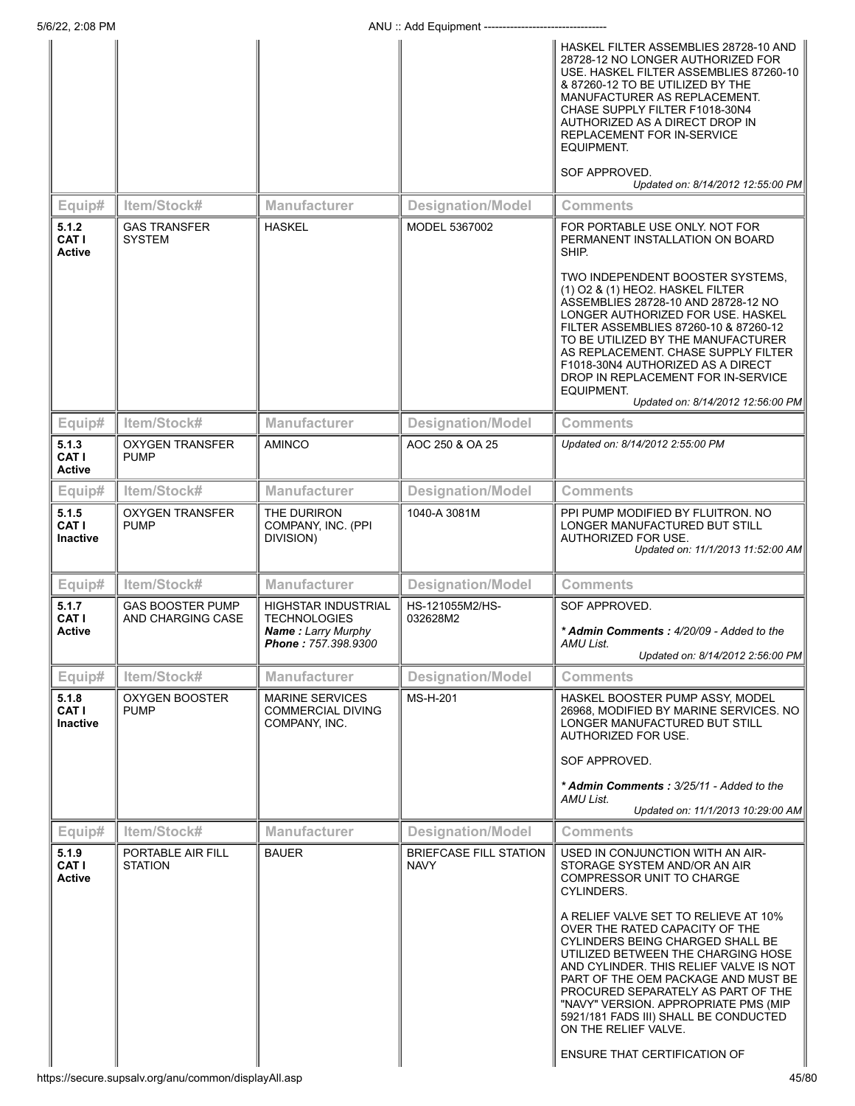|                                           |                                              |                                                                                                |                                              | HASKEL FILTER ASSEMBLIES 28728-10 AND<br>28728-12 NO LONGER AUTHORIZED FOR<br>USE. HASKEL FILTER ASSEMBLIES 87260-10<br>& 87260-12 TO BE UTILIZED BY THE<br>MANUFACTURER AS REPLACEMENT.<br>CHASE SUPPLY FILTER F1018-30N4<br>AUTHORIZED AS A DIRECT DROP IN<br>REPLACEMENT FOR IN-SERVICE<br>EQUIPMENT.<br>SOF APPROVED.<br>Updated on: 8/14/2012 12:55:00 PM                                                                                                                                                                                |
|-------------------------------------------|----------------------------------------------|------------------------------------------------------------------------------------------------|----------------------------------------------|-----------------------------------------------------------------------------------------------------------------------------------------------------------------------------------------------------------------------------------------------------------------------------------------------------------------------------------------------------------------------------------------------------------------------------------------------------------------------------------------------------------------------------------------------|
| Equip#                                    | Item/Stock#                                  | <b>Manufacturer</b>                                                                            | <b>Designation/Model</b>                     | <b>Comments</b>                                                                                                                                                                                                                                                                                                                                                                                                                                                                                                                               |
| 5.1.2<br><b>CAT I</b><br>Active           | <b>GAS TRANSFER</b><br><b>SYSTEM</b>         | <b>HASKEL</b>                                                                                  | <b>MODEL 5367002</b>                         | FOR PORTABLE USE ONLY. NOT FOR<br>PERMANENT INSTALLATION ON BOARD<br>SHIP.<br>TWO INDEPENDENT BOOSTER SYSTEMS,<br>(1) O2 & (1) HEO2. HASKEL FILTER<br>ASSEMBLIES 28728-10 AND 28728-12 NO<br>LONGER AUTHORIZED FOR USE. HASKEL<br>FILTER ASSEMBLIES 87260-10 & 87260-12<br>TO BE UTILIZED BY THE MANUFACTURER<br>AS REPLACEMENT. CHASE SUPPLY FILTER<br>F1018-30N4 AUTHORIZED AS A DIRECT<br>DROP IN REPLACEMENT FOR IN-SERVICE<br>EQUIPMENT.                                                                                                 |
|                                           | Item/Stock#                                  | <b>Manufacturer</b>                                                                            |                                              | Updated on: 8/14/2012 12:56:00 PM<br><b>Comments</b>                                                                                                                                                                                                                                                                                                                                                                                                                                                                                          |
| Equip#<br>5.1.3<br><b>CAT I</b><br>Active | <b>OXYGEN TRANSFER</b><br><b>PUMP</b>        | <b>AMINCO</b>                                                                                  | <b>Designation/Model</b><br>AOC 250 & OA 25  | Updated on: 8/14/2012 2:55:00 PM                                                                                                                                                                                                                                                                                                                                                                                                                                                                                                              |
| Equip#                                    | Item/Stock#                                  | <b>Manufacturer</b>                                                                            | <b>Designation/Model</b>                     | <b>Comments</b>                                                                                                                                                                                                                                                                                                                                                                                                                                                                                                                               |
| 5.1.5<br>CAT I<br>Inactive                | <b>OXYGEN TRANSFER</b><br><b>PUMP</b>        | THE DURIRON<br>COMPANY, INC. (PPI<br>DIVISION)                                                 | 1040-A 3081M                                 | PPI PUMP MODIFIED BY FLUITRON. NO<br>LONGER MANUFACTURED BUT STILL<br>AUTHORIZED FOR USE.<br>Updated on: 11/1/2013 11:52:00 AM                                                                                                                                                                                                                                                                                                                                                                                                                |
| Equip#                                    | Item/Stock#                                  | <b>Manufacturer</b>                                                                            | <b>Designation/Model</b>                     | <b>Comments</b>                                                                                                                                                                                                                                                                                                                                                                                                                                                                                                                               |
| 5.1.7<br>CAT I<br>Active                  | <b>GAS BOOSTER PUMP</b><br>AND CHARGING CASE | HIGHSTAR INDUSTRIAL<br><b>TECHNOLOGIES</b><br><b>Name: Larry Murphy</b><br>Phone: 757.398.9300 | HS-121055M2/HS-<br>032628M2                  | SOF APPROVED.<br>* Admin Comments: 4/20/09 - Added to the<br>AMU List.<br>Updated on: 8/14/2012 2:56:00 PM                                                                                                                                                                                                                                                                                                                                                                                                                                    |
| Equip#                                    | Item/Stock#                                  | Manufacturer                                                                                   | <b>Designation/Model</b>                     | <b>Comments</b>                                                                                                                                                                                                                                                                                                                                                                                                                                                                                                                               |
| 5.1.8<br><b>CAT I</b><br>Inactive         | <b>OXYGEN BOOSTER</b><br><b>PUMP</b>         | <b>MARINE SERVICES</b><br><b>COMMERCIAL DIVING</b><br>COMPANY, INC.                            | MS-H-201                                     | HASKEL BOOSTER PUMP ASSY, MODEL<br>26968, MODIFIED BY MARINE SERVICES. NO<br>LONGER MANUFACTURED BUT STILL<br>AUTHORIZED FOR USE.<br>SOF APPROVED.<br>* Admin Comments: 3/25/11 - Added to the<br>AMU List.<br>Updated on: 11/1/2013 10:29:00 AM                                                                                                                                                                                                                                                                                              |
| Equip#                                    | Item/Stock#                                  | <b>Manufacturer</b>                                                                            | <b>Designation/Model</b>                     | <b>Comments</b>                                                                                                                                                                                                                                                                                                                                                                                                                                                                                                                               |
| 5.1.9<br>CAT I<br>Active                  | PORTABLE AIR FILL<br><b>STATION</b>          | <b>BAUER</b>                                                                                   | <b>BRIEFCASE FILL STATION</b><br><b>NAVY</b> | USED IN CONJUNCTION WITH AN AIR-<br>STORAGE SYSTEM AND/OR AN AIR<br><b>COMPRESSOR UNIT TO CHARGE</b><br>CYLINDERS.<br>A RELIEF VALVE SET TO RELIEVE AT 10%<br>OVER THE RATED CAPACITY OF THE<br>CYLINDERS BEING CHARGED SHALL BE<br>UTILIZED BETWEEN THE CHARGING HOSE<br>AND CYLINDER. THIS RELIEF VALVE IS NOT<br>PART OF THE OEM PACKAGE AND MUST BE<br>PROCURED SEPARATELY AS PART OF THE<br>"NAVY" VERSION. APPROPRIATE PMS (MIP<br>5921/181 FADS III) SHALL BE CONDUCTED<br>ON THE RELIEF VALVE.<br><b>ENSURE THAT CERTIFICATION OF</b> |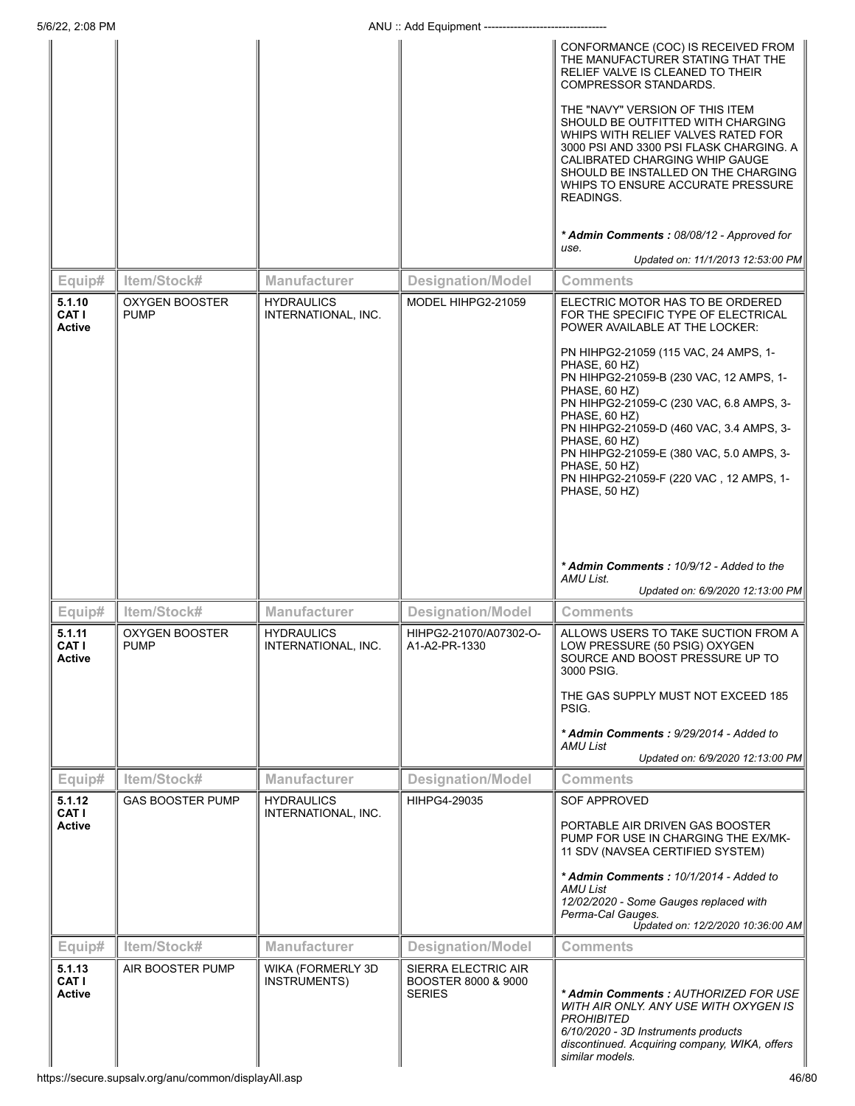|                                  |                                      |                                           |                                                             | CONFORMANCE (COC) IS RECEIVED FROM<br>THE MANUFACTURER STATING THAT THE<br>RELIEF VALVE IS CLEANED TO THEIR<br>COMPRESSOR STANDARDS.<br>THE "NAVY" VERSION OF THIS ITEM<br>SHOULD BE OUTFITTED WITH CHARGING<br>WHIPS WITH RELIEF VALVES RATED FOR<br>3000 PSI AND 3300 PSI FLASK CHARGING. A<br>CALIBRATED CHARGING WHIP GAUGE<br>SHOULD BE INSTALLED ON THE CHARGING<br>WHIPS TO ENSURE ACCURATE PRESSURE<br>READINGS.<br>* Admin Comments: 08/08/12 - Approved for                                                                       |
|----------------------------------|--------------------------------------|-------------------------------------------|-------------------------------------------------------------|---------------------------------------------------------------------------------------------------------------------------------------------------------------------------------------------------------------------------------------------------------------------------------------------------------------------------------------------------------------------------------------------------------------------------------------------------------------------------------------------------------------------------------------------|
|                                  |                                      |                                           |                                                             | use.<br>Updated on: 11/1/2013 12:53:00 PM                                                                                                                                                                                                                                                                                                                                                                                                                                                                                                   |
| Equip#                           | Item/Stock#                          | <b>Manufacturer</b>                       | <b>Designation/Model</b>                                    | Comments                                                                                                                                                                                                                                                                                                                                                                                                                                                                                                                                    |
| 5.1.10<br>CAT I<br><b>Active</b> | <b>OXYGEN BOOSTER</b><br><b>PUMP</b> | <b>HYDRAULICS</b><br>INTERNATIONAL, INC.  | MODEL HIHPG2-21059                                          | ELECTRIC MOTOR HAS TO BE ORDERED<br>FOR THE SPECIFIC TYPE OF ELECTRICAL<br>POWER AVAILABLE AT THE LOCKER:<br>PN HIHPG2-21059 (115 VAC, 24 AMPS, 1-<br>PHASE, 60 HZ)<br>PN HIHPG2-21059-B (230 VAC, 12 AMPS, 1-<br>PHASE, 60 HZ)<br>PN HIHPG2-21059-C (230 VAC, 6.8 AMPS, 3-<br>PHASE, 60 HZ)<br>PN HIHPG2-21059-D (460 VAC, 3.4 AMPS, 3-<br>PHASE, 60 HZ)<br>PN HIHPG2-21059-E (380 VAC, 5.0 AMPS, 3-<br>PHASE, 50 HZ)<br>PN HIHPG2-21059-F (220 VAC, 12 AMPS, 1-<br>PHASE, 50 HZ)<br>* Admin Comments: 10/9/12 - Added to the<br>AMU List. |
|                                  |                                      |                                           |                                                             | Updated on: 6/9/2020 12:13:00 PM                                                                                                                                                                                                                                                                                                                                                                                                                                                                                                            |
| Equip#                           | Item/Stock#                          | <b>Manufacturer</b>                       | <b>Designation/Model</b>                                    | Comments                                                                                                                                                                                                                                                                                                                                                                                                                                                                                                                                    |
| 5.1.11<br><b>CAT I</b><br>Active | <b>OXYGEN BOOSTER</b><br><b>PUMP</b> | <b>HYDRAULICS</b><br>INTERNATIONAL, INC.  | HIHPG2-21070/A07302-O-<br>A1-A2-PR-1330                     | ALLOWS USERS TO TAKE SUCTION FROM A<br>LOW PRESSURE (50 PSIG) OXYGEN<br>SOURCE AND BOOST PRESSURE UP TO<br>3000 PSIG.<br>THE GAS SUPPLY MUST NOT EXCEED 185<br>PSIG.<br>* Admin Comments: 9/29/2014 - Added to<br>AMU List<br>Updated on: 6/9/2020 12:13:00 PM                                                                                                                                                                                                                                                                              |
| Equip#                           | Item/Stock#                          | <b>Manufacturer</b>                       | <b>Designation/Model</b>                                    | Comments                                                                                                                                                                                                                                                                                                                                                                                                                                                                                                                                    |
| 5.1.12<br>CAT I<br><b>Active</b> | <b>GAS BOOSTER PUMP</b>              | <b>HYDRAULICS</b><br>INTERNATIONAL, INC.  | HIHPG4-29035                                                | <b>SOF APPROVED</b><br>PORTABLE AIR DRIVEN GAS BOOSTER<br>PUMP FOR USE IN CHARGING THE EX/MK-<br>11 SDV (NAVSEA CERTIFIED SYSTEM)<br>* Admin Comments: 10/1/2014 - Added to<br>AMU List<br>12/02/2020 - Some Gauges replaced with<br>Perma-Cal Gauges.<br>Updated on: 12/2/2020 10:36:00 AM                                                                                                                                                                                                                                                 |
| Equip#                           | Item/Stock#                          | Manufacturer                              | <b>Designation/Model</b>                                    | Comments                                                                                                                                                                                                                                                                                                                                                                                                                                                                                                                                    |
| 5.1.13<br>CAT I<br><b>Active</b> | AIR BOOSTER PUMP                     | WIKA (FORMERLY 3D)<br><b>INSTRUMENTS)</b> | SIERRA ELECTRIC AIR<br>BOOSTER 8000 & 9000<br><b>SERIES</b> | * Admin Comments : AUTHORIZED FOR USE<br>WITH AIR ONLY. ANY USE WITH OXYGEN IS<br><b>PROHIBITED</b><br>6/10/2020 - 3D Instruments products<br>discontinued. Acquiring company, WIKA, offers<br>similar models.                                                                                                                                                                                                                                                                                                                              |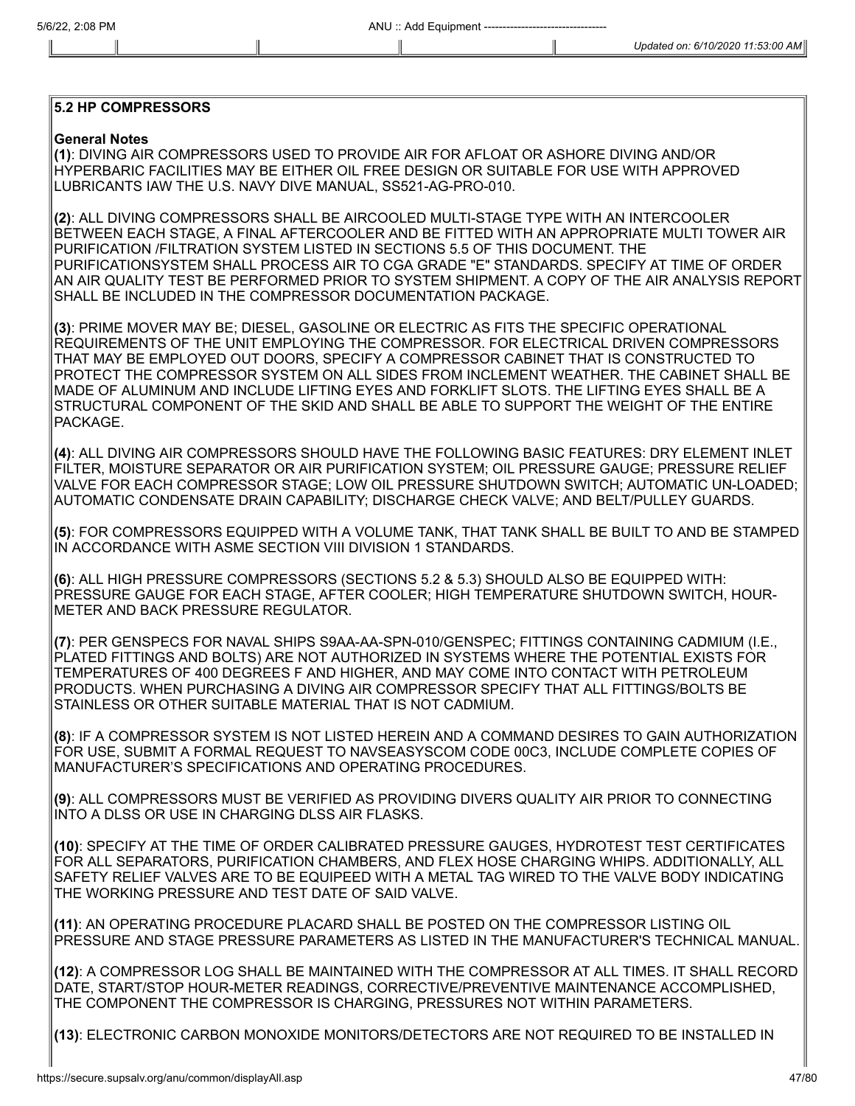## **5.2 HP COMPRESSORS**

## **General Notes**

**(1)**: DIVING AIR COMPRESSORS USED TO PROVIDE AIR FOR AFLOAT OR ASHORE DIVING AND/OR HYPERBARIC FACILITIES MAY BE EITHER OIL FREE DESIGN OR SUITABLE FOR USE WITH APPROVED LUBRICANTS IAW THE U.S. NAVY DIVE MANUAL, SS521-AG-PRO-010.

**(2)**: ALL DIVING COMPRESSORS SHALL BE AIRCOOLED MULTI-STAGE TYPE WITH AN INTERCOOLER BETWEEN EACH STAGE, A FINAL AFTERCOOLER AND BE FITTED WITH AN APPROPRIATE MULTI TOWER AIR PURIFICATION /FILTRATION SYSTEM LISTED IN SECTIONS 5.5 OF THIS DOCUMENT. THE PURIFICATIONSYSTEM SHALL PROCESS AIR TO CGA GRADE "E" STANDARDS. SPECIFY AT TIME OF ORDER AN AIR QUALITY TEST BE PERFORMED PRIOR TO SYSTEM SHIPMENT. A COPY OF THE AIR ANALYSIS REPORT SHALL BE INCLUDED IN THE COMPRESSOR DOCUMENTATION PACKAGE.

**(3)**: PRIME MOVER MAY BE; DIESEL, GASOLINE OR ELECTRIC AS FITS THE SPECIFIC OPERATIONAL REQUIREMENTS OF THE UNIT EMPLOYING THE COMPRESSOR. FOR ELECTRICAL DRIVEN COMPRESSORS THAT MAY BE EMPLOYED OUT DOORS, SPECIFY A COMPRESSOR CABINET THAT IS CONSTRUCTED TO PROTECT THE COMPRESSOR SYSTEM ON ALL SIDES FROM INCLEMENT WEATHER. THE CABINET SHALL BE MADE OF ALUMINUM AND INCLUDE LIFTING EYES AND FORKLIFT SLOTS. THE LIFTING EYES SHALL BE A STRUCTURAL COMPONENT OF THE SKID AND SHALL BE ABLE TO SUPPORT THE WEIGHT OF THE ENTIRE PACKAGE.

**(4)**: ALL DIVING AIR COMPRESSORS SHOULD HAVE THE FOLLOWING BASIC FEATURES: DRY ELEMENT INLET FILTER, MOISTURE SEPARATOR OR AIR PURIFICATION SYSTEM; OIL PRESSURE GAUGE; PRESSURE RELIEF VALVE FOR EACH COMPRESSOR STAGE; LOW OIL PRESSURE SHUTDOWN SWITCH; AUTOMATIC UN-LOADED; AUTOMATIC CONDENSATE DRAIN CAPABILITY; DISCHARGE CHECK VALVE; AND BELT/PULLEY GUARDS.

**(5)**: FOR COMPRESSORS EQUIPPED WITH A VOLUME TANK, THAT TANK SHALL BE BUILT TO AND BE STAMPED IN ACCORDANCE WITH ASME SECTION VIII DIVISION 1 STANDARDS.

**(6)**: ALL HIGH PRESSURE COMPRESSORS (SECTIONS 5.2 & 5.3) SHOULD ALSO BE EQUIPPED WITH: PRESSURE GAUGE FOR EACH STAGE, AFTER COOLER; HIGH TEMPERATURE SHUTDOWN SWITCH, HOUR-METER AND BACK PRESSURE REGULATOR.

**(7)**: PER GENSPECS FOR NAVAL SHIPS S9AA-AA-SPN-010/GENSPEC; FITTINGS CONTAINING CADMIUM (I.E., PLATED FITTINGS AND BOLTS) ARE NOT AUTHORIZED IN SYSTEMS WHERE THE POTENTIAL EXISTS FOR TEMPERATURES OF 400 DEGREES F AND HIGHER, AND MAY COME INTO CONTACT WITH PETROLEUM PRODUCTS. WHEN PURCHASING A DIVING AIR COMPRESSOR SPECIFY THAT ALL FITTINGS/BOLTS BE STAINLESS OR OTHER SUITABLE MATERIAL THAT IS NOT CADMIUM.

**(8)**: IF A COMPRESSOR SYSTEM IS NOT LISTED HEREIN AND A COMMAND DESIRES TO GAIN AUTHORIZATION FOR USE, SUBMIT A FORMAL REQUEST TO NAVSEASYSCOM CODE 00C3, INCLUDE COMPLETE COPIES OF MANUFACTURER'S SPECIFICATIONS AND OPERATING PROCEDURES.

**(9)**: ALL COMPRESSORS MUST BE VERIFIED AS PROVIDING DIVERS QUALITY AIR PRIOR TO CONNECTING INTO A DLSS OR USE IN CHARGING DLSS AIR FLASKS.

**(10)**: SPECIFY AT THE TIME OF ORDER CALIBRATED PRESSURE GAUGES, HYDROTEST TEST CERTIFICATES FOR ALL SEPARATORS, PURIFICATION CHAMBERS, AND FLEX HOSE CHARGING WHIPS. ADDITIONALLY, ALL SAFETY RELIEF VALVES ARE TO BE EQUIPEED WITH A METAL TAG WIRED TO THE VALVE BODY INDICATING THE WORKING PRESSURE AND TEST DATE OF SAID VALVE.

**(11)**: AN OPERATING PROCEDURE PLACARD SHALL BE POSTED ON THE COMPRESSOR LISTING OIL PRESSURE AND STAGE PRESSURE PARAMETERS AS LISTED IN THE MANUFACTURER'S TECHNICAL MANUAL.

**(12)**: A COMPRESSOR LOG SHALL BE MAINTAINED WITH THE COMPRESSOR AT ALL TIMES. IT SHALL RECORD DATE, START/STOP HOUR-METER READINGS, CORRECTIVE/PREVENTIVE MAINTENANCE ACCOMPLISHED, THE COMPONENT THE COMPRESSOR IS CHARGING, PRESSURES NOT WITHIN PARAMETERS.

**(13)**: ELECTRONIC CARBON MONOXIDE MONITORS/DETECTORS ARE NOT REQUIRED TO BE INSTALLED IN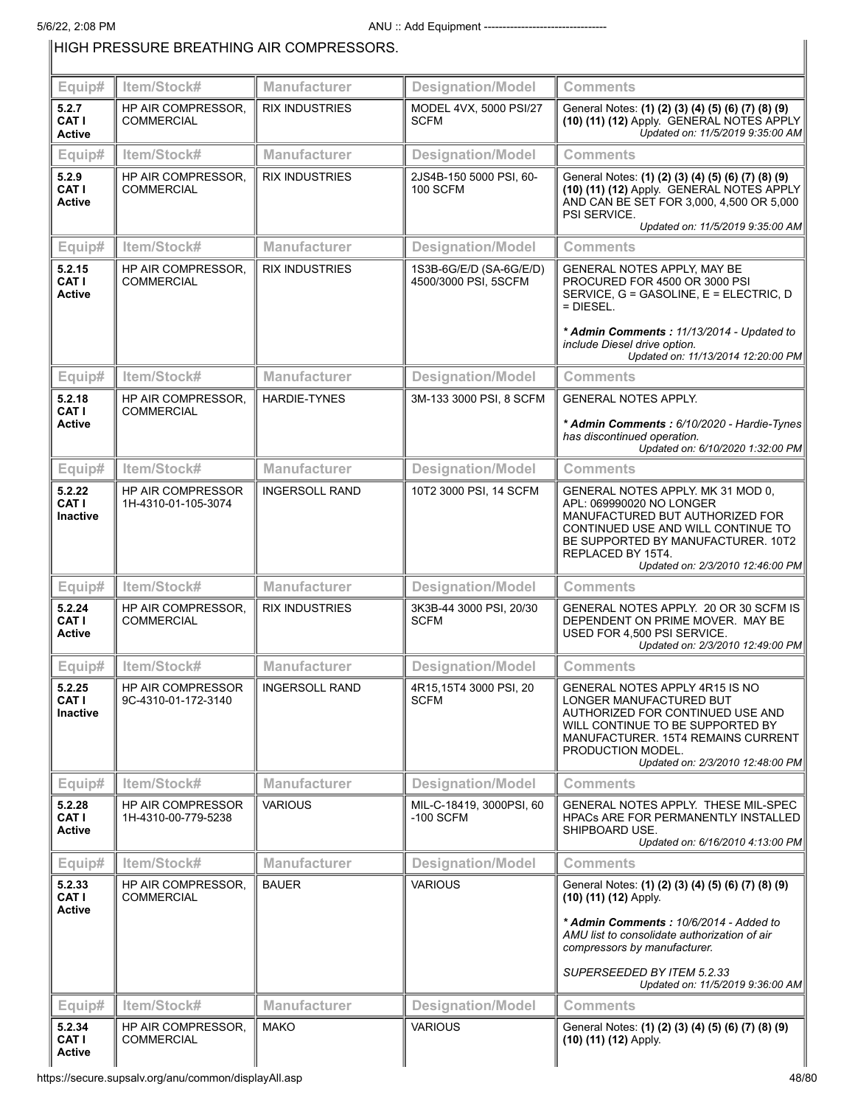# HIGH PRESSURE BREATHING AIR COMPRESSORS.

| Equip#                             | Item/Stock#                                     | Manufacturer          | <b>Designation/Model</b>                        | <b>Comments</b>                                                                                                                                                                                                                       |
|------------------------------------|-------------------------------------------------|-----------------------|-------------------------------------------------|---------------------------------------------------------------------------------------------------------------------------------------------------------------------------------------------------------------------------------------|
| 5.2.7                              | <b>HP AIR COMPRESSOR,</b>                       | <b>RIX INDUSTRIES</b> | MODEL 4VX, 5000 PSI/27                          |                                                                                                                                                                                                                                       |
| CAT I<br>Active                    | <b>COMMERCIAL</b>                               |                       | SCFM                                            | General Notes: (1) (2) (3) (4) (5) (6) (7) (8) (9)<br>(10) (11) (12) Apply. GENERAL NOTES APPLY<br>Updated on: 11/5/2019 9:35:00 AM                                                                                                   |
| Equip#                             | Item/Stock#                                     | <b>Manufacturer</b>   | <b>Designation/Model</b>                        | <b>Comments</b>                                                                                                                                                                                                                       |
| 5.2.9<br>CAT I<br>Active           | HP AIR COMPRESSOR,<br><b>COMMERCIAL</b>         | <b>RIX INDUSTRIES</b> | 2JS4B-150 5000 PSI, 60-<br><b>100 SCFM</b>      | General Notes: (1) (2) (3) (4) (5) (6) (7) (8) (9)<br>(10) (11) (12) Apply. GENERAL NOTES APPLY<br>AND CAN BE SET FOR 3,000, 4,500 OR 5,000<br>PSI SERVICE.<br>Updated on: 11/5/2019 9:35:00 AM                                       |
| Equip#                             | Item/Stock#                                     | <b>Manufacturer</b>   | <b>Designation/Model</b>                        | Comments                                                                                                                                                                                                                              |
| 5.2.15<br>CAT I<br><b>Active</b>   | HP AIR COMPRESSOR.<br><b>COMMERCIAL</b>         | <b>RIX INDUSTRIES</b> | 1S3B-6G/E/D (SA-6G/E/D)<br>4500/3000 PSI, 5SCFM | GENERAL NOTES APPLY, MAY BE<br>PROCURED FOR 4500 OR 3000 PSI<br>SERVICE, G = GASOLINE, E = ELECTRIC, D<br>$=$ DIESEL.<br>* Admin Comments: 11/13/2014 - Updated to                                                                    |
|                                    |                                                 |                       |                                                 | include Diesel drive option.<br>Updated on: 11/13/2014 12:20:00 PM                                                                                                                                                                    |
| Equip#                             | Item/Stock#                                     | <b>Manufacturer</b>   | <b>Designation/Model</b>                        | Comments                                                                                                                                                                                                                              |
| 5.2.18<br>CAT I                    | HP AIR COMPRESSOR,<br><b>COMMERCIAL</b>         | <b>HARDIE-TYNES</b>   | 3M-133 3000 PSI, 8 SCFM                         | <b>GENERAL NOTES APPLY.</b>                                                                                                                                                                                                           |
| Active                             |                                                 |                       |                                                 | * Admin Comments: 6/10/2020 - Hardie-Tynes<br>has discontinued operation.<br>Updated on: 6/10/2020 1:32:00 PM                                                                                                                         |
| Equip#                             | Item/Stock#                                     | <b>Manufacturer</b>   | <b>Designation/Model</b>                        | <b>Comments</b>                                                                                                                                                                                                                       |
| 5.2.22<br>CAT I<br><b>Inactive</b> | HP AIR COMPRESSOR<br>1H-4310-01-105-3074        | <b>INGERSOLL RAND</b> | 10T2 3000 PSI, 14 SCFM                          | GENERAL NOTES APPLY. MK 31 MOD 0,<br>APL: 069990020 NO LONGER<br>MANUFACTURED BUT AUTHORIZED FOR<br>CONTINUED USE AND WILL CONTINUE TO<br>BE SUPPORTED BY MANUFACTURER. 10T2<br>REPLACED BY 15T4.<br>Updated on: 2/3/2010 12:46:00 PM |
| Equip#                             | Item/Stock#                                     | <b>Manufacturer</b>   | <b>Designation/Model</b>                        | <b>Comments</b>                                                                                                                                                                                                                       |
| 5.2.24<br>CAT I<br><b>Active</b>   | HP AIR COMPRESSOR.<br><b>COMMERCIAL</b>         | <b>RIX INDUSTRIES</b> | 3K3B-44 3000 PSI, 20/30<br><b>SCFM</b>          | GENERAL NOTES APPLY. 20 OR 30 SCFM IS<br>DEPENDENT ON PRIME MOVER. MAY BE<br>USED FOR 4,500 PSI SERVICE.<br>Updated on: 2/3/2010 12:49:00 PM                                                                                          |
| Equip#                             | Item/Stock#                                     | <b>Manufacturer</b>   | <b>Designation/Model</b>                        | <b>Comments</b>                                                                                                                                                                                                                       |
| 5.2.25<br>CAT I<br><b>Inactive</b> | HP AIR COMPRESSOR<br>9C-4310-01-172-3140        | <b>INGERSOLL RAND</b> | 4R15,15T4 3000 PSI, 20<br><b>SCFM</b>           | GENERAL NOTES APPLY 4R15 IS NO<br>LONGER MANUFACTURED BUT<br>AUTHORIZED FOR CONTINUED USE AND<br>WILL CONTINUE TO BE SUPPORTED BY<br>MANUFACTURER. 15T4 REMAINS CURRENT<br>PRODUCTION MODEL.<br>Updated on: 2/3/2010 12:48:00 PM      |
| Equip#                             | Item/Stock#                                     | <b>Manufacturer</b>   | <b>Designation/Model</b>                        | Comments                                                                                                                                                                                                                              |
| 5.2.28<br>CAT I<br><b>Active</b>   | <b>HP AIR COMPRESSOR</b><br>1H-4310-00-779-5238 | <b>VARIOUS</b>        | MIL-C-18419, 3000PSI, 60<br>$-100$ SCFM         | GENERAL NOTES APPLY. THESE MIL-SPEC<br><b>HPACS ARE FOR PERMANENTLY INSTALLED</b><br>SHIPBOARD USE.<br>Updated on: 6/16/2010 4:13:00 PM                                                                                               |
| Equip#                             | Item/Stock#                                     | <b>Manufacturer</b>   | <b>Designation/Model</b>                        | <b>Comments</b>                                                                                                                                                                                                                       |
| 5.2.33<br>CAT I<br><b>Active</b>   | HP AIR COMPRESSOR,<br><b>COMMERCIAL</b>         | <b>BAUER</b>          | <b>VARIOUS</b>                                  | General Notes: (1) (2) (3) (4) (5) (6) (7) (8) (9)<br>(10) (11) (12) Apply.                                                                                                                                                           |
|                                    |                                                 |                       |                                                 | * Admin Comments: 10/6/2014 - Added to<br>AMU list to consolidate authorization of air<br>compressors by manufacturer.<br>SUPERSEEDED BY ITEM 5.2.33<br>Updated on: 11/5/2019 9:36:00 AM                                              |
| Equip#                             | Item/Stock#                                     | <b>Manufacturer</b>   | <b>Designation/Model</b>                        | Comments                                                                                                                                                                                                                              |
| 5.2.34<br>CAT I<br>Active          | HP AIR COMPRESSOR,<br><b>COMMERCIAL</b>         | <b>MAKO</b>           | <b>VARIOUS</b>                                  | General Notes: (1) (2) (3) (4) (5) (6) (7) (8) (9)<br>(10) (11) (12) Apply.                                                                                                                                                           |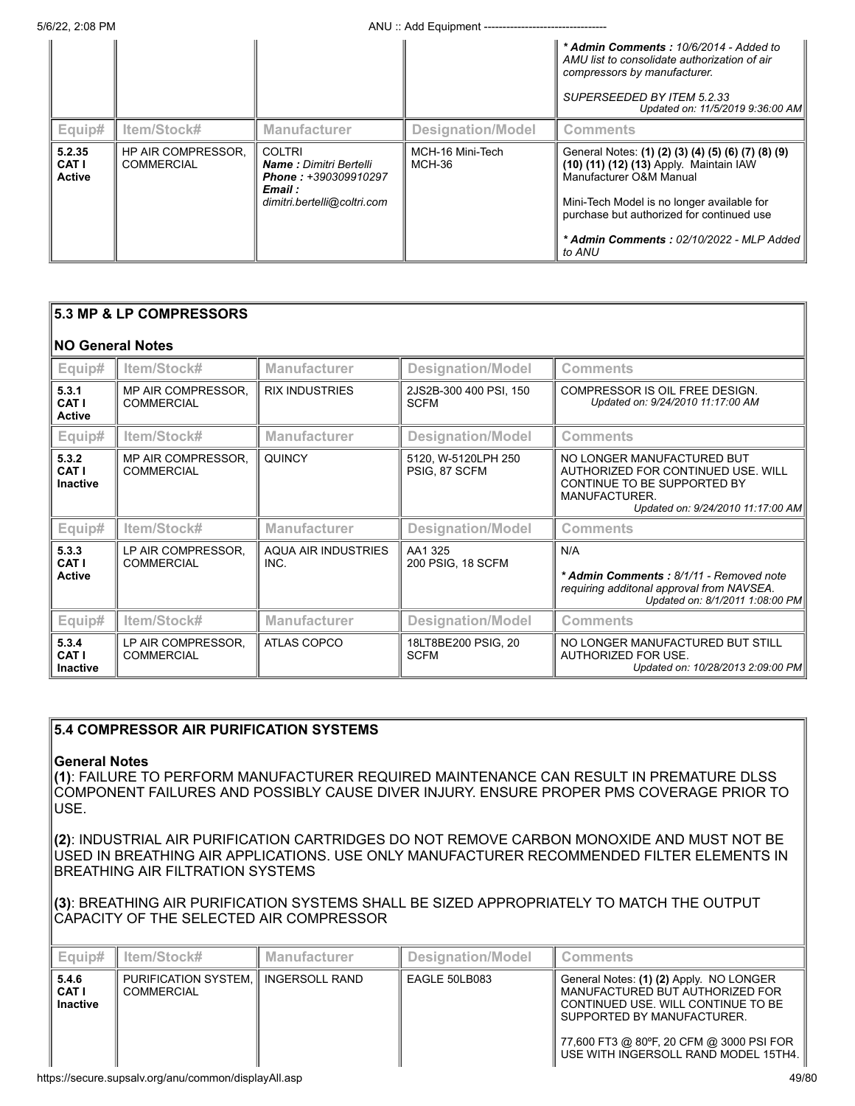|                                  |                                                |                                                                                                                         |                            | * Admin Comments: 10/6/2014 - Added to<br>AMU list to consolidate authorization of air<br>compressors by manufacturer.<br>SUPERSEEDED BY ITEM 5.2.33<br>Updated on: 11/5/2019 9:36:00 AM                                                                                  |
|----------------------------------|------------------------------------------------|-------------------------------------------------------------------------------------------------------------------------|----------------------------|---------------------------------------------------------------------------------------------------------------------------------------------------------------------------------------------------------------------------------------------------------------------------|
| Equip#                           | Item/Stock#                                    | <b>Manufacturer</b>                                                                                                     | Designation/Model          | <b>Comments</b>                                                                                                                                                                                                                                                           |
| 5.2.35<br>CAT I<br><b>Active</b> | <b>HP AIR COMPRESSOR.</b><br><b>COMMERCIAL</b> | <b>COLTRI</b><br><b>Name:</b> Dimitri Bertelli<br><b>Phone: +390309910297</b><br>Email :<br>dimitri.bertelli@coltri.com | MCH-16 Mini-Tech<br>MCH-36 | General Notes: (1) (2) (3) (4) (5) (6) (7) (8) (9)<br>(10) (11) (12) (13) Apply. Maintain IAW<br>Manufacturer O&M Manual<br>Mini-Tech Model is no longer available for<br>purchase but authorized for continued use<br>* Admin Comments: 02/10/2022 - MLP Added<br>to ANU |

| 5.3 MP & LP COMPRESSORS           |                                         |                                    |                                       |                                                                                                                                                       |  |
|-----------------------------------|-----------------------------------------|------------------------------------|---------------------------------------|-------------------------------------------------------------------------------------------------------------------------------------------------------|--|
| <b>NO General Notes</b>           |                                         |                                    |                                       |                                                                                                                                                       |  |
| Equip#                            | Item/Stock#                             | <b>Manufacturer</b>                | <b>Designation/Model</b>              | Comments                                                                                                                                              |  |
| 5.3.1<br>CAT I<br><b>Active</b>   | MP AIR COMPRESSOR.<br><b>COMMERCIAL</b> | <b>RIX INDUSTRIES</b>              | 2JS2B-300 400 PSI, 150<br><b>SCFM</b> | COMPRESSOR IS OIL FREE DESIGN.<br>Updated on: 9/24/2010 11:17:00 AM                                                                                   |  |
| Equip#                            | Item/Stock#                             | <b>Manufacturer</b>                | <b>Designation/Model</b>              | <b>Comments</b>                                                                                                                                       |  |
| 5.3.2<br>CAT I<br><b>Inactive</b> | MP AIR COMPRESSOR,<br><b>COMMERCIAL</b> | <b>QUINCY</b>                      | 5120, W-5120LPH 250<br>PSIG, 87 SCFM  | NO LONGER MANUFACTURED BUT<br>AUTHORIZED FOR CONTINUED USE. WILL<br>CONTINUE TO BE SUPPORTED BY<br>MANUFACTURER.<br>Updated on: 9/24/2010 11:17:00 AM |  |
| Equip#                            | Item/Stock#                             | <b>Manufacturer</b>                | <b>Designation/Model</b>              | <b>Comments</b>                                                                                                                                       |  |
| 5.3.3<br>CAT I<br><b>Active</b>   | LP AIR COMPRESSOR.<br><b>COMMERCIAL</b> | <b>AQUA AIR INDUSTRIES</b><br>INC. | AA1 325<br>200 PSIG, 18 SCFM          | N/A<br>* Admin Comments: 8/1/11 - Removed note<br>requiring additonal approval from NAVSEA.<br>Updated on: 8/1/2011 1:08:00 PM                        |  |
| Equip#                            | Item/Stock#                             | <b>Manufacturer</b>                | <b>Designation/Model</b>              | <b>Comments</b>                                                                                                                                       |  |
| 5.3.4<br>CAT I<br><b>Inactive</b> | LP AIR COMPRESSOR,<br><b>COMMERCIAL</b> | <b>ATLAS COPCO</b>                 | 18LT8BE200 PSIG, 20<br><b>SCFM</b>    | NO LONGER MANUFACTURED BUT STILL<br>AUTHORIZED FOR USE.<br>Updated on: 10/28/2013 2:09:00 PM                                                          |  |

## **5.4 COMPRESSOR AIR PURIFICATION SYSTEMS**

## **General Notes**

**(1)**: FAILURE TO PERFORM MANUFACTURER REQUIRED MAINTENANCE CAN RESULT IN PREMATURE DLSS COMPONENT FAILURES AND POSSIBLY CAUSE DIVER INJURY. ENSURE PROPER PMS COVERAGE PRIOR TO USE.

**(2)**: INDUSTRIAL AIR PURIFICATION CARTRIDGES DO NOT REMOVE CARBON MONOXIDE AND MUST NOT BE USED IN BREATHING AIR APPLICATIONS. USE ONLY MANUFACTURER RECOMMENDED FILTER ELEMENTS IN BREATHING AIR FILTRATION SYSTEMS

**(3)**: BREATHING AIR PURIFICATION SYSTEMS SHALL BE SIZED APPROPRIATELY TO MATCH THE OUTPUT CAPACITY OF THE SELECTED AIR COMPRESSOR

| Equip#                           | ltem/Stock#                                                 | Manufacturer | Designation/Model | <b>Comments</b>                                                                                                                                                                                                                    |
|----------------------------------|-------------------------------------------------------------|--------------|-------------------|------------------------------------------------------------------------------------------------------------------------------------------------------------------------------------------------------------------------------------|
| 5.4.6<br><b>CATI</b><br>Inactive | PURIFICATION SYSTEM. II INGERSOLL RAND<br><b>COMMERCIAL</b> |              | EAGLE 50LB083     | General Notes: (1) (2) Apply. NO LONGER<br>MANUFACTURED BUT AUTHORIZED FOR<br>CONTINUED USE, WILL CONTINUE TO BE<br>SUPPORTED BY MANUFACTURER.<br>77,600 FT3 @ 80°F, 20 CFM @ 3000 PSI FOR<br>USE WITH INGERSOLL RAND MODEL 15TH4. |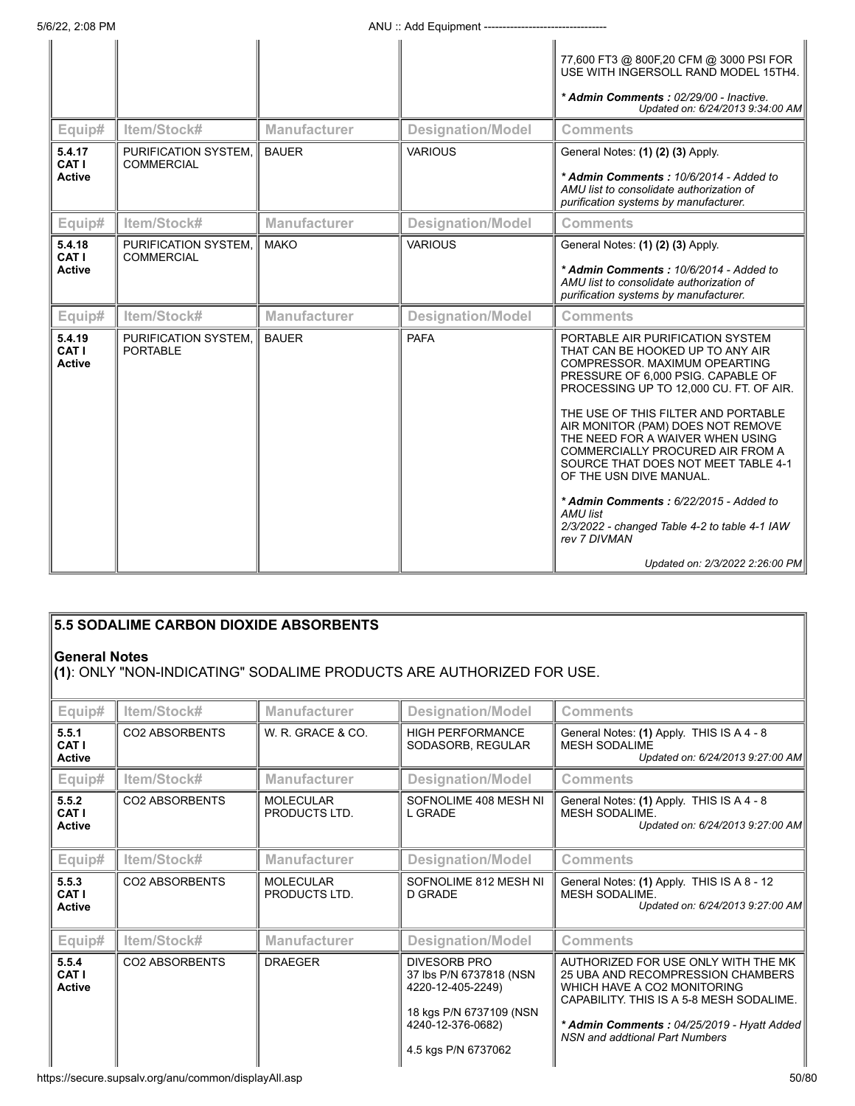|                                  |                                           |                     |                          | 77,600 FT3 @ 800F,20 CFM @ 3000 PSI FOR<br>USE WITH INGERSOLL RAND MODEL 15TH4.<br>* Admin Comments: 02/29/00 - Inactive.<br>Updated on: 6/24/2013 9:34:00 AM                                                                                                                                                                                                                                                                                                                                                                                                          |
|----------------------------------|-------------------------------------------|---------------------|--------------------------|------------------------------------------------------------------------------------------------------------------------------------------------------------------------------------------------------------------------------------------------------------------------------------------------------------------------------------------------------------------------------------------------------------------------------------------------------------------------------------------------------------------------------------------------------------------------|
| Equip#                           | Item/Stock#                               | <b>Manufacturer</b> | <b>Designation/Model</b> | <b>Comments</b>                                                                                                                                                                                                                                                                                                                                                                                                                                                                                                                                                        |
| 5.4.17<br>CAT I<br><b>Active</b> | PURIFICATION SYSTEM.<br><b>COMMERCIAL</b> | <b>BAUER</b>        | <b>VARIOUS</b>           | General Notes: (1) (2) (3) Apply.<br>* Admin Comments: 10/6/2014 - Added to<br>AMU list to consolidate authorization of<br>purification systems by manufacturer.                                                                                                                                                                                                                                                                                                                                                                                                       |
| Equip#                           | Item/Stock#                               | <b>Manufacturer</b> | <b>Designation/Model</b> | <b>Comments</b>                                                                                                                                                                                                                                                                                                                                                                                                                                                                                                                                                        |
| 5.4.18<br>CAT I<br><b>Active</b> | PURIFICATION SYSTEM.<br><b>COMMERCIAL</b> | <b>MAKO</b>         | <b>VARIOUS</b>           | General Notes: (1) (2) (3) Apply.<br>* Admin Comments: 10/6/2014 - Added to<br>AMU list to consolidate authorization of<br>purification systems by manufacturer.                                                                                                                                                                                                                                                                                                                                                                                                       |
| Equip#                           | Item/Stock#                               | <b>Manufacturer</b> | <b>Designation/Model</b> | <b>Comments</b>                                                                                                                                                                                                                                                                                                                                                                                                                                                                                                                                                        |
| 5.4.19<br>CAT I<br><b>Active</b> | PURIFICATION SYSTEM.<br><b>PORTABLE</b>   | <b>BAUER</b>        | <b>PAFA</b>              | PORTABLE AIR PURIFICATION SYSTEM<br>THAT CAN BE HOOKED UP TO ANY AIR<br>COMPRESSOR, MAXIMUM OPEARTING<br>PRESSURE OF 6,000 PSIG. CAPABLE OF<br>PROCESSING UP TO 12,000 CU. FT. OF AIR.<br>THE USE OF THIS FILTER AND PORTABLE<br>AIR MONITOR (PAM) DOES NOT REMOVE<br>THE NEED FOR A WAIVER WHEN USING<br>COMMERCIALLY PROCURED AIR FROM A<br>SOURCE THAT DOES NOT MEET TABLE 4-1<br>OF THE USN DIVE MANUAL.<br>* Admin Comments: 6/22/2015 - Added to<br>AMU list<br>2/3/2022 - changed Table 4-2 to table 4-1 IAW<br>rev 7 DIVMAN<br>Updated on: 2/3/2022 2:26:00 PM |

| 5.5 SODALIME CARBON DIOXIDE ABSORBENTS |                                                                                              |                                   |                                                                                                                     |                                                                                                                                                                                                   |  |  |
|----------------------------------------|----------------------------------------------------------------------------------------------|-----------------------------------|---------------------------------------------------------------------------------------------------------------------|---------------------------------------------------------------------------------------------------------------------------------------------------------------------------------------------------|--|--|
|                                        | <b>General Notes</b><br>(1): ONLY "NON-INDICATING" SODALIME PRODUCTS ARE AUTHORIZED FOR USE. |                                   |                                                                                                                     |                                                                                                                                                                                                   |  |  |
| Equip#                                 | Item/Stock#                                                                                  | <b>Manufacturer</b>               | <b>Designation/Model</b>                                                                                            | <b>Comments</b>                                                                                                                                                                                   |  |  |
| 5.5.1<br>CAT I<br>Active               | <b>CO2 ABSORBENTS</b>                                                                        | W. R. GRACE & CO.                 | <b>HIGH PERFORMANCE</b><br>SODASORB, REGULAR                                                                        | General Notes: (1) Apply. THIS IS A 4 - 8<br><b>MESH SODALIME</b><br>Updated on: 6/24/2013 9:27:00 AM                                                                                             |  |  |
| Equip#                                 | Item/Stock#                                                                                  | <b>Manufacturer</b>               | <b>Designation/Model</b>                                                                                            | <b>Comments</b>                                                                                                                                                                                   |  |  |
| 5.5.2<br>CAT I<br>Active               | <b>CO2 ABSORBENTS</b>                                                                        | <b>MOLECULAR</b><br>PRODUCTS LTD. | SOFNOLIME 408 MESH NI<br>L GRADE                                                                                    | General Notes: (1) Apply. THIS IS A 4 - 8<br>MESH SODALIME.<br>Updated on: 6/24/2013 9:27:00 AM                                                                                                   |  |  |
| Equip#                                 | Item/Stock#                                                                                  | <b>Manufacturer</b>               | <b>Designation/Model</b>                                                                                            | <b>Comments</b>                                                                                                                                                                                   |  |  |
| 5.5.3<br>CAT I<br><b>Active</b>        | CO2 ABSORBENTS                                                                               | <b>MOLECULAR</b><br>PRODUCTS LTD. | SOFNOLIME 812 MESH NI<br>D GRADE                                                                                    | General Notes: (1) Apply. THIS IS A 8 - 12<br><b>MESH SODALIME.</b><br>Updated on: 6/24/2013 9:27:00 AM                                                                                           |  |  |
| Equip#                                 | Item/Stock#                                                                                  | Manufacturer                      | <b>Designation/Model</b>                                                                                            | <b>Comments</b>                                                                                                                                                                                   |  |  |
| 5.5.4<br>CAT I<br><b>Active</b>        | <b>CO2 ABSORBENTS</b>                                                                        | <b>DRAEGER</b>                    | <b>DIVESORB PRO</b><br>37 lbs P/N 6737818 (NSN<br>4220-12-405-2249)<br>18 kgs P/N 6737109 (NSN<br>4240-12-376-0682) | AUTHORIZED FOR USE ONLY WITH THE MK<br>25 UBA AND RECOMPRESSION CHAMBERS<br>WHICH HAVE A CO2 MONITORING<br>CAPABILITY. THIS IS A 5-8 MESH SODALIME.<br>* Admin Comments: 04/25/2019 - Hyatt Added |  |  |

4.5 kgs P/N 6737062

*NSN and addtional Part Numbers*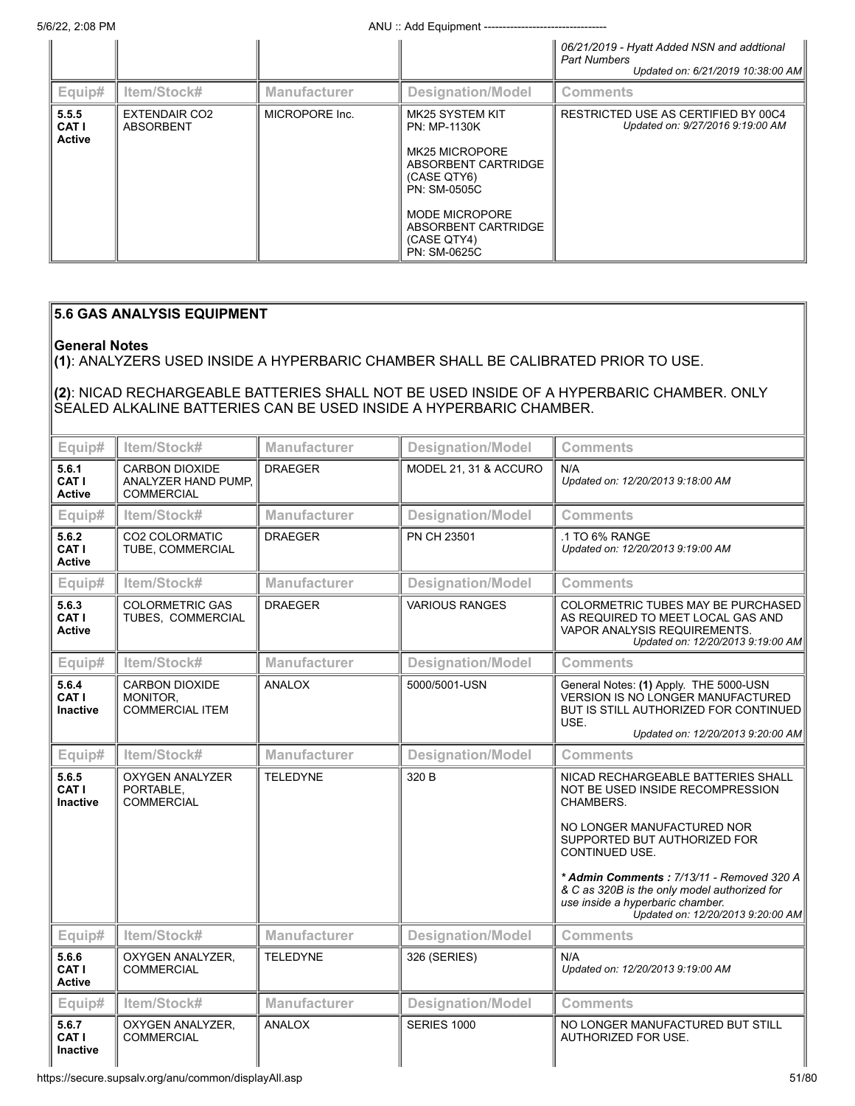|                                        |                                   |                     |                                                                                                                                                                                                      | 06/21/2019 - Hyatt Added NSN and addtional<br><b>Part Numbers</b><br>Updated on: 6/21/2019 10:38:00 AM |
|----------------------------------------|-----------------------------------|---------------------|------------------------------------------------------------------------------------------------------------------------------------------------------------------------------------------------------|--------------------------------------------------------------------------------------------------------|
| Equip#                                 | ltem/Stock#                       | <b>Manufacturer</b> | Designation/Model                                                                                                                                                                                    | <b>Comments</b>                                                                                        |
| 5.5.5<br><b>CAT I</b><br><b>Active</b> | <b>EXTENDAIR CO2</b><br>ABSORBENT | MICROPORE Inc.      | MK25 SYSTEM KIT<br>PN: MP-1130K<br><b>MK25 MICROPORE</b><br>ABSORBENT CARTRIDGE<br>(CASE QTY6)<br><b>PN: SM-0505C</b><br><b>MODE MICROPORE</b><br>ABSORBENT CARTRIDGE<br>(CASE QTY4)<br>PN: SM-0625C | RESTRICTED USE AS CERTIFIED BY 00C4<br>Updated on: 9/27/2016 9:19:00 AM                                |

## **5.6 GAS ANALYSIS EQUIPMENT**

## **General Notes**

**(1)**: ANALYZERS USED INSIDE A HYPERBARIC CHAMBER SHALL BE CALIBRATED PRIOR TO USE.

## **(2)**: NICAD RECHARGEABLE BATTERIES SHALL NOT BE USED INSIDE OF A HYPERBARIC CHAMBER. ONLY SEALED ALKALINE BATTERIES CAN BE USED INSIDE A HYPERBARIC CHAMBER.

| Equip#                                 | Item/Stock#                                                       | <b>Manufacturer</b> | <b>Designation/Model</b> | <b>Comments</b>                                                                                                                                                                                                                                                                                                                           |
|----------------------------------------|-------------------------------------------------------------------|---------------------|--------------------------|-------------------------------------------------------------------------------------------------------------------------------------------------------------------------------------------------------------------------------------------------------------------------------------------------------------------------------------------|
| 5.6.1<br>CAT I<br><b>Active</b>        | <b>CARBON DIOXIDE</b><br>ANALYZER HAND PUMP.<br><b>COMMERCIAL</b> | <b>DRAEGER</b>      | MODEL 21, 31 & ACCURO    | N/A<br>Updated on: 12/20/2013 9:18:00 AM                                                                                                                                                                                                                                                                                                  |
| Equip#                                 | Item/Stock#                                                       | <b>Manufacturer</b> | <b>Designation/Model</b> | <b>Comments</b>                                                                                                                                                                                                                                                                                                                           |
| 5.6.2<br><b>CAT I</b><br><b>Active</b> | <b>CO2 COLORMATIC</b><br>TUBE, COMMERCIAL                         | <b>DRAEGER</b>      | PN CH 23501              | .1 TO 6% RANGE<br>Updated on: 12/20/2013 9:19:00 AM                                                                                                                                                                                                                                                                                       |
| Equip#                                 | Item/Stock#                                                       | <b>Manufacturer</b> | <b>Designation/Model</b> | <b>Comments</b>                                                                                                                                                                                                                                                                                                                           |
| 5.6.3<br>CAT I<br><b>Active</b>        | <b>COLORMETRIC GAS</b><br>TUBES, COMMERCIAL                       | <b>DRAEGER</b>      | <b>VARIOUS RANGES</b>    | COLORMETRIC TUBES MAY BE PURCHASED<br>AS REQUIRED TO MEET LOCAL GAS AND<br>VAPOR ANALYSIS REQUIREMENTS.<br>Updated on: 12/20/2013 9:19:00 AM                                                                                                                                                                                              |
| Equip#                                 | Item/Stock#                                                       | Manufacturer        | <b>Designation/Model</b> | <b>Comments</b>                                                                                                                                                                                                                                                                                                                           |
| 5.6.4<br>CAT I<br><b>Inactive</b>      | <b>CARBON DIOXIDE</b><br>MONITOR.<br><b>COMMERCIAL ITEM</b>       | ANALOX              | 5000/5001-USN            | General Notes: (1) Apply. THE 5000-USN<br>VERSION IS NO LONGER MANUFACTURED<br>BUT IS STILL AUTHORIZED FOR CONTINUED<br>USE.<br>Updated on: 12/20/2013 9:20:00 AM                                                                                                                                                                         |
| Equip#                                 | Item/Stock#                                                       | <b>Manufacturer</b> | <b>Designation/Model</b> | <b>Comments</b>                                                                                                                                                                                                                                                                                                                           |
| 5.6.5<br>CAT I<br><b>Inactive</b>      | <b>OXYGEN ANALYZER</b><br>PORTABLE,<br><b>COMMERCIAL</b>          | <b>TELEDYNE</b>     | 320 B                    | NICAD RECHARGEABLE BATTERIES SHALL<br>NOT BE USED INSIDE RECOMPRESSION<br>CHAMBERS.<br>NO LONGER MANUFACTURED NOR<br>SUPPORTED BUT AUTHORIZED FOR<br>CONTINUED USE.<br>* Admin Comments: 7/13/11 - Removed 320 A<br>& C as 320B is the only model authorized for<br>use inside a hyperbaric chamber.<br>Updated on: 12/20/2013 9:20:00 AM |
| Equip#                                 | Item/Stock#                                                       | <b>Manufacturer</b> | <b>Designation/Model</b> | <b>Comments</b>                                                                                                                                                                                                                                                                                                                           |
| 5.6.6<br>CAT I<br><b>Active</b>        | OXYGEN ANALYZER,<br><b>COMMERCIAL</b>                             | <b>TELEDYNE</b>     | 326 (SERIES)             | N/A<br>Updated on: 12/20/2013 9:19:00 AM                                                                                                                                                                                                                                                                                                  |
| Equip#                                 | Item/Stock#                                                       | <b>Manufacturer</b> | <b>Designation/Model</b> | <b>Comments</b>                                                                                                                                                                                                                                                                                                                           |
| 5.6.7<br>CAT I<br><b>Inactive</b>      | OXYGEN ANALYZER,<br><b>COMMERCIAL</b>                             | ANALOX              | <b>SERIES 1000</b>       | NO LONGER MANUFACTURED BUT STILL<br>AUTHORIZED FOR USE.                                                                                                                                                                                                                                                                                   |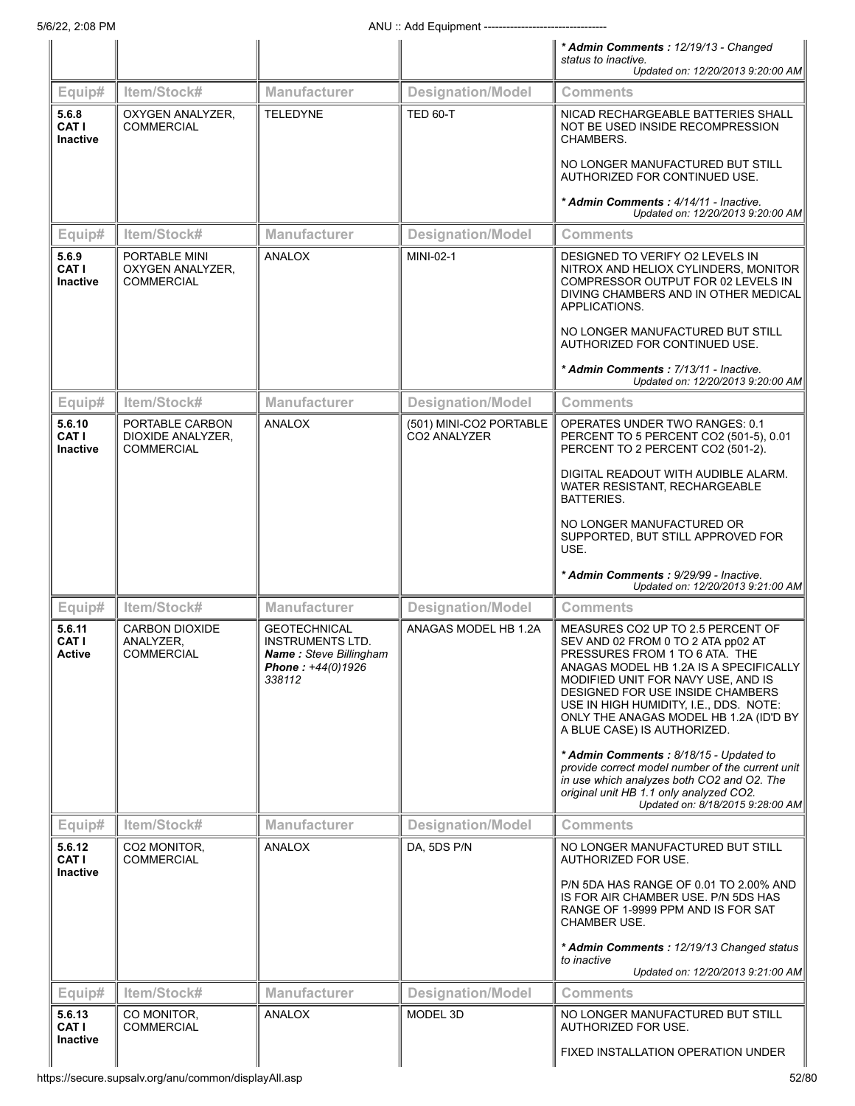|                                         |                                                         |                                                                                                                |                                         | * Admin Comments: 12/19/13 - Changed<br>status to inactive.                                                                                                                                                                                                                                                                                                                                                                                                                                                                             |
|-----------------------------------------|---------------------------------------------------------|----------------------------------------------------------------------------------------------------------------|-----------------------------------------|-----------------------------------------------------------------------------------------------------------------------------------------------------------------------------------------------------------------------------------------------------------------------------------------------------------------------------------------------------------------------------------------------------------------------------------------------------------------------------------------------------------------------------------------|
|                                         |                                                         |                                                                                                                |                                         | Updated on: 12/20/2013 9:20:00 AM                                                                                                                                                                                                                                                                                                                                                                                                                                                                                                       |
| Equip#                                  | Item/Stock#                                             | Manufacturer                                                                                                   | <b>Designation/Model</b>                | <b>Comments</b>                                                                                                                                                                                                                                                                                                                                                                                                                                                                                                                         |
| 5.6.8<br><b>CAT I</b><br>Inactive       | OXYGEN ANALYZER,<br><b>COMMERCIAL</b>                   | <b>TELEDYNE</b>                                                                                                | <b>TED 60-T</b>                         | NICAD RECHARGEABLE BATTERIES SHALL<br>NOT BE USED INSIDE RECOMPRESSION<br>CHAMBERS.<br>NO LONGER MANUFACTURED BUT STILL                                                                                                                                                                                                                                                                                                                                                                                                                 |
|                                         |                                                         |                                                                                                                |                                         | AUTHORIZED FOR CONTINUED USE.<br>* Admin Comments: 4/14/11 - Inactive.                                                                                                                                                                                                                                                                                                                                                                                                                                                                  |
|                                         |                                                         |                                                                                                                |                                         | Updated on: 12/20/2013 9:20:00 AM                                                                                                                                                                                                                                                                                                                                                                                                                                                                                                       |
| Equip#                                  | Item/Stock#                                             | <b>Manufacturer</b>                                                                                            | <b>Designation/Model</b>                | <b>Comments</b>                                                                                                                                                                                                                                                                                                                                                                                                                                                                                                                         |
| 5.6.9<br><b>CAT I</b><br>Inactive       | PORTABLE MINI<br>OXYGEN ANALYZER,<br><b>COMMERCIAL</b>  | <b>ANALOX</b>                                                                                                  | MINI-02-1                               | DESIGNED TO VERIFY O2 LEVELS IN<br>NITROX AND HELIOX CYLINDERS, MONITOR<br>COMPRESSOR OUTPUT FOR 02 LEVELS IN<br>DIVING CHAMBERS AND IN OTHER MEDICAL<br>APPLICATIONS.                                                                                                                                                                                                                                                                                                                                                                  |
|                                         |                                                         |                                                                                                                |                                         | NO LONGER MANUFACTURED BUT STILL<br>AUTHORIZED FOR CONTINUED USE.                                                                                                                                                                                                                                                                                                                                                                                                                                                                       |
|                                         |                                                         |                                                                                                                |                                         | * Admin Comments: 7/13/11 - Inactive.<br>Updated on: 12/20/2013 9:20:00 AM                                                                                                                                                                                                                                                                                                                                                                                                                                                              |
| Equip#                                  | Item/Stock#                                             | <b>Manufacturer</b>                                                                                            | <b>Designation/Model</b>                | <b>Comments</b>                                                                                                                                                                                                                                                                                                                                                                                                                                                                                                                         |
| 5.6.10<br><b>CAT I</b><br>Inactive      | PORTABLE CARBON<br>DIOXIDE ANALYZER,<br>COMMERCIAL      | <b>ANALOX</b>                                                                                                  | (501) MINI-CO2 PORTABLE<br>CO2 ANALYZER | OPERATES UNDER TWO RANGES: 0.1<br>PERCENT TO 5 PERCENT CO2 (501-5), 0.01<br>PERCENT TO 2 PERCENT CO2 (501-2).                                                                                                                                                                                                                                                                                                                                                                                                                           |
|                                         |                                                         |                                                                                                                |                                         | DIGITAL READOUT WITH AUDIBLE ALARM.<br>WATER RESISTANT, RECHARGEABLE<br>BATTERIES.                                                                                                                                                                                                                                                                                                                                                                                                                                                      |
|                                         |                                                         |                                                                                                                |                                         | NO LONGER MANUFACTURED OR<br>SUPPORTED, BUT STILL APPROVED FOR<br>USE.                                                                                                                                                                                                                                                                                                                                                                                                                                                                  |
|                                         |                                                         |                                                                                                                |                                         | * Admin Comments : 9/29/99 - Inactive.<br>Updated on: 12/20/2013 9:21:00 AM                                                                                                                                                                                                                                                                                                                                                                                                                                                             |
| Equip#                                  | Item/Stock#                                             | <b>Manufacturer</b>                                                                                            | <b>Designation/Model</b>                | <b>Comments</b>                                                                                                                                                                                                                                                                                                                                                                                                                                                                                                                         |
| 5.6.11<br><b>CAT I</b><br><b>Active</b> | <b>CARBON DIOXIDE</b><br>ANALYZER.<br><b>COMMERCIAL</b> | <b>GEOTECHNICAL</b><br><b>INSTRUMENTS LTD.</b><br><b>Name:</b> Steve Billingham<br>Phone: +44(0)1926<br>338112 | ANAGAS MODEL HB 1.2A                    | MEASURES CO2 UP TO 2.5 PERCENT OF<br>SEV AND 02 FROM 0 TO 2 ATA pp02 AT<br>PRESSURES FROM 1 TO 6 ATA. THE<br>ANAGAS MODEL HB 1.2A IS A SPECIFICALLY<br>MODIFIED UNIT FOR NAVY USE, AND IS<br>DESIGNED FOR USE INSIDE CHAMBERS<br>USE IN HIGH HUMIDITY, I.E., DDS. NOTE:<br>ONLY THE ANAGAS MODEL HB 1.2A (ID'D BY<br>A BLUE CASE) IS AUTHORIZED.<br>* Admin Comments: 8/18/15 - Updated to<br>provide correct model number of the current unit<br>in use which analyzes both CO2 and O2. The<br>original unit HB 1.1 only analyzed CO2. |
|                                         |                                                         |                                                                                                                |                                         | Updated on: 8/18/2015 9:28:00 AM                                                                                                                                                                                                                                                                                                                                                                                                                                                                                                        |
| Equip#                                  | Item/Stock#                                             | <b>Manufacturer</b>                                                                                            | <b>Designation/Model</b>                | <b>Comments</b>                                                                                                                                                                                                                                                                                                                                                                                                                                                                                                                         |
| 5.6.12<br>CAT I<br>Inactive             | CO2 MONITOR.<br><b>COMMERCIAL</b>                       | ANALOX                                                                                                         | DA, 5DS P/N                             | NO LONGER MANUFACTURED BUT STILL<br>AUTHORIZED FOR USE.<br>P/N 5DA HAS RANGE OF 0.01 TO 2.00% AND<br>IS FOR AIR CHAMBER USE. P/N 5DS HAS<br>RANGE OF 1-9999 PPM AND IS FOR SAT                                                                                                                                                                                                                                                                                                                                                          |
|                                         |                                                         |                                                                                                                |                                         | <b>CHAMBER USE.</b><br>* Admin Comments: 12/19/13 Changed status                                                                                                                                                                                                                                                                                                                                                                                                                                                                        |
|                                         |                                                         |                                                                                                                |                                         | to inactive<br>Updated on: 12/20/2013 9:21:00 AM                                                                                                                                                                                                                                                                                                                                                                                                                                                                                        |
| Equip#                                  | Item/Stock#                                             | <b>Manufacturer</b>                                                                                            | <b>Designation/Model</b>                | <b>Comments</b>                                                                                                                                                                                                                                                                                                                                                                                                                                                                                                                         |
| 5.6.13<br>CAT I                         | CO MONITOR,<br><b>COMMERCIAL</b>                        | ANALOX                                                                                                         | MODEL 3D                                | NO LONGER MANUFACTURED BUT STILL<br>AUTHORIZED FOR USE.                                                                                                                                                                                                                                                                                                                                                                                                                                                                                 |
| Inactive                                |                                                         |                                                                                                                |                                         | FIXED INSTALLATION OPERATION UNDER                                                                                                                                                                                                                                                                                                                                                                                                                                                                                                      |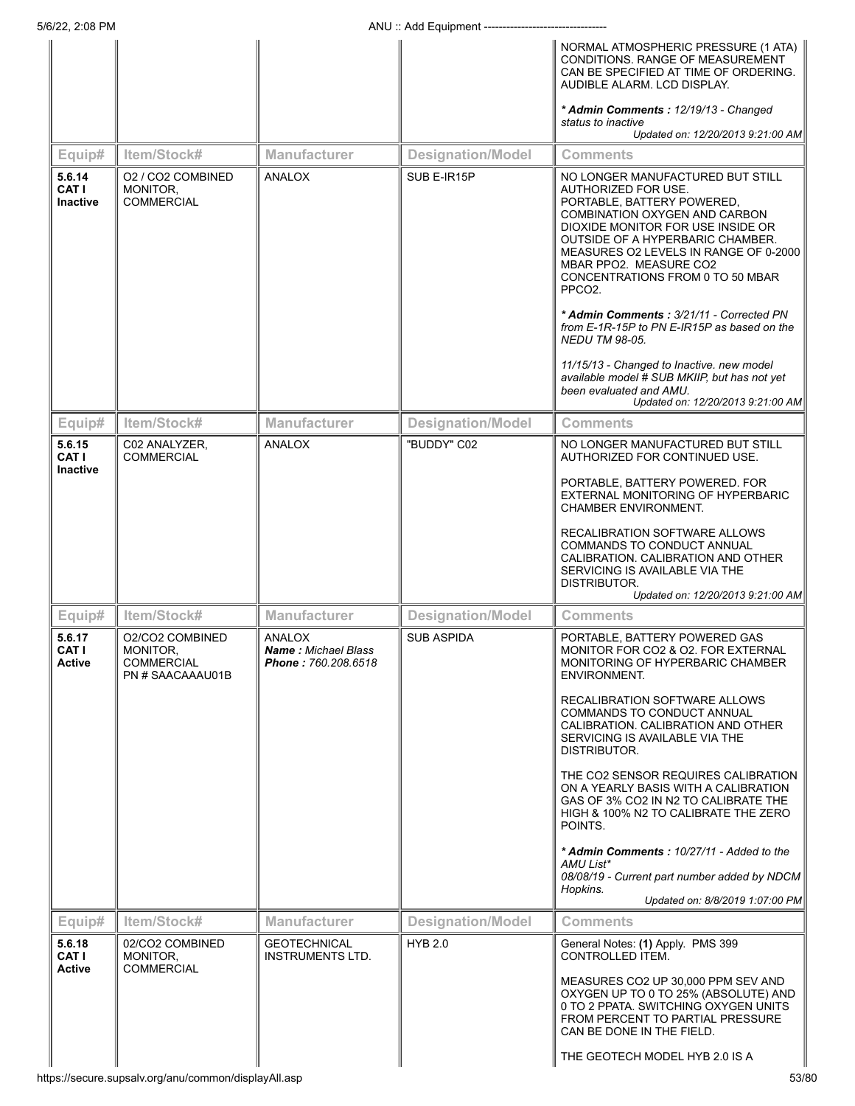|                                           |                                                                      |                                                                    |                          | NORMAL ATMOSPHERIC PRESSURE (1 ATA)<br>CONDITIONS. RANGE OF MEASUREMENT<br>CAN BE SPECIFIED AT TIME OF ORDERING.<br>AUDIBLE ALARM. LCD DISPLAY.                                                                                                                                                                                                                                |
|-------------------------------------------|----------------------------------------------------------------------|--------------------------------------------------------------------|--------------------------|--------------------------------------------------------------------------------------------------------------------------------------------------------------------------------------------------------------------------------------------------------------------------------------------------------------------------------------------------------------------------------|
|                                           |                                                                      |                                                                    |                          | * Admin Comments: 12/19/13 - Changed<br>status to inactive<br>Updated on: 12/20/2013 9:21:00 AM                                                                                                                                                                                                                                                                                |
| Equip#                                    | Item/Stock#                                                          | <b>Manufacturer</b>                                                | <b>Designation/Model</b> | Comments                                                                                                                                                                                                                                                                                                                                                                       |
| 5.6.14<br><b>CAT I</b><br><b>Inactive</b> | 02 / CO2 COMBINED<br>MONITOR,<br><b>COMMERCIAL</b>                   | ANALOX                                                             | SUB E-IR15P              | NO LONGER MANUFACTURED BUT STILL<br>AUTHORIZED FOR USE.<br>PORTABLE, BATTERY POWERED,<br><b>COMBINATION OXYGEN AND CARBON</b><br>DIOXIDE MONITOR FOR USE INSIDE OR<br>OUTSIDE OF A HYPERBARIC CHAMBER.<br>MEASURES O2 LEVELS IN RANGE OF 0-2000<br>MBAR PPO2. MEASURE CO2<br>CONCENTRATIONS FROM 0 TO 50 MBAR<br>PPCO <sub>2</sub><br>* Admin Comments: 3/21/11 - Corrected PN |
|                                           |                                                                      |                                                                    |                          | from E-1R-15P to PN E-IR15P as based on the<br><b>NEDU TM 98-05.</b><br>11/15/13 - Changed to Inactive. new model                                                                                                                                                                                                                                                              |
|                                           |                                                                      |                                                                    |                          | available model # SUB MKIIP, but has not yet<br>been evaluated and AMU.<br>Updated on: 12/20/2013 9:21:00 AM                                                                                                                                                                                                                                                                   |
| Equip#                                    | Item/Stock#                                                          | Manufacturer                                                       | <b>Designation/Model</b> | Comments                                                                                                                                                                                                                                                                                                                                                                       |
| 5.6.15<br><b>CAT I</b><br><b>Inactive</b> | C02 ANALYZER,<br><b>COMMERCIAL</b>                                   | ANALOX                                                             | "BUDDY" C02              | NO LONGER MANUFACTURED BUT STILL<br>AUTHORIZED FOR CONTINUED USE.                                                                                                                                                                                                                                                                                                              |
|                                           |                                                                      |                                                                    |                          | PORTABLE, BATTERY POWERED. FOR<br>EXTERNAL MONITORING OF HYPERBARIC<br><b>CHAMBER ENVIRONMENT.</b>                                                                                                                                                                                                                                                                             |
|                                           |                                                                      |                                                                    |                          | RECALIBRATION SOFTWARE ALLOWS<br>COMMANDS TO CONDUCT ANNUAL<br>CALIBRATION. CALIBRATION AND OTHER<br>SERVICING IS AVAILABLE VIA THE<br>DISTRIBUTOR.<br>Updated on: 12/20/2013 9:21:00 AM                                                                                                                                                                                       |
| Equip#                                    | Item/Stock#                                                          | <b>Manufacturer</b>                                                | <b>Designation/Model</b> | Comments                                                                                                                                                                                                                                                                                                                                                                       |
| 5.6.17<br>CAT I<br>Active                 | O2/CO2 COMBINED<br>MONITOR,<br><b>COMMERCIAL</b><br>PN # SAACAAAU01B | ANALOX<br><b>Name: Michael Blass</b><br><b>Phone: 760.208.6518</b> | <b>SUB ASPIDA</b>        | PORTABLE, BATTERY POWERED GAS<br>MONITOR FOR CO2 & O2. FOR EXTERNAL<br>MONITORING OF HYPERBARIC CHAMBER<br>ENVIRONMENT.                                                                                                                                                                                                                                                        |
|                                           |                                                                      |                                                                    |                          | RECALIBRATION SOFTWARE ALLOWS<br>COMMANDS TO CONDUCT ANNUAL<br>CALIBRATION. CALIBRATION AND OTHER<br>SERVICING IS AVAILABLE VIA THE<br>DISTRIBUTOR.                                                                                                                                                                                                                            |
|                                           |                                                                      |                                                                    |                          | THE CO2 SENSOR REQUIRES CALIBRATION<br>ON A YEARLY BASIS WITH A CALIBRATION<br>GAS OF 3% CO2 IN N2 TO CALIBRATE THE<br>HIGH & 100% N2 TO CALIBRATE THE ZERO<br>POINTS.                                                                                                                                                                                                         |
|                                           |                                                                      |                                                                    |                          | * Admin Comments: 10/27/11 - Added to the<br>AMU List*<br>08/08/19 - Current part number added by NDCM<br>Hopkins.                                                                                                                                                                                                                                                             |
| Equip#                                    | Item/Stock#                                                          | Manufacturer                                                       | <b>Designation/Model</b> | Updated on: 8/8/2019 1:07:00 PM<br><b>Comments</b>                                                                                                                                                                                                                                                                                                                             |
| 5.6.18<br><b>CAT I</b>                    | 02/CO2 COMBINED<br>MONITOR,                                          | <b>GEOTECHNICAL</b><br><b>INSTRUMENTS LTD.</b>                     | <b>HYB 2.0</b>           | General Notes: (1) Apply. PMS 399<br>CONTROLLED ITEM.                                                                                                                                                                                                                                                                                                                          |
| <b>Active</b>                             | <b>COMMERCIAL</b>                                                    |                                                                    |                          | MEASURES CO2 UP 30,000 PPM SEV AND<br>OXYGEN UP TO 0 TO 25% (ABSOLUTE) AND<br>0 TO 2 PPATA. SWITCHING OXYGEN UNITS<br>FROM PERCENT TO PARTIAL PRESSURE<br>CAN BE DONE IN THE FIELD.<br>THE GEOTECH MODEL HYB 2.0 IS A                                                                                                                                                          |
|                                           |                                                                      |                                                                    |                          |                                                                                                                                                                                                                                                                                                                                                                                |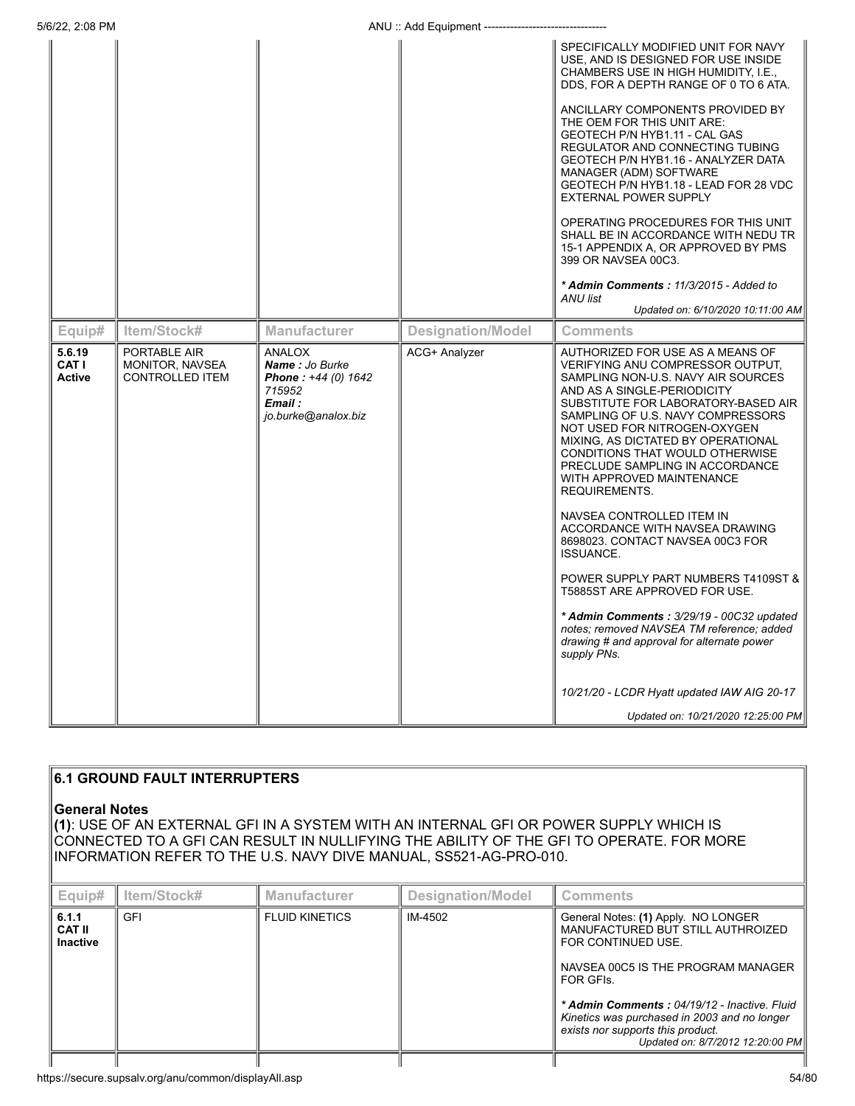|                                  |                                                           |                                                                                                    |                          | SPECIFICALLY MODIFIED UNIT FOR NAVY<br>USE, AND IS DESIGNED FOR USE INSIDE<br>CHAMBERS USE IN HIGH HUMIDITY, I.E.,<br>DDS, FOR A DEPTH RANGE OF 0 TO 6 ATA.                                                                                                                                                                                                                                                                                                                                                                                                                                                                                                                                                                                                           |
|----------------------------------|-----------------------------------------------------------|----------------------------------------------------------------------------------------------------|--------------------------|-----------------------------------------------------------------------------------------------------------------------------------------------------------------------------------------------------------------------------------------------------------------------------------------------------------------------------------------------------------------------------------------------------------------------------------------------------------------------------------------------------------------------------------------------------------------------------------------------------------------------------------------------------------------------------------------------------------------------------------------------------------------------|
|                                  |                                                           |                                                                                                    |                          | ANCILLARY COMPONENTS PROVIDED BY<br>THE OEM FOR THIS UNIT ARE:<br>GEOTECH P/N HYB1.11 - CAL GAS<br>REGULATOR AND CONNECTING TUBING<br>GEOTECH P/N HYB1.16 - ANALYZER DATA<br>MANAGER (ADM) SOFTWARE<br>GEOTECH P/N HYB1.18 - LEAD FOR 28 VDC<br><b>EXTERNAL POWER SUPPLY</b><br>OPERATING PROCEDURES FOR THIS UNIT<br>SHALL BE IN ACCORDANCE WITH NEDU TR<br>15-1 APPENDIX A, OR APPROVED BY PMS<br>399 OR NAVSEA 00C3.                                                                                                                                                                                                                                                                                                                                               |
|                                  |                                                           |                                                                                                    |                          | * Admin Comments: 11/3/2015 - Added to                                                                                                                                                                                                                                                                                                                                                                                                                                                                                                                                                                                                                                                                                                                                |
|                                  |                                                           |                                                                                                    |                          | ANU list<br>Updated on: 6/10/2020 10:11:00 AM                                                                                                                                                                                                                                                                                                                                                                                                                                                                                                                                                                                                                                                                                                                         |
| Equip#                           | Item/Stock#                                               | <b>Manufacturer</b>                                                                                | <b>Designation/Model</b> | <b>Comments</b>                                                                                                                                                                                                                                                                                                                                                                                                                                                                                                                                                                                                                                                                                                                                                       |
| 5.6.19<br>CAT I<br><b>Active</b> | PORTABLE AIR<br>MONITOR, NAVSEA<br><b>CONTROLLED ITEM</b> | <b>ANALOX</b><br>Name: Jo Burke<br>Phone: +44 (0) 1642<br>715952<br>Email :<br>jo.burke@analox.biz | ACG+ Analyzer            | AUTHORIZED FOR USE AS A MEANS OF<br>VERIFYING ANU COMPRESSOR OUTPUT.<br>SAMPLING NON-U.S. NAVY AIR SOURCES<br>AND AS A SINGLE-PERIODICITY<br>SUBSTITUTE FOR LABORATORY-BASED AIR<br>SAMPLING OF U.S. NAVY COMPRESSORS<br>NOT USED FOR NITROGEN-OXYGEN<br>MIXING, AS DICTATED BY OPERATIONAL<br>CONDITIONS THAT WOULD OTHERWISE<br>PRECLUDE SAMPLING IN ACCORDANCE<br>WITH APPROVED MAINTENANCE<br>REQUIREMENTS.<br>NAVSEA CONTROLLED ITEM IN<br>ACCORDANCE WITH NAVSEA DRAWING<br>8698023. CONTACT NAVSEA 00C3 FOR<br><b>ISSUANCE.</b><br>POWER SUPPLY PART NUMBERS T4109ST &<br>T5885ST ARE APPROVED FOR USE.<br>* Admin Comments: 3/29/19 - 00C32 updated<br>notes; removed NAVSEA TM reference; added<br>drawing # and approval for alternate power<br>supply PNs. |
|                                  |                                                           |                                                                                                    |                          | 10/21/20 - LCDR Hyatt updated IAW AIG 20-17                                                                                                                                                                                                                                                                                                                                                                                                                                                                                                                                                                                                                                                                                                                           |

## **6.1 GROUND FAULT INTERRUPTERS General Notes (1)**: USE OF AN EXTERNAL GFI IN A SYSTEM WITH AN INTERNAL GFI OR POWER SUPPLY WHICH IS CONNECTED TO A GFI CAN RESULT IN NULLIFYING THE ABILITY OF THE GFI TO OPERATE. FOR MORE INFORMATION REFER TO THE U.S. NAVY DIVE MANUAL, SS521-AG-PRO-010. **Equip# Item/Stock# Manufacturer Designation/Model Comments 6.1.1 CAT II Inactive** GFI **FLUID KINETICS** || IM-4502 || General Notes: **(1)** Apply. NO LONGER MANUFACTURED BUT STILL AUTHROIZED FOR CONTINUED USE. NAVSEA 00C5 IS THE PROGRAM MANAGER FOR GFIs. *\* Admin Comments : 04/19/12 - Inactive. Fluid Kinetics was purchased in 2003 and no longer exists nor supports this product. Updated on: 8/7/2012 12:20:00 PM*

I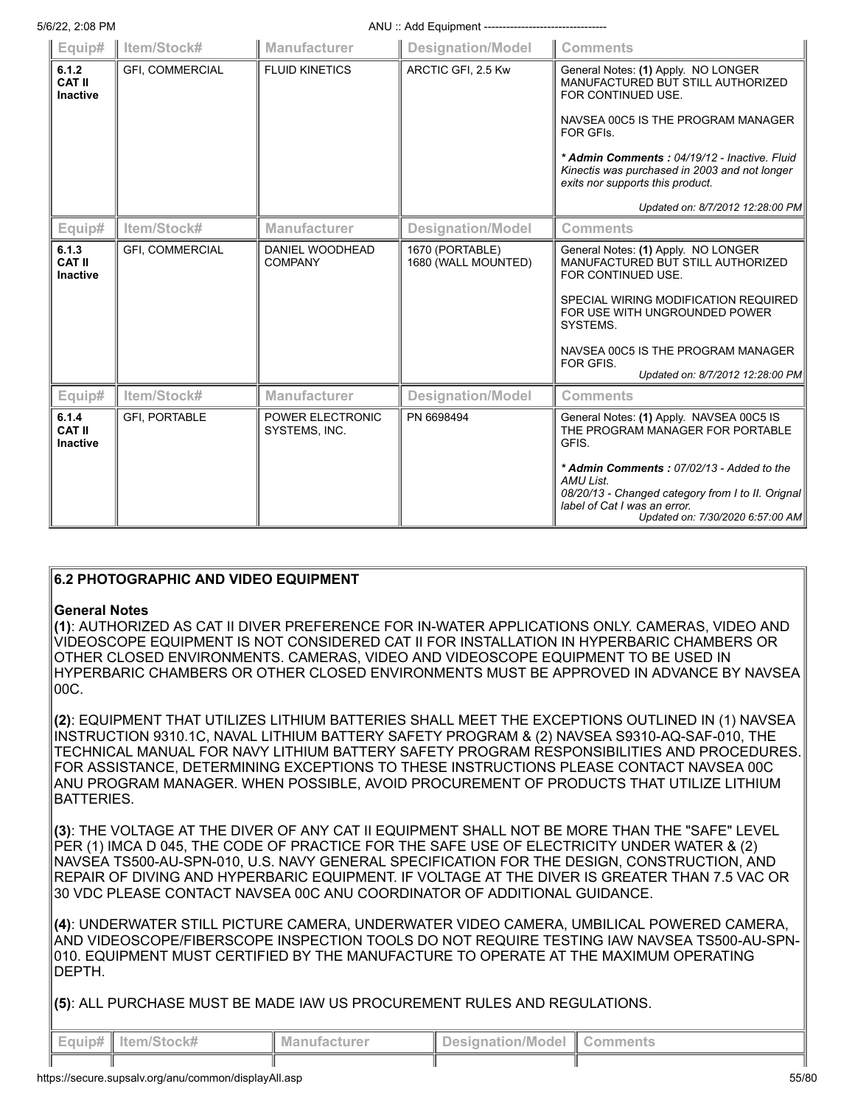| Equip#                                    | Item/Stock#            | Manufacturer                      | <b>Designation/Model</b>               | <b>Comments</b>                                                                                                                                                                                                                                                                 |
|-------------------------------------------|------------------------|-----------------------------------|----------------------------------------|---------------------------------------------------------------------------------------------------------------------------------------------------------------------------------------------------------------------------------------------------------------------------------|
| 6.1.2<br><b>CAT II</b><br><b>Inactive</b> | <b>GFI, COMMERCIAL</b> | <b>FLUID KINETICS</b>             | ARCTIC GFI, 2.5 Kw                     | General Notes: (1) Apply. NO LONGER<br>MANUFACTURED BUT STILL AUTHORIZED<br>FOR CONTINUED USE.                                                                                                                                                                                  |
|                                           |                        |                                   |                                        | NAVSEA 00C5 IS THE PROGRAM MANAGER<br>FOR GFIs.                                                                                                                                                                                                                                 |
|                                           |                        |                                   |                                        | * Admin Comments: 04/19/12 - Inactive, Fluid<br>Kinectis was purchased in 2003 and not longer<br>exits nor supports this product.                                                                                                                                               |
|                                           |                        |                                   |                                        | Updated on: 8/7/2012 12:28:00 PM                                                                                                                                                                                                                                                |
| Equip#                                    | Item/Stock#            | <b>Manufacturer</b>               | <b>Designation/Model</b>               | <b>Comments</b>                                                                                                                                                                                                                                                                 |
| 6.1.3<br><b>CAT II</b><br><b>Inactive</b> | <b>GFI, COMMERCIAL</b> | DANIEL WOODHEAD<br><b>COMPANY</b> | 1670 (PORTABLE)<br>1680 (WALL MOUNTED) | General Notes: (1) Apply. NO LONGER<br>MANUFACTURED BUT STILL AUTHORIZED<br>FOR CONTINUED USE.<br>SPECIAL WIRING MODIFICATION REQUIRED<br>FOR USE WITH UNGROUNDED POWER<br>SYSTEMS.<br>NAVSEA 00C5 IS THE PROGRAM MANAGER<br>FOR GFIS.<br>Updated on: 8/7/2012 12:28:00 PM      |
| Equip#                                    | Item/Stock#            | Manufacturer                      | <b>Designation/Model</b>               | <b>Comments</b>                                                                                                                                                                                                                                                                 |
| 6.1.4<br><b>CAT II</b><br><b>Inactive</b> | <b>GFI, PORTABLE</b>   | POWER ELECTRONIC<br>SYSTEMS, INC. | PN 6698494                             | General Notes: (1) Apply. NAVSEA 00C5 IS<br>THE PROGRAM MANAGER FOR PORTABLE<br>GFIS.<br>* Admin Comments: 07/02/13 - Added to the<br><b>AMU List.</b><br>08/20/13 - Changed category from I to II. Orignal<br>label of Cat I was an error.<br>Updated on: 7/30/2020 6:57:00 AM |

## **6.2 PHOTOGRAPHIC AND VIDEO EQUIPMENT**

## **General Notes**

**(1)**: AUTHORIZED AS CAT II DIVER PREFERENCE FOR IN-WATER APPLICATIONS ONLY. CAMERAS, VIDEO AND VIDEOSCOPE EQUIPMENT IS NOT CONSIDERED CAT II FOR INSTALLATION IN HYPERBARIC CHAMBERS OR OTHER CLOSED ENVIRONMENTS. CAMERAS, VIDEO AND VIDEOSCOPE EQUIPMENT TO BE USED IN HYPERBARIC CHAMBERS OR OTHER CLOSED ENVIRONMENTS MUST BE APPROVED IN ADVANCE BY NAVSEA 00C.

**(2)**: EQUIPMENT THAT UTILIZES LITHIUM BATTERIES SHALL MEET THE EXCEPTIONS OUTLINED IN (1) NAVSEA INSTRUCTION 9310.1C, NAVAL LITHIUM BATTERY SAFETY PROGRAM & (2) NAVSEA S9310-AQ-SAF-010, THE TECHNICAL MANUAL FOR NAVY LITHIUM BATTERY SAFETY PROGRAM RESPONSIBILITIES AND PROCEDURES. FOR ASSISTANCE, DETERMINING EXCEPTIONS TO THESE INSTRUCTIONS PLEASE CONTACT NAVSEA 00C ANU PROGRAM MANAGER. WHEN POSSIBLE, AVOID PROCUREMENT OF PRODUCTS THAT UTILIZE LITHIUM BATTERIES.

**(3)**: THE VOLTAGE AT THE DIVER OF ANY CAT II EQUIPMENT SHALL NOT BE MORE THAN THE "SAFE" LEVEL PER (1) IMCA D 045, THE CODE OF PRACTICE FOR THE SAFE USE OF ELECTRICITY UNDER WATER & (2) NAVSEA TS500-AU-SPN-010, U.S. NAVY GENERAL SPECIFICATION FOR THE DESIGN, CONSTRUCTION, AND REPAIR OF DIVING AND HYPERBARIC EQUIPMENT. IF VOLTAGE AT THE DIVER IS GREATER THAN 7.5 VAC OR 30 VDC PLEASE CONTACT NAVSEA 00C ANU COORDINATOR OF ADDITIONAL GUIDANCE.

**(4)**: UNDERWATER STILL PICTURE CAMERA, UNDERWATER VIDEO CAMERA, UMBILICAL POWERED CAMERA, AND VIDEOSCOPE/FIBERSCOPE INSPECTION TOOLS DO NOT REQUIRE TESTING IAW NAVSEA TS500-AU-SPN-010. EQUIPMENT MUST CERTIFIED BY THE MANUFACTURE TO OPERATE AT THE MAXIMUM OPERATING DEPTH.

**(5)**: ALL PURCHASE MUST BE MADE IAW US PROCUREMENT RULES AND REGULATIONS.

| $\parallel$ Equip# $\parallel$ Item/Stock# | Manufacturer | Designation/Model   Comments |  |
|--------------------------------------------|--------------|------------------------------|--|
|                                            |              |                              |  |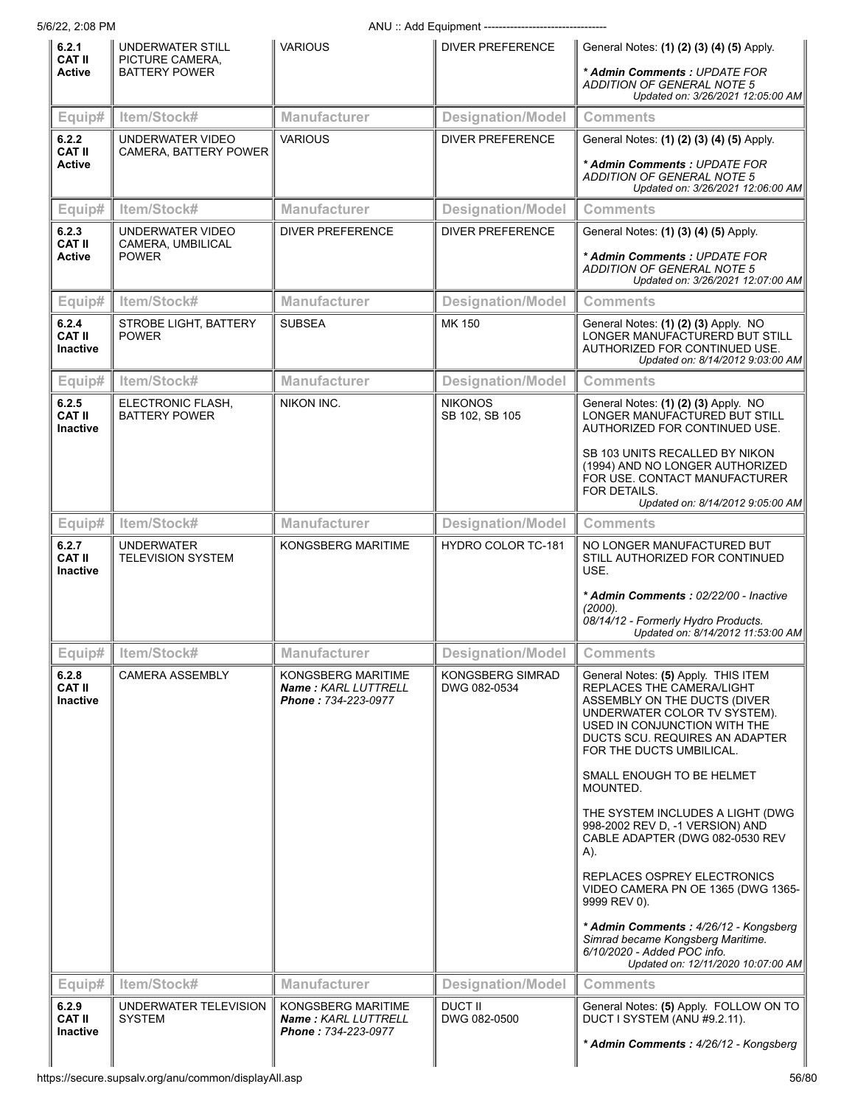| 6.2.1<br><b>CAT II</b>                    | <b>UNDERWATER STILL</b>                       | <b>VARIOUS</b>                                                   | <b>DIVER PREFERENCE</b>          | General Notes: (1) (2) (3) (4) (5) Apply.                                                                                                                                                                                      |
|-------------------------------------------|-----------------------------------------------|------------------------------------------------------------------|----------------------------------|--------------------------------------------------------------------------------------------------------------------------------------------------------------------------------------------------------------------------------|
| <b>Active</b>                             | PICTURE CAMERA,<br><b>BATTERY POWER</b>       |                                                                  |                                  | * Admin Comments : UPDATE FOR<br>ADDITION OF GENERAL NOTE 5<br>Updated on: 3/26/2021 12:05:00 AM                                                                                                                               |
| Equip#                                    | Item/Stock#                                   | <b>Manufacturer</b>                                              | <b>Designation/Model</b>         | <b>Comments</b>                                                                                                                                                                                                                |
| 6.2.2<br><b>CAT II</b><br><b>Active</b>   | UNDERWATER VIDEO<br>CAMERA, BATTERY POWER     | <b>VARIOUS</b>                                                   | <b>DIVER PREFERENCE</b>          | General Notes: (1) (2) (3) (4) (5) Apply.<br>* Admin Comments: UPDATE FOR<br><b>ADDITION OF GENERAL NOTE 5</b><br>Updated on: 3/26/2021 12:06:00 AM                                                                            |
| Equip#                                    | Item/Stock#                                   | Manufacturer                                                     | <b>Designation/Model</b>         | <b>Comments</b>                                                                                                                                                                                                                |
| 6.2.3                                     | UNDERWATER VIDEO                              | <b>DIVER PREFERENCE</b>                                          | <b>DIVER PREFERENCE</b>          | General Notes: (1) (3) (4) (5) Apply.                                                                                                                                                                                          |
| <b>CAT II</b><br>Active                   | CAMERA, UMBILICAL<br><b>POWER</b>             |                                                                  |                                  | * Admin Comments: UPDATE FOR<br>ADDITION OF GENERAL NOTE 5<br>Updated on: 3/26/2021 12:07:00 AM                                                                                                                                |
| Equip#                                    | Item/Stock#                                   | <b>Manufacturer</b>                                              | <b>Designation/Model</b>         | <b>Comments</b>                                                                                                                                                                                                                |
| 6.2.4<br><b>CAT II</b><br><b>Inactive</b> | STROBE LIGHT, BATTERY<br><b>POWER</b>         | <b>SUBSEA</b>                                                    | MK 150                           | General Notes: (1) (2) (3) Apply. NO<br>LONGER MANUFACTURERD BUT STILL<br>AUTHORIZED FOR CONTINUED USE.<br>Updated on: 8/14/2012 9:03:00 AM                                                                                    |
| Equip#                                    | Item/Stock#                                   | <b>Manufacturer</b>                                              | <b>Designation/Model</b>         | <b>Comments</b>                                                                                                                                                                                                                |
| 6.2.5<br><b>CAT II</b><br>Inactive        | ELECTRONIC FLASH,<br><b>BATTERY POWER</b>     | NIKON INC.                                                       | <b>NIKONOS</b><br>SB 102, SB 105 | General Notes: (1) (2) (3) Apply. NO<br>LONGER MANUFACTURED BUT STILL<br>AUTHORIZED FOR CONTINUED USE.                                                                                                                         |
|                                           |                                               |                                                                  |                                  | SB 103 UNITS RECALLED BY NIKON<br>(1994) AND NO LONGER AUTHORIZED<br>FOR USE. CONTACT MANUFACTURER<br>FOR DETAILS.<br>Updated on: 8/14/2012 9:05:00 AM                                                                         |
| Equip#                                    | Item/Stock#                                   | <b>Manufacturer</b>                                              | <b>Designation/Model</b>         | <b>Comments</b>                                                                                                                                                                                                                |
| 6.2.7<br><b>CAT II</b><br>Inactive        | <b>UNDERWATER</b><br><b>TELEVISION SYSTEM</b> | KONGSBERG MARITIME                                               | <b>HYDRO COLOR TC-181</b>        | NO LONGER MANUFACTURED BUT<br>STILL AUTHORIZED FOR CONTINUED<br>USE.                                                                                                                                                           |
|                                           |                                               |                                                                  |                                  | * Admin Comments: 02/22/00 - Inactive<br>(2000).<br>08/14/12 - Formerly Hydro Products.<br>Updated on: 8/14/2012 11:53:00 AM                                                                                                   |
| Equip# $\vert$                            | Item/Stock#                                   | <b>Manufacturer</b>                                              | <b>Designation/Model</b>         | <b>Comments</b>                                                                                                                                                                                                                |
| 6.2.8<br><b>CAT II</b><br><b>Inactive</b> | <b>CAMERA ASSEMBLY</b>                        | KONGSBERG MARITIME<br>Name: KARL LUTTRELL<br>Phone: 734-223-0977 | KONGSBERG SIMRAD<br>DWG 082-0534 | General Notes: (5) Apply. THIS ITEM<br>REPLACES THE CAMERA/LIGHT<br>ASSEMBLY ON THE DUCTS (DIVER<br>UNDERWATER COLOR TV SYSTEM).<br>USED IN CONJUNCTION WITH THE<br>DUCTS SCU. REQUIRES AN ADAPTER<br>FOR THE DUCTS UMBILICAL. |
|                                           |                                               |                                                                  |                                  | SMALL ENOUGH TO BE HELMET<br>MOUNTED.                                                                                                                                                                                          |
|                                           |                                               |                                                                  |                                  | THE SYSTEM INCLUDES A LIGHT (DWG<br>998-2002 REV D, -1 VERSION) AND<br>CABLE ADAPTER (DWG 082-0530 REV<br>A).                                                                                                                  |
|                                           |                                               |                                                                  |                                  | REPLACES OSPREY ELECTRONICS<br>VIDEO CAMERA PN OE 1365 (DWG 1365-<br>9999 REV 0).                                                                                                                                              |
|                                           |                                               |                                                                  |                                  | * Admin Comments: 4/26/12 - Kongsberg<br>Simrad became Kongsberg Maritime.<br>6/10/2020 - Added POC info.<br>Updated on: 12/11/2020 10:07:00 AM                                                                                |
| Equip#                                    | Item/Stock#                                   | <b>Manufacturer</b>                                              | <b>Designation/Model</b>         | <b>Comments</b>                                                                                                                                                                                                                |
| 6.2.9<br><b>CAT II</b><br><b>Inactive</b> | UNDERWATER TELEVISION<br><b>SYSTEM</b>        | KONGSBERG MARITIME<br>Name: KARL LUTTRELL<br>Phone: 734-223-0977 | DUCT II<br>DWG 082-0500          | General Notes: (5) Apply. FOLLOW ON TO<br>DUCT I SYSTEM (ANU #9.2.11).                                                                                                                                                         |
|                                           |                                               |                                                                  |                                  | * Admin Comments: 4/26/12 - Kongsberg                                                                                                                                                                                          |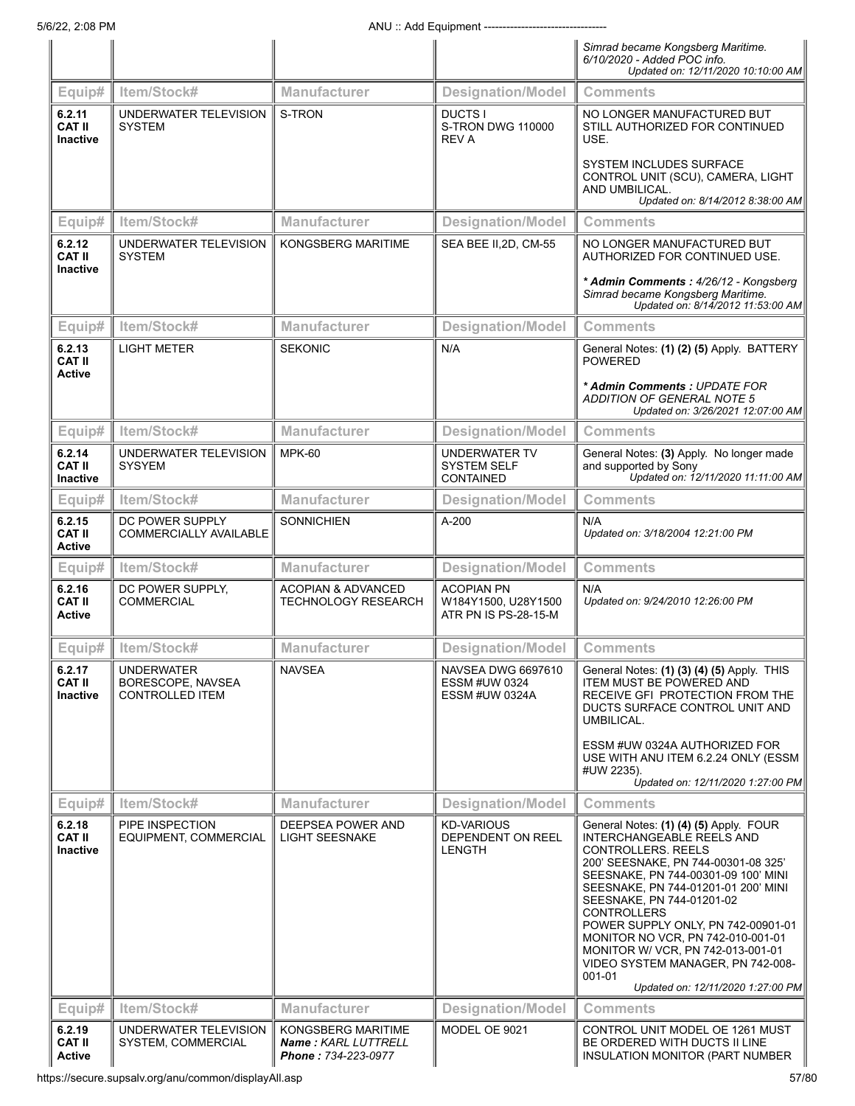|                                            |                                                                  |                                                                  |                                                                  | Simrad became Kongsberg Maritime.<br>6/10/2020 - Added POC info.<br>Updated on: 12/11/2020 10:10:00 AM                                                                                                                                                                                                                                                                                                                                                                       |
|--------------------------------------------|------------------------------------------------------------------|------------------------------------------------------------------|------------------------------------------------------------------|------------------------------------------------------------------------------------------------------------------------------------------------------------------------------------------------------------------------------------------------------------------------------------------------------------------------------------------------------------------------------------------------------------------------------------------------------------------------------|
| Equip#                                     | Item/Stock#                                                      | Manufacturer                                                     | <b>Designation/Model</b>                                         | <b>Comments</b>                                                                                                                                                                                                                                                                                                                                                                                                                                                              |
| 6.2.11<br><b>CAT II</b><br><b>Inactive</b> | UNDERWATER TELEVISION<br><b>SYSTEM</b>                           | S-TRON                                                           | DUCTS I<br>S-TRON DWG 110000<br><b>REV A</b>                     | NO LONGER MANUFACTURED BUT<br>STILL AUTHORIZED FOR CONTINUED<br>USE.<br><b>SYSTEM INCLUDES SURFACE</b><br>CONTROL UNIT (SCU), CAMERA, LIGHT                                                                                                                                                                                                                                                                                                                                  |
|                                            |                                                                  |                                                                  |                                                                  | AND UMBILICAL.<br>Updated on: 8/14/2012 8:38:00 AM                                                                                                                                                                                                                                                                                                                                                                                                                           |
| Equip#                                     | Item/Stock#                                                      | <b>Manufacturer</b>                                              | <b>Designation/Model</b>                                         | <b>Comments</b>                                                                                                                                                                                                                                                                                                                                                                                                                                                              |
| 6.2.12<br><b>CAT II</b><br><b>Inactive</b> | UNDERWATER TELEVISION<br><b>SYSTEM</b>                           | KONGSBERG MARITIME                                               | SEA BEE II, 2D, CM-55                                            | NO LONGER MANUFACTURED BUT<br>AUTHORIZED FOR CONTINUED USE.<br>* Admin Comments: 4/26/12 - Kongsberg<br>Simrad became Kongsberg Maritime.                                                                                                                                                                                                                                                                                                                                    |
| Equip#                                     | Item/Stock#                                                      | <b>Manufacturer</b>                                              | <b>Designation/Model</b>                                         | Updated on: 8/14/2012 11:53:00 AM<br><b>Comments</b>                                                                                                                                                                                                                                                                                                                                                                                                                         |
| 6.2.13                                     | <b>LIGHT METER</b>                                               | <b>SEKONIC</b>                                                   | N/A                                                              | General Notes: (1) (2) (5) Apply. BATTERY                                                                                                                                                                                                                                                                                                                                                                                                                                    |
| <b>CAT II</b><br><b>Active</b>             |                                                                  |                                                                  |                                                                  | <b>POWERED</b><br>* Admin Comments: UPDATE FOR<br>ADDITION OF GENERAL NOTE 5<br>Updated on: 3/26/2021 12:07:00 AM                                                                                                                                                                                                                                                                                                                                                            |
| Equip#                                     | Item/Stock#                                                      | Manufacturer                                                     | <b>Designation/Model</b>                                         | <b>Comments</b>                                                                                                                                                                                                                                                                                                                                                                                                                                                              |
| 6.2.14<br><b>CAT II</b><br><b>Inactive</b> | UNDERWATER TELEVISION<br><b>SYSYEM</b>                           | <b>MPK-60</b>                                                    | <b>UNDERWATER TV</b><br><b>SYSTEM SELF</b><br><b>CONTAINED</b>   | General Notes: (3) Apply. No longer made<br>and supported by Sony<br>Updated on: 12/11/2020 11:11:00 AM                                                                                                                                                                                                                                                                                                                                                                      |
| Equip#                                     | Item/Stock#                                                      | <b>Manufacturer</b>                                              | <b>Designation/Model</b>                                         | <b>Comments</b>                                                                                                                                                                                                                                                                                                                                                                                                                                                              |
| 6.2.15<br><b>CAT II</b><br><b>Active</b>   | DC POWER SUPPLY<br><b>COMMERCIALLY AVAILABLE</b>                 | <b>SONNICHIEN</b>                                                | A-200                                                            | N/A<br>Updated on: 3/18/2004 12:21:00 PM                                                                                                                                                                                                                                                                                                                                                                                                                                     |
| Equip#                                     | Item/Stock#                                                      | <b>Manufacturer</b>                                              | <b>Designation/Model</b>                                         | <b>Comments</b>                                                                                                                                                                                                                                                                                                                                                                                                                                                              |
| 6.2.16<br><b>CAT II</b><br>Active          | DC POWER SUPPLY,<br><b>COMMERCIAL</b>                            | <b>ACOPIAN &amp; ADVANCED</b><br><b>TECHNOLOGY RESEARCH</b>      | <b>ACOPIAN PN</b><br>W184Y1500, U28Y1500<br>ATR PN IS PS-28-15-M | N/A<br>Updated on: 9/24/2010 12:26:00 PM                                                                                                                                                                                                                                                                                                                                                                                                                                     |
| Equip#                                     | Item/Stock#                                                      | <b>Manufacturer</b>                                              | <b>Designation/Model</b>                                         | <b>Comments</b>                                                                                                                                                                                                                                                                                                                                                                                                                                                              |
| 6.2.17<br><b>CAT II</b><br>Inactive        | <b>UNDERWATER</b><br>BORESCOPE, NAVSEA<br><b>CONTROLLED ITEM</b> | <b>NAVSEA</b>                                                    | NAVSEA DWG 6697610<br><b>ESSM #UW 0324</b><br>ESSM #UW 0324A     | General Notes: (1) (3) (4) (5) Apply. THIS<br><b>ITEM MUST BE POWERED AND</b><br>RECEIVE GFI PROTECTION FROM THE<br>DUCTS SURFACE CONTROL UNIT AND<br>UMBILICAL.<br>ESSM #UW 0324A AUTHORIZED FOR<br>USE WITH ANU ITEM 6.2.24 ONLY (ESSM                                                                                                                                                                                                                                     |
|                                            |                                                                  |                                                                  |                                                                  | #UW 2235).<br>Updated on: 12/11/2020 1:27:00 PM                                                                                                                                                                                                                                                                                                                                                                                                                              |
| Equip#                                     | Item/Stock#                                                      | <b>Manufacturer</b>                                              | <b>Designation/Model</b>                                         | <b>Comments</b>                                                                                                                                                                                                                                                                                                                                                                                                                                                              |
| 6.2.18<br><b>CAT II</b><br><b>Inactive</b> | PIPE INSPECTION<br>EQUIPMENT, COMMERCIAL                         | DEEPSEA POWER AND<br><b>LIGHT SEESNAKE</b>                       | <b>KD-VARIOUS</b><br>DEPENDENT ON REEL<br><b>LENGTH</b>          | General Notes: (1) (4) (5) Apply. FOUR<br><b>INTERCHANGEABLE REELS AND</b><br>CONTROLLERS. REELS<br>200' SEESNAKE, PN 744-00301-08 325'<br>SEESNAKE, PN 744-00301-09 100' MINI<br>SEESNAKE, PN 744-01201-01 200' MINI<br>SEESNAKE, PN 744-01201-02<br><b>CONTROLLERS</b><br>POWER SUPPLY ONLY, PN 742-00901-01<br>MONITOR NO VCR, PN 742-010-001-01<br>MONITOR W/ VCR, PN 742-013-001-01<br>VIDEO SYSTEM MANAGER, PN 742-008-<br>001-01<br>Updated on: 12/11/2020 1:27:00 PM |
| Equip#                                     | Item/Stock#                                                      | <b>Manufacturer</b>                                              | <b>Designation/Model</b>                                         | <b>Comments</b>                                                                                                                                                                                                                                                                                                                                                                                                                                                              |
| 6.2.19<br><b>CAT II</b><br><b>Active</b>   | UNDERWATER TELEVISION<br>SYSTEM, COMMERCIAL                      | KONGSBERG MARITIME<br>Name: KARL LUTTRELL<br>Phone: 734-223-0977 | MODEL OE 9021                                                    | CONTROL UNIT MODEL OE 1261 MUST<br>BE ORDERED WITH DUCTS II LINE<br>INSULATION MONITOR (PART NUMBER                                                                                                                                                                                                                                                                                                                                                                          |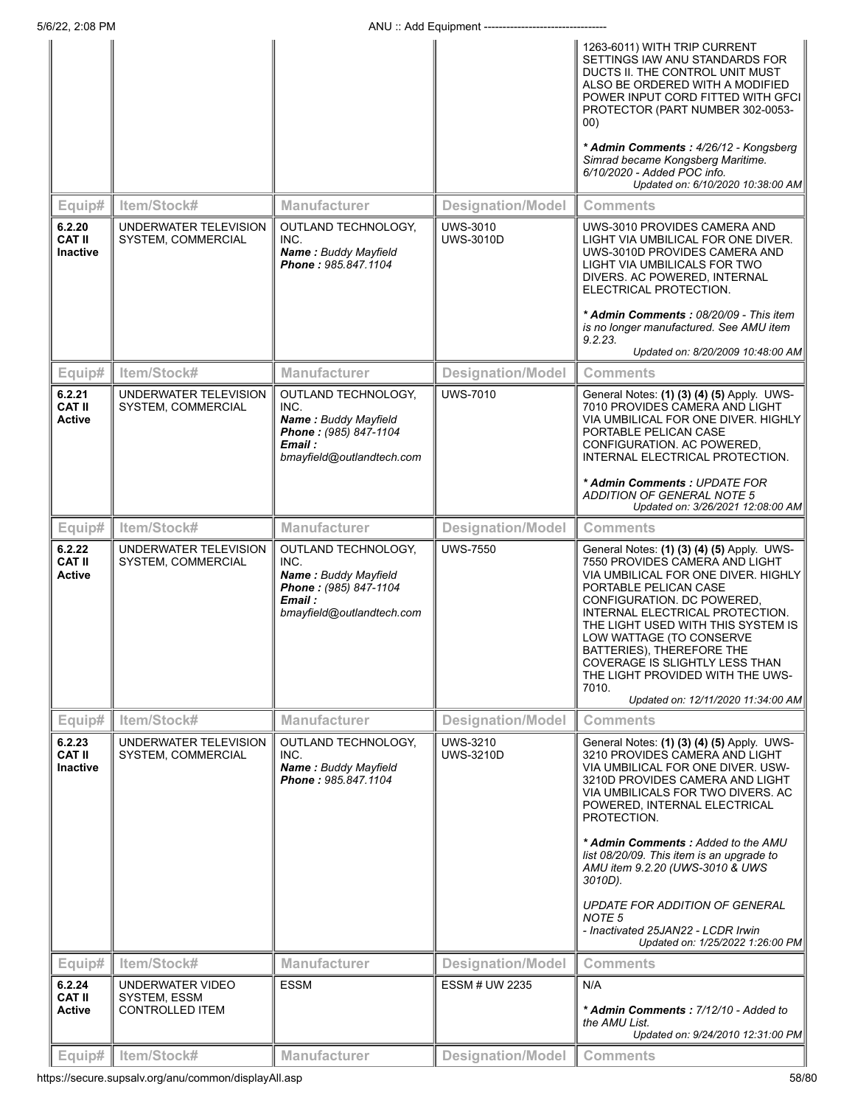|                                            |                                             |                                                                                                                             |                                     | 1263-6011) WITH TRIP CURRENT<br>SETTINGS IAW ANU STANDARDS FOR<br>DUCTS II. THE CONTROL UNIT MUST<br>ALSO BE ORDERED WITH A MODIFIED<br>POWER INPUT CORD FITTED WITH GFCI<br>PROTECTOR (PART NUMBER 302-0053-<br>00)<br>* Admin Comments: 4/26/12 - Kongsberg<br>Simrad became Kongsberg Maritime.<br>6/10/2020 - Added POC info.                                                                                                 |
|--------------------------------------------|---------------------------------------------|-----------------------------------------------------------------------------------------------------------------------------|-------------------------------------|-----------------------------------------------------------------------------------------------------------------------------------------------------------------------------------------------------------------------------------------------------------------------------------------------------------------------------------------------------------------------------------------------------------------------------------|
| Equip#                                     | Item/Stock#                                 | <b>Manufacturer</b>                                                                                                         | <b>Designation/Model</b>            | Updated on: 6/10/2020 10:38:00 AM<br><b>Comments</b>                                                                                                                                                                                                                                                                                                                                                                              |
| 6.2.20<br><b>CAT II</b><br><b>Inactive</b> | UNDERWATER TELEVISION<br>SYSTEM, COMMERCIAL | OUTLAND TECHNOLOGY,<br>INC.<br><b>Name: Buddy Mayfield</b><br>Phone: 985.847.1104                                           | <b>UWS-3010</b><br><b>UWS-3010D</b> | UWS-3010 PROVIDES CAMERA AND<br>LIGHT VIA UMBILICAL FOR ONE DIVER.<br>UWS-3010D PROVIDES CAMERA AND<br>LIGHT VIA UMBILICALS FOR TWO<br>DIVERS. AC POWERED, INTERNAL<br>ELECTRICAL PROTECTION.                                                                                                                                                                                                                                     |
|                                            |                                             |                                                                                                                             |                                     | * Admin Comments: 08/20/09 - This item<br>is no longer manufactured. See AMU item<br>9.2.23.<br>Updated on: 8/20/2009 10:48:00 AM                                                                                                                                                                                                                                                                                                 |
| Equip#                                     | Item/Stock#                                 | <b>Manufacturer</b>                                                                                                         | <b>Designation/Model</b>            | <b>Comments</b>                                                                                                                                                                                                                                                                                                                                                                                                                   |
| 6.2.21<br><b>CAT II</b><br><b>Active</b>   | UNDERWATER TELEVISION<br>SYSTEM, COMMERCIAL | OUTLAND TECHNOLOGY,<br>INC.<br><b>Name: Buddy Mayfield</b><br>Phone: (985) 847-1104<br>Email :<br>bmayfield@outlandtech.com | <b>UWS-7010</b>                     | General Notes: (1) (3) (4) (5) Apply. UWS-<br>7010 PROVIDES CAMERA AND LIGHT<br>VIA UMBILICAL FOR ONE DIVER. HIGHLY<br>PORTABLE PELICAN CASE<br>CONFIGURATION. AC POWERED,<br>INTERNAL ELECTRICAL PROTECTION.                                                                                                                                                                                                                     |
|                                            |                                             |                                                                                                                             |                                     | * Admin Comments : UPDATE FOR<br>ADDITION OF GENERAL NOTE 5<br>Updated on: 3/26/2021 12:08:00 AM                                                                                                                                                                                                                                                                                                                                  |
| Equip#                                     | Item/Stock#                                 | <b>Manufacturer</b>                                                                                                         | <b>Designation/Model</b>            | <b>Comments</b>                                                                                                                                                                                                                                                                                                                                                                                                                   |
| 6.2.22<br><b>CAT II</b><br><b>Active</b>   | UNDERWATER TELEVISION<br>SYSTEM, COMMERCIAL | OUTLAND TECHNOLOGY,<br>INC.<br>Name: Buddy Mayfield<br>Phone: (985) 847-1104<br>Email :<br>bmayfield@outlandtech.com        | <b>UWS-7550</b>                     | General Notes: (1) (3) (4) (5) Apply. UWS-<br>7550 PROVIDES CAMERA AND LIGHT<br>VIA UMBILICAL FOR ONE DIVER. HIGHLY<br>PORTABLE PELICAN CASE<br>CONFIGURATION. DC POWERED,<br>INTERNAL ELECTRICAL PROTECTION.<br>THE LIGHT USED WITH THIS SYSTEM IS<br>LOW WATTAGE (TO CONSERVE<br>BATTERIES), THEREFORE THE<br>COVERAGE IS SLIGHTLY LESS THAN<br>THE LIGHT PROVIDED WITH THE UWS-<br>7010.<br>Updated on: 12/11/2020 11:34:00 AM |
| Equip#                                     | Item/Stock#                                 | <b>Manufacturer</b>                                                                                                         | <b>Designation/Model</b>            | <b>Comments</b>                                                                                                                                                                                                                                                                                                                                                                                                                   |
| 6.2.23<br><b>CAT II</b><br><b>Inactive</b> | UNDERWATER TELEVISION<br>SYSTEM, COMMERCIAL | <b>OUTLAND TECHNOLOGY.</b><br>INC.<br>Name: Buddy Mayfield<br>Phone: 985.847.1104                                           | <b>UWS-3210</b><br><b>UWS-3210D</b> | General Notes: (1) (3) (4) (5) Apply. UWS-<br>3210 PROVIDES CAMERA AND LIGHT<br>VIA UMBILICAL FOR ONE DIVER. USW-<br>3210D PROVIDES CAMERA AND LIGHT<br>VIA UMBILICALS FOR TWO DIVERS. AC<br>POWERED, INTERNAL ELECTRICAL<br>PROTECTION.<br>* Admin Comments: Added to the AMU<br>list 08/20/09. This item is an upgrade to                                                                                                       |
|                                            |                                             |                                                                                                                             |                                     | AMU item 9.2.20 (UWS-3010 & UWS<br>3010D).                                                                                                                                                                                                                                                                                                                                                                                        |
|                                            |                                             |                                                                                                                             |                                     | UPDATE FOR ADDITION OF GENERAL<br>NOTE <sub>5</sub><br>- Inactivated 25JAN22 - LCDR Irwin<br>Updated on: 1/25/2022 1:26:00 PM                                                                                                                                                                                                                                                                                                     |
| Equip#                                     | Item/Stock#                                 | <b>Manufacturer</b>                                                                                                         | <b>Designation/Model</b>            | <b>Comments</b>                                                                                                                                                                                                                                                                                                                                                                                                                   |
| 6.2.24<br><b>CAT II</b>                    | UNDERWATER VIDEO<br>SYSTEM, ESSM            | <b>ESSM</b>                                                                                                                 | <b>ESSM # UW 2235</b>               | N/A                                                                                                                                                                                                                                                                                                                                                                                                                               |
| <b>Active</b>                              | CONTROLLED ITEM                             |                                                                                                                             |                                     | * Admin Comments: 7/12/10 - Added to<br>the AMU List.<br>Updated on: 9/24/2010 12:31:00 PM                                                                                                                                                                                                                                                                                                                                        |
| Equip#                                     | Item/Stock#                                 | <b>Manufacturer</b>                                                                                                         | <b>Designation/Model</b>            | <b>Comments</b>                                                                                                                                                                                                                                                                                                                                                                                                                   |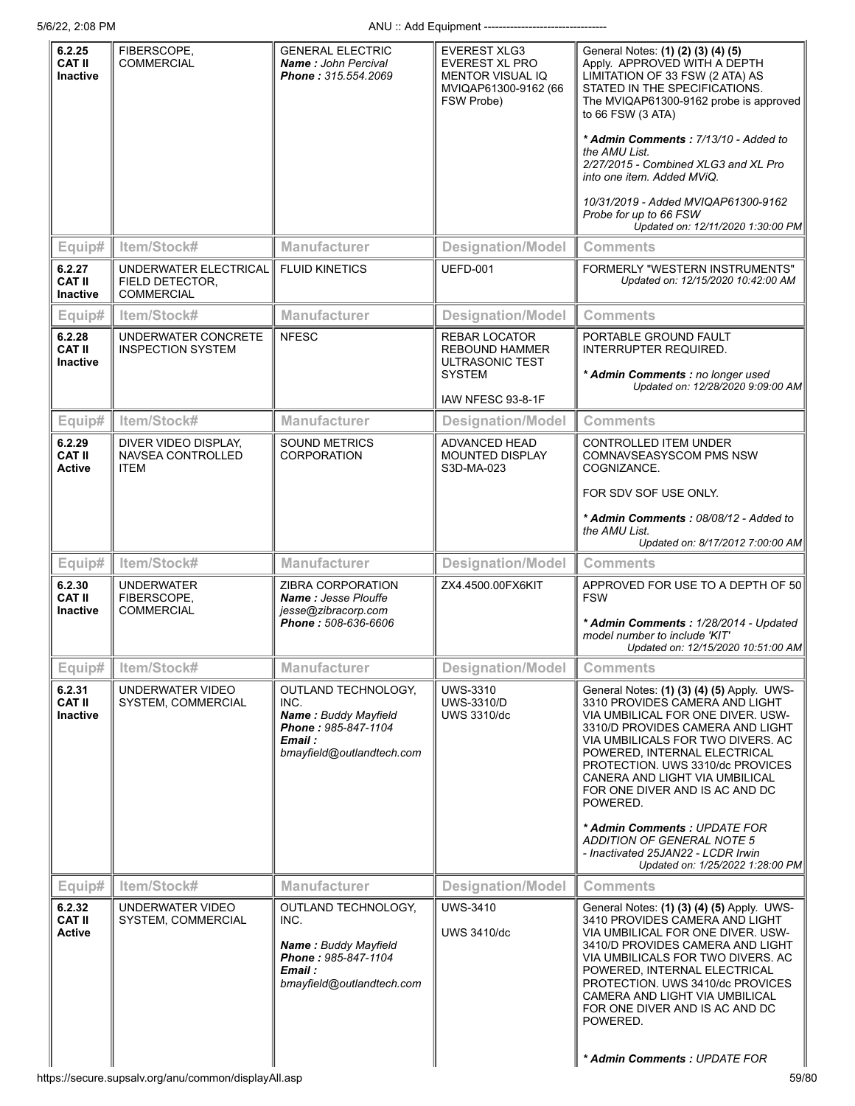| 6.2.25<br><b>CAT II</b><br><b>Inactive</b> | FIBERSCOPE.<br><b>COMMERCIAL</b>                              | <b>GENERAL ELECTRIC</b><br><b>Name: John Percival</b><br>Phone: 315.554.2069                                              | EVEREST XLG3<br><b>EVEREST XL PRO</b><br>MENTOR VISUAL IQ<br>MVIQAP61300-9162 (66<br>FSW Probe)        | General Notes: (1) (2) (3) (4) (5)<br>Apply. APPROVED WITH A DEPTH<br>LIMITATION OF 33 FSW (2 ATA) AS<br>STATED IN THE SPECIFICATIONS.<br>The MVIQAP61300-9162 probe is approved<br>to 66 FSW (3 ATA)<br>* Admin Comments: 7/13/10 - Added to<br>the AMU List.<br>2/27/2015 - Combined XLG3 and XL Pro<br>into one item. Added MViQ.<br>10/31/2019 - Added MVIQAP61300-9162<br>Probe for up to 66 FSW<br>Updated on: 12/11/2020 1:30:00 PM                                                    |
|--------------------------------------------|---------------------------------------------------------------|---------------------------------------------------------------------------------------------------------------------------|--------------------------------------------------------------------------------------------------------|-----------------------------------------------------------------------------------------------------------------------------------------------------------------------------------------------------------------------------------------------------------------------------------------------------------------------------------------------------------------------------------------------------------------------------------------------------------------------------------------------|
| Equip#                                     | Item/Stock#                                                   | <b>Manufacturer</b>                                                                                                       | <b>Designation/Model</b>                                                                               | <b>Comments</b>                                                                                                                                                                                                                                                                                                                                                                                                                                                                               |
| 6.2.27<br><b>CAT II</b><br><b>Inactive</b> | UNDERWATER ELECTRICAL<br>FIELD DETECTOR,<br><b>COMMERCIAL</b> | <b>FLUID KINETICS</b>                                                                                                     | <b>UEFD-001</b>                                                                                        | <b>FORMERLY "WESTERN INSTRUMENTS"</b><br>Updated on: 12/15/2020 10:42:00 AM                                                                                                                                                                                                                                                                                                                                                                                                                   |
| Equip#                                     | Item/Stock#                                                   | Manufacturer                                                                                                              | <b>Designation/Model</b>                                                                               | <b>Comments</b>                                                                                                                                                                                                                                                                                                                                                                                                                                                                               |
| 6.2.28<br>CAT II<br>Inactive               | UNDERWATER CONCRETE<br><b>INSPECTION SYSTEM</b>               | <b>NFESC</b>                                                                                                              | <b>REBAR LOCATOR</b><br><b>REBOUND HAMMER</b><br>ULTRASONIC TEST<br><b>SYSTEM</b><br>IAW NFESC 93-8-1F | PORTABLE GROUND FAULT<br><b>INTERRUPTER REQUIRED.</b><br>* Admin Comments : no longer used<br>Updated on: 12/28/2020 9:09:00 AM                                                                                                                                                                                                                                                                                                                                                               |
| Equip#                                     | Item/Stock#                                                   | Manufacturer                                                                                                              | <b>Designation/Model</b>                                                                               | <b>Comments</b>                                                                                                                                                                                                                                                                                                                                                                                                                                                                               |
| 6.2.29<br><b>CAT II</b><br>Active          | DIVER VIDEO DISPLAY,<br>NAVSEA CONTROLLED<br><b>ITEM</b>      | <b>SOUND METRICS</b><br><b>CORPORATION</b>                                                                                | <b>ADVANCED HEAD</b><br><b>MOUNTED DISPLAY</b><br>S3D-MA-023                                           | <b>CONTROLLED ITEM UNDER</b><br>COMNAVSEASYSCOM PMS NSW<br>COGNIZANCE.<br>FOR SDV SOF USE ONLY.<br>* Admin Comments: 08/08/12 - Added to<br>the AMU List.<br>Updated on: 8/17/2012 7:00:00 AM                                                                                                                                                                                                                                                                                                 |
| Equip#                                     | Item/Stock#                                                   | <b>Manufacturer</b>                                                                                                       | <b>Designation/Model</b>                                                                               | <b>Comments</b>                                                                                                                                                                                                                                                                                                                                                                                                                                                                               |
| 6.2.30<br>CAT II<br><b>Inactive</b>        | <b>UNDERWATER</b><br>FIBERSCOPE,<br><b>COMMERCIAL</b>         | ZIBRA CORPORATION<br><b>Name: Jesse Plouffe</b><br>jesse@zibracorp.com<br>Phone: 508-636-6606                             | ZX4.4500.00FX6KIT                                                                                      | APPROVED FOR USE TO A DEPTH OF 50<br><b>FSW</b><br>* Admin Comments: 1/28/2014 - Updated<br>model number to include 'KIT'<br>Updated on: 12/15/2020 10:51:00 AM                                                                                                                                                                                                                                                                                                                               |
| Equip#                                     | Item/Stock#                                                   | <b>Manufacturer</b>                                                                                                       | <b>Designation/Model</b>                                                                               | <b>Comments</b>                                                                                                                                                                                                                                                                                                                                                                                                                                                                               |
| 6.2.31<br><b>CAT II</b><br>Inactive        | UNDERWATER VIDEO<br>SYSTEM, COMMERCIAL                        | OUTLAND TECHNOLOGY,<br>INC.<br><b>Name: Buddy Mayfield</b><br>Phone: 985-847-1104<br>Email :<br>bmayfield@outlandtech.com | <b>UWS-3310</b><br><b>UWS-3310/D</b><br><b>UWS 3310/dc</b>                                             | General Notes: (1) (3) (4) (5) Apply. UWS-<br>3310 PROVIDES CAMERA AND LIGHT<br>VIA UMBILICAL FOR ONE DIVER. USW-<br>3310/D PROVIDES CAMERA AND LIGHT<br>VIA UMBILICALS FOR TWO DIVERS. AC<br>POWERED, INTERNAL ELECTRICAL<br>PROTECTION. UWS 3310/dc PROVICES<br>CANERA AND LIGHT VIA UMBILICAL<br>FOR ONE DIVER AND IS AC AND DC<br>POWERED.<br>* Admin Comments: UPDATE FOR<br><b>ADDITION OF GENERAL NOTE 5</b><br>- Inactivated 25JAN22 - LCDR Irwin<br>Updated on: 1/25/2022 1:28:00 PM |
| Equip#                                     | Item/Stock#                                                   | <b>Manufacturer</b>                                                                                                       | <b>Designation/Model</b>                                                                               | <b>Comments</b>                                                                                                                                                                                                                                                                                                                                                                                                                                                                               |
| 6.2.32<br><b>CAT II</b><br><b>Active</b>   | UNDERWATER VIDEO<br>SYSTEM, COMMERCIAL                        | OUTLAND TECHNOLOGY,<br>INC.<br><b>Name: Buddy Mayfield</b><br>Phone: 985-847-1104<br>Email :<br>bmayfield@outlandtech.com | UWS-3410<br><b>UWS 3410/dc</b>                                                                         | General Notes: (1) (3) (4) (5) Apply. UWS-<br>3410 PROVIDES CAMERA AND LIGHT<br>VIA UMBILICAL FOR ONE DIVER. USW-<br>3410/D PROVIDES CAMERA AND LIGHT<br>VIA UMBILICALS FOR TWO DIVERS. AC<br>POWERED, INTERNAL ELECTRICAL<br>PROTECTION. UWS 3410/dc PROVICES<br>CAMERA AND LIGHT VIA UMBILICAL<br>FOR ONE DIVER AND IS AC AND DC<br>POWERED.<br>* Admin Comments: UPDATE FOR                                                                                                                |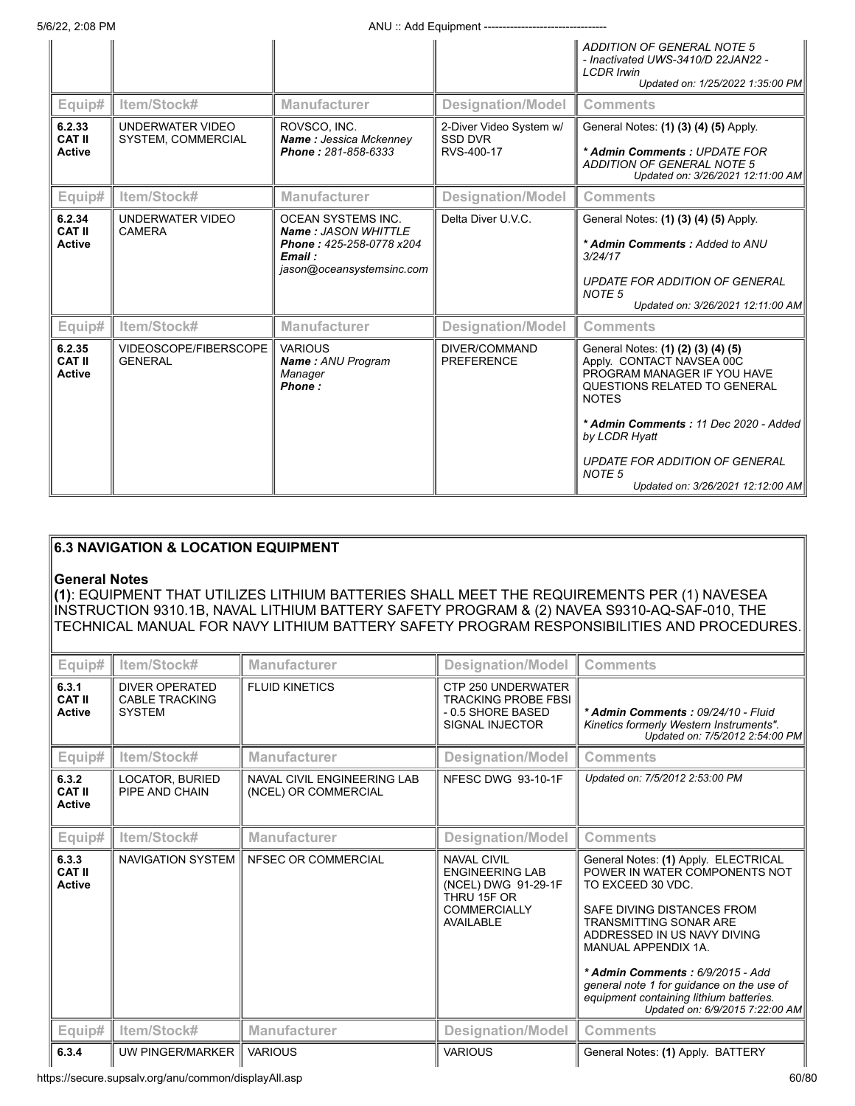5/6/22, 2:08 PM **ANU** :: Add Equipment --------

|                                         |                                                          |                                                                                   | <b>ADDITION OF GENERAL NOTE 5</b><br>- Inactivated UWS-3410/D 22JAN22 -<br><b>LCDR Irwin</b><br>Updated on: 1/25/2022 1:35:00 PM               |
|-----------------------------------------|----------------------------------------------------------|-----------------------------------------------------------------------------------|------------------------------------------------------------------------------------------------------------------------------------------------|
| Item/Stock#                             | <b>Manufacturer</b>                                      | <b>Designation/Model</b>                                                          | <b>Comments</b>                                                                                                                                |
| UNDERWATER VIDEO                        | ROVSCO. INC.                                             | 2-Diver Video System w/                                                           | General Notes: (1) (3) (4) (5) Apply.                                                                                                          |
|                                         | Phone: 281-858-6333                                      | RVS-400-17                                                                        | * Admin Comments: UPDATE FOR<br><b>ADDITION OF GENERAL NOTE 5</b><br>Updated on: 3/26/2021 12:11:00 AM                                         |
| Item/Stock#                             | <b>Manufacturer</b>                                      | <b>Designation/Model</b>                                                          | <b>Comments</b>                                                                                                                                |
| UNDERWATER VIDEO                        | <b>OCEAN SYSTEMS INC.</b>                                | Delta Diver U.V.C.                                                                | General Notes: (1) (3) (4) (5) Apply.                                                                                                          |
|                                         | Phone: 425-258-0778 x204<br>Email :                      |                                                                                   | * Admin Comments: Added to ANU<br>3/24/17                                                                                                      |
|                                         |                                                          |                                                                                   | UPDATE FOR ADDITION OF GENERAL<br>NOTE <sub>5</sub><br>Updated on: 3/26/2021 12:11:00 AM                                                       |
| Item/Stock#                             | <b>Manufacturer</b>                                      | <b>Designation/Model</b>                                                          | <b>Comments</b>                                                                                                                                |
| VIDEOSCOPE/FIBERSCOPE<br><b>GENERAL</b> | <b>VARIOUS</b><br>Name: ANU Program<br>Manager<br>Phone: | DIVER/COMMAND<br><b>PREFERENCE</b>                                                | General Notes: (1) (2) (3) (4) (5)<br>Apply. CONTACT NAVSEA 00C<br>PROGRAM MANAGER IF YOU HAVE<br>QUESTIONS RELATED TO GENERAL<br><b>NOTES</b> |
|                                         |                                                          |                                                                                   | * Admin Comments: 11 Dec 2020 - Added<br>by LCDR Hyatt                                                                                         |
|                                         |                                                          |                                                                                   | UPDATE FOR ADDITION OF GENERAL<br>NOTE <sub>5</sub><br>Updated on: 3/26/2021 12:12:00 AM                                                       |
|                                         | SYSTEM, COMMERCIAL<br><b>CAMERA</b>                      | Name: Jessica Mckenney<br><b>Name: JASON WHITTLE</b><br>jason@oceansystemsinc.com | <b>SSD DVR</b>                                                                                                                                 |

## **6.3 NAVIGATION & LOCATION EQUIPMENT**

## **General Notes**

**(1)**: EQUIPMENT THAT UTILIZES LITHIUM BATTERIES SHALL MEET THE REQUIREMENTS PER (1) NAVESEA INSTRUCTION 9310.1B, NAVAL LITHIUM BATTERY SAFETY PROGRAM & (2) NAVEA S9310-AQ-SAF-010, THE TECHNICAL MANUAL FOR NAVY LITHIUM BATTERY SAFETY PROGRAM RESPONSIBILITIES AND PROCEDURES.

| Equip#                                  | Item/Stock#                                                     | <b>Manufacturer</b>                                 | <b>Designation/Model</b>                                                                                               | <b>Comments</b>                                                                                                                                                                                                                                                                                                                                                                |
|-----------------------------------------|-----------------------------------------------------------------|-----------------------------------------------------|------------------------------------------------------------------------------------------------------------------------|--------------------------------------------------------------------------------------------------------------------------------------------------------------------------------------------------------------------------------------------------------------------------------------------------------------------------------------------------------------------------------|
| 6.3.1<br><b>CAT II</b><br><b>Active</b> | <b>DIVER OPERATED</b><br><b>CABLE TRACKING</b><br><b>SYSTEM</b> | <b>FLUID KINETICS</b>                               | CTP 250 UNDERWATER<br><b>TRACKING PROBE FBSI</b><br>- 0.5 SHORE BASED<br><b>SIGNAL INJECTOR</b>                        | * Admin Comments: 09/24/10 - Fluid<br>Kinetics formerly Western Instruments".<br>Updated on: 7/5/2012 2:54:00 PM                                                                                                                                                                                                                                                               |
| Equip#                                  | Item/Stock#                                                     | <b>Manufacturer</b>                                 | <b>Designation/Model</b>                                                                                               | <b>Comments</b>                                                                                                                                                                                                                                                                                                                                                                |
| 6.3.2<br><b>CAT II</b><br><b>Active</b> | LOCATOR, BURIED<br>PIPE AND CHAIN                               | NAVAL CIVIL ENGINEERING LAB<br>(NCEL) OR COMMERCIAL | NFESC DWG 93-10-1F                                                                                                     | Updated on: 7/5/2012 2:53:00 PM                                                                                                                                                                                                                                                                                                                                                |
| Equip#                                  | Item/Stock#                                                     | <b>Manufacturer</b>                                 | <b>Designation/Model</b>                                                                                               | <b>Comments</b>                                                                                                                                                                                                                                                                                                                                                                |
| 6.3.3<br><b>CAT II</b><br><b>Active</b> | <b>NAVIGATION SYSTEM</b>                                        | NFSEC OR COMMERCIAL                                 | <b>NAVAL CIVIL</b><br><b>ENGINEERING LAB</b><br>(NCEL) DWG 91-29-1F<br>THRU 15F OR<br><b>COMMERCIALLY</b><br>AVAILABLE | General Notes: (1) Apply. ELECTRICAL<br>POWER IN WATER COMPONENTS NOT<br>TO EXCEED 30 VDC.<br>SAFE DIVING DISTANCES FROM<br><b>TRANSMITTING SONAR ARE</b><br>ADDRESSED IN US NAVY DIVING<br>MANUAL APPENDIX 1A.<br>* Admin Comments: 6/9/2015 - Add<br>general note 1 for quidance on the use of<br>equipment containing lithium batteries.<br>Updated on: 6/9/2015 7:22:00 AM |
| Equip#                                  | Item/Stock#                                                     | <b>Manufacturer</b>                                 | <b>Designation/Model</b>                                                                                               | <b>Comments</b>                                                                                                                                                                                                                                                                                                                                                                |
| 6.3.4                                   | UW PINGER/MARKER                                                | <b>VARIOUS</b>                                      | <b>VARIOUS</b>                                                                                                         | General Notes: (1) Apply. BATTERY                                                                                                                                                                                                                                                                                                                                              |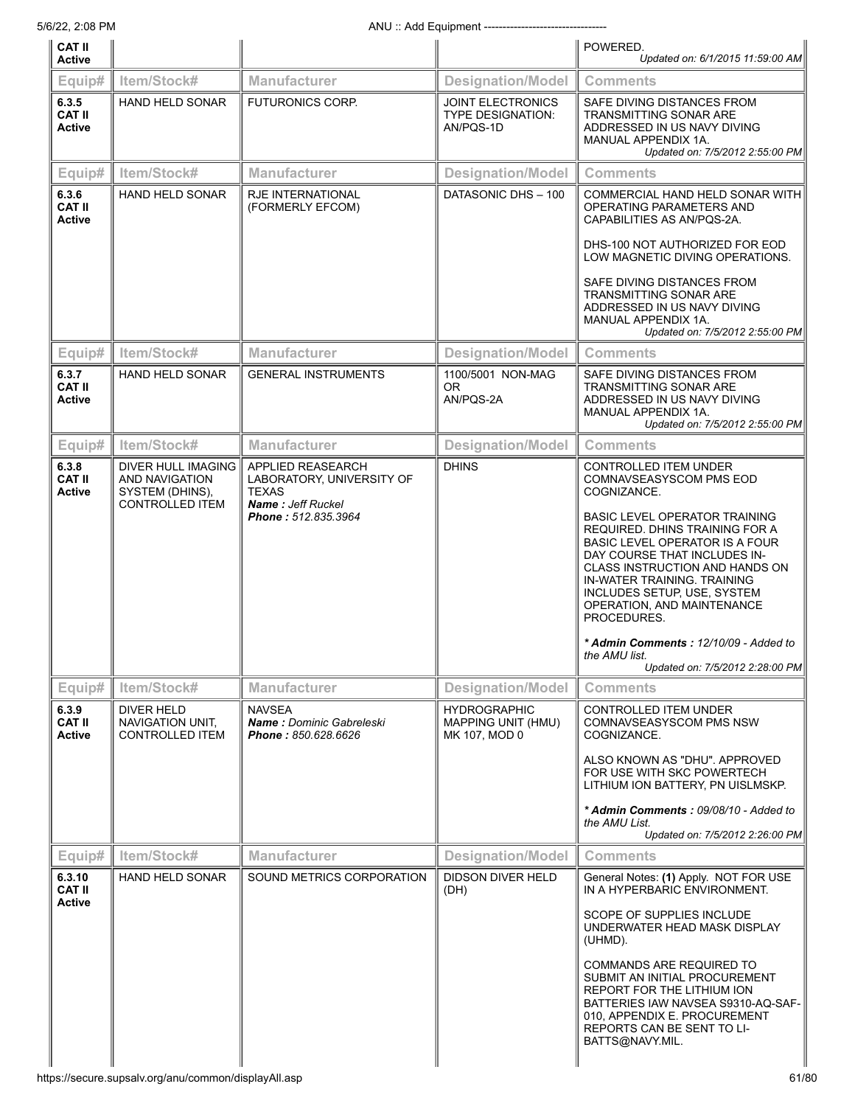| <b>CAT II</b><br><b>Active</b>           |                                                                                   |                                                                                                            |                                                            | POWERED.<br>Updated on: 6/1/2015 11:59:00 AM                                                                                                                                                                                                                                                                                                                                                                                                                 |
|------------------------------------------|-----------------------------------------------------------------------------------|------------------------------------------------------------------------------------------------------------|------------------------------------------------------------|--------------------------------------------------------------------------------------------------------------------------------------------------------------------------------------------------------------------------------------------------------------------------------------------------------------------------------------------------------------------------------------------------------------------------------------------------------------|
| Equip#                                   | Item/Stock#                                                                       | <b>Manufacturer</b>                                                                                        | <b>Designation/Model</b>                                   | <b>Comments</b>                                                                                                                                                                                                                                                                                                                                                                                                                                              |
| 6.3.5<br><b>CAT II</b><br><b>Active</b>  | <b>HAND HELD SONAR</b>                                                            | <b>FUTURONICS CORP.</b>                                                                                    | <b>JOINT ELECTRONICS</b><br>TYPE DESIGNATION:<br>AN/PQS-1D | SAFE DIVING DISTANCES FROM<br><b>TRANSMITTING SONAR ARE</b><br>ADDRESSED IN US NAVY DIVING<br>MANUAL APPENDIX 1A.<br>Updated on: 7/5/2012 2:55:00 PM                                                                                                                                                                                                                                                                                                         |
| Equip#                                   | Item/Stock#                                                                       | <b>Manufacturer</b>                                                                                        | <b>Designation/Model</b>                                   | <b>Comments</b>                                                                                                                                                                                                                                                                                                                                                                                                                                              |
| 6.3.6<br><b>CAT II</b><br><b>Active</b>  | HAND HELD SONAR                                                                   | <b>RJE INTERNATIONAL</b><br>(FORMERLY EFCOM)                                                               | DATASONIC DHS - 100                                        | COMMERCIAL HAND HELD SONAR WITH<br>OPERATING PARAMETERS AND<br>CAPABILITIES AS AN/PQS-2A.<br>DHS-100 NOT AUTHORIZED FOR EOD<br>LOW MAGNETIC DIVING OPERATIONS.<br>SAFE DIVING DISTANCES FROM<br><b>TRANSMITTING SONAR ARE</b><br>ADDRESSED IN US NAVY DIVING<br>MANUAL APPENDIX 1A.<br>Updated on: 7/5/2012 2:55:00 PM                                                                                                                                       |
| Equip#                                   | Item/Stock#                                                                       | <b>Manufacturer</b>                                                                                        | <b>Designation/Model</b>                                   | Comments                                                                                                                                                                                                                                                                                                                                                                                                                                                     |
| 6.3.7<br><b>CAT II</b><br><b>Active</b>  | HAND HELD SONAR                                                                   | <b>GENERAL INSTRUMENTS</b>                                                                                 | 1100/5001 NON-MAG<br>0R<br>AN/PQS-2A                       | SAFE DIVING DISTANCES FROM<br><b>TRANSMITTING SONAR ARE</b><br>ADDRESSED IN US NAVY DIVING<br>MANUAL APPENDIX 1A.<br>Updated on: 7/5/2012 2:55:00 PM                                                                                                                                                                                                                                                                                                         |
| Equip#                                   | Item/Stock#                                                                       | <b>Manufacturer</b>                                                                                        | <b>Designation/Model</b>                                   | <b>Comments</b>                                                                                                                                                                                                                                                                                                                                                                                                                                              |
| 6.3.8<br><b>CAT II</b><br><b>Active</b>  | DIVER HULL IMAGING<br>AND NAVIGATION<br>SYSTEM (DHINS),<br><b>CONTROLLED ITEM</b> | APPLIED REASEARCH<br>LABORATORY, UNIVERSITY OF<br><b>TEXAS</b><br>Name: Jeff Ruckel<br>Phone: 512.835.3964 | <b>DHINS</b>                                               | <b>CONTROLLED ITEM UNDER</b><br>COMNAVSEASYSCOM PMS EOD<br>COGNIZANCE.<br><b>BASIC LEVEL OPERATOR TRAINING</b><br>REQUIRED. DHINS TRAINING FOR A<br>BASIC LEVEL OPERATOR IS A FOUR<br>DAY COURSE THAT INCLUDES IN-<br>CLASS INSTRUCTION AND HANDS ON<br>IN-WATER TRAINING. TRAINING<br>INCLUDES SETUP, USE, SYSTEM<br>OPERATION, AND MAINTENANCE<br>PROCEDURES.<br>* Admin Comments: 12/10/09 - Added to<br>the AMU list.<br>Updated on: 7/5/2012 2:28:00 PM |
| Equip#                                   | Item/Stock#                                                                       | <b>Manufacturer</b>                                                                                        | <b>Designation/Model</b>                                   | <b>Comments</b>                                                                                                                                                                                                                                                                                                                                                                                                                                              |
| 6.3.9<br><b>CAT II</b><br><b>Active</b>  | DIVER HELD<br>NAVIGATION UNIT,<br><b>CONTROLLED ITEM</b>                          | <b>NAVSEA</b><br>Name: Dominic Gabreleski<br>Phone: 850.628.6626                                           | <b>HYDROGRAPHIC</b><br>MAPPING UNIT (HMU)<br>MK 107, MOD 0 | <b>CONTROLLED ITEM UNDER</b><br><b>COMNAVSEASYSCOM PMS NSW</b><br>COGNIZANCE.<br>ALSO KNOWN AS "DHU". APPROVED<br>FOR USE WITH SKC POWERTECH<br>LITHIUM ION BATTERY, PN UISLMSKP.<br>* Admin Comments: 09/08/10 - Added to<br>the AMU List.<br>Updated on: 7/5/2012 2:26:00 PM                                                                                                                                                                               |
| Equip#                                   | Item/Stock#                                                                       | <b>Manufacturer</b>                                                                                        | <b>Designation/Model</b>                                   | <b>Comments</b>                                                                                                                                                                                                                                                                                                                                                                                                                                              |
| 6.3.10<br><b>CAT II</b><br><b>Active</b> | <b>HAND HELD SONAR</b>                                                            | SOUND METRICS CORPORATION                                                                                  | <b>DIDSON DIVER HELD</b><br>(DH)                           | General Notes: (1) Apply. NOT FOR USE<br>IN A HYPERBARIC ENVIRONMENT.<br>SCOPE OF SUPPLIES INCLUDE<br>UNDERWATER HEAD MASK DISPLAY<br>(UHMD).<br>COMMANDS ARE REQUIRED TO<br>SUBMIT AN INITIAL PROCUREMENT<br>REPORT FOR THE LITHIUM ION<br>BATTERIES IAW NAVSEA S9310-AQ-SAF-<br>010, APPENDIX E. PROCUREMENT<br>REPORTS CAN BE SENT TO LI-<br>BATTS@NAVY.MIL.                                                                                              |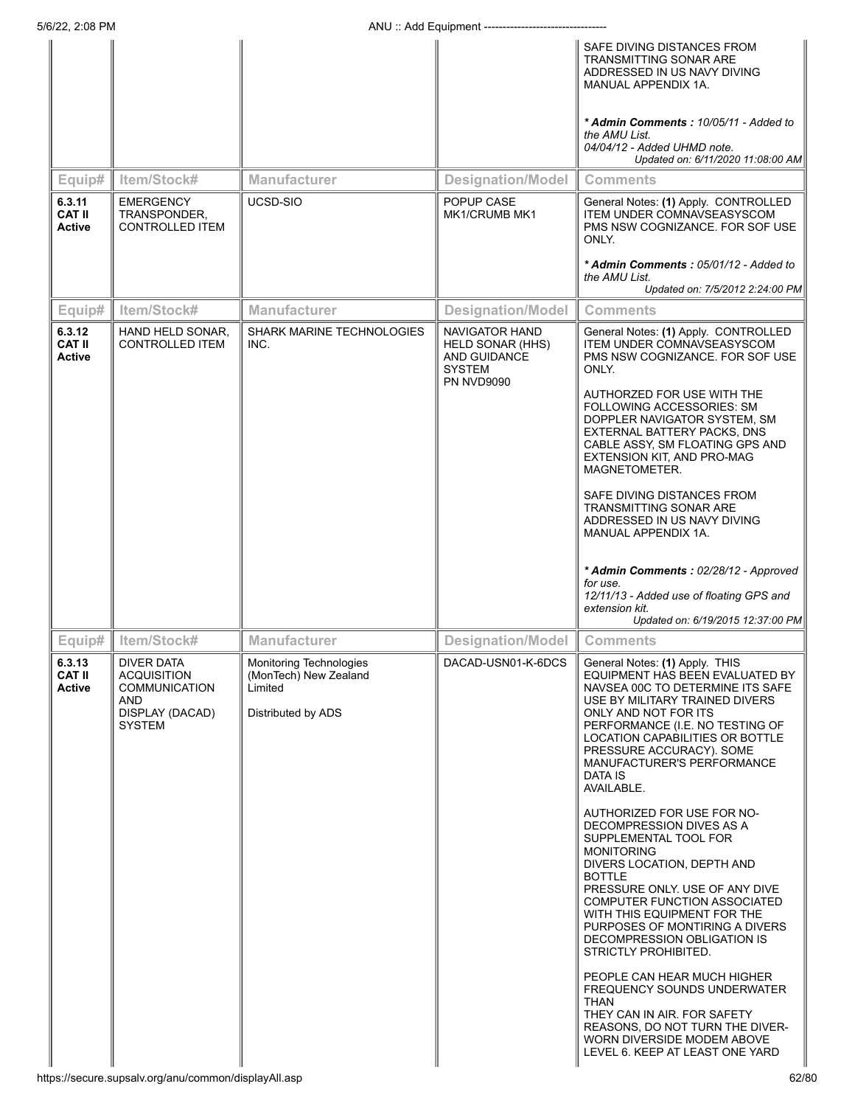#### 5/6/22, 2:08 PM **ANU** :: Add Equipment --

| 0122, 2.00 L IV                          |                                                                                                            | AIVU AUU LYUIPIIIGIIL                                                             |                                                                                                        | SAFE DIVING DISTANCES FROM<br>TRANSMITTING SONAR ARE<br>ADDRESSED IN US NAVY DIVING<br>MANUAL APPENDIX 1A.<br>* Admin Comments: 10/05/11 - Added to<br>the AMU List.<br>04/04/12 - Added UHMD note.<br>Updated on: 6/11/2020 11:08:00 AM                                                                                                                        |
|------------------------------------------|------------------------------------------------------------------------------------------------------------|-----------------------------------------------------------------------------------|--------------------------------------------------------------------------------------------------------|-----------------------------------------------------------------------------------------------------------------------------------------------------------------------------------------------------------------------------------------------------------------------------------------------------------------------------------------------------------------|
| Equip#                                   | Item/Stock#                                                                                                | Manufacturer                                                                      | <b>Designation/Model</b>                                                                               | <b>Comments</b>                                                                                                                                                                                                                                                                                                                                                 |
| 6.3.11<br><b>CAT II</b><br><b>Active</b> | <b>EMERGENCY</b><br>TRANSPONDER,<br><b>CONTROLLED ITEM</b>                                                 | UCSD-SIO                                                                          | POPUP CASE<br>MK1/CRUMB MK1                                                                            | General Notes: (1) Apply. CONTROLLED<br><b>ITEM UNDER COMNAVSEASYSCOM</b><br>PMS NSW COGNIZANCE. FOR SOF USE<br>ONLY.<br>* Admin Comments: 05/01/12 - Added to<br>the AMU List.<br>Updated on: 7/5/2012 2:24:00 PM                                                                                                                                              |
| Equip#                                   | Item/Stock#                                                                                                | Manufacturer                                                                      | <b>Designation/Model</b>                                                                               | <b>Comments</b>                                                                                                                                                                                                                                                                                                                                                 |
| 6.3.12<br><b>CAT II</b><br><b>Active</b> | HAND HELD SONAR,<br><b>CONTROLLED ITEM</b>                                                                 | <b>SHARK MARINE TECHNOLOGIES</b><br>INC.                                          | NAVIGATOR HAND<br><b>HELD SONAR (HHS)</b><br><b>AND GUIDANCE</b><br><b>SYSTEM</b><br><b>PN NVD9090</b> | General Notes: (1) Apply. CONTROLLED<br><b>ITEM UNDER COMNAVSEASYSCOM</b><br>PMS NSW COGNIZANCE. FOR SOF USE<br>ONLY.<br>AUTHORZED FOR USE WITH THE<br>FOLLOWING ACCESSORIES: SM<br>DOPPLER NAVIGATOR SYSTEM, SM<br>EXTERNAL BATTERY PACKS, DNS<br>CABLE ASSY, SM FLOATING GPS AND<br>EXTENSION KIT, AND PRO-MAG<br>MAGNETOMETER.<br>SAFE DIVING DISTANCES FROM |
|                                          |                                                                                                            |                                                                                   |                                                                                                        | MANUAL APPENDIX 1A.<br>* Admin Comments: 02/28/12 - Approved<br>for use.<br>12/11/13 - Added use of floating GPS and<br>extension kit.<br>Updated on: 6/19/2015 12:37:00 PM                                                                                                                                                                                     |
| Equip#                                   | Item/Stock#                                                                                                | Manufacturer                                                                      | <b>Designation/Model</b>                                                                               | <b>Comments</b>                                                                                                                                                                                                                                                                                                                                                 |
| 6.3.13<br><b>CAT II</b><br><b>Active</b> | <b>DIVER DATA</b><br><b>ACQUISITION</b><br><b>COMMUNICATION</b><br>AND<br>DISPLAY (DACAD)<br><b>SYSTEM</b> | Monitoring Technologies<br>(MonTech) New Zealand<br>Limited<br>Distributed by ADS | DACAD-USN01-K-6DCS                                                                                     | General Notes: (1) Apply. THIS<br>EQUIPMENT HAS BEEN EVALUATED BY<br>NAVSEA 00C TO DETERMINE ITS SAFE<br>USE BY MILITARY TRAINED DIVERS<br>ONLY AND NOT FOR ITS<br>PERFORMANCE (I.E. NO TESTING OF<br>LOCATION CAPABILITIES OR BOTTLE<br>PRESSURE ACCURACY). SOME<br>MANUFACTURER'S PERFORMANCE<br>DATA IS<br>AVAILABLE.                                        |
|                                          |                                                                                                            |                                                                                   |                                                                                                        | AUTHORIZED FOR USE FOR NO-<br>DECOMPRESSION DIVES AS A<br>SUPPLEMENTAL TOOL FOR<br><b>MONITORING</b><br>DIVERS LOCATION, DEPTH AND<br><b>BOTTLE</b><br>PRESSURE ONLY. USE OF ANY DIVE<br>COMPUTER FUNCTION ASSOCIATED<br>WITH THIS EQUIPMENT FOR THE<br>PURPOSES OF MONTIRING A DIVERS<br>DECOMPRESSION OBLIGATION IS<br>STRICTLY PROHIBITED.                   |
|                                          |                                                                                                            |                                                                                   |                                                                                                        | PEOPLE CAN HEAR MUCH HIGHER<br>FREQUENCY SOUNDS UNDERWATER<br>THAN<br>THEY CAN IN AIR. FOR SAFETY<br>REASONS, DO NOT TURN THE DIVER-<br>WORN DIVERSIDE MODEM ABOVE<br>LEVEL 6. KEEP AT LEAST ONE YARD                                                                                                                                                           |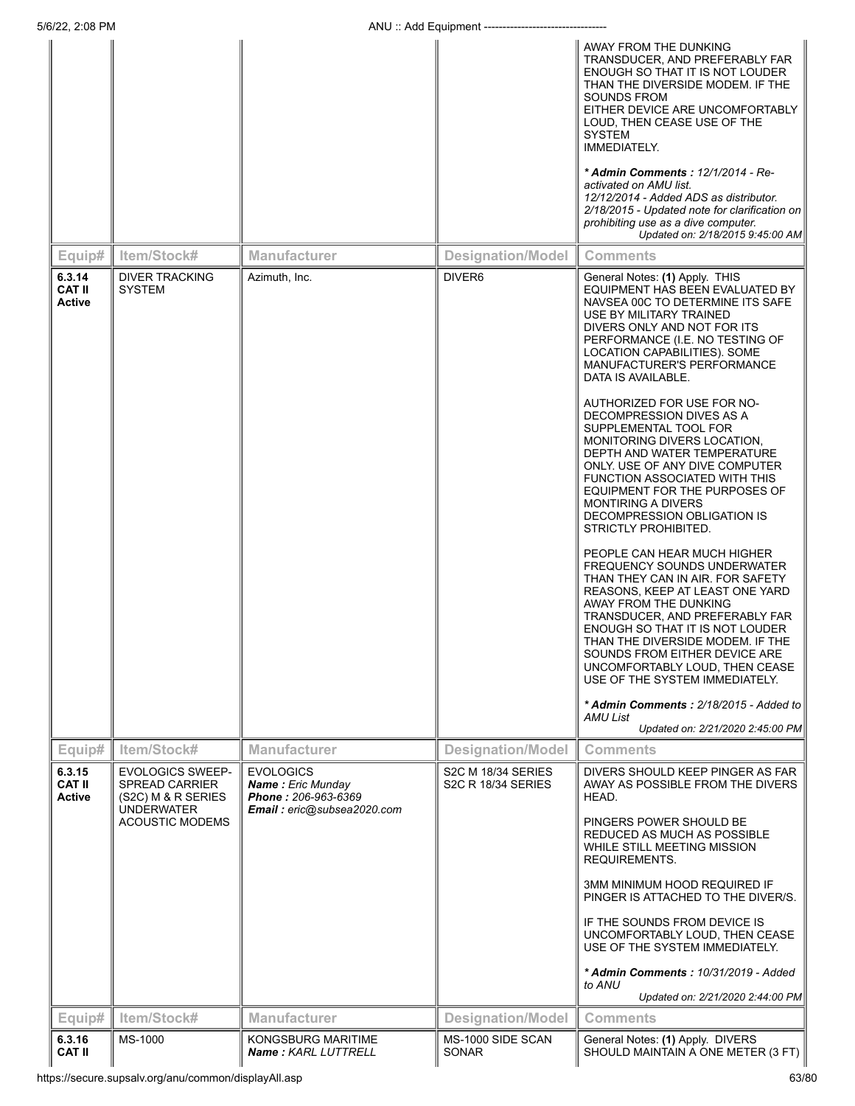| 5/6/22, 2:08 PM                          |                                                                                                                       |                                                                                                   | ANU: Add Equipment ------------------           |                                                                                                                                                                                                                                                                                                                                                                                                                                                                                                                                                                                                                                                                                                                                                                                                                                                                                                                                                                                                                                                                                                              |
|------------------------------------------|-----------------------------------------------------------------------------------------------------------------------|---------------------------------------------------------------------------------------------------|-------------------------------------------------|--------------------------------------------------------------------------------------------------------------------------------------------------------------------------------------------------------------------------------------------------------------------------------------------------------------------------------------------------------------------------------------------------------------------------------------------------------------------------------------------------------------------------------------------------------------------------------------------------------------------------------------------------------------------------------------------------------------------------------------------------------------------------------------------------------------------------------------------------------------------------------------------------------------------------------------------------------------------------------------------------------------------------------------------------------------------------------------------------------------|
|                                          |                                                                                                                       |                                                                                                   |                                                 | AWAY FROM THE DUNKING<br>TRANSDUCER, AND PREFERABLY FAR<br>ENOUGH SO THAT IT IS NOT LOUDER<br>THAN THE DIVERSIDE MODEM. IF THE<br>SOUNDS FROM<br>EITHER DEVICE ARE UNCOMFORTABLY<br>LOUD, THEN CEASE USE OF THE<br><b>SYSTEM</b><br>IMMEDIATELY.<br>* Admin Comments: 12/1/2014 - Re-<br>activated on AMU list.<br>12/12/2014 - Added ADS as distributor.<br>2/18/2015 - Updated note for clarification on<br>prohibiting use as a dive computer.<br>Updated on: 2/18/2015 9:45:00 AM                                                                                                                                                                                                                                                                                                                                                                                                                                                                                                                                                                                                                        |
| Equip#                                   | Item/Stock#                                                                                                           | <b>Manufacturer</b>                                                                               | <b>Designation/Model</b>                        | <b>Comments</b>                                                                                                                                                                                                                                                                                                                                                                                                                                                                                                                                                                                                                                                                                                                                                                                                                                                                                                                                                                                                                                                                                              |
| 6.3.14<br><b>CAT II</b><br>Active        | <b>DIVER TRACKING</b><br><b>SYSTEM</b>                                                                                | Azimuth, Inc.                                                                                     | DIVER <sub>6</sub>                              | General Notes: (1) Apply. THIS<br>EQUIPMENT HAS BEEN EVALUATED BY<br>NAVSEA 00C TO DETERMINE ITS SAFE<br>USE BY MILITARY TRAINED<br>DIVERS ONLY AND NOT FOR ITS<br>PERFORMANCE (I.E. NO TESTING OF<br>LOCATION CAPABILITIES). SOME<br>MANUFACTURER'S PERFORMANCE<br>DATA IS AVAILABLE.<br>AUTHORIZED FOR USE FOR NO-<br>DECOMPRESSION DIVES AS A<br>SUPPLEMENTAL TOOL FOR<br>MONITORING DIVERS LOCATION,<br>DEPTH AND WATER TEMPERATURE<br>ONLY. USE OF ANY DIVE COMPUTER<br>FUNCTION ASSOCIATED WITH THIS<br>EQUIPMENT FOR THE PURPOSES OF<br><b>MONTIRING A DIVERS</b><br>DECOMPRESSION OBLIGATION IS<br>STRICTLY PROHIBITED.<br>PEOPLE CAN HEAR MUCH HIGHER<br><b>FREQUENCY SOUNDS UNDERWATER</b><br>THAN THEY CAN IN AIR. FOR SAFETY<br>REASONS, KEEP AT LEAST ONE YARD<br>AWAY FROM THE DUNKING<br>TRANSDUCER, AND PREFERABLY FAR<br>ENOUGH SO THAT IT IS NOT LOUDER<br>THAN THE DIVERSIDE MODEM. IF THE<br>SOUNDS FROM EITHER DEVICE ARE<br>UNCOMFORTABLY LOUD, THEN CEASE<br>USE OF THE SYSTEM IMMEDIATELY.<br>* Admin Comments: 2/18/2015 - Added to<br>AMU List<br>Updated on: 2/21/2020 2:45:00 PM |
| Equip#                                   | Item/Stock#                                                                                                           | <b>Manufacturer</b>                                                                               | <b>Designation/Model</b>                        | <b>Comments</b>                                                                                                                                                                                                                                                                                                                                                                                                                                                                                                                                                                                                                                                                                                                                                                                                                                                                                                                                                                                                                                                                                              |
| 6.3.15<br><b>CAT II</b><br><b>Active</b> | <b>EVOLOGICS SWEEP-</b><br><b>SPREAD CARRIER</b><br>(S2C) M & R SERIES<br><b>UNDERWATER</b><br><b>ACOUSTIC MODEMS</b> | <b>EVOLOGICS</b><br><b>Name:</b> Eric Munday<br>Phone: 206-963-6369<br>Email: eric@subsea2020.com | S2C M 18/34 SERIES<br><b>S2C R 18/34 SERIES</b> | DIVERS SHOULD KEEP PINGER AS FAR<br>AWAY AS POSSIBLE FROM THE DIVERS<br>HEAD.<br>PINGERS POWER SHOULD BE<br>REDUCED AS MUCH AS POSSIBLE<br>WHILE STILL MEETING MISSION<br>REQUIREMENTS.<br><b>3MM MINIMUM HOOD REQUIRED IF</b><br>PINGER IS ATTACHED TO THE DIVER/S.<br>IF THE SOUNDS FROM DEVICE IS<br>UNCOMFORTABLY LOUD, THEN CEASE<br>USE OF THE SYSTEM IMMEDIATELY.<br>* Admin Comments: 10/31/2019 - Added<br>to ANU<br>Updated on: 2/21/2020 2:44:00 PM                                                                                                                                                                                                                                                                                                                                                                                                                                                                                                                                                                                                                                               |
| Equip#                                   | Item/Stock#                                                                                                           | <b>Manufacturer</b>                                                                               | <b>Designation/Model</b>                        | <b>Comments</b>                                                                                                                                                                                                                                                                                                                                                                                                                                                                                                                                                                                                                                                                                                                                                                                                                                                                                                                                                                                                                                                                                              |
| 6.3.16<br><b>CAT II</b>                  | MS-1000                                                                                                               | <b>KONGSBURG MARITIME</b><br>Name: KARL LUTTRELL                                                  | MS-1000 SIDE SCAN<br><b>SONAR</b>               | General Notes: (1) Apply. DIVERS<br>SHOULD MAINTAIN A ONE METER (3 FT)                                                                                                                                                                                                                                                                                                                                                                                                                                                                                                                                                                                                                                                                                                                                                                                                                                                                                                                                                                                                                                       |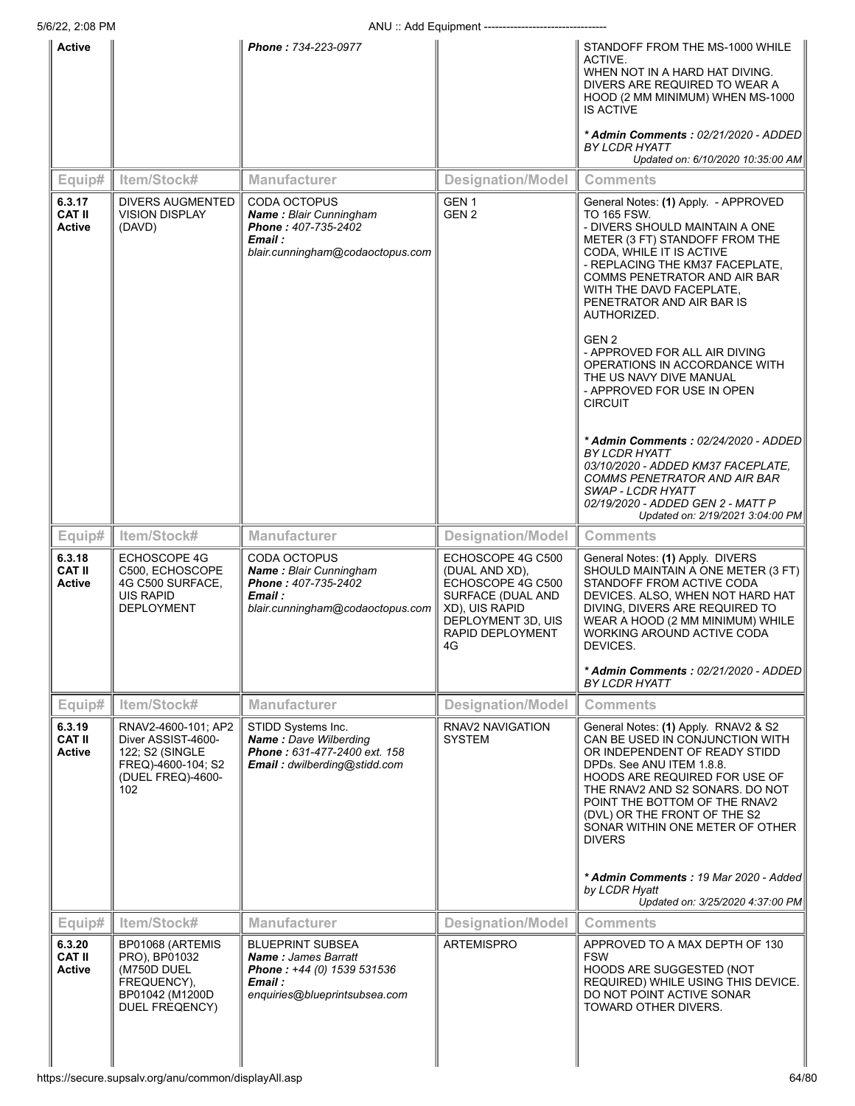| Active                                   |                                                                                                                | Phone: 734-223-0977                                                                                                             |                                                                                                                                                 | STANDOFF FROM THE MS-1000 WHILE<br>ACTIVE.<br>WHEN NOT IN A HARD HAT DIVING.<br>DIVERS ARE REQUIRED TO WEAR A<br>HOOD (2 MM MINIMUM) WHEN MS-1000<br><b>IS ACTIVE</b><br>* Admin Comments: 02/21/2020 - ADDED<br>BY LCDR HYATT                                                                                                        |
|------------------------------------------|----------------------------------------------------------------------------------------------------------------|---------------------------------------------------------------------------------------------------------------------------------|-------------------------------------------------------------------------------------------------------------------------------------------------|---------------------------------------------------------------------------------------------------------------------------------------------------------------------------------------------------------------------------------------------------------------------------------------------------------------------------------------|
|                                          |                                                                                                                |                                                                                                                                 |                                                                                                                                                 | Updated on: 6/10/2020 10:35:00 AM                                                                                                                                                                                                                                                                                                     |
| Equip#                                   | Item/Stock#                                                                                                    | <b>Manufacturer</b>                                                                                                             | <b>Designation/Model</b>                                                                                                                        | <b>Comments</b>                                                                                                                                                                                                                                                                                                                       |
| 6.3.17<br><b>CAT II</b><br><b>Active</b> | <b>DIVERS AUGMENTED</b><br><b>VISION DISPLAY</b><br>(DAVD)                                                     | <b>CODA OCTOPUS</b><br><b>Name: Blair Cunningham</b><br>Phone: 407-735-2402<br>Email :<br>blair.cunningham@codaoctopus.com      | GEN <sub>1</sub><br>GEN <sub>2</sub>                                                                                                            | General Notes: (1) Apply. - APPROVED<br><b>TO 165 FSW.</b><br>- DIVERS SHOULD MAINTAIN A ONE<br>METER (3 FT) STANDOFF FROM THE<br>CODA, WHILE IT IS ACTIVE<br>- REPLACING THE KM37 FACEPLATE,<br>COMMS PENETRATOR AND AIR BAR<br>WITH THE DAVD FACEPLATE,<br>PENETRATOR AND AIR BAR IS<br>AUTHORIZED.                                 |
|                                          |                                                                                                                |                                                                                                                                 |                                                                                                                                                 | GEN 2<br>- APPROVED FOR ALL AIR DIVING<br>OPERATIONS IN ACCORDANCE WITH<br>THE US NAVY DIVE MANUAL<br>- APPROVED FOR USE IN OPEN<br><b>CIRCUIT</b>                                                                                                                                                                                    |
|                                          |                                                                                                                |                                                                                                                                 |                                                                                                                                                 | * Admin Comments : 02/24/2020 - ADDED<br><b>BY LCDR HYATT</b><br>03/10/2020 - ADDED KM37 FACEPLATE,<br>COMMS PENETRATOR AND AIR BAR<br>SWAP - LCDR HYATT<br>02/19/2020 - ADDED GEN 2 - MATT P<br>Updated on: 2/19/2021 3:04:00 PM                                                                                                     |
| Equip#                                   | Item/Stock#                                                                                                    | <b>Manufacturer</b>                                                                                                             | <b>Designation/Model</b>                                                                                                                        | <b>Comments</b>                                                                                                                                                                                                                                                                                                                       |
| 6.3.18<br><b>CAT II</b><br>Active        | ECHOSCOPE 4G<br>C500, ECHOSCOPE<br>4G C500 SURFACE,<br>UIS RAPID<br><b>DEPLOYMENT</b>                          | <b>CODA OCTOPUS</b><br>Name: Blair Cunningham<br>Phone: 407-735-2402<br>Email :<br>blair.cunningham@codaoctopus.com             | ECHOSCOPE 4G C500<br>(DUAL AND XD),<br>ECHOSCOPE 4G C500<br>SURFACE (DUAL AND<br>XD), UIS RAPID<br>DEPLOYMENT 3D, UIS<br>RAPID DEPLOYMENT<br>4G | General Notes: (1) Apply. DIVERS<br>SHOULD MAINTAIN A ONE METER (3 FT)<br>STANDOFF FROM ACTIVE CODA<br>DEVICES. ALSO, WHEN NOT HARD HAT<br>DIVING, DIVERS ARE REQUIRED TO<br>WEAR A HOOD (2 MM MINIMUM) WHILE<br>WORKING AROUND ACTIVE CODA<br>DEVICES.                                                                               |
|                                          |                                                                                                                |                                                                                                                                 |                                                                                                                                                 | * Admin Comments: 02/21/2020 - ADDED<br><b>BY LCDR HYATT</b>                                                                                                                                                                                                                                                                          |
| Equip#                                   | Item/Stock#                                                                                                    | Manufacturer                                                                                                                    | <b>Designation/Model</b>                                                                                                                        | <b>Comments</b>                                                                                                                                                                                                                                                                                                                       |
| 6.3.19<br><b>CAT II</b><br><b>Active</b> | RNAV2-4600-101; AP2<br>Diver ASSIST-4600-<br>122; S2 (SINGLE<br>FREQ)-4600-104; S2<br>(DUEL FREQ)-4600-<br>102 | STIDD Systems Inc.<br>Name: Dave Wilberding<br>Phone: 631-477-2400 ext. 158<br>Email: dwilberding@stidd.com                     | RNAV2 NAVIGATION<br><b>SYSTEM</b>                                                                                                               | General Notes: (1) Apply. RNAV2 & S2<br>CAN BE USED IN CONJUNCTION WITH<br>OR INDEPENDENT OF READY STIDD<br>DPDs. See ANU ITEM 1.8.8.<br><b>HOODS ARE REQUIRED FOR USE OF</b><br>THE RNAV2 AND S2 SONARS. DO NOT<br>POINT THE BOTTOM OF THE RNAV2<br>(DVL) OR THE FRONT OF THE S2<br>SONAR WITHIN ONE METER OF OTHER<br><b>DIVERS</b> |
|                                          |                                                                                                                |                                                                                                                                 |                                                                                                                                                 | * Admin Comments: 19 Mar 2020 - Added<br>by LCDR Hyatt<br>Updated on: 3/25/2020 4:37:00 PM                                                                                                                                                                                                                                            |
| Equip#                                   | Item/Stock#                                                                                                    | <b>Manufacturer</b>                                                                                                             | <b>Designation/Model</b>                                                                                                                        | <b>Comments</b>                                                                                                                                                                                                                                                                                                                       |
| 6.3.20<br><b>CAT II</b><br><b>Active</b> | BP01068 (ARTEMIS<br>PRO), BP01032<br>(M750D DUEL<br>FREQUENCY),<br>BP01042 (M1200D                             | <b>BLUEPRINT SUBSEA</b><br><b>Name: James Barratt</b><br>Phone: +44 (0) 1539 531536<br>Email :<br>enquiries@blueprintsubsea.com | ARTEMISPRO                                                                                                                                      | APPROVED TO A MAX DEPTH OF 130<br><b>FSW</b><br>HOODS ARE SUGGESTED (NOT<br>REQUIRED) WHILE USING THIS DEVICE.<br>DO NOT POINT ACTIVE SONAR                                                                                                                                                                                           |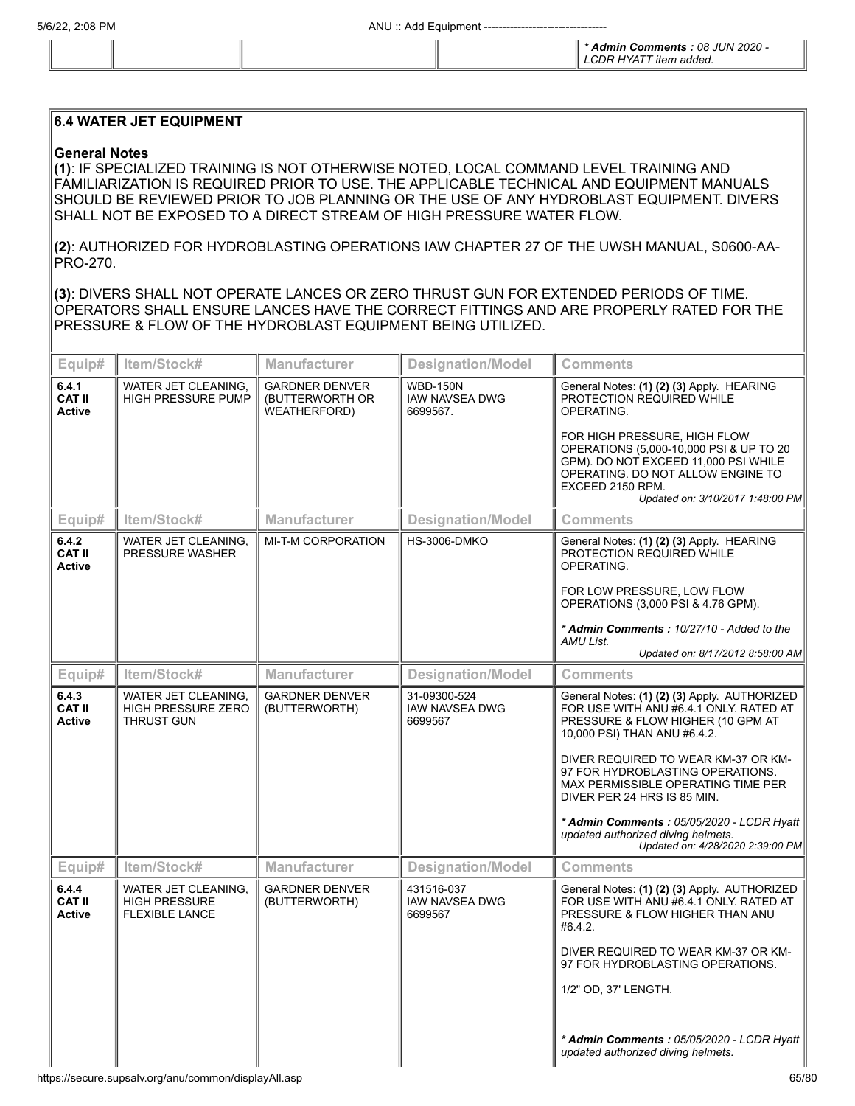*\* Admin Comments : 08 JUN 2020 - LCDR HYATT item added.*

## **6.4 WATER JET EQUIPMENT**

## **General Notes**

**(1)**: IF SPECIALIZED TRAINING IS NOT OTHERWISE NOTED, LOCAL COMMAND LEVEL TRAINING AND FAMILIARIZATION IS REQUIRED PRIOR TO USE. THE APPLICABLE TECHNICAL AND EQUIPMENT MANUALS SHOULD BE REVIEWED PRIOR TO JOB PLANNING OR THE USE OF ANY HYDROBLAST EQUIPMENT. DIVERS SHALL NOT BE EXPOSED TO A DIRECT STREAM OF HIGH PRESSURE WATER FLOW.

**(2)**: AUTHORIZED FOR HYDROBLASTING OPERATIONS IAW CHAPTER 27 OF THE UWSH MANUAL, S0600-AA-PRO-270.

**(3)**: DIVERS SHALL NOT OPERATE LANCES OR ZERO THRUST GUN FOR EXTENDED PERIODS OF TIME. OPERATORS SHALL ENSURE LANCES HAVE THE CORRECT FITTINGS AND ARE PROPERLY RATED FOR THE PRESSURE & FLOW OF THE HYDROBLAST EQUIPMENT BEING UTILIZED.

| Equip#                                  | Item/Stock#                                                          | <b>Manufacturer</b>                                             | <b>Designation/Model</b>                             | <b>Comments</b>                                                                                                                                                                                                                                                                                                            |
|-----------------------------------------|----------------------------------------------------------------------|-----------------------------------------------------------------|------------------------------------------------------|----------------------------------------------------------------------------------------------------------------------------------------------------------------------------------------------------------------------------------------------------------------------------------------------------------------------------|
| 6.4.1<br><b>CAT II</b><br><b>Active</b> | WATER JET CLEANING,<br><b>HIGH PRESSURE PUMP</b>                     | <b>GARDNER DENVER</b><br>(BUTTERWORTH OR<br><b>WEATHERFORD)</b> | <b>WBD-150N</b><br><b>IAW NAVSEA DWG</b><br>6699567. | General Notes: (1) (2) (3) Apply. HEARING<br>PROTECTION REQUIRED WHILE<br>OPERATING.                                                                                                                                                                                                                                       |
|                                         |                                                                      |                                                                 |                                                      | FOR HIGH PRESSURE, HIGH FLOW<br>OPERATIONS (5,000-10,000 PSI & UP TO 20<br>GPM). DO NOT EXCEED 11,000 PSI WHILE<br>OPERATING. DO NOT ALLOW ENGINE TO<br>EXCEED 2150 RPM.<br>Updated on: 3/10/2017 1:48:00 PM                                                                                                               |
| Equip#                                  | Item/Stock#                                                          | Manufacturer                                                    | <b>Designation/Model</b>                             | <b>Comments</b>                                                                                                                                                                                                                                                                                                            |
| 6.4.2<br><b>CAT II</b><br><b>Active</b> | WATER JET CLEANING,<br>PRESSURE WASHER                               | MI-T-M CORPORATION                                              | <b>HS-3006-DMKO</b>                                  | General Notes: (1) (2) (3) Apply. HEARING<br>PROTECTION REQUIRED WHILE<br>OPERATING.                                                                                                                                                                                                                                       |
|                                         |                                                                      |                                                                 |                                                      | FOR LOW PRESSURE, LOW FLOW<br>OPERATIONS (3,000 PSI & 4.76 GPM).                                                                                                                                                                                                                                                           |
|                                         |                                                                      |                                                                 |                                                      | * Admin Comments: 10/27/10 - Added to the<br>AMU List.<br>Updated on: 8/17/2012 8:58:00 AM                                                                                                                                                                                                                                 |
| Equip#                                  | Item/Stock#                                                          | <b>Manufacturer</b>                                             | <b>Designation/Model</b>                             | <b>Comments</b>                                                                                                                                                                                                                                                                                                            |
| 6.4.3<br><b>CAT II</b>                  | WATER JET CLEANING,<br><b>HIGH PRESSURE ZERO</b>                     | <b>GARDNER DENVER</b><br>(BUTTERWORTH)                          | 31-09300-524<br><b>IAW NAVSEA DWG</b>                | General Notes: (1) (2) (3) Apply. AUTHORIZED<br>FOR USE WITH ANU #6.4.1 ONLY. RATED AT                                                                                                                                                                                                                                     |
| <b>Active</b>                           | <b>THRUST GUN</b>                                                    |                                                                 | 6699567                                              | PRESSURE & FLOW HIGHER (10 GPM AT<br>10,000 PSI) THAN ANU #6.4.2.                                                                                                                                                                                                                                                          |
|                                         |                                                                      |                                                                 |                                                      | DIVER REQUIRED TO WEAR KM-37 OR KM-<br>97 FOR HYDROBLASTING OPERATIONS.<br>MAX PERMISSIBLE OPERATING TIME PER<br>DIVER PER 24 HRS IS 85 MIN.                                                                                                                                                                               |
|                                         |                                                                      |                                                                 |                                                      | * Admin Comments: 05/05/2020 - LCDR Hyatt<br>updated authorized diving helmets.<br>Updated on: 4/28/2020 2:39:00 PM                                                                                                                                                                                                        |
| Equip#                                  | Item/Stock#                                                          | <b>Manufacturer</b>                                             | <b>Designation/Model</b>                             | <b>Comments</b>                                                                                                                                                                                                                                                                                                            |
| 6.4.4<br><b>CAT II</b><br><b>Active</b> | WATER JET CLEANING,<br><b>HIGH PRESSURE</b><br><b>FLEXIBLE LANCE</b> | <b>GARDNER DENVER</b><br>(BUTTERWORTH)                          | 431516-037<br><b>IAW NAVSEA DWG</b><br>6699567       | General Notes: (1) (2) (3) Apply. AUTHORIZED<br>FOR USE WITH ANU #6.4.1 ONLY. RATED AT<br>PRESSURE & FLOW HIGHER THAN ANU<br>#6.4.2.<br>DIVER REQUIRED TO WEAR KM-37 OR KM-<br>97 FOR HYDROBLASTING OPERATIONS.<br>1/2" OD, 37' LENGTH.<br>* Admin Comments: 05/05/2020 - LCDR Hyatt<br>updated authorized diving helmets. |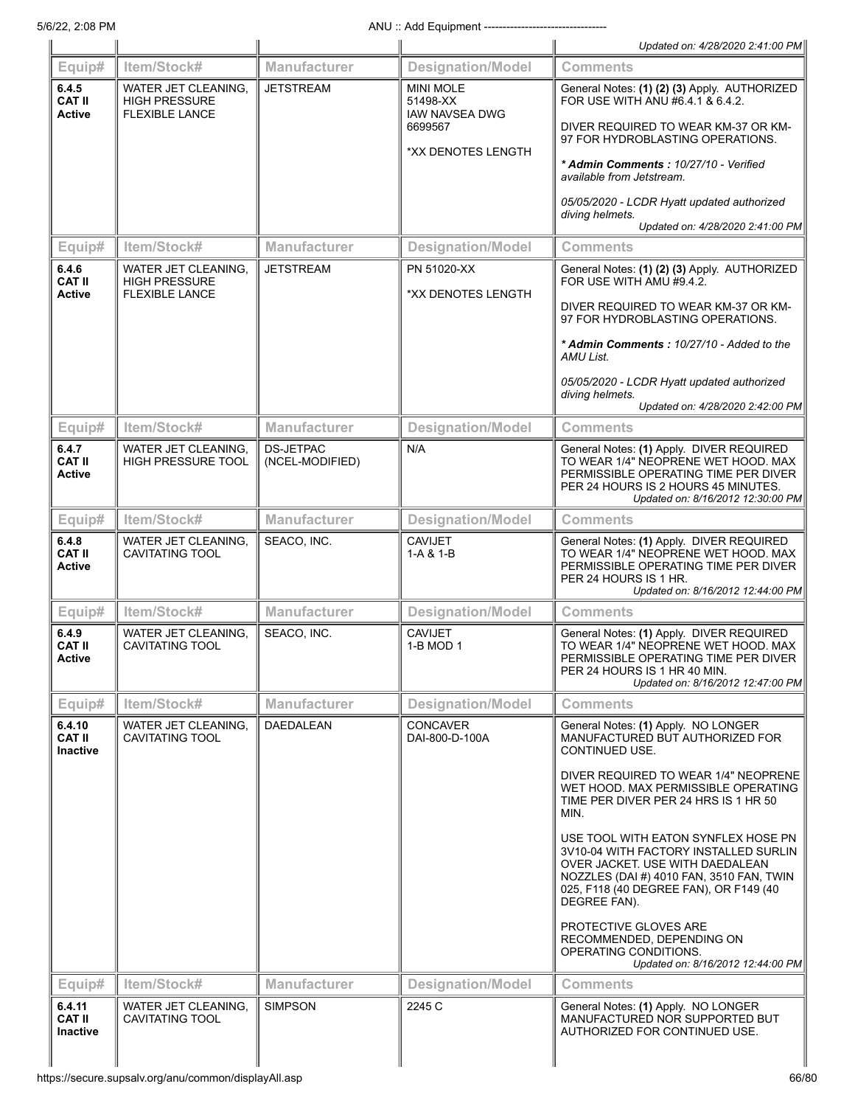| Equip#<br>6.4.11                           | WATER JET CLEANING.                                                  | <b>SIMPSON</b>                      | <b>Designation/Model</b><br>2245 C                    | Comments<br>General Notes: (1) Apply. NO LONGER                                                                                                                                                                                                |
|--------------------------------------------|----------------------------------------------------------------------|-------------------------------------|-------------------------------------------------------|------------------------------------------------------------------------------------------------------------------------------------------------------------------------------------------------------------------------------------------------|
|                                            | Item/Stock#                                                          | Manufacturer                        |                                                       | RECOMMENDED, DEPENDING ON<br>OPERATING CONDITIONS.<br>Updated on: 8/16/2012 12:44:00 PM                                                                                                                                                        |
|                                            |                                                                      |                                     |                                                       | USE TOOL WITH EATON SYNFLEX HOSE PN<br>3V10-04 WITH FACTORY INSTALLED SURLIN<br>OVER JACKET. USE WITH DAEDALEAN<br>NOZZLES (DAI #) 4010 FAN, 3510 FAN, TWIN<br>025, F118 (40 DEGREE FAN), OR F149 (40<br>DEGREE FAN).<br>PROTECTIVE GLOVES ARE |
|                                            |                                                                      |                                     |                                                       | DIVER REQUIRED TO WEAR 1/4" NEOPRENE<br>WET HOOD. MAX PERMISSIBLE OPERATING<br>TIME PER DIVER PER 24 HRS IS 1 HR 50<br>MIN.                                                                                                                    |
| 6.4.10<br><b>CAT II</b><br><b>Inactive</b> | WATER JET CLEANING.<br>CAVITATING TOOL                               | DAEDALEAN                           | <b>CONCAVER</b><br>DAI-800-D-100A                     | General Notes: (1) Apply. NO LONGER<br>MANUFACTURED BUT AUTHORIZED FOR<br>CONTINUED USE.                                                                                                                                                       |
| Equip#                                     | Item/Stock#                                                          | <b>Manufacturer</b>                 | <b>Designation/Model</b>                              | <b>Comments</b>                                                                                                                                                                                                                                |
| 6.4.9<br><b>CAT II</b><br>Active           | WATER JET CLEANING,<br>CAVITATING TOOL                               | SEACO, INC.                         | <b>CAVIJET</b><br>1-B MOD 1                           | General Notes: (1) Apply. DIVER REQUIRED<br>TO WEAR 1/4" NEOPRENE WET HOOD. MAX<br>PERMISSIBLE OPERATING TIME PER DIVER<br>PER 24 HOURS IS 1 HR 40 MIN.<br>Updated on: 8/16/2012 12:47:00 PM                                                   |
| Equip#                                     | Item/Stock#                                                          | <b>Manufacturer</b>                 | <b>Designation/Model</b>                              | <b>Comments</b>                                                                                                                                                                                                                                |
| 6.4.8<br><b>CAT II</b><br><b>Active</b>    | WATER JET CLEANING.<br><b>CAVITATING TOOL</b>                        | SEACO, INC.                         | <b>CAVIJET</b><br>1-A & 1-B                           | General Notes: (1) Apply. DIVER REQUIRED<br>TO WEAR 1/4" NEOPRENE WET HOOD, MAX<br>PERMISSIBLE OPERATING TIME PER DIVER<br>PER 24 HOURS IS 1 HR.<br>Updated on: 8/16/2012 12:44:00 PM                                                          |
| Equip#                                     | Item/Stock#                                                          | Manufacturer                        | <b>Designation/Model</b>                              | <b>Comments</b>                                                                                                                                                                                                                                |
| 6.4.7<br><b>CAT II</b><br><b>Active</b>    | WATER JET CLEANING.<br><b>HIGH PRESSURE TOOL</b>                     | <b>DS-JETPAC</b><br>(NCEL-MODIFIED) | N/A                                                   | General Notes: (1) Apply. DIVER REQUIRED<br>TO WEAR 1/4" NEOPRENE WET HOOD. MAX<br>PERMISSIBLE OPERATING TIME PER DIVER<br>PER 24 HOURS IS 2 HOURS 45 MINUTES.<br>Updated on: 8/16/2012 12:30:00 PM                                            |
| Equip#                                     | Item/Stock#                                                          | <b>Manufacturer</b>                 | <b>Designation/Model</b>                              | <b>Comments</b>                                                                                                                                                                                                                                |
|                                            |                                                                      |                                     |                                                       | 05/05/2020 - LCDR Hyatt updated authorized<br>diving helmets.<br>Updated on: 4/28/2020 2:42:00 PM                                                                                                                                              |
|                                            |                                                                      |                                     |                                                       | DIVER REQUIRED TO WEAR KM-37 OR KM-<br>97 FOR HYDROBLASTING OPERATIONS.<br>* Admin Comments: 10/27/10 - Added to the<br>AMU List.                                                                                                              |
| <b>CAT II</b><br><b>Active</b>             | <b>HIGH PRESSURE</b><br><b>FLEXIBLE LANCE</b>                        |                                     | *XX DENOTES LENGTH                                    | FOR USE WITH AMU #9.4.2.                                                                                                                                                                                                                       |
| 6.4.6                                      | WATER JET CLEANING,                                                  | <b>JETSTREAM</b>                    | PN 51020-XX                                           | General Notes: (1) (2) (3) Apply. AUTHORIZED                                                                                                                                                                                                   |
| Equip#                                     | Item/Stock#                                                          | <b>Manufacturer</b>                 | <b>Designation/Model</b>                              | Comments                                                                                                                                                                                                                                       |
|                                            |                                                                      |                                     |                                                       | 05/05/2020 - LCDR Hyatt updated authorized<br>diving helmets.<br>Updated on: 4/28/2020 2:41:00 PM                                                                                                                                              |
|                                            |                                                                      |                                     | *XX DENOTES LENGTH                                    | * Admin Comments: 10/27/10 - Verified<br>available from Jetstream.                                                                                                                                                                             |
|                                            |                                                                      |                                     | 6699567                                               | DIVER REQUIRED TO WEAR KM-37 OR KM-<br>97 FOR HYDROBLASTING OPERATIONS.                                                                                                                                                                        |
| 6.4.5<br><b>CAT II</b><br><b>Active</b>    | WATER JET CLEANING.<br><b>HIGH PRESSURE</b><br><b>FLEXIBLE LANCE</b> | <b>JETSTREAM</b>                    | <b>MINI MOLE</b><br>51498-XX<br><b>IAW NAVSEA DWG</b> | General Notes: (1) (2) (3) Apply. AUTHORIZED<br>FOR USE WITH ANU #6.4.1 & 6.4.2.                                                                                                                                                               |
|                                            |                                                                      |                                     |                                                       |                                                                                                                                                                                                                                                |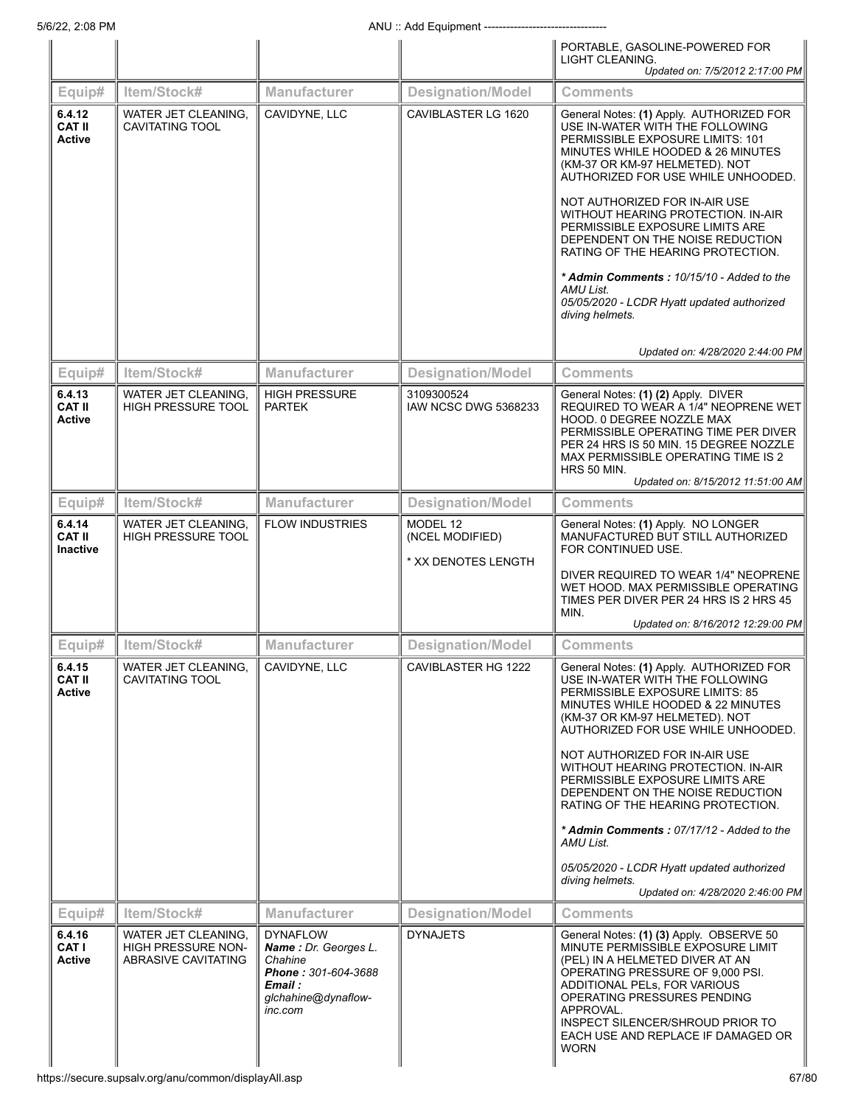|                                            |                                                                  |                                                                                                                        |                                                    | PORTABLE, GASOLINE-POWERED FOR                                                                                                                                                                                                                                                                                                                                                                                                                                                                                          |
|--------------------------------------------|------------------------------------------------------------------|------------------------------------------------------------------------------------------------------------------------|----------------------------------------------------|-------------------------------------------------------------------------------------------------------------------------------------------------------------------------------------------------------------------------------------------------------------------------------------------------------------------------------------------------------------------------------------------------------------------------------------------------------------------------------------------------------------------------|
|                                            |                                                                  |                                                                                                                        |                                                    | LIGHT CLEANING.<br>Updated on: 7/5/2012 2:17:00 PM                                                                                                                                                                                                                                                                                                                                                                                                                                                                      |
| Equip#                                     | Item/Stock#                                                      | Manufacturer                                                                                                           | <b>Designation/Model</b>                           | <b>Comments</b>                                                                                                                                                                                                                                                                                                                                                                                                                                                                                                         |
| 6.4.12<br><b>CAT II</b><br><b>Active</b>   | WATER JET CLEANING.<br>CAVITATING TOOL                           | CAVIDYNE, LLC                                                                                                          | CAVIBLASTER LG 1620                                | General Notes: (1) Apply. AUTHORIZED FOR<br>USE IN-WATER WITH THE FOLLOWING<br>PERMISSIBLE EXPOSURE LIMITS: 101<br>MINUTES WHILE HOODED & 26 MINUTES<br>(KM-37 OR KM-97 HELMETED). NOT<br>AUTHORIZED FOR USE WHILE UNHOODED.<br>NOT AUTHORIZED FOR IN-AIR USE<br>WITHOUT HEARING PROTECTION. IN-AIR<br>PERMISSIBLE EXPOSURE LIMITS ARE<br>DEPENDENT ON THE NOISE REDUCTION<br>RATING OF THE HEARING PROTECTION.<br>* Admin Comments: 10/15/10 - Added to the<br>AMU List.<br>05/05/2020 - LCDR Hyatt updated authorized |
|                                            |                                                                  |                                                                                                                        |                                                    | diving helmets.<br>Updated on: 4/28/2020 2:44:00 PM                                                                                                                                                                                                                                                                                                                                                                                                                                                                     |
| Equip#                                     | Item/Stock#                                                      | <b>Manufacturer</b>                                                                                                    | <b>Designation/Model</b>                           | Comments                                                                                                                                                                                                                                                                                                                                                                                                                                                                                                                |
| 6.4.13<br><b>CAT II</b><br><b>Active</b>   | WATER JET CLEANING.<br>HIGH PRESSURE TOOL                        | <b>HIGH PRESSURE</b><br><b>PARTEK</b>                                                                                  | 3109300524<br>IAW NCSC DWG 5368233                 | General Notes: (1) (2) Apply. DIVER<br>REQUIRED TO WEAR A 1/4" NEOPRENE WET<br>HOOD. 0 DEGREE NOZZLE MAX<br>PERMISSIBLE OPERATING TIME PER DIVER<br>PER 24 HRS IS 50 MIN. 15 DEGREE NOZZLE<br>MAX PERMISSIBLE OPERATING TIME IS 2<br>HRS 50 MIN.<br>Updated on: 8/15/2012 11:51:00 AM                                                                                                                                                                                                                                   |
| Equip#                                     | Item/Stock#                                                      | <b>Manufacturer</b>                                                                                                    | <b>Designation/Model</b>                           | <b>Comments</b>                                                                                                                                                                                                                                                                                                                                                                                                                                                                                                         |
| 6.4.14<br><b>CAT II</b><br><b>Inactive</b> | WATER JET CLEANING.<br><b>HIGH PRESSURE TOOL</b>                 | <b>FLOW INDUSTRIES</b>                                                                                                 | MODEL 12<br>(NCEL MODIFIED)<br>* XX DENOTES LENGTH | General Notes: (1) Apply. NO LONGER<br>MANUFACTURED BUT STILL AUTHORIZED<br>FOR CONTINUED USE.                                                                                                                                                                                                                                                                                                                                                                                                                          |
|                                            |                                                                  |                                                                                                                        |                                                    | DIVER REQUIRED TO WEAR 1/4" NEOPRENE<br>WET HOOD. MAX PERMISSIBLE OPERATING<br>TIMES PER DIVER PER 24 HRS IS 2 HRS 45<br>MIN.<br>Updated on: 8/16/2012 12:29:00 PM                                                                                                                                                                                                                                                                                                                                                      |
| Equip#                                     | Item/Stock#                                                      | <b>Manufacturer</b>                                                                                                    | <b>Designation/Model</b>                           | Comments                                                                                                                                                                                                                                                                                                                                                                                                                                                                                                                |
| 6.4.15<br><b>CAT II</b><br><b>Active</b>   | WATER JET CLEANING.<br>CAVITATING TOOL                           | CAVIDYNE, LLC                                                                                                          | CAVIBLASTER HG 1222                                | General Notes: (1) Apply. AUTHORIZED FOR<br>USE IN-WATER WITH THE FOLLOWING<br>PERMISSIBLE EXPOSURE LIMITS: 85<br>MINUTES WHILE HOODED & 22 MINUTES<br>(KM-37 OR KM-97 HELMETED). NOT<br>AUTHORIZED FOR USE WHILE UNHOODED.<br>NOT AUTHORIZED FOR IN-AIR USE<br>WITHOUT HEARING PROTECTION. IN-AIR<br>PERMISSIBLE EXPOSURE LIMITS ARE                                                                                                                                                                                   |
|                                            |                                                                  |                                                                                                                        |                                                    | DEPENDENT ON THE NOISE REDUCTION<br>RATING OF THE HEARING PROTECTION.<br>* Admin Comments: 07/17/12 - Added to the<br>AMU List.<br>05/05/2020 - LCDR Hyatt updated authorized<br>diving helmets.<br>Updated on: 4/28/2020 2:46:00 PM                                                                                                                                                                                                                                                                                    |
| Equip#                                     | Item/Stock#                                                      | <b>Manufacturer</b>                                                                                                    | <b>Designation/Model</b>                           | <b>Comments</b>                                                                                                                                                                                                                                                                                                                                                                                                                                                                                                         |
| 6.4.16<br><b>CAT I</b><br><b>Active</b>    | WATER JET CLEANING,<br>HIGH PRESSURE NON-<br>ABRASIVE CAVITATING | <b>DYNAFLOW</b><br>Name: Dr. Georges L.<br>Chahine<br>Phone: 301-604-3688<br>Email :<br>glchahine@dynaflow-<br>inc.com | <b>DYNAJETS</b>                                    | General Notes: (1) (3) Apply. OBSERVE 50<br>MINUTE PERMISSIBLE EXPOSURE LIMIT<br>(PEL) IN A HELMETED DIVER AT AN<br>OPERATING PRESSURE OF 9,000 PSI.<br>ADDITIONAL PELS, FOR VARIOUS<br>OPERATING PRESSURES PENDING<br>APPROVAL.<br>INSPECT SILENCER/SHROUD PRIOR TO<br>EACH USE AND REPLACE IF DAMAGED OR<br><b>WORN</b>                                                                                                                                                                                               |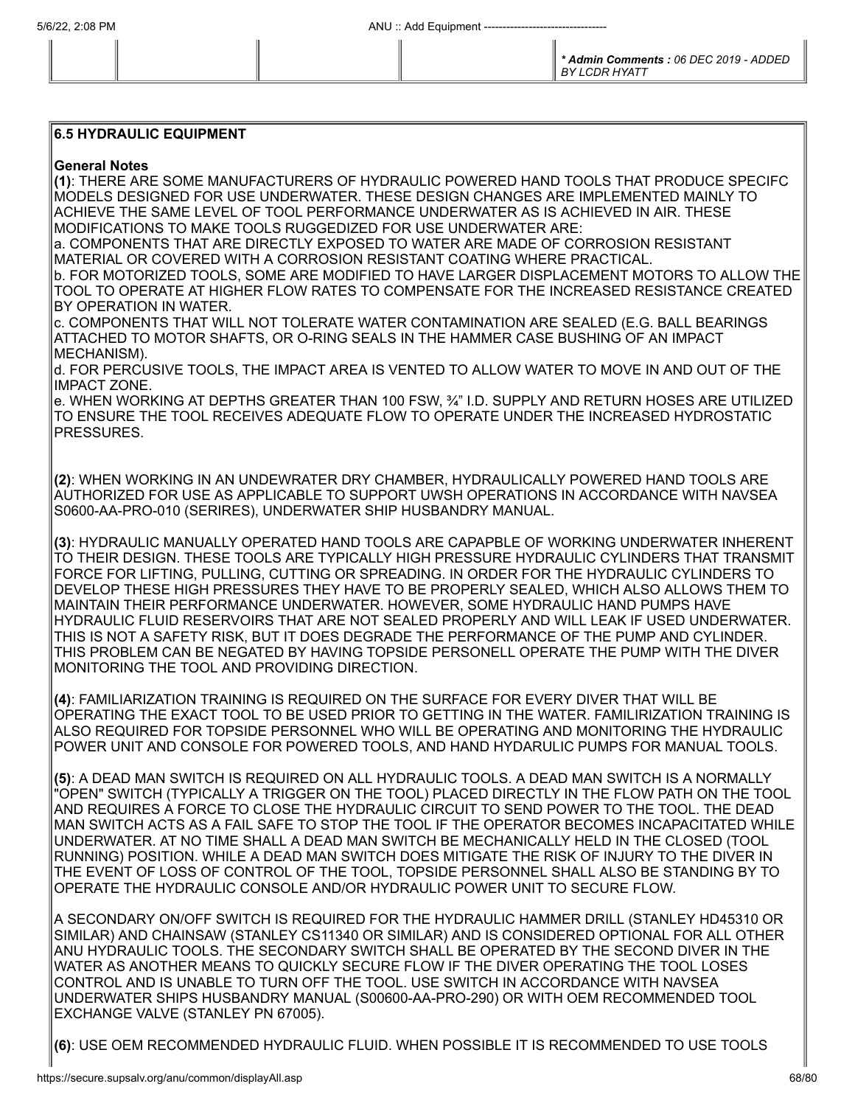## **6.5 HYDRAULIC EQUIPMENT**

## **General Notes**

**(1)**: THERE ARE SOME MANUFACTURERS OF HYDRAULIC POWERED HAND TOOLS THAT PRODUCE SPECIFC MODELS DESIGNED FOR USE UNDERWATER. THESE DESIGN CHANGES ARE IMPLEMENTED MAINLY TO ACHIEVE THE SAME LEVEL OF TOOL PERFORMANCE UNDERWATER AS IS ACHIEVED IN AIR. THESE MODIFICATIONS TO MAKE TOOLS RUGGEDIZED FOR USE UNDERWATER ARE: a. COMPONENTS THAT ARE DIRECTLY EXPOSED TO WATER ARE MADE OF CORROSION RESISTANT

MATERIAL OR COVERED WITH A CORROSION RESISTANT COATING WHERE PRACTICAL. b. FOR MOTORIZED TOOLS, SOME ARE MODIFIED TO HAVE LARGER DISPLACEMENT MOTORS TO ALLOW THE TOOL TO OPERATE AT HIGHER FLOW RATES TO COMPENSATE FOR THE INCREASED RESISTANCE CREATED BY OPERATION IN WATER.

c. COMPONENTS THAT WILL NOT TOLERATE WATER CONTAMINATION ARE SEALED (E.G. BALL BEARINGS ATTACHED TO MOTOR SHAFTS, OR O-RING SEALS IN THE HAMMER CASE BUSHING OF AN IMPACT MECHANISM).

d. FOR PERCUSIVE TOOLS, THE IMPACT AREA IS VENTED TO ALLOW WATER TO MOVE IN AND OUT OF THE IMPACT ZONE.

e. WHEN WORKING AT DEPTHS GREATER THAN 100 FSW, ¾" I.D. SUPPLY AND RETURN HOSES ARE UTILIZED TO ENSURE THE TOOL RECEIVES ADEQUATE FLOW TO OPERATE UNDER THE INCREASED HYDROSTATIC PRESSURES.

**(2)**: WHEN WORKING IN AN UNDEWRATER DRY CHAMBER, HYDRAULICALLY POWERED HAND TOOLS ARE AUTHORIZED FOR USE AS APPLICABLE TO SUPPORT UWSH OPERATIONS IN ACCORDANCE WITH NAVSEA S0600-AA-PRO-010 (SERIRES), UNDERWATER SHIP HUSBANDRY MANUAL.

**(3)**: HYDRAULIC MANUALLY OPERATED HAND TOOLS ARE CAPAPBLE OF WORKING UNDERWATER INHERENT TO THEIR DESIGN. THESE TOOLS ARE TYPICALLY HIGH PRESSURE HYDRAULIC CYLINDERS THAT TRANSMIT FORCE FOR LIFTING, PULLING, CUTTING OR SPREADING. IN ORDER FOR THE HYDRAULIC CYLINDERS TO DEVELOP THESE HIGH PRESSURES THEY HAVE TO BE PROPERLY SEALED, WHICH ALSO ALLOWS THEM TO MAINTAIN THEIR PERFORMANCE UNDERWATER. HOWEVER, SOME HYDRAULIC HAND PUMPS HAVE HYDRAULIC FLUID RESERVOIRS THAT ARE NOT SEALED PROPERLY AND WILL LEAK IF USED UNDERWATER. THIS IS NOT A SAFETY RISK, BUT IT DOES DEGRADE THE PERFORMANCE OF THE PUMP AND CYLINDER. THIS PROBLEM CAN BE NEGATED BY HAVING TOPSIDE PERSONELL OPERATE THE PUMP WITH THE DIVER MONITORING THE TOOL AND PROVIDING DIRECTION.

**(4)**: FAMILIARIZATION TRAINING IS REQUIRED ON THE SURFACE FOR EVERY DIVER THAT WILL BE OPERATING THE EXACT TOOL TO BE USED PRIOR TO GETTING IN THE WATER. FAMILIRIZATION TRAINING IS ALSO REQUIRED FOR TOPSIDE PERSONNEL WHO WILL BE OPERATING AND MONITORING THE HYDRAULIC POWER UNIT AND CONSOLE FOR POWERED TOOLS, AND HAND HYDARULIC PUMPS FOR MANUAL TOOLS.

**(5)**: A DEAD MAN SWITCH IS REQUIRED ON ALL HYDRAULIC TOOLS. A DEAD MAN SWITCH IS A NORMALLY "OPEN" SWITCH (TYPICALLY A TRIGGER ON THE TOOL) PLACED DIRECTLY IN THE FLOW PATH ON THE TOOL AND REQUIRES A FORCE TO CLOSE THE HYDRAULIC CIRCUIT TO SEND POWER TO THE TOOL. THE DEAD MAN SWITCH ACTS AS A FAIL SAFE TO STOP THE TOOL IF THE OPERATOR BECOMES INCAPACITATED WHILE UNDERWATER. AT NO TIME SHALL A DEAD MAN SWITCH BE MECHANICALLY HELD IN THE CLOSED (TOOL RUNNING) POSITION. WHILE A DEAD MAN SWITCH DOES MITIGATE THE RISK OF INJURY TO THE DIVER IN THE EVENT OF LOSS OF CONTROL OF THE TOOL, TOPSIDE PERSONNEL SHALL ALSO BE STANDING BY TO OPERATE THE HYDRAULIC CONSOLE AND/OR HYDRAULIC POWER UNIT TO SECURE FLOW.

A SECONDARY ON/OFF SWITCH IS REQUIRED FOR THE HYDRAULIC HAMMER DRILL (STANLEY HD45310 OR SIMILAR) AND CHAINSAW (STANLEY CS11340 OR SIMILAR) AND IS CONSIDERED OPTIONAL FOR ALL OTHER ANU HYDRAULIC TOOLS. THE SECONDARY SWITCH SHALL BE OPERATED BY THE SECOND DIVER IN THE WATER AS ANOTHER MEANS TO QUICKLY SECURE FLOW IF THE DIVER OPERATING THE TOOL LOSES CONTROL AND IS UNABLE TO TURN OFF THE TOOL. USE SWITCH IN ACCORDANCE WITH NAVSEA UNDERWATER SHIPS HUSBANDRY MANUAL (S00600-AA-PRO-290) OR WITH OEM RECOMMENDED TOOL EXCHANGE VALVE (STANLEY PN 67005).

**(6)**: USE OEM RECOMMENDED HYDRAULIC FLUID. WHEN POSSIBLE IT IS RECOMMENDED TO USE TOOLS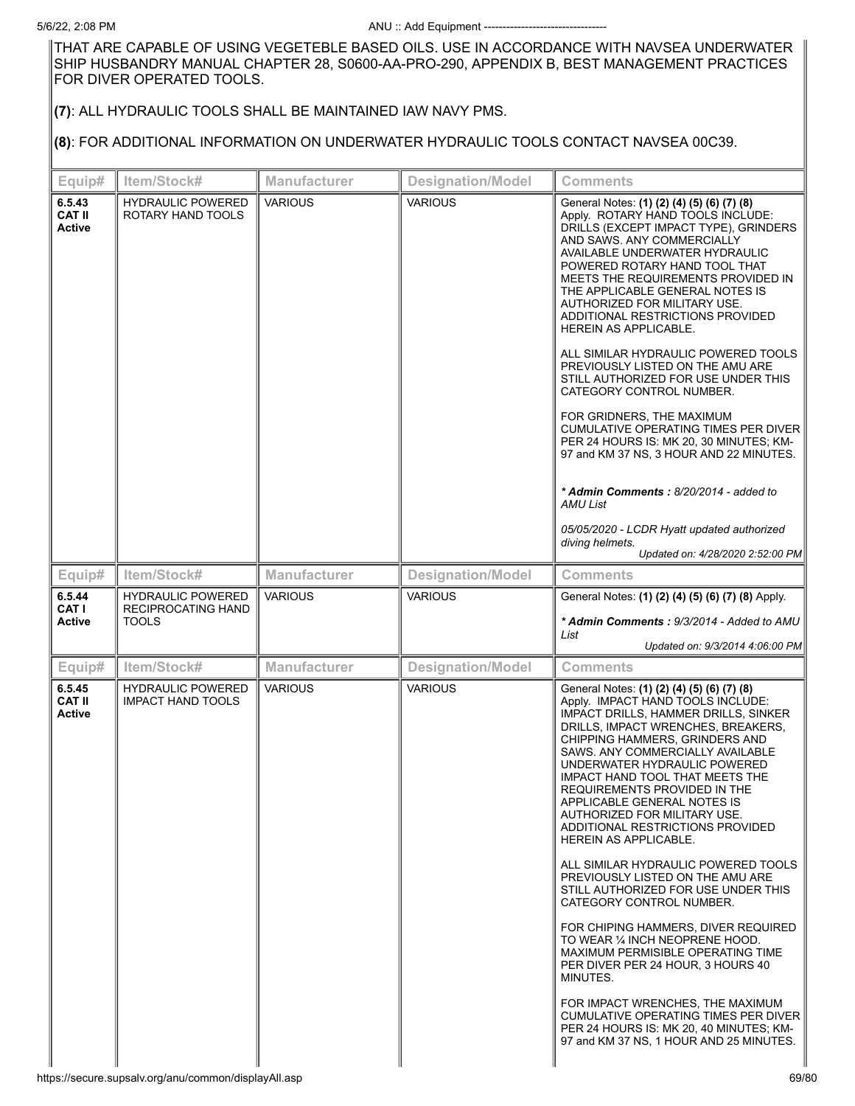THAT ARE CAPABLE OF USING VEGETEBLE BASED OILS. USE IN ACCORDANCE WITH NAVSEA UNDERWATER SHIP HUSBANDRY MANUAL CHAPTER 28, S0600-AA-PRO-290, APPENDIX B, BEST MANAGEMENT PRACTICES FOR DIVER OPERATED TOOLS.

## **(7)**: ALL HYDRAULIC TOOLS SHALL BE MAINTAINED IAW NAVY PMS.

## **(8)**: FOR ADDITIONAL INFORMATION ON UNDERWATER HYDRAULIC TOOLS CONTACT NAVSEA 00C39.

| Equip#                                   | Item/Stock#                                   | <b>Manufacturer</b> | <b>Designation/Model</b> | <b>Comments</b>                                                                                                                                                                                                                                                                                                                                                                                                                                                                                                                                                                                                                                                                                                                                                                                                                                                                                      |
|------------------------------------------|-----------------------------------------------|---------------------|--------------------------|------------------------------------------------------------------------------------------------------------------------------------------------------------------------------------------------------------------------------------------------------------------------------------------------------------------------------------------------------------------------------------------------------------------------------------------------------------------------------------------------------------------------------------------------------------------------------------------------------------------------------------------------------------------------------------------------------------------------------------------------------------------------------------------------------------------------------------------------------------------------------------------------------|
| 6.5.43<br><b>CAT II</b><br><b>Active</b> | <b>HYDRAULIC POWERED</b><br>ROTARY HAND TOOLS | <b>VARIOUS</b>      | <b>VARIOUS</b>           | General Notes: (1) (2) (4) (5) (6) (7) (8)<br>Apply. ROTARY HAND TOOLS INCLUDE:<br>DRILLS (EXCEPT IMPACT TYPE), GRINDERS<br>AND SAWS. ANY COMMERCIALLY<br>AVAILABLE UNDERWATER HYDRAULIC<br>POWERED ROTARY HAND TOOL THAT<br>MEETS THE REQUIREMENTS PROVIDED IN<br>THE APPLICABLE GENERAL NOTES IS<br>AUTHORIZED FOR MILITARY USE.<br>ADDITIONAL RESTRICTIONS PROVIDED<br>HEREIN AS APPLICABLE.<br>ALL SIMILAR HYDRAULIC POWERED TOOLS<br>PREVIOUSLY LISTED ON THE AMU ARE<br>STILL AUTHORIZED FOR USE UNDER THIS<br>CATEGORY CONTROL NUMBER.<br>FOR GRIDNERS, THE MAXIMUM<br>CUMULATIVE OPERATING TIMES PER DIVER<br>PER 24 HOURS IS: MK 20, 30 MINUTES; KM-<br>97 and KM 37 NS, 3 HOUR AND 22 MINUTES.<br>* Admin Comments: 8/20/2014 - added to<br>AMU List<br>05/05/2020 - LCDR Hyatt updated authorized<br>diving helmets.<br>Updated on: 4/28/2020 2:52:00 PM                                  |
| Equip#                                   | Item/Stock#                                   | <b>Manufacturer</b> | <b>Designation/Model</b> | <b>Comments</b>                                                                                                                                                                                                                                                                                                                                                                                                                                                                                                                                                                                                                                                                                                                                                                                                                                                                                      |
| 6.5.44                                   | <b>HYDRAULIC POWERED</b>                      | <b>VARIOUS</b>      | <b>VARIOUS</b>           | General Notes: (1) (2) (4) (5) (6) (7) (8) Apply.                                                                                                                                                                                                                                                                                                                                                                                                                                                                                                                                                                                                                                                                                                                                                                                                                                                    |
| CAT I<br><b>Active</b>                   | RECIPROCATING HAND<br><b>TOOLS</b>            |                     |                          | * Admin Comments: 9/3/2014 - Added to AMU<br>List<br>Updated on: 9/3/2014 4:06:00 PM                                                                                                                                                                                                                                                                                                                                                                                                                                                                                                                                                                                                                                                                                                                                                                                                                 |
| Equip#                                   | Item/Stock#                                   | <b>Manufacturer</b> | <b>Designation/Model</b> | <b>Comments</b>                                                                                                                                                                                                                                                                                                                                                                                                                                                                                                                                                                                                                                                                                                                                                                                                                                                                                      |
| 6.5.45                                   | <b>HYDRAULIC POWERED</b>                      | <b>VARIOUS</b>      | <b>VARIOUS</b>           | General Notes: (1) (2) (4) (5) (6) (7) (8)                                                                                                                                                                                                                                                                                                                                                                                                                                                                                                                                                                                                                                                                                                                                                                                                                                                           |
| <b>CAT II</b><br><b>Active</b>           | <b>IMPACT HAND TOOLS</b>                      |                     |                          | Apply. IMPACT HAND TOOLS INCLUDE:<br>IMPACT DRILLS, HAMMER DRILLS, SINKER<br>DRILLS, IMPACT WRENCHES, BREAKERS,<br>CHIPPING HAMMERS, GRINDERS AND<br>SAWS. ANY COMMERCIALLY AVAILABLE<br>UNDERWATER HYDRAULIC POWERED<br>IMPACT HAND TOOL THAT MEETS THE<br>REQUIREMENTS PROVIDED IN THE<br>APPLICABLE GENERAL NOTES IS<br>AUTHORIZED FOR MILITARY USE.<br>ADDITIONAL RESTRICTIONS PROVIDED<br>HEREIN AS APPLICABLE.<br>ALL SIMILAR HYDRAULIC POWERED TOOLS<br>PREVIOUSLY LISTED ON THE AMU ARE<br>STILL AUTHORIZED FOR USE UNDER THIS<br>CATEGORY CONTROL NUMBER.<br>FOR CHIPING HAMMERS, DIVER REQUIRED<br>TO WEAR 1/4 INCH NEOPRENE HOOD.<br>MAXIMUM PERMISIBLE OPERATING TIME<br>PER DIVER PER 24 HOUR, 3 HOURS 40<br>MINUTES.<br>FOR IMPACT WRENCHES, THE MAXIMUM<br>CUMULATIVE OPERATING TIMES PER DIVER<br>PER 24 HOURS IS: MK 20, 40 MINUTES; KM-<br>97 and KM 37 NS, 1 HOUR AND 25 MINUTES. |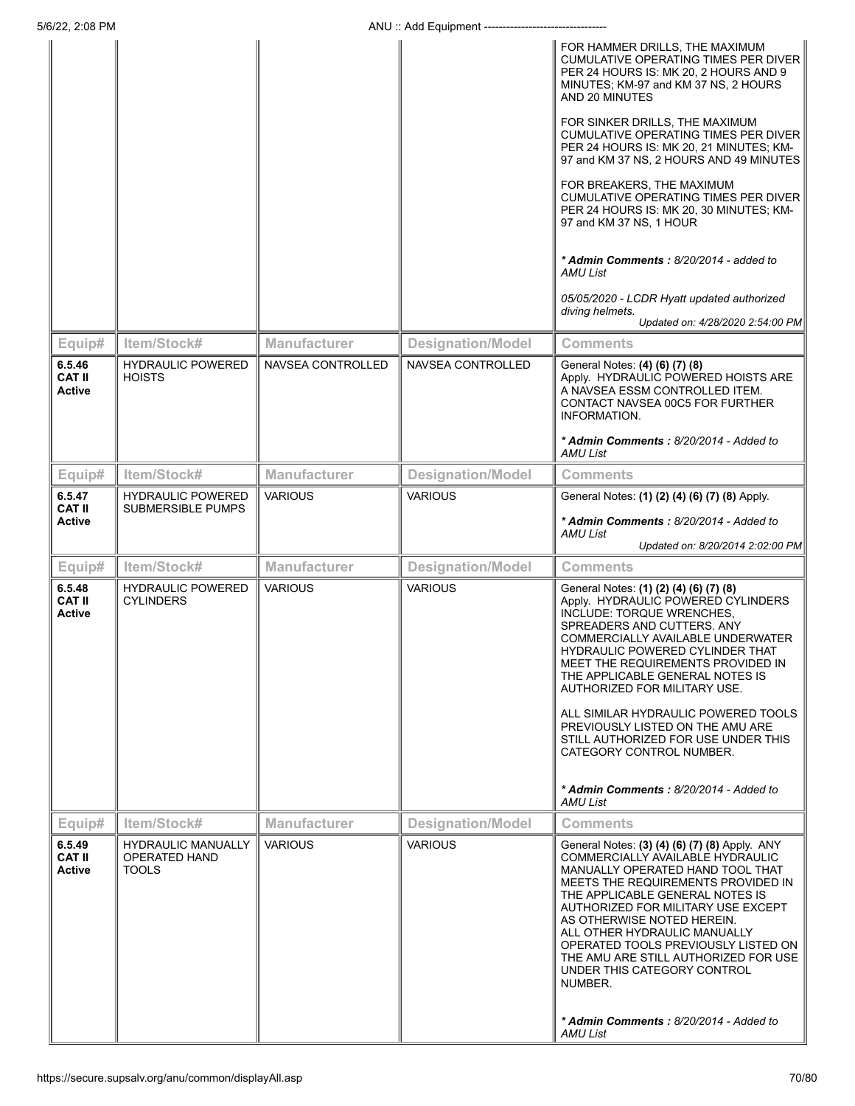|                                          |                                                            |                          |                          | FOR HAMMER DRILLS, THE MAXIMUM<br><b>CUMULATIVE OPERATING TIMES PER DIVER</b><br>PER 24 HOURS IS: MK 20, 2 HOURS AND 9<br>MINUTES; KM-97 and KM 37 NS, 2 HOURS<br>AND 20 MINUTES<br>FOR SINKER DRILLS, THE MAXIMUM<br>CUMULATIVE OPERATING TIMES PER DIVER<br>PER 24 HOURS IS: MK 20, 21 MINUTES; KM-<br>97 and KM 37 NS, 2 HOURS AND 49 MINUTES<br>FOR BREAKERS, THE MAXIMUM<br>CUMULATIVE OPERATING TIMES PER DIVER<br>PER 24 HOURS IS: MK 20, 30 MINUTES; KM-<br>97 and KM 37 NS, 1 HOUR<br>* Admin Comments: 8/20/2014 - added to<br>AMU List<br>05/05/2020 - LCDR Hyatt updated authorized<br>diving helmets.<br>Updated on: 4/28/2020 2:54:00 PM |
|------------------------------------------|------------------------------------------------------------|--------------------------|--------------------------|--------------------------------------------------------------------------------------------------------------------------------------------------------------------------------------------------------------------------------------------------------------------------------------------------------------------------------------------------------------------------------------------------------------------------------------------------------------------------------------------------------------------------------------------------------------------------------------------------------------------------------------------------------|
| Equip#                                   | Item/Stock#                                                | <b>Manufacturer</b>      | <b>Designation/Model</b> | <b>Comments</b>                                                                                                                                                                                                                                                                                                                                                                                                                                                                                                                                                                                                                                        |
| 6.5.46<br><b>CAT II</b><br>Active        | <b>HYDRAULIC POWERED</b><br><b>HOISTS</b>                  | <b>NAVSEA CONTROLLED</b> | <b>NAVSEA CONTROLLED</b> | General Notes: (4) (6) (7) (8)<br>Apply. HYDRAULIC POWERED HOISTS ARE<br>A NAVSEA ESSM CONTROLLED ITEM.<br>CONTACT NAVSEA 00C5 FOR FURTHER<br><b>INFORMATION.</b><br>* Admin Comments: 8/20/2014 - Added to<br>AMU List                                                                                                                                                                                                                                                                                                                                                                                                                                |
| Equip#                                   | Item/Stock#                                                | <b>Manufacturer</b>      | <b>Designation/Model</b> | <b>Comments</b>                                                                                                                                                                                                                                                                                                                                                                                                                                                                                                                                                                                                                                        |
| 6.5.47                                   | <b>HYDRAULIC POWERED</b>                                   | <b>VARIOUS</b>           | <b>VARIOUS</b>           | General Notes: (1) (2) (4) (6) (7) (8) Apply.                                                                                                                                                                                                                                                                                                                                                                                                                                                                                                                                                                                                          |
| <b>CAT II</b><br><b>Active</b>           | <b>SUBMERSIBLE PUMPS</b>                                   |                          |                          | * Admin Comments : 8/20/2014 - Added to<br>AMU List<br>Updated on: 8/20/2014 2:02:00 PM                                                                                                                                                                                                                                                                                                                                                                                                                                                                                                                                                                |
| Equip#                                   | Item/Stock#                                                | <b>Manufacturer</b>      | <b>Designation/Model</b> | <b>Comments</b>                                                                                                                                                                                                                                                                                                                                                                                                                                                                                                                                                                                                                                        |
| 6.5.48<br><b>CAT II</b><br><b>Active</b> | <b>HYDRAULIC POWERED</b><br><b>CYLINDERS</b>               | <b>VARIOUS</b>           | <b>VARIOUS</b>           | General Notes: (1) (2) (4) (6) (7) (8)<br>Apply. HYDRAULIC POWERED CYLINDERS<br>INCLUDE: TORQUE WRENCHES,<br>SPREADERS AND CUTTERS. ANY<br>COMMERCIALLY AVAILABLE UNDERWATER<br><b>HYDRAULIC POWERED CYLINDER THAT</b><br>MEET THE REQUIREMENTS PROVIDED IN<br>THE APPLICABLE GENERAL NOTES IS<br>AUTHORIZED FOR MILITARY USE.<br>ALL SIMILAR HYDRAULIC POWERED TOOLS<br>PREVIOUSLY LISTED ON THE AMU ARE<br>STILL AUTHORIZED FOR USE UNDER THIS<br>CATEGORY CONTROL NUMBER.<br>* Admin Comments: 8/20/2014 - Added to<br><b>AMU List</b>                                                                                                              |
| Equip#                                   | Item/Stock#                                                | <b>Manufacturer</b>      | <b>Designation/Model</b> | <b>Comments</b>                                                                                                                                                                                                                                                                                                                                                                                                                                                                                                                                                                                                                                        |
| 6.5.49<br><b>CAT II</b><br>Active        | <b>HYDRAULIC MANUALLY</b><br>OPERATED HAND<br><b>TOOLS</b> | <b>VARIOUS</b>           | <b>VARIOUS</b>           | General Notes: (3) (4) (6) (7) (8) Apply. ANY<br>COMMERCIALLY AVAILABLE HYDRAULIC<br>MANUALLY OPERATED HAND TOOL THAT<br>MEETS THE REQUIREMENTS PROVIDED IN<br>THE APPLICABLE GENERAL NOTES IS<br>AUTHORIZED FOR MILITARY USE EXCEPT<br>AS OTHERWISE NOTED HEREIN.<br>ALL OTHER HYDRAULIC MANUALLY<br>OPERATED TOOLS PREVIOUSLY LISTED ON<br>THE AMU ARE STILL AUTHORIZED FOR USE<br>UNDER THIS CATEGORY CONTROL<br>NUMBER.<br>* Admin Comments: 8/20/2014 - Added to<br>AMU List                                                                                                                                                                      |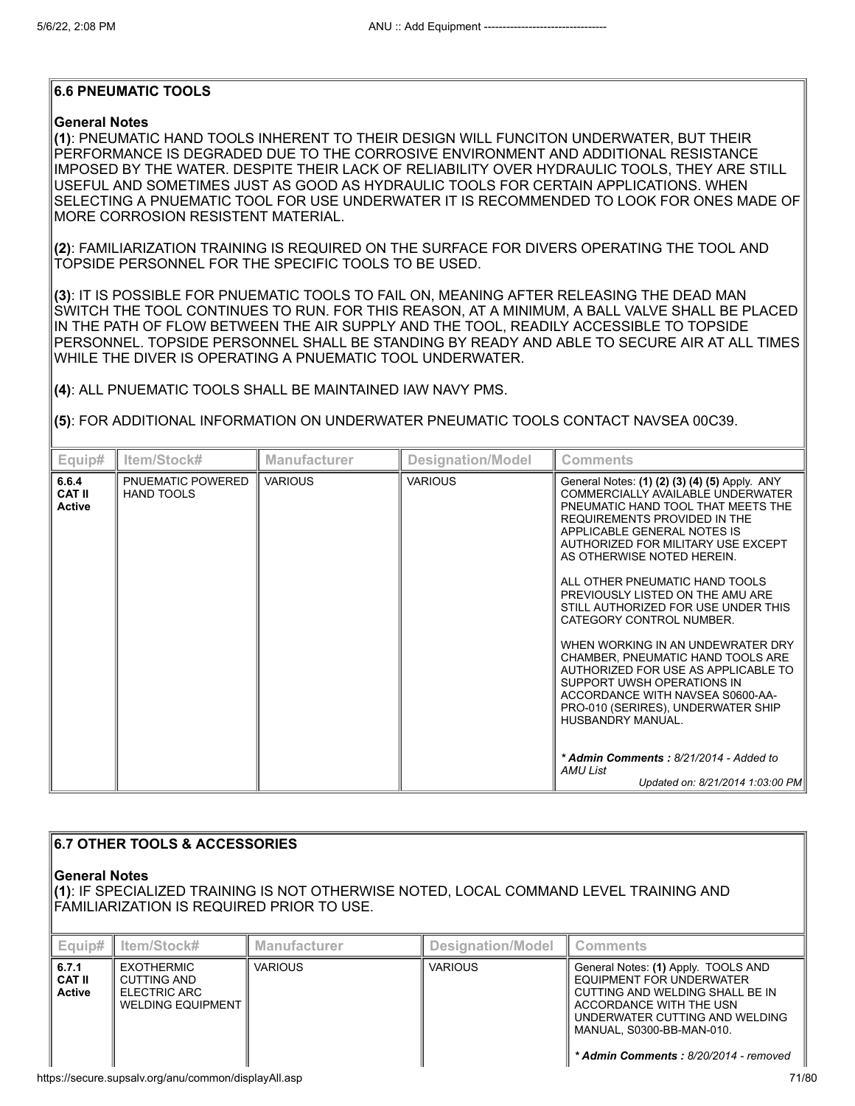## **6.6 PNEUMATIC TOOLS**

## **General Notes**

**(1)**: PNEUMATIC HAND TOOLS INHERENT TO THEIR DESIGN WILL FUNCITON UNDERWATER, BUT THEIR PERFORMANCE IS DEGRADED DUE TO THE CORROSIVE ENVIRONMENT AND ADDITIONAL RESISTANCE IMPOSED BY THE WATER. DESPITE THEIR LACK OF RELIABILITY OVER HYDRAULIC TOOLS, THEY ARE STILL USEFUL AND SOMETIMES JUST AS GOOD AS HYDRAULIC TOOLS FOR CERTAIN APPLICATIONS. WHEN SELECTING A PNUEMATIC TOOL FOR USE UNDERWATER IT IS RECOMMENDED TO LOOK FOR ONES MADE OF MORE CORROSION RESISTENT MATERIAL.

**(2)**: FAMILIARIZATION TRAINING IS REQUIRED ON THE SURFACE FOR DIVERS OPERATING THE TOOL AND TOPSIDE PERSONNEL FOR THE SPECIFIC TOOLS TO BE USED.

**(3)**: IT IS POSSIBLE FOR PNUEMATIC TOOLS TO FAIL ON, MEANING AFTER RELEASING THE DEAD MAN SWITCH THE TOOL CONTINUES TO RUN. FOR THIS REASON, AT A MINIMUM, A BALL VALVE SHALL BE PLACED IN THE PATH OF FLOW BETWEEN THE AIR SUPPLY AND THE TOOL, READILY ACCESSIBLE TO TOPSIDE PERSONNEL. TOPSIDE PERSONNEL SHALL BE STANDING BY READY AND ABLE TO SECURE AIR AT ALL TIMES WHILE THE DIVER IS OPERATING A PNUEMATIC TOOL UNDERWATER.

**(4)**: ALL PNUEMATIC TOOLS SHALL BE MAINTAINED IAW NAVY PMS.

**(5)**: FOR ADDITIONAL INFORMATION ON UNDERWATER PNEUMATIC TOOLS CONTACT NAVSEA 00C39.

| Equip#                                  | ltem/Stock#                            | <b>Manufacturer</b> | <b>Designation/Model</b> | <b>Comments</b>                                                                                                                                                                                                                                                                                                                                                                                                                                                                                                                                                                                                                                   |
|-----------------------------------------|----------------------------------------|---------------------|--------------------------|---------------------------------------------------------------------------------------------------------------------------------------------------------------------------------------------------------------------------------------------------------------------------------------------------------------------------------------------------------------------------------------------------------------------------------------------------------------------------------------------------------------------------------------------------------------------------------------------------------------------------------------------------|
| 6.6.4<br><b>CAT II</b><br><b>Active</b> | PNUEMATIC POWERED<br><b>HAND TOOLS</b> | <b>VARIOUS</b>      | <b>VARIOUS</b>           | General Notes: (1) (2) (3) (4) (5) Apply. ANY<br>COMMERCIALLY AVAILABLE UNDERWATER<br>PNEUMATIC HAND TOOL THAT MEETS THE<br>REQUIREMENTS PROVIDED IN THE<br>APPLICABLE GENERAL NOTES IS<br>AUTHORIZED FOR MILITARY USE EXCEPT<br>AS OTHERWISE NOTED HEREIN.<br>ALL OTHER PNEUMATIC HAND TOOLS<br>PREVIOUSLY LISTED ON THE AMU ARE<br>STILL AUTHORIZED FOR USE UNDER THIS<br>CATEGORY CONTROL NUMBER.<br>WHEN WORKING IN AN UNDEWRATER DRY<br>CHAMBER, PNEUMATIC HAND TOOLS ARE<br>AUTHORIZED FOR USE AS APPLICABLE TO<br>SUPPORT UWSH OPERATIONS IN<br>ACCORDANCE WITH NAVSEA S0600-AA-<br>PRO-010 (SERIRES), UNDERWATER SHIP<br>HUSBANDRY MANUAL |
|                                         |                                        |                     |                          | * Admin Comments: 8/21/2014 - Added to<br>AMU List<br>Updated on: 8/21/2014 1:03:00 PM                                                                                                                                                                                                                                                                                                                                                                                                                                                                                                                                                            |

| $\parallel$ 6.7 OTHER TOOLS & ACCESSORIES<br>∣General Notes<br>∥(1): IF SPECIALIZED TRAINING IS NOT OTHERWISE NOTED, LOCAL COMMAND LEVEL TRAINING AND<br>  FAMILIARIZATION IS REQUIRED PRIOR TO USE. |                                                                                     |                     |                          |                                                                                                                                                                                                                                       |  |
|------------------------------------------------------------------------------------------------------------------------------------------------------------------------------------------------------|-------------------------------------------------------------------------------------|---------------------|--------------------------|---------------------------------------------------------------------------------------------------------------------------------------------------------------------------------------------------------------------------------------|--|
| Equip#                                                                                                                                                                                               | Item/Stock#                                                                         | <b>Manufacturer</b> | <b>Designation/Model</b> | <b>Comments</b>                                                                                                                                                                                                                       |  |
| 6.7.1<br><b>CAT II</b><br><b>Active</b>                                                                                                                                                              | <b>EXOTHERMIC</b><br><b>CUTTING AND</b><br>ELECTRIC ARC<br><b>WELDING EQUIPMENT</b> | <b>VARIOUS</b>      | <b>VARIOUS</b>           | General Notes: (1) Apply. TOOLS AND<br>EQUIPMENT FOR UNDERWATER<br>CUTTING AND WELDING SHALL BE IN<br>ACCORDANCE WITH THE USN<br>UNDERWATER CUTTING AND WELDING<br>MANUAL, S0300-BB-MAN-010.<br>* Admin Comments: 8/20/2014 - removed |  |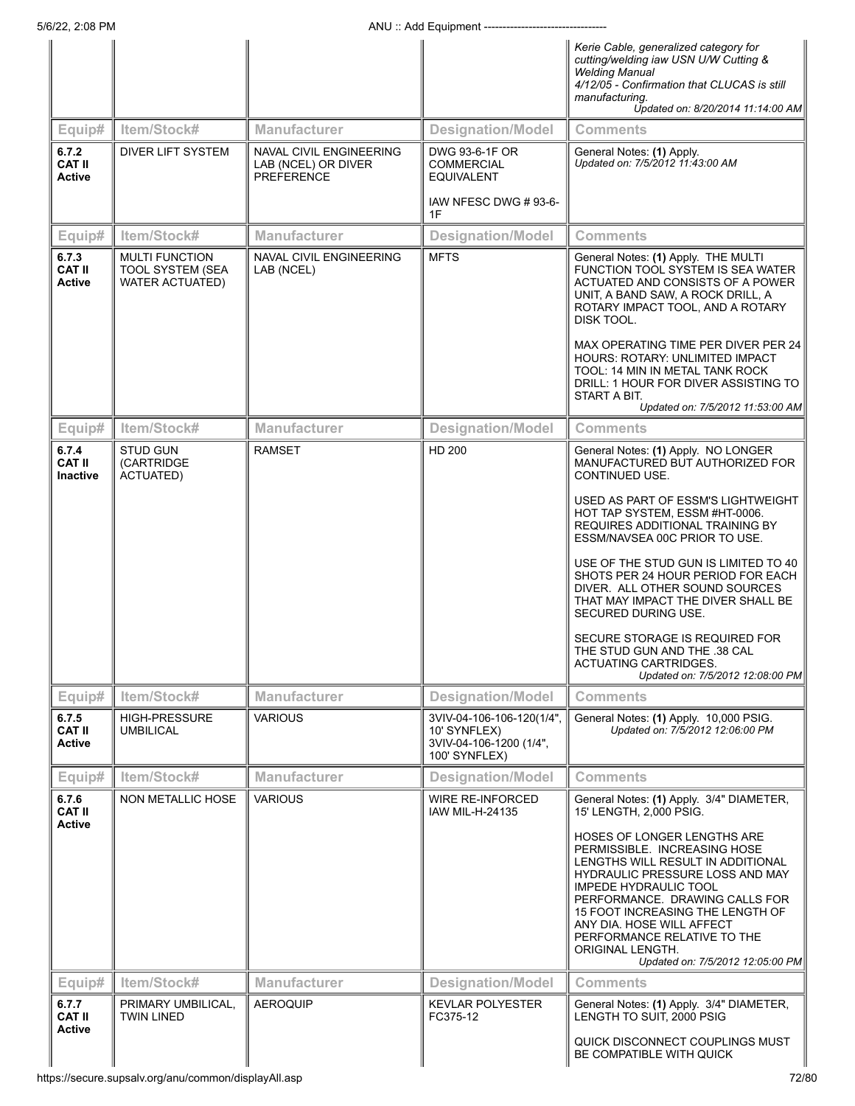|                                           |                                                                            |                                                                     |                                                                                        | Kerie Cable, generalized category for<br>cutting/welding iaw USN U/W Cutting &<br><b>Welding Manual</b><br>4/12/05 - Confirmation that CLUCAS is still<br>manufacturing.<br>Updated on: 8/20/2014 11:14:00 AM                                                                                                                                                 |
|-------------------------------------------|----------------------------------------------------------------------------|---------------------------------------------------------------------|----------------------------------------------------------------------------------------|---------------------------------------------------------------------------------------------------------------------------------------------------------------------------------------------------------------------------------------------------------------------------------------------------------------------------------------------------------------|
| Equip#                                    | Item/Stock#                                                                | <b>Manufacturer</b>                                                 | <b>Designation/Model</b>                                                               | <b>Comments</b>                                                                                                                                                                                                                                                                                                                                               |
| 6.7.2<br><b>CAT II</b><br><b>Active</b>   | <b>DIVER LIFT SYSTEM</b>                                                   | NAVAL CIVIL ENGINEERING<br>LAB (NCEL) OR DIVER<br><b>PREFERENCE</b> | DWG 93-6-1F OR<br><b>COMMERCIAL</b><br><b>EQUIVALENT</b><br>IAW NFESC DWG #93-6-<br>1F | General Notes: (1) Apply.<br>Updated on: 7/5/2012 11:43:00 AM                                                                                                                                                                                                                                                                                                 |
| Equip#                                    | Item/Stock#                                                                | <b>Manufacturer</b>                                                 | <b>Designation/Model</b>                                                               | <b>Comments</b>                                                                                                                                                                                                                                                                                                                                               |
| 6.7.3<br><b>CAT II</b><br><b>Active</b>   | <b>MULTI FUNCTION</b><br><b>TOOL SYSTEM (SEA</b><br><b>WATER ACTUATED)</b> | NAVAL CIVIL ENGINEERING<br>LAB (NCEL)                               | <b>MFTS</b>                                                                            | General Notes: (1) Apply. THE MULTI<br>FUNCTION TOOL SYSTEM IS SEA WATER<br>ACTUATED AND CONSISTS OF A POWER<br>UNIT, A BAND SAW, A ROCK DRILL, A<br>ROTARY IMPACT TOOL, AND A ROTARY<br>DISK TOOL.                                                                                                                                                           |
|                                           |                                                                            |                                                                     |                                                                                        | MAX OPERATING TIME PER DIVER PER 24<br>HOURS: ROTARY: UNLIMITED IMPACT<br>TOOL: 14 MIN IN METAL TANK ROCK<br>DRILL: 1 HOUR FOR DIVER ASSISTING TO<br>START A BIT.<br>Updated on: 7/5/2012 11:53:00 AM                                                                                                                                                         |
| Equip#                                    | Item/Stock#                                                                | <b>Manufacturer</b>                                                 | <b>Designation/Model</b>                                                               | <b>Comments</b>                                                                                                                                                                                                                                                                                                                                               |
| 6.7.4<br><b>CAT II</b><br><b>Inactive</b> | <b>STUD GUN</b><br>(CARTRIDGE)<br><b>ACTUATED)</b>                         | <b>RAMSET</b>                                                       | <b>HD 200</b>                                                                          | General Notes: (1) Apply. NO LONGER<br>MANUFACTURED BUT AUTHORIZED FOR<br>CONTINUED USE.                                                                                                                                                                                                                                                                      |
|                                           |                                                                            |                                                                     |                                                                                        | USED AS PART OF ESSM'S LIGHTWEIGHT<br>HOT TAP SYSTEM, ESSM #HT-0006.<br>REQUIRES ADDITIONAL TRAINING BY<br>ESSM/NAVSEA 00C PRIOR TO USE.                                                                                                                                                                                                                      |
|                                           |                                                                            |                                                                     |                                                                                        | USE OF THE STUD GUN IS LIMITED TO 40<br>SHOTS PER 24 HOUR PERIOD FOR EACH<br>DIVER. ALL OTHER SOUND SOURCES<br>THAT MAY IMPACT THE DIVER SHALL BE<br>SECURED DURING USE.                                                                                                                                                                                      |
|                                           |                                                                            |                                                                     |                                                                                        | SECURE STORAGE IS REQUIRED FOR<br>THE STUD GUN AND THE .38 CAL<br>ACTUATING CARTRIDGES.<br>Updated on: 7/5/2012 12:08:00 PM                                                                                                                                                                                                                                   |
| Equip#                                    | Item/Stock#                                                                | <b>Manufacturer</b>                                                 | <b>Designation/Model</b>                                                               | <b>Comments</b>                                                                                                                                                                                                                                                                                                                                               |
| 6.7.5<br><b>CAT II</b><br><b>Active</b>   | <b>HIGH-PRESSURE</b><br><b>UMBILICAL</b>                                   | <b>VARIOUS</b>                                                      | 3VIV-04-106-106-120(1/4",<br>10' SYNFLEX)<br>3VIV-04-106-1200 (1/4",<br>100' SYNFLEX)  | General Notes: (1) Apply. 10,000 PSIG.<br>Updated on: 7/5/2012 12:06:00 PM                                                                                                                                                                                                                                                                                    |
| Equip#                                    | Item/Stock#                                                                | Manufacturer                                                        | <b>Designation/Model</b>                                                               | <b>Comments</b>                                                                                                                                                                                                                                                                                                                                               |
| 6.7.6<br><b>CAT II</b><br><b>Active</b>   | <b>NON METALLIC HOSE</b>                                                   | <b>VARIOUS</b>                                                      | <b>WIRE RE-INFORCED</b><br>IAW MIL-H-24135                                             | General Notes: (1) Apply. 3/4" DIAMETER,<br>15' LENGTH, 2,000 PSIG.                                                                                                                                                                                                                                                                                           |
|                                           |                                                                            |                                                                     |                                                                                        | HOSES OF LONGER LENGTHS ARE<br>PERMISSIBLE. INCREASING HOSE<br>LENGTHS WILL RESULT IN ADDITIONAL<br>HYDRAULIC PRESSURE LOSS AND MAY<br><b>IMPEDE HYDRAULIC TOOL</b><br>PERFORMANCE. DRAWING CALLS FOR<br>15 FOOT INCREASING THE LENGTH OF<br>ANY DIA. HOSE WILL AFFECT<br>PERFORMANCE RELATIVE TO THE<br>ORIGINAL LENGTH.<br>Updated on: 7/5/2012 12:05:00 PM |
| Equip#                                    | Item/Stock#                                                                | <b>Manufacturer</b>                                                 | <b>Designation/Model</b>                                                               | <b>Comments</b>                                                                                                                                                                                                                                                                                                                                               |
| 6.7.7<br><b>CAT II</b><br><b>Active</b>   | PRIMARY UMBILICAL,<br><b>TWIN LINED</b>                                    | <b>AEROQUIP</b>                                                     | <b>KEVLAR POLYESTER</b><br>FC375-12                                                    | General Notes: (1) Apply. 3/4" DIAMETER,<br>LENGTH TO SUIT, 2000 PSIG                                                                                                                                                                                                                                                                                         |
|                                           |                                                                            |                                                                     |                                                                                        | QUICK DISCONNECT COUPLINGS MUST<br>BE COMPATIBLE WITH QUICK                                                                                                                                                                                                                                                                                                   |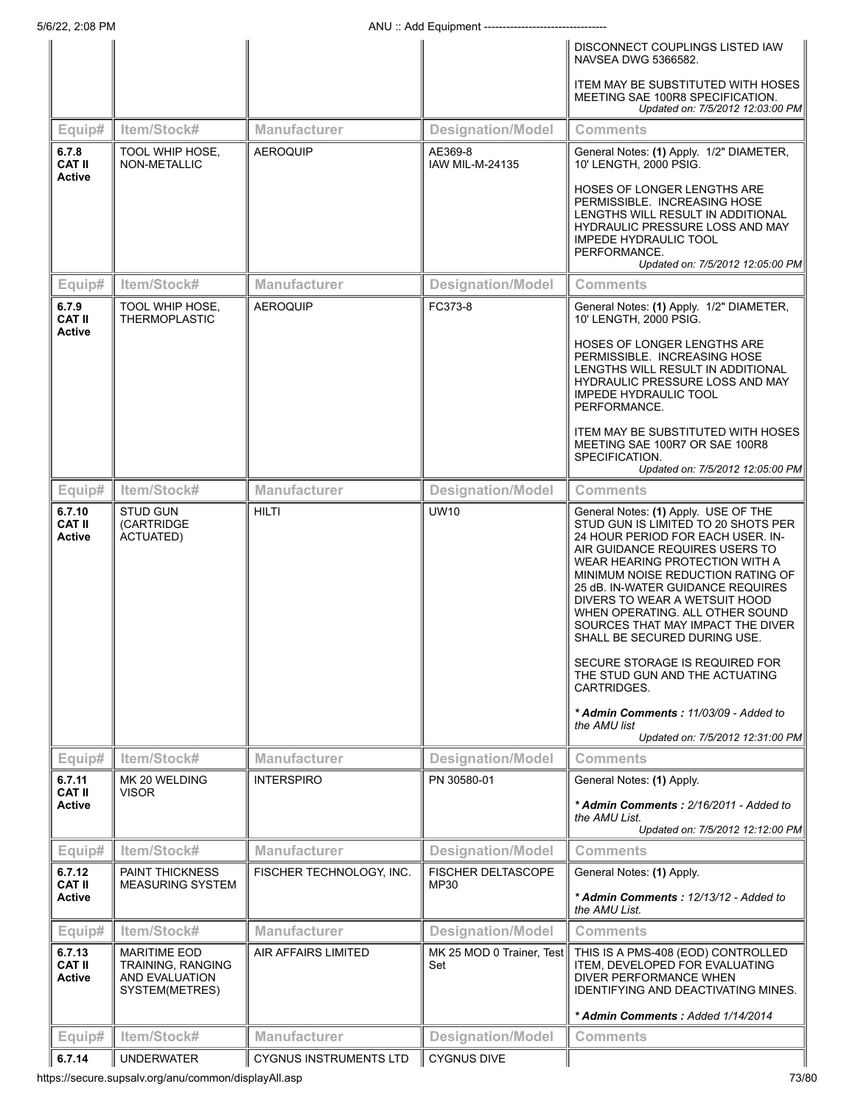|                                          |                                                                              |                                                      |                                                | DISCONNECT COUPLINGS LISTED IAW<br>NAVSEA DWG 5366582.                                                                                                                                                                                                                                                                                                                                                                                    |
|------------------------------------------|------------------------------------------------------------------------------|------------------------------------------------------|------------------------------------------------|-------------------------------------------------------------------------------------------------------------------------------------------------------------------------------------------------------------------------------------------------------------------------------------------------------------------------------------------------------------------------------------------------------------------------------------------|
|                                          |                                                                              |                                                      |                                                | ITEM MAY BE SUBSTITUTED WITH HOSES<br>MEETING SAE 100R8 SPECIFICATION.<br>Updated on: 7/5/2012 12:03:00 PM                                                                                                                                                                                                                                                                                                                                |
| Equip#                                   | Item/Stock#                                                                  | <b>Manufacturer</b>                                  | <b>Designation/Model</b>                       | <b>Comments</b>                                                                                                                                                                                                                                                                                                                                                                                                                           |
| 6.7.8<br><b>CAT II</b><br><b>Active</b>  | TOOL WHIP HOSE,<br>NON-METALLIC                                              | <b>AEROQUIP</b>                                      | AE369-8<br><b>IAW MIL-M-24135</b>              | General Notes: (1) Apply. 1/2" DIAMETER,<br>10' LENGTH, 2000 PSIG.                                                                                                                                                                                                                                                                                                                                                                        |
|                                          |                                                                              |                                                      |                                                | HOSES OF LONGER LENGTHS ARE<br>PERMISSIBLE. INCREASING HOSE<br>LENGTHS WILL RESULT IN ADDITIONAL<br>HYDRAULIC PRESSURE LOSS AND MAY<br><b>IMPEDE HYDRAULIC TOOL</b><br>PERFORMANCE.<br>Updated on: 7/5/2012 12:05:00 PM                                                                                                                                                                                                                   |
| Equip#                                   | Item/Stock#                                                                  | <b>Manufacturer</b>                                  | <b>Designation/Model</b>                       | <b>Comments</b>                                                                                                                                                                                                                                                                                                                                                                                                                           |
| 6.7.9<br><b>CAT II</b><br><b>Active</b>  | <b>TOOL WHIP HOSE.</b><br><b>THERMOPLASTIC</b>                               | <b>AEROQUIP</b>                                      | FC373-8                                        | General Notes: (1) Apply. 1/2" DIAMETER,<br>10' LENGTH, 2000 PSIG.                                                                                                                                                                                                                                                                                                                                                                        |
|                                          |                                                                              |                                                      |                                                | HOSES OF LONGER LENGTHS ARE<br>PERMISSIBLE. INCREASING HOSE<br>LENGTHS WILL RESULT IN ADDITIONAL<br><b>HYDRAULIC PRESSURE LOSS AND MAY</b><br><b>IMPEDE HYDRAULIC TOOL</b><br>PERFORMANCE.                                                                                                                                                                                                                                                |
|                                          |                                                                              |                                                      |                                                | <b>ITEM MAY BE SUBSTITUTED WITH HOSES</b><br>MEETING SAE 100R7 OR SAE 100R8<br>SPECIFICATION.<br>Updated on: 7/5/2012 12:05:00 PM                                                                                                                                                                                                                                                                                                         |
| Equip#                                   | Item/Stock#                                                                  | <b>Manufacturer</b>                                  | <b>Designation/Model</b>                       | <b>Comments</b>                                                                                                                                                                                                                                                                                                                                                                                                                           |
| 6.7.10<br><b>CAT II</b><br><b>Active</b> | <b>STUD GUN</b><br>(CARTRIDGE<br>ACTUATED)                                   | <b>HILTI</b>                                         | <b>UW10</b>                                    | General Notes: (1) Apply. USE OF THE<br>STUD GUN IS LIMITED TO 20 SHOTS PER<br>24 HOUR PERIOD FOR EACH USER. IN-<br>AIR GUIDANCE REQUIRES USERS TO<br>WEAR HEARING PROTECTION WITH A<br>MINIMUM NOISE REDUCTION RATING OF<br>25 dB. IN-WATER GUIDANCE REQUIRES<br>DIVERS TO WEAR A WETSUIT HOOD<br>WHEN OPERATING. ALL OTHER SOUND<br>SOURCES THAT MAY IMPACT THE DIVER<br>SHALL BE SECURED DURING USE.<br>SECURE STORAGE IS REQUIRED FOR |
|                                          |                                                                              |                                                      |                                                | THE STUD GUN AND THE ACTUATING<br>CARTRIDGES.<br>* Admin Comments: 11/03/09 - Added to<br>the AMU list                                                                                                                                                                                                                                                                                                                                    |
|                                          |                                                                              |                                                      |                                                | Updated on: 7/5/2012 12:31:00 PM                                                                                                                                                                                                                                                                                                                                                                                                          |
| Equip#                                   | Item/Stock#                                                                  | <b>Manufacturer</b>                                  | <b>Designation/Model</b>                       | <b>Comments</b>                                                                                                                                                                                                                                                                                                                                                                                                                           |
| 6.7.11<br><b>CAT II</b>                  | MK 20 WELDING<br><b>VISOR</b>                                                | <b>INTERSPIRO</b>                                    | PN 30580-01                                    | General Notes: (1) Apply.                                                                                                                                                                                                                                                                                                                                                                                                                 |
| Active                                   |                                                                              |                                                      |                                                | * Admin Comments: 2/16/2011 - Added to<br>the AMU List.<br>Updated on: 7/5/2012 12:12:00 PM                                                                                                                                                                                                                                                                                                                                               |
| Equip#                                   | Item/Stock#                                                                  | <b>Manufacturer</b>                                  | <b>Designation/Model</b>                       | <b>Comments</b>                                                                                                                                                                                                                                                                                                                                                                                                                           |
| 6.7.12                                   | <b>PAINT THICKNESS</b>                                                       | FISCHER TECHNOLOGY, INC.                             | <b>FISCHER DELTASCOPE</b>                      | General Notes: (1) Apply.                                                                                                                                                                                                                                                                                                                                                                                                                 |
| <b>CAT II</b><br>Active                  | <b>MEASURING SYSTEM</b>                                                      |                                                      | MP30                                           | * Admin Comments : 12/13/12 - Added to<br>the AMU List.                                                                                                                                                                                                                                                                                                                                                                                   |
| Equip#                                   | Item/Stock#                                                                  | Manufacturer                                         | <b>Designation/Model</b>                       | <b>Comments</b>                                                                                                                                                                                                                                                                                                                                                                                                                           |
| 6.7.13<br><b>CAT II</b><br>Active        | <b>MARITIME EOD</b><br>TRAINING, RANGING<br>AND EVALUATION<br>SYSTEM(METRES) | AIR AFFAIRS LIMITED                                  | MK 25 MOD 0 Trainer, Test<br>Set               | THIS IS A PMS-408 (EOD) CONTROLLED<br>ITEM, DEVELOPED FOR EVALUATING<br>DIVER PERFORMANCE WHEN<br>IDENTIFYING AND DEACTIVATING MINES.                                                                                                                                                                                                                                                                                                     |
|                                          |                                                                              |                                                      |                                                | * Admin Comments : Added 1/14/2014                                                                                                                                                                                                                                                                                                                                                                                                        |
| Equip#<br>6.7.14                         | Item/Stock#<br><b>UNDERWATER</b>                                             | <b>Manufacturer</b><br><b>CYGNUS INSTRUMENTS LTD</b> | <b>Designation/Model</b><br><b>CYGNUS DIVE</b> | <b>Comments</b>                                                                                                                                                                                                                                                                                                                                                                                                                           |
|                                          |                                                                              |                                                      |                                                |                                                                                                                                                                                                                                                                                                                                                                                                                                           |

https://secure.supsalv.org/anu/common/displayAll.asp 73/80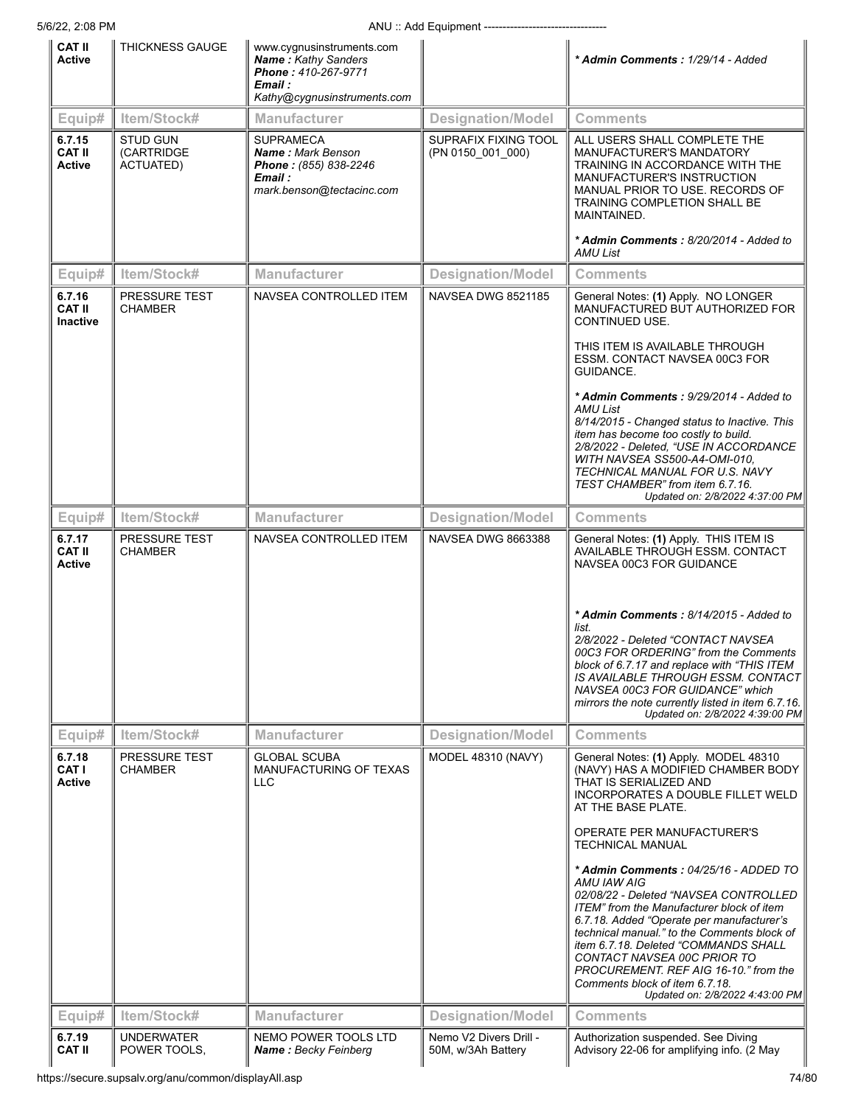|                                            | 5/6/22, 2:08 PM<br>ANU: Add Equipment -------------------------- |                                                                                                                          |                                           |                                                                                                                                                                                                                                                                                                                                                                                                                                                                                                                                                                                                                                                          |
|--------------------------------------------|------------------------------------------------------------------|--------------------------------------------------------------------------------------------------------------------------|-------------------------------------------|----------------------------------------------------------------------------------------------------------------------------------------------------------------------------------------------------------------------------------------------------------------------------------------------------------------------------------------------------------------------------------------------------------------------------------------------------------------------------------------------------------------------------------------------------------------------------------------------------------------------------------------------------------|
| <b>CAT II</b><br>Active                    | THICKNESS GAUGE                                                  | www.cygnusinstruments.com<br><b>Name: Kathy Sanders</b><br>Phone: 410-267-9771<br>Email :<br>Kathy@cygnusinstruments.com |                                           | * Admin Comments: 1/29/14 - Added                                                                                                                                                                                                                                                                                                                                                                                                                                                                                                                                                                                                                        |
| Equip#                                     | Item/Stock#                                                      | <b>Manufacturer</b>                                                                                                      | <b>Designation/Model</b>                  | <b>Comments</b>                                                                                                                                                                                                                                                                                                                                                                                                                                                                                                                                                                                                                                          |
| 6.7.15<br><b>CAT II</b><br>Active          | <b>STUD GUN</b><br>(CARTRIDGE<br>ACTUATED)                       | <b>SUPRAMECA</b><br>Name: Mark Benson<br>Phone: (855) 838-2246<br>Email :<br>mark.benson@tectacinc.com                   | SUPRAFIX FIXING TOOL<br>(PN 0150_001_000) | ALL USERS SHALL COMPLETE THE<br>MANUFACTURER'S MANDATORY<br>TRAINING IN ACCORDANCE WITH THE<br>MANUFACTURER'S INSTRUCTION<br>MANUAL PRIOR TO USE. RECORDS OF<br>TRAINING COMPLETION SHALL BE<br>MAINTAINED.<br>* Admin Comments: 8/20/2014 - Added to                                                                                                                                                                                                                                                                                                                                                                                                    |
|                                            |                                                                  |                                                                                                                          |                                           | AMU List                                                                                                                                                                                                                                                                                                                                                                                                                                                                                                                                                                                                                                                 |
| Equip#                                     | Item/Stock#                                                      | <b>Manufacturer</b>                                                                                                      | <b>Designation/Model</b>                  | <b>Comments</b>                                                                                                                                                                                                                                                                                                                                                                                                                                                                                                                                                                                                                                          |
| 6.7.16<br><b>CAT II</b><br><b>Inactive</b> | <b>PRESSURE TEST</b><br><b>CHAMBER</b>                           | NAVSEA CONTROLLED ITEM                                                                                                   | <b>NAVSEA DWG 8521185</b>                 | General Notes: (1) Apply. NO LONGER<br>MANUFACTURED BUT AUTHORIZED FOR<br>CONTINUED USE.<br>THIS ITEM IS AVAILABLE THROUGH<br>ESSM. CONTACT NAVSEA 00C3 FOR<br>GUIDANCE.<br>* Admin Comments: 9/29/2014 - Added to<br>AMU List<br>8/14/2015 - Changed status to Inactive. This<br>item has become too costly to build.<br>2/8/2022 - Deleted, "USE IN ACCORDANCE<br>WITH NAVSEA SS500-A4-OMI-010.<br>TECHNICAL MANUAL FOR U.S. NAVY<br>TEST CHAMBER" from item 6.7.16.                                                                                                                                                                                   |
|                                            |                                                                  |                                                                                                                          |                                           | Updated on: 2/8/2022 4:37:00 PM                                                                                                                                                                                                                                                                                                                                                                                                                                                                                                                                                                                                                          |
| Equip#                                     | Item/Stock#                                                      | <b>Manufacturer</b>                                                                                                      | <b>Designation/Model</b>                  | <b>Comments</b>                                                                                                                                                                                                                                                                                                                                                                                                                                                                                                                                                                                                                                          |
| 6.7.17<br><b>CAT II</b><br><b>Active</b>   | PRESSURE TEST<br><b>CHAMBER</b>                                  | NAVSEA CONTROLLED ITEM                                                                                                   | <b>NAVSEA DWG 8663388</b>                 | General Notes: (1) Apply. THIS ITEM IS<br>AVAILABLE THROUGH ESSM. CONTACT<br>NAVSEA 00C3 FOR GUIDANCE<br>* Admin Comments: 8/14/2015 - Added to<br>list.<br>2/8/2022 - Deleted "CONTACT NAVSEA<br>00C3 FOR ORDERING" from the Comments<br>block of 6.7.17 and replace with "THIS ITEM<br>IS AVAILABLE THROUGH ESSM. CONTACT<br>NAVSEA 00C3 FOR GUIDANCE" which<br>mirrors the note currently listed in item 6.7.16.<br>Updated on: 2/8/2022 4:39:00 PM                                                                                                                                                                                                   |
| Equip#                                     | Item/Stock#                                                      | <b>Manufacturer</b>                                                                                                      | <b>Designation/Model</b>                  | <b>Comments</b>                                                                                                                                                                                                                                                                                                                                                                                                                                                                                                                                                                                                                                          |
| 6.7.18<br>CAT I<br><b>Active</b>           | <b>PRESSURE TEST</b><br><b>CHAMBER</b>                           | <b>GLOBAL SCUBA</b><br>MANUFACTURING OF TEXAS<br><b>LLC</b>                                                              | MODEL 48310 (NAVY)                        | General Notes: (1) Apply. MODEL 48310<br>(NAVY) HAS A MODIFIED CHAMBER BODY<br>THAT IS SERIALIZED AND<br>INCORPORATES A DOUBLE FILLET WELD<br>AT THE BASE PLATE.<br>OPERATE PER MANUFACTURER'S<br><b>TECHNICAL MANUAL</b><br>* Admin Comments: 04/25/16 - ADDED TO<br>AMU IAW AIG<br>02/08/22 - Deleted "NAVSEA CONTROLLED<br>ITEM" from the Manufacturer block of item<br>6.7.18. Added "Operate per manufacturer's<br>technical manual." to the Comments block of<br>item 6.7.18. Deleted "COMMANDS SHALL<br>CONTACT NAVSEA 00C PRIOR TO<br>PROCUREMENT. REF AIG 16-10." from the<br>Comments block of item 6.7.18.<br>Updated on: 2/8/2022 4:43:00 PM |
| Equip#                                     | Item/Stock#                                                      | <b>Manufacturer</b>                                                                                                      | <b>Designation/Model</b>                  | Comments                                                                                                                                                                                                                                                                                                                                                                                                                                                                                                                                                                                                                                                 |
| 6.7.19                                     | <b>UNDERWATER</b>                                                | NEMO POWER TOOLS LTD                                                                                                     | Nemo V2 Divers Drill -                    | Authorization suspended. See Diving                                                                                                                                                                                                                                                                                                                                                                                                                                                                                                                                                                                                                      |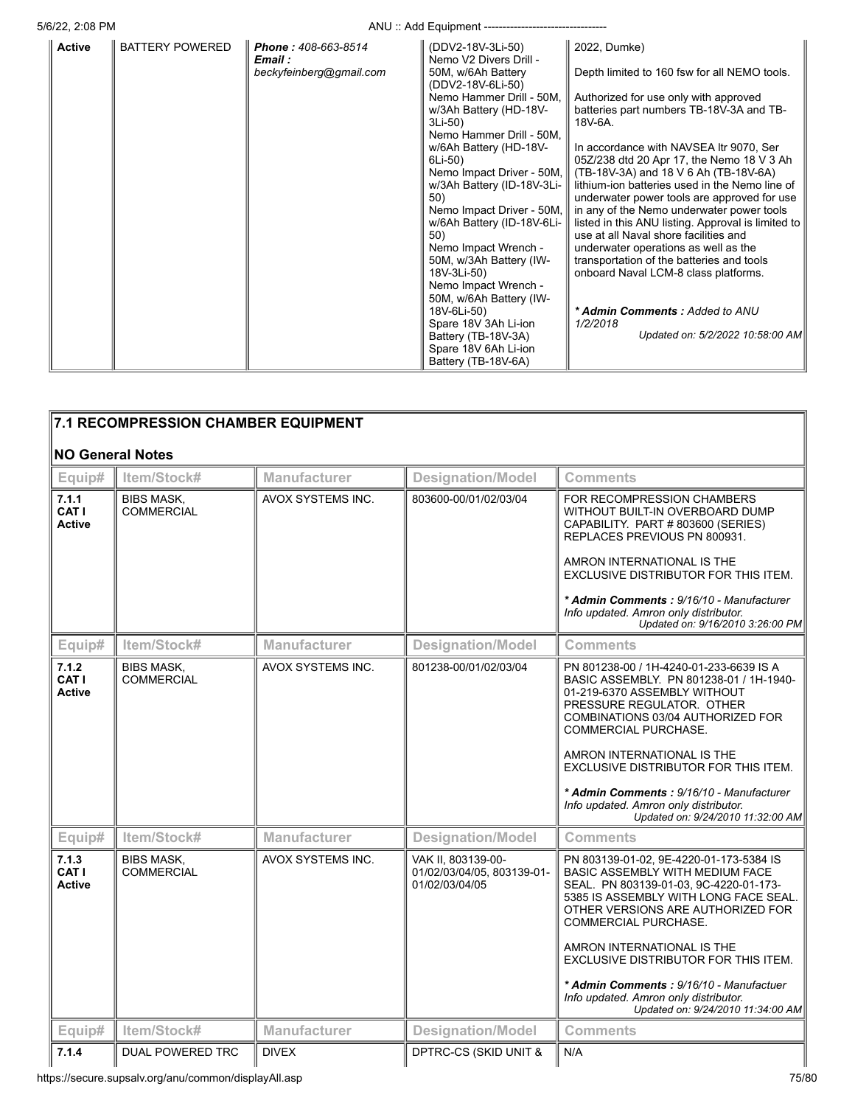5/6/22, 2:08 PM ANU :: Add Equipment ---------------------------------

|               |                        |                                | $1.10$ as Equipment                         |                                                                                          |
|---------------|------------------------|--------------------------------|---------------------------------------------|------------------------------------------------------------------------------------------|
| <b>Active</b> | <b>BATTERY POWERED</b> | Phone: 408-663-8514<br>Email : | (DDV2-18V-3Li-50)<br>Nemo V2 Divers Drill - | 2022, Dumke)                                                                             |
|               |                        | beckyfeinberg@gmail.com        | 50M, w/6Ah Battery<br>(DDV2-18V-6Li-50)     | Depth limited to 160 fsw for all NEMO tools.                                             |
|               |                        |                                | Nemo Hammer Drill - 50M,                    | Authorized for use only with approved                                                    |
|               |                        |                                | w/3Ah Battery (HD-18V-                      | batteries part numbers TB-18V-3A and TB-                                                 |
|               |                        |                                | 3Li-50)<br>Nemo Hammer Drill - 50M,         | 18V-6A.                                                                                  |
|               |                        |                                | w/6Ah Battery (HD-18V-                      | In accordance with NAVSEA Itr 9070, Ser                                                  |
|               |                        |                                | 6Li-50)                                     | 05Z/238 dtd 20 Apr 17, the Nemo 18 V 3 Ah                                                |
|               |                        |                                | Nemo Impact Driver - 50M,                   | (TB-18V-3A) and 18 V 6 Ah (TB-18V-6A)                                                    |
|               |                        |                                | w/3Ah Battery (ID-18V-3Li-                  | lithium-ion batteries used in the Nemo line of                                           |
|               |                        |                                | 50)<br>Nemo Impact Driver - 50M,            | underwater power tools are approved for use<br>in any of the Nemo underwater power tools |
|               |                        |                                | w/6Ah Battery (ID-18V-6Li-                  | listed in this ANU listing. Approval is limited to                                       |
|               |                        |                                | 50)                                         | use at all Naval shore facilities and                                                    |
|               |                        |                                | Nemo Impact Wrench -                        | underwater operations as well as the                                                     |
|               |                        |                                | 50M, w/3Ah Battery (IW-                     | transportation of the batteries and tools                                                |
|               |                        |                                | 18V-3Li-50)<br>Nemo Impact Wrench -         | onboard Naval LCM-8 class platforms.                                                     |
|               |                        |                                | 50M, w/6Ah Battery (IW-                     |                                                                                          |
|               |                        |                                | 18V-6Li-50)                                 | * Admin Comments: Added to ANU                                                           |
|               |                        |                                | Spare 18V 3Ah Li-ion                        | 1/2/2018                                                                                 |
|               |                        |                                | Battery (TB-18V-3A)                         | Updated on: 5/2/2022 10:58:00 AM                                                         |
|               |                        |                                | Spare 18V 6Ah Li-ion<br>Battery (TB-18V-6A) |                                                                                          |
|               |                        |                                |                                             |                                                                                          |

|                                 | 7.1 RECOMPRESSION CHAMBER EQUIPMENT    |                     |                                                                    |                                                                                                                                                                                                                                   |
|---------------------------------|----------------------------------------|---------------------|--------------------------------------------------------------------|-----------------------------------------------------------------------------------------------------------------------------------------------------------------------------------------------------------------------------------|
|                                 | <b>NO General Notes</b>                |                     |                                                                    |                                                                                                                                                                                                                                   |
| Equip#                          | Item/Stock#                            | <b>Manufacturer</b> | <b>Designation/Model</b>                                           | <b>Comments</b>                                                                                                                                                                                                                   |
| 7.1.1<br>CAT I<br><b>Active</b> | <b>BIBS MASK,</b><br><b>COMMERCIAL</b> | AVOX SYSTEMS INC.   | 803600-00/01/02/03/04                                              | FOR RECOMPRESSION CHAMBERS<br>WITHOUT BUILT-IN OVERBOARD DUMP<br>CAPABILITY. PART #803600 (SERIES)<br>REPLACES PREVIOUS PN 800931.<br>AMRON INTERNATIONAL IS THE                                                                  |
|                                 |                                        |                     |                                                                    | EXCLUSIVE DISTRIBUTOR FOR THIS ITEM.                                                                                                                                                                                              |
|                                 |                                        |                     |                                                                    | * Admin Comments: 9/16/10 - Manufacturer<br>Info updated. Amron only distributor.<br>Updated on: 9/16/2010 3:26:00 PM                                                                                                             |
| Equip#                          | Item/Stock#                            | Manufacturer        | <b>Designation/Model</b>                                           | Comments                                                                                                                                                                                                                          |
| 7.1.2<br>CAT I<br><b>Active</b> | <b>BIBS MASK,</b><br><b>COMMERCIAL</b> | AVOX SYSTEMS INC.   | 801238-00/01/02/03/04                                              | PN 801238-00 / 1H-4240-01-233-6639 IS A<br>BASIC ASSEMBLY. PN 801238-01 / 1H-1940-<br>01-219-6370 ASSEMBLY WITHOUT<br>PRESSURE REGULATOR. OTHER<br>COMBINATIONS 03/04 AUTHORIZED FOR<br>COMMERCIAL PURCHASE.                      |
|                                 |                                        |                     |                                                                    | AMRON INTERNATIONAL IS THE<br>EXCLUSIVE DISTRIBUTOR FOR THIS ITEM.                                                                                                                                                                |
|                                 |                                        |                     |                                                                    | * Admin Comments: 9/16/10 - Manufacturer<br>Info updated. Amron only distributor.<br>Updated on: 9/24/2010 11:32:00 AM                                                                                                            |
| Equip#                          | Item/Stock#                            | <b>Manufacturer</b> | <b>Designation/Model</b>                                           | <b>Comments</b>                                                                                                                                                                                                                   |
| 7.1.3<br>CAT I<br><b>Active</b> | <b>BIBS MASK,</b><br><b>COMMERCIAL</b> | AVOX SYSTEMS INC.   | VAK II, 803139-00-<br>01/02/03/04/05. 803139-01-<br>01/02/03/04/05 | PN 803139-01-02, 9E-4220-01-173-5384 IS<br><b>BASIC ASSEMBLY WITH MEDIUM FACE</b><br>SEAL. PN 803139-01-03, 9C-4220-01-173-<br>5385 IS ASSEMBLY WITH LONG FACE SEAL.<br>OTHER VERSIONS ARE AUTHORIZED FOR<br>COMMERCIAL PURCHASE. |
|                                 |                                        |                     |                                                                    | AMRON INTERNATIONAL IS THE<br>EXCLUSIVE DISTRIBUTOR FOR THIS ITEM.                                                                                                                                                                |
|                                 |                                        |                     |                                                                    | * Admin Comments: 9/16/10 - Manufactuer<br>Info updated. Amron only distributor.<br>Updated on: 9/24/2010 11:34:00 AM                                                                                                             |
| Equip#                          | Item/Stock#                            | <b>Manufacturer</b> | <b>Designation/Model</b>                                           | <b>Comments</b>                                                                                                                                                                                                                   |
| 7.1.4                           | DUAL POWERED TRC                       | <b>DIVEX</b>        | DPTRC-CS (SKID UNIT &                                              | N/A                                                                                                                                                                                                                               |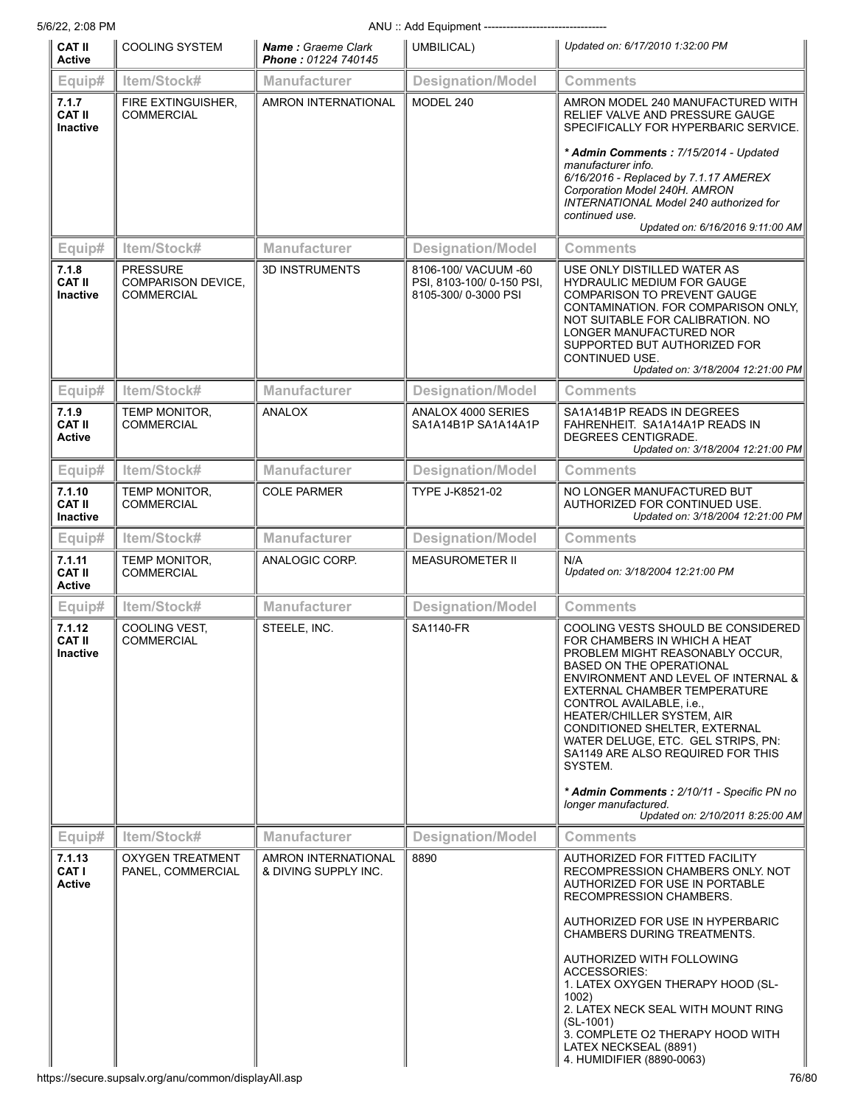| 5/6/22, 2:08 PM                           | ANU: Add Equipment -------------------------                      |                                                  |                                                                         |                                                                                                                                                                                                                                                                                                                                                                                                                                                                                                            |  |
|-------------------------------------------|-------------------------------------------------------------------|--------------------------------------------------|-------------------------------------------------------------------------|------------------------------------------------------------------------------------------------------------------------------------------------------------------------------------------------------------------------------------------------------------------------------------------------------------------------------------------------------------------------------------------------------------------------------------------------------------------------------------------------------------|--|
| <b>CAT II</b><br><b>Active</b>            | <b>COOLING SYSTEM</b>                                             | <b>Name: Graeme Clark</b><br>Phone: 01224 740145 | UMBILICAL)                                                              | Updated on: 6/17/2010 1:32:00 PM                                                                                                                                                                                                                                                                                                                                                                                                                                                                           |  |
| Equip#                                    | Item/Stock#                                                       | <b>Manufacturer</b>                              | <b>Designation/Model</b>                                                | <b>Comments</b>                                                                                                                                                                                                                                                                                                                                                                                                                                                                                            |  |
| 7.1.7<br><b>CAT II</b><br>Inactive        | FIRE EXTINGUISHER,<br><b>COMMERCIAL</b>                           | <b>AMRON INTERNATIONAL</b>                       | MODEL 240                                                               | AMRON MODEL 240 MANUFACTURED WITH<br>RELIEF VALVE AND PRESSURE GAUGE<br>SPECIFICALLY FOR HYPERBARIC SERVICE.<br>* Admin Comments: 7/15/2014 - Updated<br>manufacturer info.<br>6/16/2016 - Replaced by 7.1.17 AMEREX<br>Corporation Model 240H. AMRON<br>INTERNATIONAL Model 240 authorized for<br>continued use.<br>Updated on: 6/16/2016 9:11:00 AM                                                                                                                                                      |  |
| Equip#                                    | Item/Stock#                                                       | Manufacturer                                     | <b>Designation/Model</b>                                                | Comments                                                                                                                                                                                                                                                                                                                                                                                                                                                                                                   |  |
| 7.1.8<br><b>CAT II</b><br><b>Inactive</b> | <b>PRESSURE</b><br><b>COMPARISON DEVICE,</b><br><b>COMMERCIAL</b> | <b>3D INSTRUMENTS</b>                            | 8106-100/ VACUUM -60<br>PSI, 8103-100/0-150 PSI,<br>8105-300/0-3000 PSI | USE ONLY DISTILLED WATER AS<br><b>HYDRAULIC MEDIUM FOR GAUGE</b><br><b>COMPARISON TO PREVENT GAUGE</b><br>CONTAMINATION. FOR COMPARISON ONLY.<br>NOT SUITABLE FOR CALIBRATION. NO<br>LONGER MANUFACTURED NOR<br>SUPPORTED BUT AUTHORIZED FOR<br>CONTINUED USE.<br>Updated on: 3/18/2004 12:21:00 PM                                                                                                                                                                                                        |  |
| Equip#                                    | Item/Stock#                                                       | <b>Manufacturer</b>                              | <b>Designation/Model</b>                                                | Comments                                                                                                                                                                                                                                                                                                                                                                                                                                                                                                   |  |
| 7.1.9<br><b>CAT II</b><br><b>Active</b>   | <b>TEMP MONITOR,</b><br><b>COMMERCIAL</b>                         | <b>ANALOX</b>                                    | ANALOX 4000 SERIES<br>SA1A14B1P SA1A14A1P                               | SA1A14B1P READS IN DEGREES<br>FAHRENHEIT. SA1A14A1P READS IN<br>DEGREES CENTIGRADE.<br>Updated on: 3/18/2004 12:21:00 PM                                                                                                                                                                                                                                                                                                                                                                                   |  |
| Equip#                                    | Item/Stock#                                                       | Manufacturer                                     | <b>Designation/Model</b>                                                | Comments                                                                                                                                                                                                                                                                                                                                                                                                                                                                                                   |  |
| 7.1.10<br><b>CAT II</b><br>Inactive       | <b>TEMP MONITOR,</b><br><b>COMMERCIAL</b>                         | <b>COLE PARMER</b>                               | TYPE J-K8521-02                                                         | NO LONGER MANUFACTURED BUT<br>AUTHORIZED FOR CONTINUED USE.<br>Updated on: 3/18/2004 12:21:00 PM                                                                                                                                                                                                                                                                                                                                                                                                           |  |
| Equip#                                    | Item/Stock#                                                       | <b>Manufacturer</b>                              | <b>Designation/Model</b>                                                | Comments                                                                                                                                                                                                                                                                                                                                                                                                                                                                                                   |  |
| 7.1.11<br><b>CAT II</b><br><b>Active</b>  | <b>TEMP MONITOR.</b><br><b>COMMERCIAL</b>                         | ANALOGIC CORP.                                   | <b>MEASUROMETER II</b>                                                  | N/A<br>Updated on: 3/18/2004 12:21:00 PM                                                                                                                                                                                                                                                                                                                                                                                                                                                                   |  |
| Equip#                                    | Item/Stock#                                                       | <b>Manufacturer</b>                              | <b>Designation/Model</b>                                                | <b>Comments</b>                                                                                                                                                                                                                                                                                                                                                                                                                                                                                            |  |
| 7.1.12<br><b>CAT II</b><br>Inactive       | COOLING VEST,<br><b>COMMERCIAL</b>                                | STEELE, INC.                                     | <b>SA1140-FR</b>                                                        | COOLING VESTS SHOULD BE CONSIDERED<br>FOR CHAMBERS IN WHICH A HEAT<br>PROBLEM MIGHT REASONABLY OCCUR.<br><b>BASED ON THE OPERATIONAL</b><br>ENVIRONMENT AND LEVEL OF INTERNAL &<br>EXTERNAL CHAMBER TEMPERATURE<br>CONTROL AVAILABLE, i.e.,<br>HEATER/CHILLER SYSTEM, AIR<br>CONDITIONED SHELTER, EXTERNAL<br>WATER DELUGE, ETC. GEL STRIPS, PN:<br>SA1149 ARE ALSO REQUIRED FOR THIS<br>SYSTEM.<br>* Admin Comments: 2/10/11 - Specific PN no<br>longer manufactured.<br>Updated on: 2/10/2011 8:25:00 AM |  |
| Equip#                                    | Item/Stock#                                                       | <b>Manufacturer</b>                              | <b>Designation/Model</b>                                                | Comments                                                                                                                                                                                                                                                                                                                                                                                                                                                                                                   |  |
| 7.1.13<br><b>CAT I</b><br><b>Active</b>   | <b>OXYGEN TREATMENT</b><br>PANEL, COMMERCIAL                      | AMRON INTERNATIONAL<br>& DIVING SUPPLY INC.      | 8890                                                                    | AUTHORIZED FOR FITTED FACILITY<br>RECOMPRESSION CHAMBERS ONLY. NOT<br>AUTHORIZED FOR USE IN PORTABLE<br>RECOMPRESSION CHAMBERS.<br>AUTHORIZED FOR USE IN HYPERBARIC<br>CHAMBERS DURING TREATMENTS.<br>AUTHORIZED WITH FOLLOWING<br><b>ACCESSORIES:</b><br>1. LATEX OXYGEN THERAPY HOOD (SL-<br>1002)<br>2. LATEX NECK SEAL WITH MOUNT RING<br>$(SL-1001)$<br>3. COMPLETE O2 THERAPY HOOD WITH<br>LATEX NECKSEAL (8891)<br>4. HUMIDIFIER (8890-0063)                                                        |  |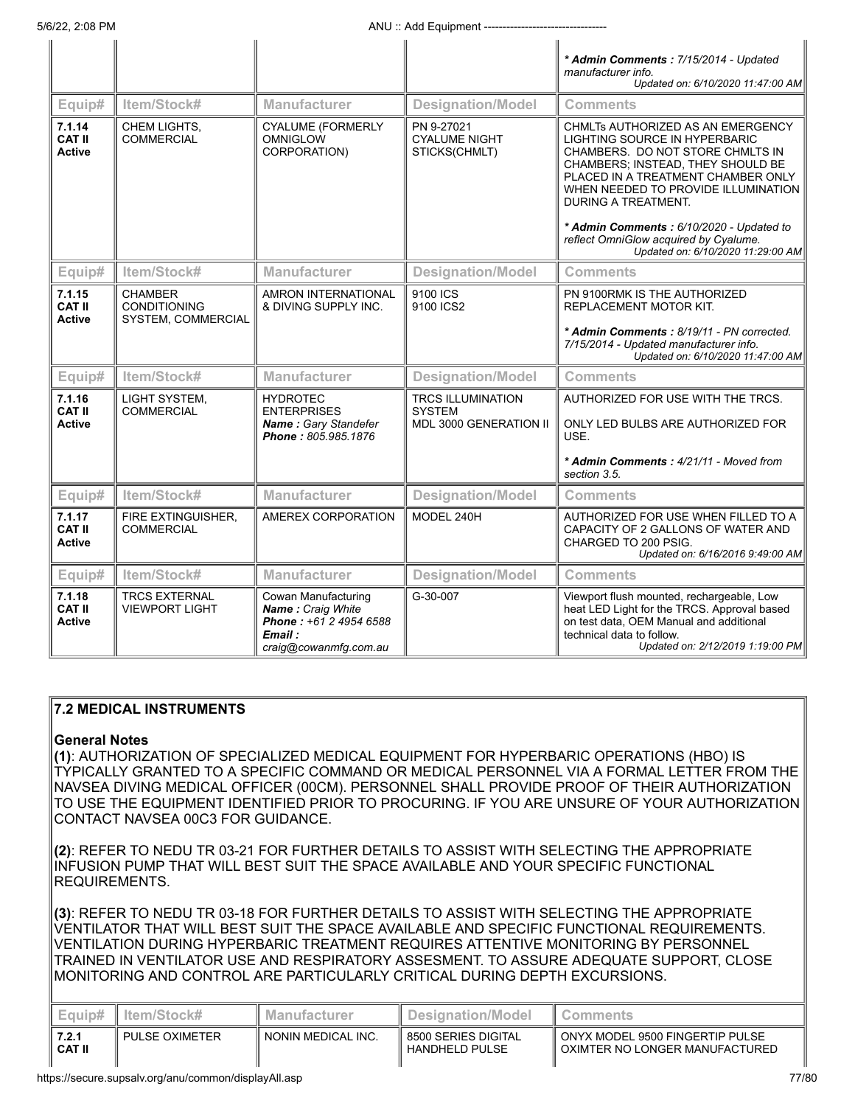$\parallel$ 

 $\parallel$ 

 $\parallel$ 

 $\parallel$ 

 $\parallel$ 

|                                          |                                                             |                                                                                                        |                                                     | * Admin Comments: 7/15/2014 - Updated<br>manufacturer info.<br>Updated on: 6/10/2020 11:47:00 AM                                                                                                                                                       |
|------------------------------------------|-------------------------------------------------------------|--------------------------------------------------------------------------------------------------------|-----------------------------------------------------|--------------------------------------------------------------------------------------------------------------------------------------------------------------------------------------------------------------------------------------------------------|
| Equip#                                   | Item/Stock#                                                 | <b>Manufacturer</b>                                                                                    | <b>Designation/Model</b>                            | <b>Comments</b>                                                                                                                                                                                                                                        |
| 7.1.14<br><b>CAT II</b><br><b>Active</b> | CHEM LIGHTS,<br><b>COMMERCIAL</b>                           | <b>CYALUME (FORMERLY</b><br><b>OMNIGLOW</b><br>CORPORATION)                                            | PN 9-27021<br><b>CYALUME NIGHT</b><br>STICKS(CHMLT) | CHMLTs AUTHORIZED AS AN EMERGENCY<br>LIGHTING SOURCE IN HYPERBARIC<br>CHAMBERS. DO NOT STORE CHMLTS IN<br>CHAMBERS; INSTEAD, THEY SHOULD BE<br>PLACED IN A TREATMENT CHAMBER ONLY<br>WHEN NEEDED TO PROVIDE ILLUMINATION<br><b>DURING A TREATMENT.</b> |
|                                          |                                                             |                                                                                                        |                                                     | * Admin Comments: 6/10/2020 - Updated to<br>reflect OmniGlow acquired by Cyalume.<br>Updated on: 6/10/2020 11:29:00 AM                                                                                                                                 |
| Equip#                                   | Item/Stock#                                                 | <b>Manufacturer</b>                                                                                    | <b>Designation/Model</b>                            | <b>Comments</b>                                                                                                                                                                                                                                        |
| 7.1.15<br><b>CAT II</b><br><b>Active</b> | <b>CHAMBER</b><br><b>CONDITIONING</b><br>SYSTEM, COMMERCIAL | <b>AMRON INTERNATIONAL</b><br>& DIVING SUPPLY INC.                                                     | 9100 ICS<br>9100 ICS2                               | PN 9100RMK IS THE AUTHORIZED<br>REPLACEMENT MOTOR KIT.                                                                                                                                                                                                 |
|                                          |                                                             |                                                                                                        |                                                     | * Admin Comments: 8/19/11 - PN corrected.<br>7/15/2014 - Updated manufacturer info.<br>Updated on: 6/10/2020 11:47:00 AM                                                                                                                               |
| Equip#                                   | Item/Stock#                                                 | <b>Manufacturer</b>                                                                                    | <b>Designation/Model</b>                            | <b>Comments</b>                                                                                                                                                                                                                                        |
| 7.1.16<br><b>CAT II</b>                  | LIGHT SYSTEM,<br><b>COMMERCIAL</b>                          | <b>HYDROTEC</b><br><b>ENTERPRISES</b>                                                                  | <b>TRCS ILLUMINATION</b><br><b>SYSTEM</b>           | AUTHORIZED FOR USE WITH THE TRCS.                                                                                                                                                                                                                      |
| <b>Active</b>                            |                                                             | Name: Gary Standefer<br>Phone: 805,985,1876                                                            | MDL 3000 GENERATION II                              | ONLY LED BULBS ARE AUTHORIZED FOR<br>USE.                                                                                                                                                                                                              |
|                                          |                                                             |                                                                                                        |                                                     | * Admin Comments: 4/21/11 - Moved from<br>section 3.5.                                                                                                                                                                                                 |
| Equip#                                   | Item/Stock#                                                 | Manufacturer                                                                                           | <b>Designation/Model</b>                            | <b>Comments</b>                                                                                                                                                                                                                                        |
| 7.1.17<br><b>CAT II</b><br><b>Active</b> | FIRE EXTINGUISHER.<br><b>COMMERCIAL</b>                     | AMEREX CORPORATION                                                                                     | MODEL 240H                                          | AUTHORIZED FOR USE WHEN FILLED TO A<br>CAPACITY OF 2 GALLONS OF WATER AND<br>CHARGED TO 200 PSIG.<br>Updated on: 6/16/2016 9:49:00 AM                                                                                                                  |
| Equip#                                   | Item/Stock#                                                 | Manufacturer                                                                                           | <b>Designation/Model</b>                            | <b>Comments</b>                                                                                                                                                                                                                                        |
| 7.1.18<br><b>CAT II</b><br><b>Active</b> | <b>TRCS EXTERNAL</b><br><b>VIEWPORT LIGHT</b>               | Cowan Manufacturing<br>Name: Craig White<br>Phone: +61 2 4954 6588<br>Email :<br>craig@cowanmfg.com.au | G-30-007                                            | Viewport flush mounted, rechargeable, Low<br>heat LED Light for the TRCS. Approval based<br>on test data, OEM Manual and additional<br>technical data to follow.<br>Updated on: 2/12/2019 1:19:00 PM                                                   |

## **7.2 MEDICAL INSTRUMENTS**

## **General Notes**

**(1)**: AUTHORIZATION OF SPECIALIZED MEDICAL EQUIPMENT FOR HYPERBARIC OPERATIONS (HBO) IS TYPICALLY GRANTED TO A SPECIFIC COMMAND OR MEDICAL PERSONNEL VIA A FORMAL LETTER FROM THE NAVSEA DIVING MEDICAL OFFICER (00CM). PERSONNEL SHALL PROVIDE PROOF OF THEIR AUTHORIZATION TO USE THE EQUIPMENT IDENTIFIED PRIOR TO PROCURING. IF YOU ARE UNSURE OF YOUR AUTHORIZATION CONTACT NAVSEA 00C3 FOR GUIDANCE.

**(2)**: REFER TO NEDU TR 03-21 FOR FURTHER DETAILS TO ASSIST WITH SELECTING THE APPROPRIATE INFUSION PUMP THAT WILL BEST SUIT THE SPACE AVAILABLE AND YOUR SPECIFIC FUNCTIONAL REQUIREMENTS.

**(3)**: REFER TO NEDU TR 03-18 FOR FURTHER DETAILS TO ASSIST WITH SELECTING THE APPROPRIATE VENTILATOR THAT WILL BEST SUIT THE SPACE AVAILABLE AND SPECIFIC FUNCTIONAL REQUIREMENTS. VENTILATION DURING HYPERBARIC TREATMENT REQUIRES ATTENTIVE MONITORING BY PERSONNEL TRAINED IN VENTILATOR USE AND RESPIRATORY ASSESMENT. TO ASSURE ADEQUATE SUPPORT, CLOSE MONITORING AND CONTROL ARE PARTICULARLY CRITICAL DURING DEPTH EXCURSIONS.

|                        | Ⅱ Item/Stock#  | <b>Manufacturer</b> | Designation/Model                       | Comments                                                                       |
|------------------------|----------------|---------------------|-----------------------------------------|--------------------------------------------------------------------------------|
| 7.2.1<br><b>CAT II</b> | PULSE OXIMETER | NONIN MEDICAL INC.  | I 8500 SERIES DIGITAL<br>HANDHELD PULSE | ONYX MODEL 9500 FINGERTIP PULSE <sup>1</sup><br>OXIMTER NO LONGER MANUFACTURED |

 $\parallel$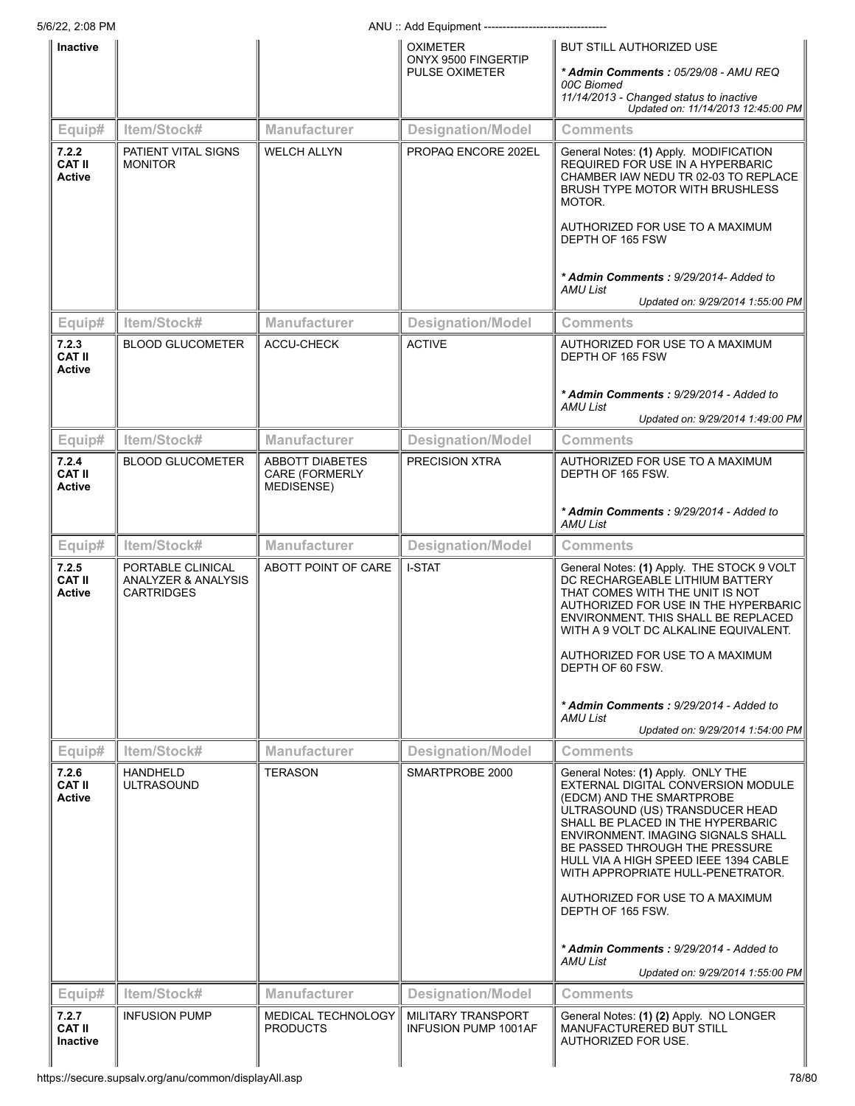|                                         |                                                               |                                                 | ANU: Add Equipment -------------------------                    |                                                                                                                                                                                                                                                                                                                                     |
|-----------------------------------------|---------------------------------------------------------------|-------------------------------------------------|-----------------------------------------------------------------|-------------------------------------------------------------------------------------------------------------------------------------------------------------------------------------------------------------------------------------------------------------------------------------------------------------------------------------|
| Inactive                                |                                                               |                                                 | <b>OXIMETER</b><br>ONYX 9500 FINGERTIP<br><b>PULSE OXIMETER</b> | BUT STILL AUTHORIZED USE<br>* Admin Comments : 05/29/08 - AMU REQ<br>00C Biomed<br>11/14/2013 - Changed status to inactive<br>Updated on: 11/14/2013 12:45:00 PM                                                                                                                                                                    |
| Equip#                                  | Item/Stock#                                                   | <b>Manufacturer</b>                             | <b>Designation/Model</b>                                        | <b>Comments</b>                                                                                                                                                                                                                                                                                                                     |
| 7.2.2<br><b>CAT II</b><br><b>Active</b> | PATIENT VITAL SIGNS<br><b>MONITOR</b>                         | <b>WELCH ALLYN</b>                              | PROPAQ ENCORE 202EL                                             | General Notes: (1) Apply. MODIFICATION<br>REQUIRED FOR USE IN A HYPERBARIC<br>CHAMBER IAW NEDU TR 02-03 TO REPLACE<br><b>BRUSH TYPE MOTOR WITH BRUSHLESS</b><br>MOTOR.<br>AUTHORIZED FOR USE TO A MAXIMUM                                                                                                                           |
|                                         |                                                               |                                                 |                                                                 | DEPTH OF 165 FSW<br>* Admin Comments: 9/29/2014- Added to<br>AMU List<br>Updated on: 9/29/2014 1:55:00 PM                                                                                                                                                                                                                           |
| Equip#                                  | Item/Stock#                                                   | Manufacturer                                    | <b>Designation/Model</b>                                        | <b>Comments</b>                                                                                                                                                                                                                                                                                                                     |
| 7.2.3<br><b>CAT II</b><br><b>Active</b> | <b>BLOOD GLUCOMETER</b>                                       | ACCU-CHECK                                      | <b>ACTIVE</b>                                                   | AUTHORIZED FOR USE TO A MAXIMUM<br>DEPTH OF 165 FSW                                                                                                                                                                                                                                                                                 |
|                                         |                                                               |                                                 |                                                                 | * Admin Comments: 9/29/2014 - Added to<br>AMU List<br>Updated on: 9/29/2014 1:49:00 PM                                                                                                                                                                                                                                              |
| Equip#                                  | Item/Stock#                                                   | <b>Manufacturer</b>                             | <b>Designation/Model</b>                                        | <b>Comments</b>                                                                                                                                                                                                                                                                                                                     |
| 7.2.4<br><b>CAT II</b><br><b>Active</b> | <b>BLOOD GLUCOMETER</b>                                       | ABBOTT DIABETES<br>CARE (FORMERLY<br>MEDISENSE) | <b>PRECISION XTRA</b>                                           | AUTHORIZED FOR USE TO A MAXIMUM<br>DEPTH OF 165 FSW.                                                                                                                                                                                                                                                                                |
|                                         |                                                               |                                                 |                                                                 | * <b>Admin Comments :</b> 9/29/2014 - Added to<br><b>AMU List</b>                                                                                                                                                                                                                                                                   |
| Equip#                                  | Item/Stock#                                                   | Manufacturer                                    | <b>Designation/Model</b>                                        | <b>Comments</b>                                                                                                                                                                                                                                                                                                                     |
| 7.2.5<br><b>CAT II</b><br>Active        | PORTABLE CLINICAL<br>ANALYZER & ANALYSIS<br><b>CARTRIDGES</b> | ABOTT POINT OF CARE                             | <b>I-STAT</b>                                                   | General Notes: (1) Apply. THE STOCK 9 VOLT<br>DC RECHARGEABLE LITHIUM BATTERY<br>THAT COMES WITH THE UNIT IS NOT<br>AUTHORIZED FOR USE IN THE HYPERBARIC<br>ENVIRONMENT. THIS SHALL BE REPLACED<br>WITH A 9 VOLT DC ALKALINE EQUIVALENT.<br>AUTHORIZED FOR USE TO A MAXIMUM<br>DEPTH OF 60 FSW.                                     |
|                                         |                                                               |                                                 |                                                                 | * Admin Comments: 9/29/2014 - Added to<br>AMU List                                                                                                                                                                                                                                                                                  |
|                                         |                                                               |                                                 |                                                                 | Updated on: 9/29/2014 1:54:00 PM                                                                                                                                                                                                                                                                                                    |
| Equip#                                  | Item/Stock#                                                   | <b>Manufacturer</b>                             | <b>Designation/Model</b>                                        | Comments                                                                                                                                                                                                                                                                                                                            |
| 7.2.6<br>CAT II<br><b>Active</b>        | HANDHELD<br>ULTRASOUND                                        | <b>TERASON</b>                                  | SMARTPROBE 2000                                                 | General Notes: (1) Apply. ONLY THE<br>EXTERNAL DIGITAL CONVERSION MODULE<br>(EDCM) AND THE SMARTPROBE<br>ULTRASOUND (US) TRANSDUCER HEAD<br>SHALL BE PLACED IN THE HYPERBARIC<br>ENVIRONMENT. IMAGING SIGNALS SHALL<br>BE PASSED THROUGH THE PRESSURE<br>HULL VIA A HIGH SPEED IEEE 1394 CABLE<br>WITH APPROPRIATE HULL-PENETRATOR. |
|                                         |                                                               |                                                 |                                                                 | AUTHORIZED FOR USE TO A MAXIMUM<br>DEPTH OF 165 FSW.<br>* Admin Comments: 9/29/2014 - Added to<br>AMU List<br>Updated on: 9/29/2014 1:55:00 PM                                                                                                                                                                                      |
| Equip#                                  | Item/Stock#                                                   | <b>Manufacturer</b>                             | <b>Designation/Model</b>                                        | <b>Comments</b>                                                                                                                                                                                                                                                                                                                     |
| 7.2.7<br><b>CAT II</b><br>Inactive      | <b>INFUSION PUMP</b>                                          | MEDICAL TECHNOLOGY<br><b>PRODUCTS</b>           | MILITARY TRANSPORT<br><b>INFUSION PUMP 1001AF</b>               | General Notes: (1) (2) Apply. NO LONGER<br>MANUFACTURERED BUT STILL<br>AUTHORIZED FOR USE.                                                                                                                                                                                                                                          |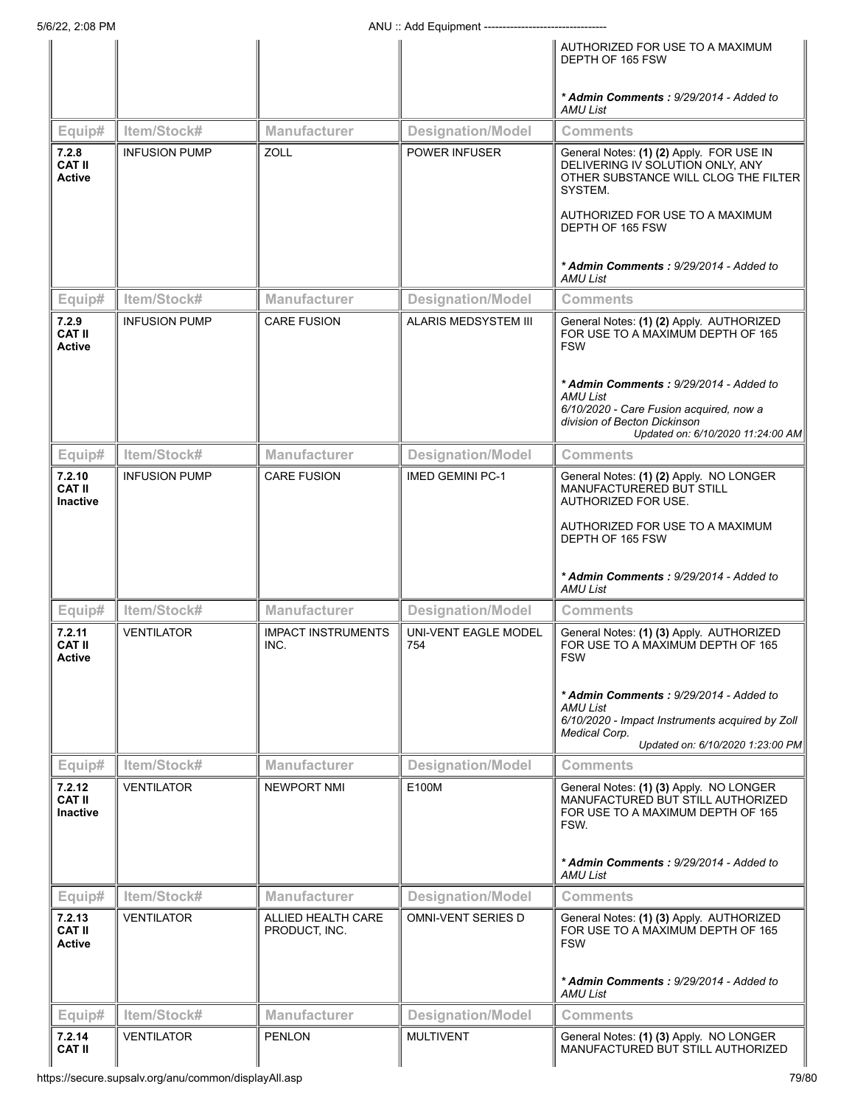|                                            |                      |                                     |                                    | AUTHORIZED FOR USE TO A MAXIMUM<br>DEPTH OF 165 FSW                                                                                                                                                                                                               |
|--------------------------------------------|----------------------|-------------------------------------|------------------------------------|-------------------------------------------------------------------------------------------------------------------------------------------------------------------------------------------------------------------------------------------------------------------|
|                                            |                      |                                     |                                    | * Admin Comments: 9/29/2014 - Added to<br><b>AMU List</b>                                                                                                                                                                                                         |
| Equip#                                     | Item/Stock#          | <b>Manufacturer</b>                 | <b>Designation/Model</b>           | <b>Comments</b>                                                                                                                                                                                                                                                   |
| 7.2.8<br><b>CAT II</b><br><b>Active</b>    | <b>INFUSION PUMP</b> | <b>ZOLL</b>                         | <b>POWER INFUSER</b>               | General Notes: (1) (2) Apply. FOR USE IN<br>DELIVERING IV SOLUTION ONLY, ANY<br>OTHER SUBSTANCE WILL CLOG THE FILTER<br>SYSTEM.<br>AUTHORIZED FOR USE TO A MAXIMUM<br>DEPTH OF 165 FSW<br>* Admin Comments: 9/29/2014 - Added to                                  |
|                                            |                      |                                     |                                    | AMU List                                                                                                                                                                                                                                                          |
| Equip#                                     | Item/Stock#          | <b>Manufacturer</b>                 | <b>Designation/Model</b>           | <b>Comments</b>                                                                                                                                                                                                                                                   |
| 7.2.9<br><b>CAT II</b><br><b>Active</b>    | <b>INFUSION PUMP</b> | <b>CARE FUSION</b>                  | ALARIS MEDSYSTEM III               | General Notes: (1) (2) Apply. AUTHORIZED<br>FOR USE TO A MAXIMUM DEPTH OF 165<br><b>FSW</b><br>* Admin Comments: 9/29/2014 - Added to<br>AMU List<br>6/10/2020 - Care Fusion acquired, now a<br>division of Becton Dickinson<br>Updated on: 6/10/2020 11:24:00 AM |
| Equip#                                     | Item/Stock#          | <b>Manufacturer</b>                 | <b>Designation/Model</b>           | <b>Comments</b>                                                                                                                                                                                                                                                   |
| 7.2.10<br><b>CAT II</b><br><b>Inactive</b> | <b>INFUSION PUMP</b> | <b>CARE FUSION</b>                  | <b>IMED GEMINI PC-1</b>            | General Notes: (1) (2) Apply. NO LONGER<br>MANUFACTURERED BUT STILL<br>AUTHORIZED FOR USE.<br>AUTHORIZED FOR USE TO A MAXIMUM<br>DEPTH OF 165 FSW<br>* Admin Comments: 9/29/2014 - Added to<br>AMU List                                                           |
| Equip#                                     | Item/Stock#          | <b>Manufacturer</b>                 | <b>Designation/Model</b>           | <b>Comments</b>                                                                                                                                                                                                                                                   |
| 7.2.11<br><b>CAT II</b><br><b>Active</b>   | <b>VENTILATOR</b>    | <b>IMPACT INSTRUMENTS</b><br>INC.   | <b>UNI-VENT EAGLE MODEL</b><br>754 | General Notes: (1) (3) Apply. AUTHORIZED<br>FOR USE TO A MAXIMUM DEPTH OF 165<br><b>FSW</b><br>* Admin Comments: 9/29/2014 - Added to<br><b>AMU List</b><br>6/10/2020 - Impact Instruments acquired by Zoll<br>Medical Corp.<br>Updated on: 6/10/2020 1:23:00 PM  |
| Equip#                                     | Item/Stock#          | <b>Manufacturer</b>                 | <b>Designation/Model</b>           | <b>Comments</b>                                                                                                                                                                                                                                                   |
| 7.2.12<br><b>CAT II</b><br><b>Inactive</b> | VENTILATOR           | <b>NEWPORT NMI</b>                  | E100M                              | General Notes: (1) (3) Apply. NO LONGER<br>MANUFACTURED BUT STILL AUTHORIZED<br>FOR USE TO A MAXIMUM DEPTH OF 165<br>FSW.<br>* Admin Comments: 9/29/2014 - Added to<br><b>AMU List</b>                                                                            |
| Equip#                                     | Item/Stock#          | <b>Manufacturer</b>                 | <b>Designation/Model</b>           | Comments                                                                                                                                                                                                                                                          |
| 7.2.13<br><b>CAT II</b><br><b>Active</b>   | <b>VENTILATOR</b>    | ALLIED HEALTH CARE<br>PRODUCT, INC. | <b>OMNI-VENT SERIES D</b>          | General Notes: (1) (3) Apply. AUTHORIZED<br>FOR USE TO A MAXIMUM DEPTH OF 165<br><b>FSW</b><br>* Admin Comments: 9/29/2014 - Added to<br><b>AMU List</b>                                                                                                          |
| Equip#                                     | Item/Stock#          | <b>Manufacturer</b>                 | <b>Designation/Model</b>           | <b>Comments</b>                                                                                                                                                                                                                                                   |
| 7.2.14                                     | VENTILATOR           | <b>PENLON</b>                       | <b>MULTIVENT</b>                   | General Notes: (1) (3) Apply. NO LONGER                                                                                                                                                                                                                           |
| <b>CAT II</b>                              |                      |                                     |                                    | MANUFACTURED BUT STILL AUTHORIZED                                                                                                                                                                                                                                 |